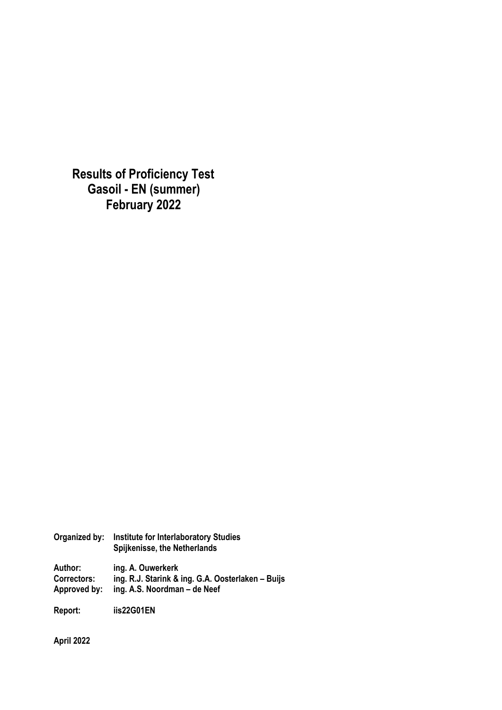**Results of Proficiency Test Gasoil - EN (summer) February 2022**

**Organized by: Institute for Interlaboratory Studies Spijkenisse, the Netherlands Author: ing. A. Ouwerkerk Correctors: ing. R.J. Starink & ing. G.A. Oosterlaken – Buijs Approved by: ing. A.S. Noordman – de Neef** 

**Report: iis22G01EN** 

**April 2022**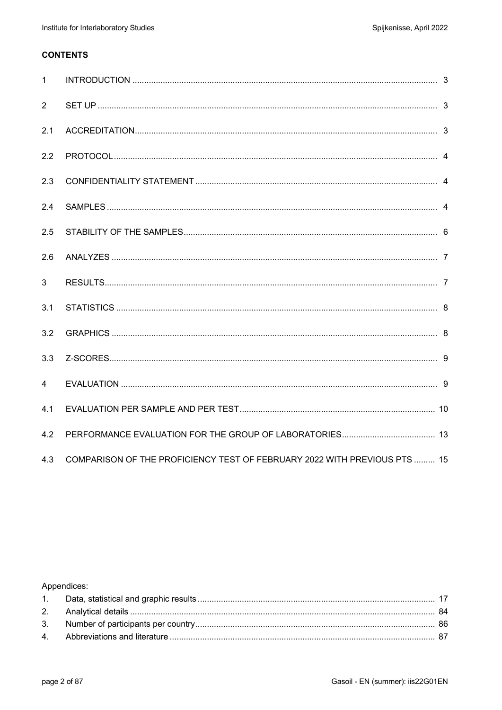## **CONTENTS**

| $\mathbf{1}$   |                                                                           |  |
|----------------|---------------------------------------------------------------------------|--|
| 2              |                                                                           |  |
| 2.1            |                                                                           |  |
| 2.2            |                                                                           |  |
| 2.3            |                                                                           |  |
| 2.4            |                                                                           |  |
| 2.5            |                                                                           |  |
| 2.6            |                                                                           |  |
| 3              |                                                                           |  |
| 3.1            |                                                                           |  |
| 3.2            |                                                                           |  |
| 3.3            |                                                                           |  |
| $\overline{4}$ |                                                                           |  |
| 4.1            |                                                                           |  |
| 4.2            |                                                                           |  |
| 4.3            | COMPARISON OF THE PROFICIENCY TEST OF FEBRUARY 2022 WITH PREVIOUS PTS  15 |  |

# Appendices: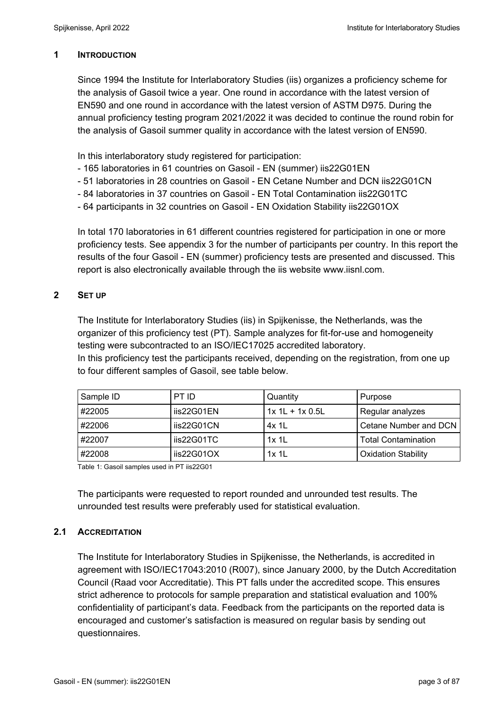## **1 INTRODUCTION**

Since 1994 the Institute for Interlaboratory Studies (iis) organizes a proficiency scheme for the analysis of Gasoil twice a year. One round in accordance with the latest version of EN590 and one round in accordance with the latest version of ASTM D975. During the annual proficiency testing program 2021/2022 it was decided to continue the round robin for the analysis of Gasoil summer quality in accordance with the latest version of EN590.

In this interlaboratory study registered for participation:

- 165 laboratories in 61 countries on Gasoil EN (summer) iis22G01EN
- 51 laboratories in 28 countries on Gasoil EN Cetane Number and DCN iis22G01CN
- 84 laboratories in 37 countries on Gasoil EN Total Contamination iis22G01TC
- 64 participants in 32 countries on Gasoil EN Oxidation Stability iis22G01OX

In total 170 laboratories in 61 different countries registered for participation in one or more proficiency tests. See appendix 3 for the number of participants per country. In this report the results of the four Gasoil - EN (summer) proficiency tests are presented and discussed. This report is also electronically available through the iis website www.iisnl.com.

# **2 SET UP**

The Institute for Interlaboratory Studies (iis) in Spijkenisse, the Netherlands, was the organizer of this proficiency test (PT). Sample analyzes for fit-for-use and homogeneity testing were subcontracted to an ISO/IEC17025 accredited laboratory.

In this proficiency test the participants received, depending on the registration, from one up to four different samples of Gasoil, see table below.

| Sample ID | PT ID      | Quantity          | Purpose                    |  |
|-----------|------------|-------------------|----------------------------|--|
| #22005    | iis22G01EN | $1x$ 1L + 1x 0.5L | Regular analyzes           |  |
| #22006    | iis22G01CN | 4x1L              | Cetane Number and DCN      |  |
| #22007    | iis22G01TC | 1x1L              | <b>Total Contamination</b> |  |
| #22008    | iis22G01OX | 1x1L              | <b>Oxidation Stability</b> |  |

Table 1: Gasoil samples used in PT iis22G01

The participants were requested to report rounded and unrounded test results. The unrounded test results were preferably used for statistical evaluation.

# **2.1 ACCREDITATION**

The Institute for Interlaboratory Studies in Spijkenisse, the Netherlands, is accredited in agreement with ISO/IEC17043:2010 (R007), since January 2000, by the Dutch Accreditation Council (Raad voor Accreditatie). This PT falls under the accredited scope. This ensures strict adherence to protocols for sample preparation and statistical evaluation and 100% confidentiality of participant's data. Feedback from the participants on the reported data is encouraged and customer's satisfaction is measured on regular basis by sending out questionnaires.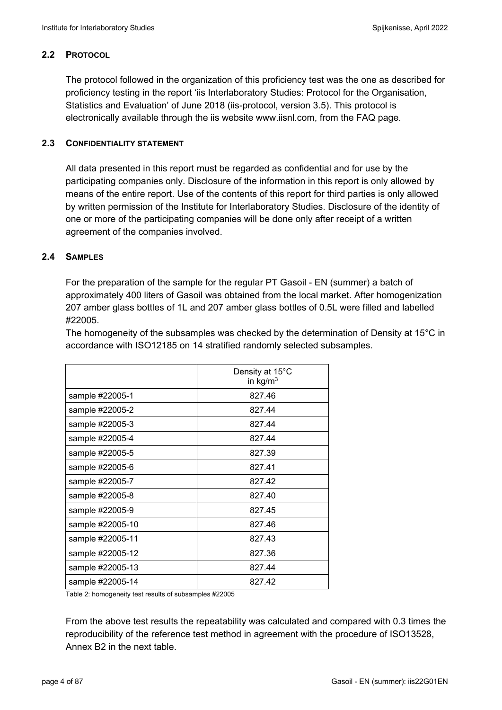## **2.2 PROTOCOL**

The protocol followed in the organization of this proficiency test was the one as described for proficiency testing in the report 'iis Interlaboratory Studies: Protocol for the Organisation, Statistics and Evaluation' of June 2018 (iis-protocol, version 3.5). This protocol is electronically available through the iis website www.iisnl.com, from the FAQ page.

## **2.3 CONFIDENTIALITY STATEMENT**

All data presented in this report must be regarded as confidential and for use by the participating companies only. Disclosure of the information in this report is only allowed by means of the entire report. Use of the contents of this report for third parties is only allowed by written permission of the Institute for Interlaboratory Studies. Disclosure of the identity of one or more of the participating companies will be done only after receipt of a written agreement of the companies involved.

## **2.4 SAMPLES**

For the preparation of the sample for the regular PT Gasoil - EN (summer) a batch of approximately 400 liters of Gasoil was obtained from the local market. After homogenization 207 amber glass bottles of 1L and 207 amber glass bottles of 0.5L were filled and labelled #22005.

The homogeneity of the subsamples was checked by the determination of Density at 15°C in accordance with ISO12185 on 14 stratified randomly selected subsamples.

|                  | Density at 15°C<br>in kg/ $m3$ |
|------------------|--------------------------------|
| sample #22005-1  | 827.46                         |
| sample #22005-2  | 827.44                         |
| sample #22005-3  | 827.44                         |
| sample #22005-4  | 827.44                         |
| sample #22005-5  | 827.39                         |
| sample #22005-6  | 827.41                         |
| sample #22005-7  | 827.42                         |
| sample #22005-8  | 827.40                         |
| sample #22005-9  | 827.45                         |
| sample #22005-10 | 827.46                         |
| sample #22005-11 | 827.43                         |
| sample #22005-12 | 827.36                         |
| sample #22005-13 | 827.44                         |
| sample #22005-14 | 827.42                         |

Table 2: homogeneity test results of subsamples #22005

From the above test results the repeatability was calculated and compared with 0.3 times the reproducibility of the reference test method in agreement with the procedure of ISO13528, Annex B2 in the next table.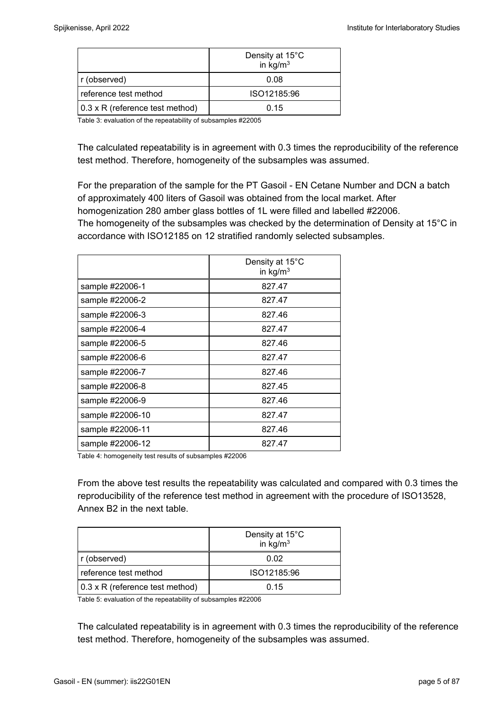|                                 | Density at 15°C<br>in $kg/m3$ |
|---------------------------------|-------------------------------|
| r (observed)                    | 0.08                          |
| reference test method           | ISO12185:96                   |
| 0.3 x R (reference test method) | 0.15                          |

Table 3: evaluation of the repeatability of subsamples #22005

The calculated repeatability is in agreement with 0.3 times the reproducibility of the reference test method. Therefore, homogeneity of the subsamples was assumed.

For the preparation of the sample for the PT Gasoil - EN Cetane Number and DCN a batch of approximately 400 liters of Gasoil was obtained from the local market. After homogenization 280 amber glass bottles of 1L were filled and labelled #22006. The homogeneity of the subsamples was checked by the determination of Density at 15°C in accordance with ISO12185 on 12 stratified randomly selected subsamples.

|                  | Density at 15°C<br>in $kg/m3$ |
|------------------|-------------------------------|
| sample #22006-1  | 827.47                        |
| sample #22006-2  | 827.47                        |
| sample #22006-3  | 827.46                        |
| sample #22006-4  | 827.47                        |
| sample #22006-5  | 827.46                        |
| sample #22006-6  | 827.47                        |
| sample #22006-7  | 827.46                        |
| sample #22006-8  | 827.45                        |
| sample #22006-9  | 827.46                        |
| sample #22006-10 | 827.47                        |
| sample #22006-11 | 827.46                        |
| sample #22006-12 | 827.47                        |

Table 4: homogeneity test results of subsamples #22006

From the above test results the repeatability was calculated and compared with 0.3 times the reproducibility of the reference test method in agreement with the procedure of ISO13528, Annex B2 in the next table.

|                                 | Density at 15°C<br>in $\text{kg/m}^3$ |
|---------------------------------|---------------------------------------|
| r (observed)                    | 0.02                                  |
| reference test method           | ISO12185:96                           |
| 0.3 x R (reference test method) | 0.15                                  |

Table 5: evaluation of the repeatability of subsamples #22006

The calculated repeatability is in agreement with 0.3 times the reproducibility of the reference test method. Therefore, homogeneity of the subsamples was assumed.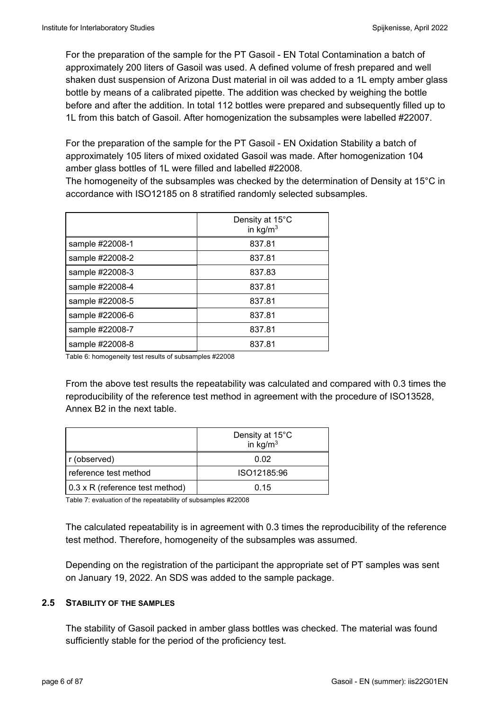For the preparation of the sample for the PT Gasoil - EN Total Contamination a batch of approximately 200 liters of Gasoil was used. A defined volume of fresh prepared and well shaken dust suspension of Arizona Dust material in oil was added to a 1L empty amber glass bottle by means of a calibrated pipette. The addition was checked by weighing the bottle before and after the addition. In total 112 bottles were prepared and subsequently filled up to 1L from this batch of Gasoil. After homogenization the subsamples were labelled #22007.

For the preparation of the sample for the PT Gasoil - EN Oxidation Stability a batch of approximately 105 liters of mixed oxidated Gasoil was made. After homogenization 104 amber glass bottles of 1L were filled and labelled #22008.

The homogeneity of the subsamples was checked by the determination of Density at 15°C in accordance with ISO12185 on 8 stratified randomly selected subsamples.

|                 | Density at 15°C<br>in $kg/m3$ |
|-----------------|-------------------------------|
| sample #22008-1 | 837.81                        |
| sample #22008-2 | 837.81                        |
| sample #22008-3 | 837.83                        |
| sample #22008-4 | 837.81                        |
| sample #22008-5 | 837.81                        |
| sample #22006-6 | 837.81                        |
| sample #22008-7 | 837.81                        |
| sample #22008-8 | 837.81                        |

Table 6: homogeneity test results of subsamples #22008

From the above test results the repeatability was calculated and compared with 0.3 times the reproducibility of the reference test method in agreement with the procedure of ISO13528, Annex B2 in the next table.

|                                 | Density at 15°C<br>in $\text{kg/m}^3$ |
|---------------------------------|---------------------------------------|
| r (observed)                    | 0.02                                  |
| reference test method           | ISO12185:96                           |
| 0.3 x R (reference test method) | በ 15                                  |

Table 7: evaluation of the repeatability of subsamples #22008

The calculated repeatability is in agreement with 0.3 times the reproducibility of the reference test method. Therefore, homogeneity of the subsamples was assumed.

Depending on the registration of the participant the appropriate set of PT samples was sent on January 19, 2022. An SDS was added to the sample package.

## **2.5 STABILITY OF THE SAMPLES**

The stability of Gasoil packed in amber glass bottles was checked. The material was found sufficiently stable for the period of the proficiency test.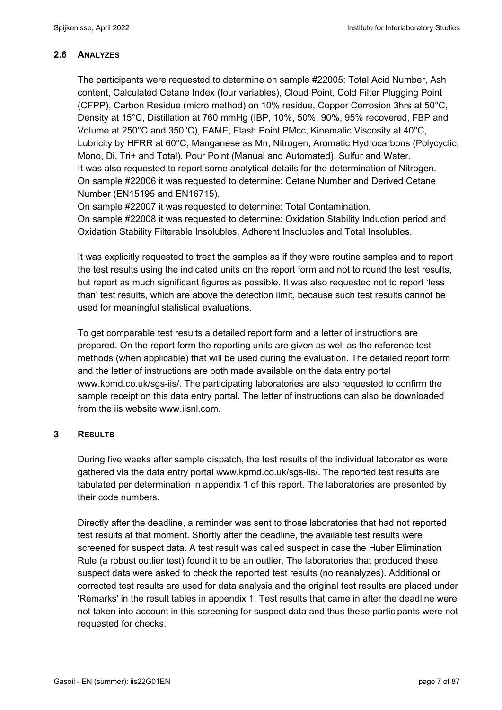# **2.6 ANALYZES**

The participants were requested to determine on sample #22005: Total Acid Number, Ash content, Calculated Cetane Index (four variables), Cloud Point, Cold Filter Plugging Point (CFPP), Carbon Residue (micro method) on 10% residue, Copper Corrosion 3hrs at 50°C, Density at 15°C, Distillation at 760 mmHg (IBP, 10%, 50%, 90%, 95% recovered, FBP and Volume at 250°C and 350°C), FAME, Flash Point PMcc, Kinematic Viscosity at 40°C, Lubricity by HFRR at 60°C, Manganese as Mn, Nitrogen, Aromatic Hydrocarbons (Polycyclic, Mono, Di, Tri+ and Total), Pour Point (Manual and Automated), Sulfur and Water. It was also requested to report some analytical details for the determination of Nitrogen. On sample #22006 it was requested to determine: Cetane Number and Derived Cetane Number (EN15195 and EN16715).

On sample #22007 it was requested to determine: Total Contamination. On sample #22008 it was requested to determine: Oxidation Stability Induction period and Oxidation Stability Filterable Insolubles, Adherent Insolubles and Total Insolubles.

It was explicitly requested to treat the samples as if they were routine samples and to report the test results using the indicated units on the report form and not to round the test results, but report as much significant figures as possible. It was also requested not to report 'less than' test results, which are above the detection limit, because such test results cannot be used for meaningful statistical evaluations.

To get comparable test results a detailed report form and a letter of instructions are prepared. On the report form the reporting units are given as well as the reference test methods (when applicable) that will be used during the evaluation. The detailed report form and the letter of instructions are both made available on the data entry portal www.kpmd.co.uk/sgs-iis/. The participating laboratories are also requested to confirm the sample receipt on this data entry portal. The letter of instructions can also be downloaded from the iis website www.iisnl.com.

## **3 RESULTS**

During five weeks after sample dispatch, the test results of the individual laboratories were gathered via the data entry portal www.kpmd.co.uk/sgs-iis/. The reported test results are tabulated per determination in appendix 1 of this report. The laboratories are presented by their code numbers.

Directly after the deadline, a reminder was sent to those laboratories that had not reported test results at that moment. Shortly after the deadline, the available test results were screened for suspect data. A test result was called suspect in case the Huber Elimination Rule (a robust outlier test) found it to be an outlier. The laboratories that produced these suspect data were asked to check the reported test results (no reanalyzes). Additional or corrected test results are used for data analysis and the original test results are placed under 'Remarks' in the result tables in appendix 1. Test results that came in after the deadline were not taken into account in this screening for suspect data and thus these participants were not requested for checks.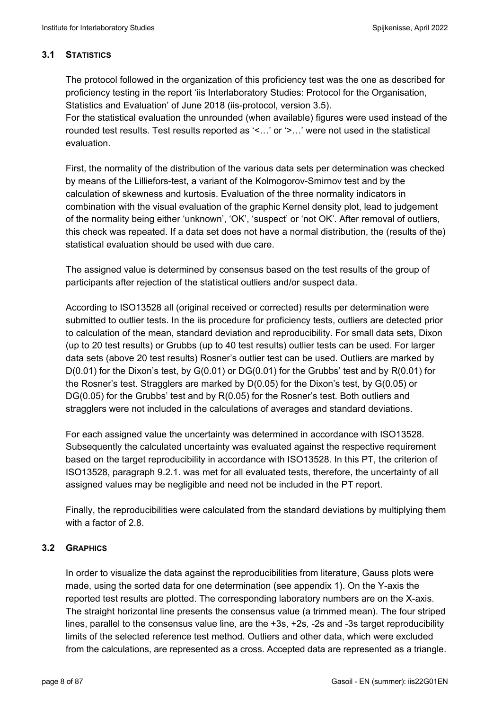## **3.1 STATISTICS**

The protocol followed in the organization of this proficiency test was the one as described for proficiency testing in the report 'iis Interlaboratory Studies: Protocol for the Organisation, Statistics and Evaluation' of June 2018 (iis-protocol, version 3.5).

For the statistical evaluation the unrounded (when available) figures were used instead of the rounded test results. Test results reported as '<…' or '>…' were not used in the statistical evaluation.

First, the normality of the distribution of the various data sets per determination was checked by means of the Lilliefors-test, a variant of the Kolmogorov-Smirnov test and by the calculation of skewness and kurtosis. Evaluation of the three normality indicators in combination with the visual evaluation of the graphic Kernel density plot, lead to judgement of the normality being either 'unknown', 'OK', 'suspect' or 'not OK'. After removal of outliers, this check was repeated. If a data set does not have a normal distribution, the (results of the) statistical evaluation should be used with due care.

The assigned value is determined by consensus based on the test results of the group of participants after rejection of the statistical outliers and/or suspect data.

According to ISO13528 all (original received or corrected) results per determination were submitted to outlier tests. In the iis procedure for proficiency tests, outliers are detected prior to calculation of the mean, standard deviation and reproducibility. For small data sets, Dixon (up to 20 test results) or Grubbs (up to 40 test results) outlier tests can be used. For larger data sets (above 20 test results) Rosner's outlier test can be used. Outliers are marked by  $D(0.01)$  for the Dixon's test, by  $G(0.01)$  or  $DG(0.01)$  for the Grubbs' test and by  $R(0.01)$  for the Rosner's test. Stragglers are marked by D(0.05) for the Dixon's test, by G(0.05) or DG(0.05) for the Grubbs' test and by R(0.05) for the Rosner's test. Both outliers and stragglers were not included in the calculations of averages and standard deviations.

For each assigned value the uncertainty was determined in accordance with ISO13528. Subsequently the calculated uncertainty was evaluated against the respective requirement based on the target reproducibility in accordance with ISO13528. In this PT, the criterion of ISO13528, paragraph 9.2.1. was met for all evaluated tests, therefore, the uncertainty of all assigned values may be negligible and need not be included in the PT report.

Finally, the reproducibilities were calculated from the standard deviations by multiplying them with a factor of 2.8.

# **3.2 GRAPHICS**

In order to visualize the data against the reproducibilities from literature, Gauss plots were made, using the sorted data for one determination (see appendix 1). On the Y-axis the reported test results are plotted. The corresponding laboratory numbers are on the X-axis. The straight horizontal line presents the consensus value (a trimmed mean). The four striped lines, parallel to the consensus value line, are the +3s, +2s, -2s and -3s target reproducibility limits of the selected reference test method. Outliers and other data, which were excluded from the calculations, are represented as a cross. Accepted data are represented as a triangle.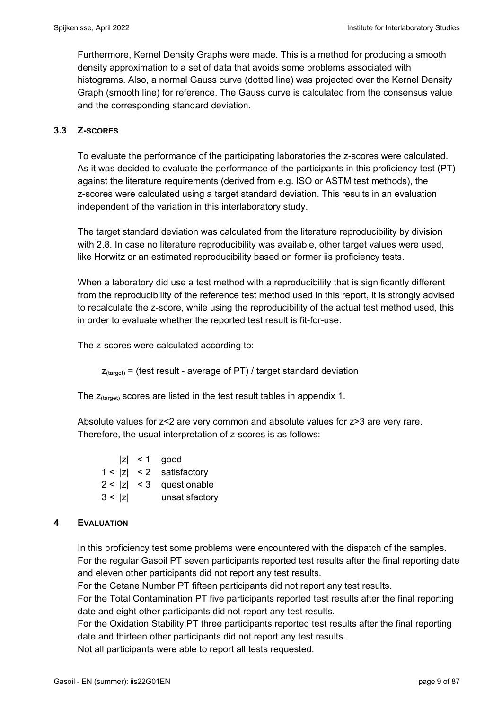Furthermore, Kernel Density Graphs were made. This is a method for producing a smooth density approximation to a set of data that avoids some problems associated with histograms. Also, a normal Gauss curve (dotted line) was projected over the Kernel Density Graph (smooth line) for reference. The Gauss curve is calculated from the consensus value and the corresponding standard deviation.

## **3.3 Z-SCORES**

To evaluate the performance of the participating laboratories the z-scores were calculated. As it was decided to evaluate the performance of the participants in this proficiency test (PT) against the literature requirements (derived from e.g. ISO or ASTM test methods), the z-scores were calculated using a target standard deviation. This results in an evaluation independent of the variation in this interlaboratory study.

The target standard deviation was calculated from the literature reproducibility by division with 2.8. In case no literature reproducibility was available, other target values were used, like Horwitz or an estimated reproducibility based on former iis proficiency tests.

When a laboratory did use a test method with a reproducibility that is significantly different from the reproducibility of the reference test method used in this report, it is strongly advised to recalculate the z-score, while using the reproducibility of the actual test method used, this in order to evaluate whether the reported test result is fit-for-use.

The z-scores were calculated according to:

 $Z_{\text{target}}$  = (test result - average of PT) / target standard deviation

The  $z_{\text{(target)}}$  scores are listed in the test result tables in appendix 1.

Absolute values for z<2 are very common and absolute values for z>3 are very rare. Therefore, the usual interpretation of z-scores is as follows:

 $|z|$  < 1 good 1 < |z| < 2 satisfactory 2 < |z| < 3 questionable 3 < |z| unsatisfactory

## **4 EVALUATION**

In this proficiency test some problems were encountered with the dispatch of the samples. For the regular Gasoil PT seven participants reported test results after the final reporting date and eleven other participants did not report any test results.

For the Cetane Number PT fifteen participants did not report any test results.

For the Total Contamination PT five participants reported test results after the final reporting date and eight other participants did not report any test results.

For the Oxidation Stability PT three participants reported test results after the final reporting date and thirteen other participants did not report any test results.

Not all participants were able to report all tests requested.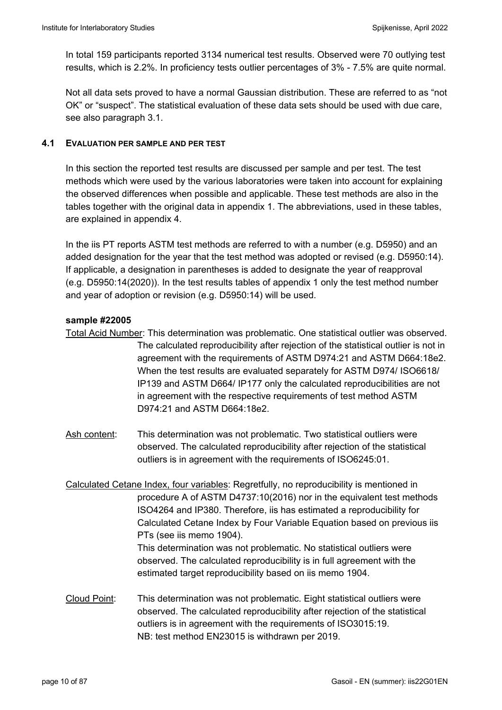In total 159 participants reported 3134 numerical test results. Observed were 70 outlying test results, which is 2.2%. In proficiency tests outlier percentages of 3% - 7.5% are quite normal.

Not all data sets proved to have a normal Gaussian distribution. These are referred to as "not OK" or "suspect". The statistical evaluation of these data sets should be used with due care, see also paragraph 3.1.

## **4.1 EVALUATION PER SAMPLE AND PER TEST**

In this section the reported test results are discussed per sample and per test. The test methods which were used by the various laboratories were taken into account for explaining the observed differences when possible and applicable. These test methods are also in the tables together with the original data in appendix 1. The abbreviations, used in these tables, are explained in appendix 4.

In the iis PT reports ASTM test methods are referred to with a number (e.g. D5950) and an added designation for the year that the test method was adopted or revised (e.g. D5950:14). If applicable, a designation in parentheses is added to designate the year of reapproval (e.g. D5950:14(2020)). In the test results tables of appendix 1 only the test method number and year of adoption or revision (e.g. D5950:14) will be used.

#### **sample #22005**

- Total Acid Number: This determination was problematic. One statistical outlier was observed. The calculated reproducibility after rejection of the statistical outlier is not in agreement with the requirements of ASTM D974:21 and ASTM D664:18e2. When the test results are evaluated separately for ASTM D974/ ISO6618/ IP139 and ASTM D664/ IP177 only the calculated reproducibilities are not in agreement with the respective requirements of test method ASTM D974:21 and ASTM D664:18e2.
- Ash content: This determination was not problematic. Two statistical outliers were observed. The calculated reproducibility after rejection of the statistical outliers is in agreement with the requirements of ISO6245:01.
- Calculated Cetane Index, four variables: Regretfully, no reproducibility is mentioned in procedure A of ASTM D4737:10(2016) nor in the equivalent test methods ISO4264 and IP380. Therefore, iis has estimated a reproducibility for Calculated Cetane Index by Four Variable Equation based on previous iis PTs (see iis memo 1904).

 This determination was not problematic. No statistical outliers were observed. The calculated reproducibility is in full agreement with the estimated target reproducibility based on iis memo 1904.

Cloud Point: This determination was not problematic. Eight statistical outliers were observed. The calculated reproducibility after rejection of the statistical outliers is in agreement with the requirements of ISO3015:19. NB: test method EN23015 is withdrawn per 2019.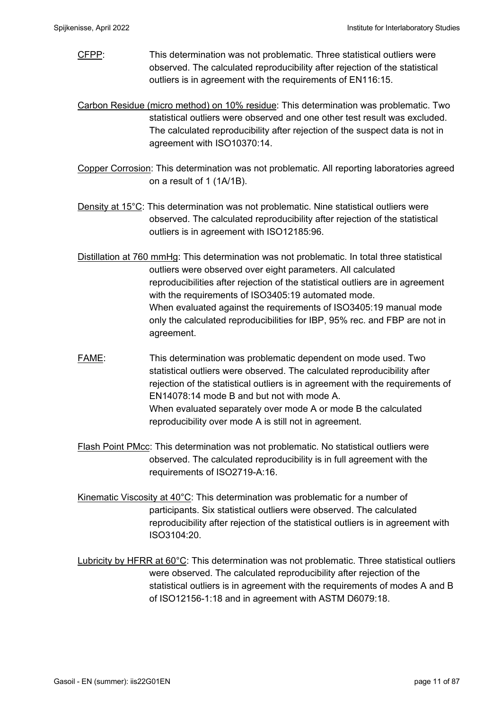CFPP: This determination was not problematic. Three statistical outliers were observed. The calculated reproducibility after rejection of the statistical outliers is in agreement with the requirements of EN116:15.

Carbon Residue (micro method) on 10% residue: This determination was problematic. Two statistical outliers were observed and one other test result was excluded. The calculated reproducibility after rejection of the suspect data is not in agreement with ISO10370:14.

- Copper Corrosion: This determination was not problematic. All reporting laboratories agreed on a result of 1 (1A/1B).
- Density at 15°C: This determination was not problematic. Nine statistical outliers were observed. The calculated reproducibility after rejection of the statistical outliers is in agreement with ISO12185:96.
- Distillation at 760 mmHg: This determination was not problematic. In total three statistical outliers were observed over eight parameters. All calculated reproducibilities after rejection of the statistical outliers are in agreement with the requirements of ISO3405:19 automated mode. When evaluated against the requirements of ISO3405:19 manual mode only the calculated reproducibilities for IBP, 95% rec. and FBP are not in agreement.
- FAME: This determination was problematic dependent on mode used. Two statistical outliers were observed. The calculated reproducibility after rejection of the statistical outliers is in agreement with the requirements of EN14078:14 mode B and but not with mode A. When evaluated separately over mode A or mode B the calculated reproducibility over mode A is still not in agreement.
- Flash Point PMcc: This determination was not problematic. No statistical outliers were observed. The calculated reproducibility is in full agreement with the requirements of ISO2719-A:16.
- Kinematic Viscosity at 40°C: This determination was problematic for a number of participants. Six statistical outliers were observed. The calculated reproducibility after rejection of the statistical outliers is in agreement with ISO3104:20.

Lubricity by HFRR at 60°C: This determination was not problematic. Three statistical outliers were observed. The calculated reproducibility after rejection of the statistical outliers is in agreement with the requirements of modes A and B of ISO12156-1:18 and in agreement with ASTM D6079:18.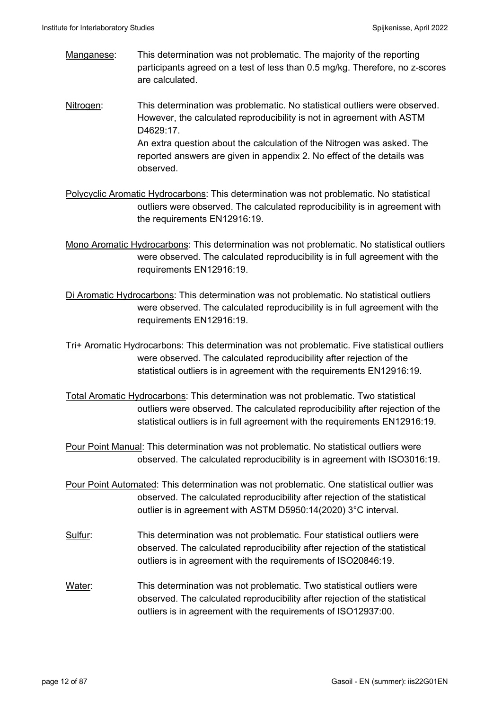- Manganese: This determination was not problematic. The majority of the reporting participants agreed on a test of less than 0.5 mg/kg. Therefore, no z-scores are calculated.
- Nitrogen: This determination was problematic. No statistical outliers were observed. However, the calculated reproducibility is not in agreement with ASTM D4629:17. An extra question about the calculation of the Nitrogen was asked. The reported answers are given in appendix 2. No effect of the details was observed.
- Polycyclic Aromatic Hydrocarbons: This determination was not problematic. No statistical outliers were observed. The calculated reproducibility is in agreement with the requirements EN12916:19.
- Mono Aromatic Hydrocarbons: This determination was not problematic. No statistical outliers were observed. The calculated reproducibility is in full agreement with the requirements EN12916:19.
- Di Aromatic Hydrocarbons: This determination was not problematic. No statistical outliers were observed. The calculated reproducibility is in full agreement with the requirements EN12916:19.
- Tri+ Aromatic Hydrocarbons: This determination was not problematic. Five statistical outliers were observed. The calculated reproducibility after rejection of the statistical outliers is in agreement with the requirements EN12916:19.
- Total Aromatic Hydrocarbons: This determination was not problematic. Two statistical outliers were observed. The calculated reproducibility after rejection of the statistical outliers is in full agreement with the requirements EN12916:19.
- Pour Point Manual: This determination was not problematic. No statistical outliers were observed. The calculated reproducibility is in agreement with ISO3016:19.
- Pour Point Automated: This determination was not problematic. One statistical outlier was observed. The calculated reproducibility after rejection of the statistical outlier is in agreement with ASTM D5950:14(2020) 3°C interval.
- Sulfur: This determination was not problematic. Four statistical outliers were observed. The calculated reproducibility after rejection of the statistical outliers is in agreement with the requirements of ISO20846:19.
- Water: This determination was not problematic. Two statistical outliers were observed. The calculated reproducibility after rejection of the statistical outliers is in agreement with the requirements of ISO12937:00.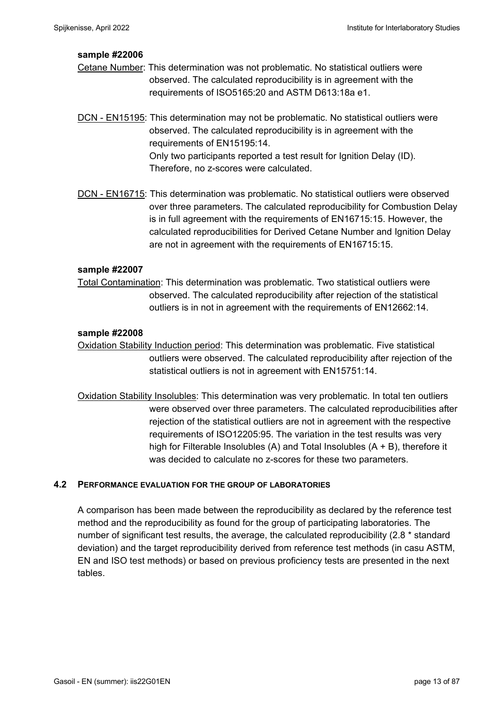#### **sample #22006**

Cetane Number: This determination was not problematic. No statistical outliers were observed. The calculated reproducibility is in agreement with the requirements of ISO5165:20 and ASTM D613:18a e1.

DCN - EN15195: This determination may not be problematic. No statistical outliers were observed. The calculated reproducibility is in agreement with the requirements of EN15195:14. Only two participants reported a test result for Ignition Delay (ID). Therefore, no z-scores were calculated.

DCN - EN16715: This determination was problematic. No statistical outliers were observed over three parameters. The calculated reproducibility for Combustion Delay is in full agreement with the requirements of EN16715:15. However, the calculated reproducibilities for Derived Cetane Number and Ignition Delay are not in agreement with the requirements of EN16715:15.

#### **sample #22007**

Total Contamination: This determination was problematic. Two statistical outliers were observed. The calculated reproducibility after rejection of the statistical outliers is in not in agreement with the requirements of EN12662:14.

#### **sample #22008**

Oxidation Stability Induction period: This determination was problematic. Five statistical outliers were observed. The calculated reproducibility after rejection of the statistical outliers is not in agreement with EN15751:14.

Oxidation Stability Insolubles: This determination was very problematic. In total ten outliers were observed over three parameters. The calculated reproducibilities after rejection of the statistical outliers are not in agreement with the respective requirements of ISO12205:95. The variation in the test results was very high for Filterable Insolubles (A) and Total Insolubles (A + B), therefore it was decided to calculate no z-scores for these two parameters.

#### **4.2 PERFORMANCE EVALUATION FOR THE GROUP OF LABORATORIES**

A comparison has been made between the reproducibility as declared by the reference test method and the reproducibility as found for the group of participating laboratories. The number of significant test results, the average, the calculated reproducibility (2.8 \* standard deviation) and the target reproducibility derived from reference test methods (in casu ASTM, EN and ISO test methods) or based on previous proficiency tests are presented in the next tables.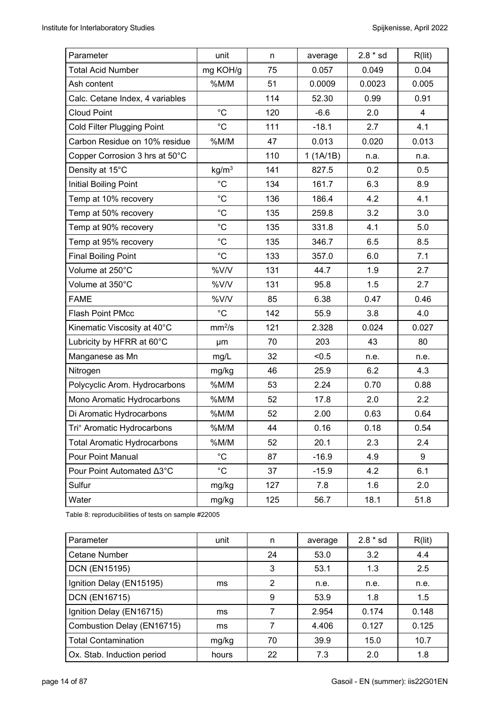| Parameter                              | unit               | n   | average  | $2.8 * sd$ | R(lit)         |
|----------------------------------------|--------------------|-----|----------|------------|----------------|
| <b>Total Acid Number</b>               | mg KOH/g           | 75  | 0.057    | 0.049      | 0.04           |
| Ash content                            | %M/M               | 51  | 0.0009   | 0.0023     | 0.005          |
| Calc. Cetane Index, 4 variables        |                    | 114 | 52.30    | 0.99       | 0.91           |
| <b>Cloud Point</b>                     | $^{\circ}C$        | 120 | $-6.6$   | 2.0        | $\overline{4}$ |
| Cold Filter Plugging Point             | $^{\circ}C$        | 111 | $-18.1$  | 2.7        | 4.1            |
| Carbon Residue on 10% residue          | %M/M               | 47  | 0.013    | 0.020      | 0.013          |
| Copper Corrosion 3 hrs at 50°C         |                    | 110 | 1(1A/1B) | n.a.       | n.a.           |
| Density at 15°C                        | kg/m <sup>3</sup>  | 141 | 827.5    | 0.2        | 0.5            |
| <b>Initial Boiling Point</b>           | $^{\circ}C$        | 134 | 161.7    | 6.3        | 8.9            |
| Temp at 10% recovery                   | $^{\circ}C$        | 136 | 186.4    | 4.2        | 4.1            |
| Temp at 50% recovery                   | $^{\circ}C$        | 135 | 259.8    | 3.2        | 3.0            |
| Temp at 90% recovery                   | $^{\circ}C$        | 135 | 331.8    | 4.1        | 5.0            |
| Temp at 95% recovery                   | $^{\circ}C$        | 135 | 346.7    | 6.5        | 8.5            |
| <b>Final Boiling Point</b>             | $^{\circ}C$        | 133 | 357.0    | 6.0        | 7.1            |
| Volume at 250°C                        | %V/V               | 131 | 44.7     | 1.9        | 2.7            |
| Volume at 350°C                        | %V/V               | 131 | 95.8     | 1.5        | 2.7            |
| <b>FAME</b>                            | %V/V               | 85  | 6.38     | 0.47       | 0.46           |
| <b>Flash Point PMcc</b>                | $^{\circ}C$        | 142 | 55.9     | 3.8        | 4.0            |
| Kinematic Viscosity at 40°C            | mm <sup>2</sup> /s | 121 | 2.328    | 0.024      | 0.027          |
| Lubricity by HFRR at 60°C              | μm                 | 70  | 203      | 43         | 80             |
| Manganese as Mn                        | mg/L               | 32  | < 0.5    | n.e.       | n.e.           |
| Nitrogen                               | mg/kg              | 46  | 25.9     | 6.2        | 4.3            |
| Polycyclic Arom. Hydrocarbons          | %M/M               | 53  | 2.24     | 0.70       | 0.88           |
| Mono Aromatic Hydrocarbons             | %M/M               | 52  | 17.8     | 2.0        | 2.2            |
| Di Aromatic Hydrocarbons               | %M/M               | 52  | 2.00     | 0.63       | 0.64           |
| Tri <sup>+</sup> Aromatic Hydrocarbons | %M/M               | 44  | 0.16     | 0.18       | 0.54           |
| <b>Total Aromatic Hydrocarbons</b>     | %M/M               | 52  | 20.1     | 2.3        | 2.4            |
| Pour Point Manual                      | $^{\circ}C$        | 87  | $-16.9$  | 4.9        | 9              |
| Pour Point Automated ∆3°C              | $^{\circ}$ C       | 37  | $-15.9$  | 4.2        | 6.1            |
| Sulfur                                 | mg/kg              | 127 | 7.8      | 1.6        | 2.0            |
| Water                                  | mg/kg              | 125 | 56.7     | 18.1       | 51.8           |

Table 8: reproducibilities of tests on sample #22005

| Parameter                  | unit  | n  | average | $2.8 * sd$ | R(lit) |
|----------------------------|-------|----|---------|------------|--------|
| <b>Cetane Number</b>       |       | 24 | 53.0    | 3.2        | 4.4    |
| <b>DCN (EN15195)</b>       |       | 3  | 53.1    | 1.3        | 2.5    |
| Ignition Delay (EN15195)   | ms    | 2  | n.e.    | n.e.       | n.e.   |
| <b>DCN (EN16715)</b>       |       | 9  | 53.9    | 1.8        | 1.5    |
| Ignition Delay (EN16715)   | ms    |    | 2.954   | 0.174      | 0.148  |
| Combustion Delay (EN16715) | ms    | 7  | 4.406   | 0.127      | 0.125  |
| <b>Total Contamination</b> | mg/kg | 70 | 39.9    | 15.0       | 10.7   |
| Ox. Stab. Induction period | hours | 22 | 7.3     | 2.0        | 1.8    |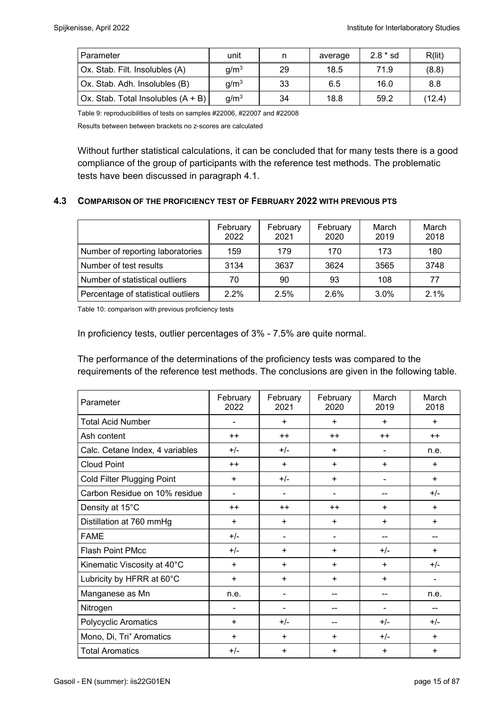| Parameter                                | unit             |    | average | $2.8 * sd$ | R(lit) |
|------------------------------------------|------------------|----|---------|------------|--------|
| Ox. Stab. Filt. Insolubles (A)           | a/m <sup>3</sup> | 29 | 18.5    | 71.9       | (8.8)  |
| Ox. Stab. Adh. Insolubles (B)            | a/m <sup>3</sup> | 33 | 6.5     | 16.0       | 8.8    |
| $ $ Ox. Stab. Total Insolubles $(A + B)$ | q/m <sup>3</sup> | 34 | 18.8    | 59.2       | (12.4) |

Table 9: reproducibilities of tests on samples #22006, #22007 and #22008

Results between between brackets no z-scores are calculated

Without further statistical calculations, it can be concluded that for many tests there is a good compliance of the group of participants with the reference test methods. The problematic tests have been discussed in paragraph 4.1.

## **4.3 COMPARISON OF THE PROFICIENCY TEST OF FEBRUARY 2022 WITH PREVIOUS PTS**

|                                    | February<br>2022 | February<br>2021 | February<br>2020 | March<br>2019 | March<br>2018 |
|------------------------------------|------------------|------------------|------------------|---------------|---------------|
| Number of reporting laboratories   | 159              | 179              | 170              | 173           | 180           |
| Number of test results             | 3134             | 3637             | 3624             | 3565          | 3748          |
| Number of statistical outliers     | 70               | 90               | 93               | 108           | 77            |
| Percentage of statistical outliers | $2.2\%$          | 2.5%             | 2.6%             | 3.0%          | 2.1%          |

Table 10: comparison with previous proficiency tests

In proficiency tests, outlier percentages of 3% - 7.5% are quite normal.

The performance of the determinations of the proficiency tests was compared to the requirements of the reference test methods. The conclusions are given in the following table.

| Parameter                            | February<br>2022         | February<br>2021 | February<br>2020 | March<br>2019 | March<br>2018 |
|--------------------------------------|--------------------------|------------------|------------------|---------------|---------------|
| <b>Total Acid Number</b>             | $\blacksquare$           | $\ddot{}$        | $\ddot{}$        | $\ddot{}$     | $+$           |
| Ash content                          | $++$                     | $++$             | $++$             | $++$          | $++$          |
| Calc. Cetane Index, 4 variables      | $+/-$                    | $+/-$            | $\ddot{}$        |               | n.e.          |
| <b>Cloud Point</b>                   | $++$                     | $\ddot{}$        | $\ddot{}$        | $\ddot{}$     | $\ddot{}$     |
| Cold Filter Plugging Point           | ÷                        | $+/-$            | $\ddot{}$        |               | $\ddot{}$     |
| Carbon Residue on 10% residue        | $\overline{\phantom{0}}$ | -                | -                |               | $+/-$         |
| Density at 15°C                      | $++$                     | $++$             | $++$             | $\ddot{}$     | $\ddot{}$     |
| Distillation at 760 mmHg             | $\ddot{}$                | $\ddot{}$        | ÷                | $\ddot{}$     | $+$           |
| <b>FAME</b>                          | $+/-$                    | ۰                | $\blacksquare$   |               |               |
| <b>Flash Point PMcc</b>              | $+/-$                    | $\ddot{}$        | $\ddot{}$        | $+/-$         | $+$           |
| Kinematic Viscosity at 40°C          | $\ddot{}$                | $\ddot{}$        | ÷                | $\ddot{}$     | $+/-$         |
| Lubricity by HFRR at 60°C            | $\ddot{}$                | $\ddot{}$        | ÷                | $\ddot{}$     |               |
| Manganese as Mn                      | n.e.                     |                  |                  |               | n.e.          |
| Nitrogen                             | -                        |                  |                  |               |               |
| Polycyclic Aromatics                 | $\ddot{}$                | $+/-$            |                  | $+/-$         | $+/-$         |
| Mono, Di, Tri <sup>+</sup> Aromatics | $\ddot{}$                | +                | +                | $+/-$         | $\ddot{}$     |
| <b>Total Aromatics</b>               | $+/-$                    | +                | +                | +             | ÷             |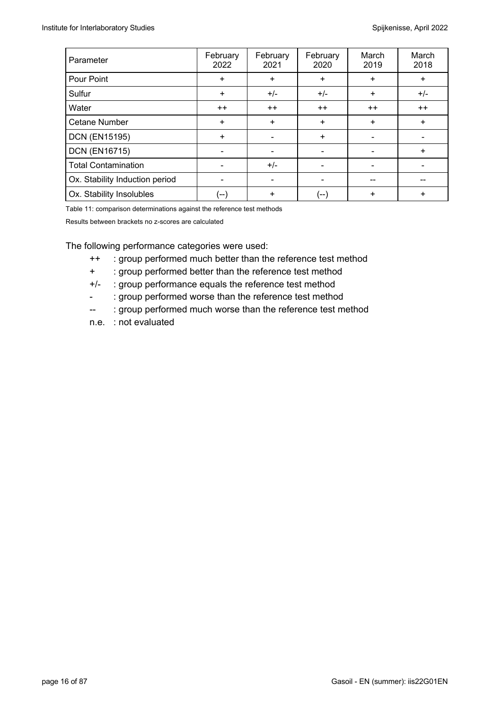| Parameter                      | February<br>2022 | February<br>2021 | February<br>2020 | March<br>2019 | March<br>2018 |
|--------------------------------|------------------|------------------|------------------|---------------|---------------|
| Pour Point                     | $\ddot{}$        | $\ddot{}$        | $\ddot{}$        | $\ddot{}$     | $+$           |
| Sulfur                         | $+$              | $+/-$            | $+/-$            | $\ddot{}$     | $+/-$         |
| Water                          | $++$             | $++$             | $++$             | $++$          | $++$          |
| <b>Cetane Number</b>           | $\ddot{}$        | $\ddot{}$        | $\ddot{}$        | $+$           | $+$           |
| <b>DCN (EN15195)</b>           | $+$              | $\blacksquare$   | +                |               |               |
| <b>DCN (EN16715)</b>           |                  | ۰                |                  |               | $\ddot{}$     |
| <b>Total Contamination</b>     |                  | $+/-$            |                  |               |               |
| Ox. Stability Induction period |                  | $\blacksquare$   |                  |               |               |
| Ox. Stability Insolubles       | (--)             | ÷                | (--)             | +             | +             |

Table 11: comparison determinations against the reference test methods

Results between brackets no z-scores are calculated

The following performance categories were used:

- ++ : group performed much better than the reference test method
- + : group performed better than the reference test method
- +/- : group performance equals the reference test method
- : group performed worse than the reference test method
- -- : group performed much worse than the reference test method
- n.e. : not evaluated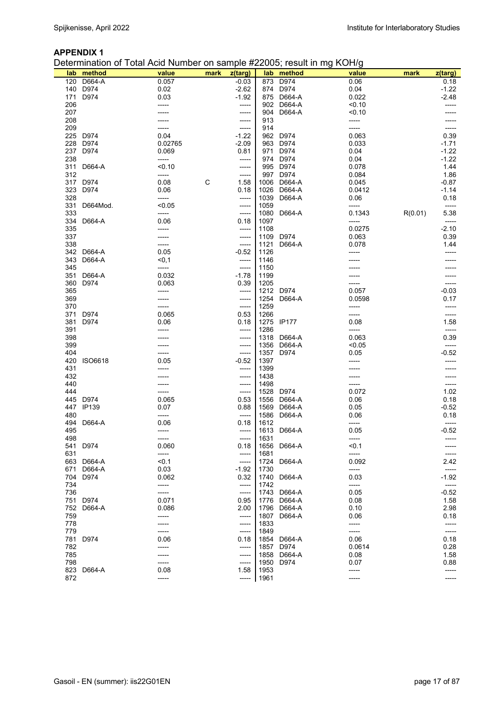#### **APPENDIX 1**

Determination of Total Acid Number on sample #22005; result in mg KOH/g

|     | lab method   | value   | mark | $z$ (targ) |      | lab method  | value  | mark    | z(targ) |
|-----|--------------|---------|------|------------|------|-------------|--------|---------|---------|
|     | 120 D664-A   | 0.057   |      | $-0.03$    |      | 873 D974    | 0.06   |         | 0.18    |
|     | 140 D974     | 0.02    |      | $-2.62$    |      | 874 D974    | 0.04   |         | $-1.22$ |
|     | 171 D974     | 0.03    |      | $-1.92$    |      | 875 D664-A  | 0.022  |         | $-2.48$ |
| 206 |              | -----   |      | -----      |      | 902 D664-A  | < 0.10 |         | -----   |
| 207 |              |         |      | -----      |      | 904 D664-A  | < 0.10 |         |         |
| 208 |              |         |      | -----      | 913  |             | -----  |         |         |
| 209 |              | -----   |      | $-----$    | 914  |             | -----  |         | -----   |
|     | 225 D974     | 0.04    |      | $-1.22$    |      | 962 D974    | 0.063  |         | 0.39    |
|     | 228 D974     | 0.02765 |      | $-2.09$    |      | 963 D974    | 0.033  |         | $-1.71$ |
|     | 237 D974     | 0.069   |      | 0.81       |      | 971 D974    | 0.04   |         | $-1.22$ |
| 238 |              | -----   |      | -----      |      | 974 D974    | 0.04   |         | $-1.22$ |
|     | 311 D664-A   | < 0.10  |      | -----      |      | 995 D974    | 0.078  |         | 1.44    |
| 312 |              | -----   |      | -----      |      | 997 D974    | 0.084  |         | 1.86    |
|     | 317 D974     | 0.08    | С    | 1.58       |      | 1006 D664-A | 0.045  |         | $-0.87$ |
|     | 323 D974     | 0.06    |      | 0.18       |      | 1026 D664-A | 0.0412 |         | $-1.14$ |
| 328 |              | -----   |      | -----      |      | 1039 D664-A | 0.06   |         | 0.18    |
|     | 331 D664Mod. | < 0.05  |      | -----      | 1059 |             | -----  |         | -----   |
| 333 |              | -----   |      | -----      |      | 1080 D664-A | 0.1343 | R(0.01) | 5.38    |
|     | 334 D664-A   | 0.06    |      | 0.18       | 1097 |             | -----  |         | -----   |
| 335 |              | -----   |      | $-----$    | 1108 |             | 0.0275 |         | $-2.10$ |
| 337 |              | -----   |      | -----      |      | 1109 D974   | 0.063  |         | 0.39    |
| 338 |              | -----   |      | -----      | 1121 | D664-A      | 0.078  |         | 1.44    |
|     | 342 D664-A   | 0.05    |      | $-0.52$    | 1126 |             | -----  |         | -----   |
|     | 343 D664-A   | < 0, 1  |      | -----      | 1146 |             |        |         |         |
| 345 |              | -----   |      | -----      | 1150 |             |        |         |         |
|     | 351 D664-A   | 0.032   |      | $-1.78$    | 1199 |             | -----  |         |         |
|     | 360 D974     | 0.063   |      | 0.39       | 1205 |             | -----  |         | -----   |
| 365 |              | -----   |      | -----      |      | 1212 D974   | 0.057  |         | $-0.03$ |
| 369 |              | -----   |      | -----      |      | 1254 D664-A | 0.0598 |         | 0.17    |
| 370 |              | -----   |      | -----      | 1259 |             | -----  |         | -----   |
|     | 371 D974     | 0.065   |      | 0.53       | 1266 |             | -----  |         | -----   |
|     | 381 D974     | 0.06    |      | 0.18       |      | 1275 IP177  | 0.08   |         | 1.58    |
| 391 |              | -----   |      | -----      | 1286 |             | -----  |         | -----   |
| 398 |              |         |      | -----      |      | 1318 D664-A | 0.063  |         | 0.39    |
| 399 |              |         |      | -----      |      | 1356 D664-A | < 0.05 |         | -----   |
| 404 |              |         |      | -----      |      | 1357 D974   | 0.05   |         | $-0.52$ |
|     | 420 ISO6618  | 0.05    |      | $-0.52$    | 1397 |             | -----  |         |         |
| 431 |              |         |      | -----      | 1399 |             | -----  |         |         |
| 432 |              |         |      | -----      | 1438 |             | -----  |         |         |
| 440 |              |         |      | -----      | 1498 |             | -----  |         | -----   |
| 444 |              | -----   |      | -----      |      | 1528 D974   | 0.072  |         | 1.02    |
|     | 445 D974     | 0.065   |      | 0.53       |      | 1556 D664-A | 0.06   |         | 0.18    |
|     | 447 IP139    | 0.07    |      | 0.88       |      | 1569 D664-A | 0.05   |         | $-0.52$ |
| 480 |              | -----   |      | -----      |      | 1586 D664-A | 0.06   |         | 0.18    |
|     | 494 D664-A   | 0.06    |      | 0.18       | 1612 |             | -----  |         | -----   |
| 495 |              | -----   |      | -----      |      | 1613 D664-A | 0.05   |         | $-0.52$ |
| 498 |              | ------  |      | -----      | 1631 |             | -----  |         | -----   |
|     | 541 D974     | 0.060   |      | 0.18       |      | 1656 D664-A | < 0.1  |         | -----   |
| 631 |              | -----   |      | -----      | 1681 |             | -----  |         | -----   |
|     | 663 D664-A   | < 0.1   |      | -----      |      | 1724 D664-A | 0.092  |         | 2.42    |
|     | 671 D664-A   | 0.03    |      | $-1.92$    | 1730 |             | -----  |         | -----   |
|     | 704 D974     | 0.062   |      | 0.32       |      | 1740 D664-A | 0.03   |         | -1.92   |
| 734 |              | -----   |      | -----      | 1742 |             | -----  |         | -----   |
| 736 |              | -----   |      | -----      |      | 1743 D664-A | 0.05   |         | -0.52   |
|     | 751 D974     | 0.071   |      | 0.95       |      | 1776 D664-A | 0.08   |         | 1.58    |
|     | 752 D664-A   | 0.086   |      | 2.00       |      | 1796 D664-A | 0.10   |         | 2.98    |
| 759 |              | -----   |      | -----      |      | 1807 D664-A | 0.06   |         | 0.18    |
| 778 |              |         |      | -----      | 1833 |             | -----  |         | -----   |
| 779 |              |         |      | -----      | 1849 |             | -----  |         | -----   |
|     | 781 D974     | 0.06    |      | 0.18       |      | 1854 D664-A | 0.06   |         | 0.18    |
| 782 |              |         |      | -----      |      | 1857 D974   | 0.0614 |         | 0.28    |
| 785 |              |         |      | -----      |      | 1858 D664-A | 0.08   |         | 1.58    |
| 798 |              | -----   |      | -----      |      | 1950 D974   | 0.07   |         | 0.88    |
|     | 823 D664-A   | 0.08    |      | 1.58       | 1953 |             | -----  |         | -----   |
| 872 |              | -----   |      | -----      | 1961 |             |        |         |         |
|     |              |         |      |            |      |             |        |         |         |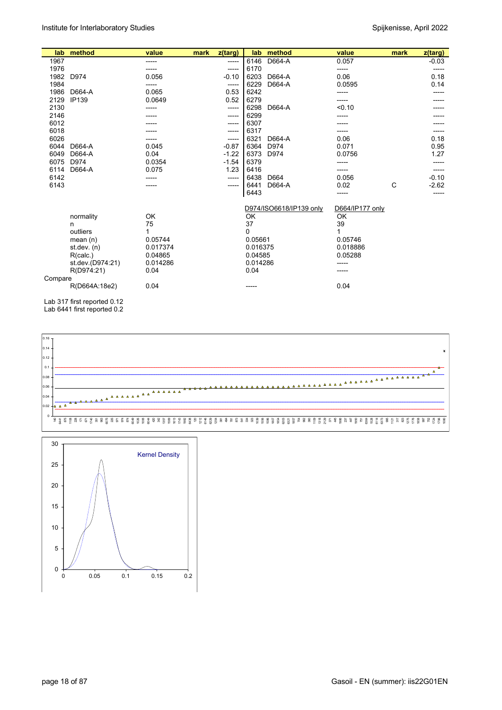| lab     | method           | value    | mark | z(targ) | lab.     | method                  | value           | mark | $z$ (targ) |
|---------|------------------|----------|------|---------|----------|-------------------------|-----------------|------|------------|
| 1967    |                  |          |      | -----   | 6146     | D664-A                  | 0.057           |      | $-0.03$    |
| 1976    |                  | -----    |      | -----   | 6170     |                         | -----           |      | -----      |
| 1982    | D974             | 0.056    |      | $-0.10$ | 6203     | D664-A                  | 0.06            |      | 0.18       |
| 1984    |                  | -----    |      | -----   | 6229     | D664-A                  | 0.0595          |      | 0.14       |
| 1986    | D664-A           | 0.065    |      | 0.53    | 6242     |                         | -----           |      | -----      |
| 2129    | <b>IP139</b>     | 0.0649   |      | 0.52    | 6279     |                         | -----           |      |            |
| 2130    |                  |          |      | -----   | 6298     | D664-A                  | < 0.10          |      |            |
| 2146    |                  |          |      | -----   | 6299     |                         |                 |      |            |
| 6012    |                  |          |      | -----   | 6307     |                         |                 |      |            |
| 6018    |                  |          |      | ------  | 6317     |                         | -----           |      |            |
| 6026    |                  |          |      | -----   | 6321     | D664-A                  | 0.06            |      | 0.18       |
| 6044    | D664-A           | 0.045    |      | $-0.87$ | 6364     | D974                    | 0.071           |      | 0.95       |
| 6049    | D664-A           | 0.04     |      | $-1.22$ | 6373     | D974                    | 0.0756          |      | 1.27       |
| 6075    | D974             | 0.0354   |      | $-1.54$ | 6379     |                         |                 |      |            |
| 6114    | D664-A           | 0.075    |      | 1.23    | 6416     |                         | -----           |      | -----      |
| 6142    |                  |          |      | -----   | 6438     | D664                    | 0.056           |      | $-0.10$    |
| 6143    |                  |          |      | -----   | 6441     | D664-A                  | 0.02            | C    | $-2.62$    |
|         |                  |          |      |         | 6443     |                         | -----           |      |            |
|         |                  |          |      |         |          | D974/ISO6618/IP139 only | D664/IP177 only |      |            |
|         | normality        | OK       |      |         | OK       |                         | OK              |      |            |
|         | n                | 75       |      |         | 37       |                         | 39              |      |            |
|         | outliers         |          |      |         | 0        |                         |                 |      |            |
|         | mean $(n)$       | 0.05744  |      |         | 0.05661  |                         | 0.05746         |      |            |
|         | st dev. (n)      | 0.017374 |      |         | 0.016375 |                         | 0.018886        |      |            |
|         | R(calc.)         | 0.04865  |      |         | 0.04585  |                         | 0.05288         |      |            |
|         | st.dev.(D974:21) | 0.014286 |      |         | 0.014286 |                         | -----           |      |            |
|         | R(D974:21)       | 0.04     |      |         | 0.04     |                         |                 |      |            |
| Compare |                  |          |      |         |          |                         |                 |      |            |
|         | R(D664A:18e2)    | 0.04     |      |         | -----    |                         | 0.04            |      |            |

Lab 317 first reported 0.12 Lab 6441 first reported 0.2



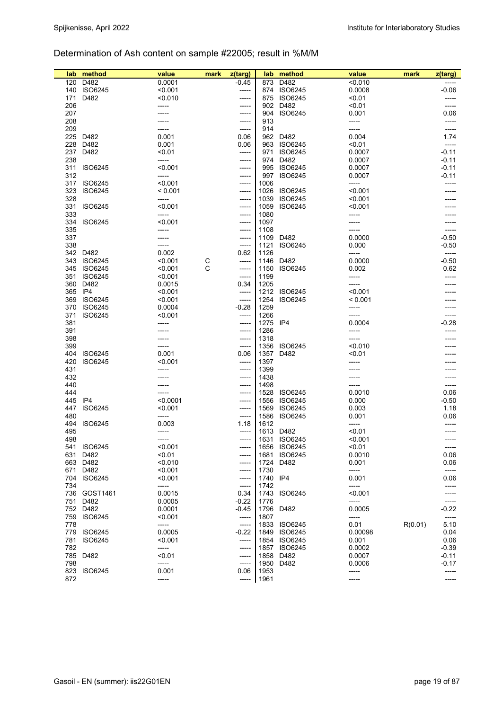# Determination of Ash content on sample #22005; result in %M/M

|         | lab method     | value           | mark | z(targ)       |          | lab method             | value            | mark    | z(targ)        |
|---------|----------------|-----------------|------|---------------|----------|------------------------|------------------|---------|----------------|
|         | 120 D482       | 0.0001          |      | -0.45         |          | 873 D482               | < 0.010          |         |                |
|         | 140 ISO6245    | < 0.001         |      | -----         |          | 874 ISO6245            | 0.0008           |         | $-0.06$        |
|         | 171 D482       | < 0.010         |      | -----         |          | 875 ISO6245            | < 0.01           |         |                |
| 206     |                | -----           |      | -----         |          | 902 D482               | < 0.01           |         | -----          |
| 207     |                |                 |      | -----         |          | 904 ISO6245            | 0.001            |         | 0.06           |
| 208     |                |                 |      | -----         | 913      |                        | -----            |         | -----          |
| 209     |                | -----           |      | -----         | 914      |                        | -----            |         | -----          |
|         | 225 D482       | 0.001           |      | 0.06          |          | 962 D482               | 0.004            |         | 1.74           |
|         | 228 D482       | 0.001           |      | 0.06          |          | 963 ISO6245            | < 0.01           |         | -----          |
|         | 237 D482       | < 0.01          |      | -----         |          | 971 ISO6245            | 0.0007           |         | $-0.11$        |
| 238     |                | -----           |      | -----         |          | 974 D482               | 0.0007           |         | $-0.11$        |
|         | 311 ISO6245    | < 0.001         |      | -----         |          | 995 ISO6245            | 0.0007           |         | $-0.11$        |
| 312     |                | -----           |      | -----         |          | 997 ISO6245            | 0.0007           |         | $-0.11$        |
|         | 317 ISO6245    | < 0.001         |      | -----         | 1006     |                        | -----            |         |                |
|         | 323 ISO6245    | < 0.001         |      | -----         |          | 1026 ISO6245           | < 0.001          |         |                |
| 328     |                | -----           |      | -----         |          | 1039 ISO6245           | < 0.001          |         |                |
|         | 331 ISO6245    | < 0.001         |      | -----         |          | 1059 ISO6245           | < 0.001          |         |                |
| 333     |                | -----           |      | -----         | 1080     |                        | -----            |         |                |
|         | 334 ISO6245    | < 0.001         |      | -----         | 1097     |                        | -----            |         |                |
| 335     |                | -----           |      | -----         | 1108     |                        | -----            |         | -----          |
| 337     |                |                 |      | -----         | 1109     | D482                   | 0.0000           |         | $-0.50$        |
| 338     |                | -----           |      | -----         | 1121     | <b>ISO6245</b>         | 0.000            |         | $-0.50$        |
|         | 342 D482       | 0.002           |      | 0.62          | 1126     |                        | -----            |         | -----          |
|         | 343 ISO6245    | < 0.001         | С    | -----         |          | 1146 D482              | 0.0000           |         | $-0.50$        |
|         | 345 ISO6245    | < 0.001         | C    | -----         | 1150     | <b>ISO6245</b>         | 0.002            |         | 0.62           |
|         | 351 ISO6245    | < 0.001         |      | -----         | 1199     |                        | -----            |         | -----          |
|         | 360 D482       | 0.0015          |      | 0.34          | 1205     |                        | -----            |         |                |
| 365 IP4 |                | < 0.001         |      | -----         |          | 1212 ISO6245           | < 0.001          |         |                |
|         | 369 ISO6245    | < 0.001         |      | -----         | 1254     | ISO6245                | < 0.001          |         |                |
|         | 370 ISO6245    | 0.0004          |      | $-0.28$       | 1259     |                        | -----            |         |                |
| 371     | <b>ISO6245</b> | < 0.001         |      | -----         | 1266     |                        | -----            |         | -----          |
| 381     |                |                 |      | -----         | 1275     | IP4                    | 0.0004           |         | $-0.28$        |
| 391     |                | -----           |      | -----         | 1286     |                        | -----            |         |                |
| 398     |                |                 |      | -----         | 1318     |                        | -----            |         |                |
| 399     |                |                 |      | -----         | 1356     | <b>ISO6245</b>         | < 0.010          |         |                |
| 404     | <b>ISO6245</b> | 0.001           |      | 0.06          | 1357     | D482                   | < 0.01           |         |                |
|         | 420 ISO6245    | < 0.001         |      | -----         | 1397     |                        |                  |         |                |
| 431     |                |                 |      | -----         | 1399     |                        |                  |         |                |
| 432     |                |                 |      | -----         | 1438     |                        | -----            |         |                |
| 440     |                |                 |      | -----         | 1498     |                        | -----            |         |                |
| 444     |                | -----           |      | -----         | 1528     | <b>ISO6245</b>         | 0.0010           |         | 0.06           |
| 445 IP4 |                | < 0.0001        |      | -----         |          | 1556 ISO6245           | 0.000            |         | $-0.50$        |
|         | 447 ISO6245    | < 0.001         |      | -----         |          | 1569 ISO6245           | 0.003            |         | 1.18           |
| 480     |                | -----           |      | -----         |          | 1586 ISO6245           | 0.001            |         | 0.06           |
| 494     | ISO6245        | 0.003           |      | 1.18          | 1612     |                        | -----            |         | -----          |
| 495     |                |                 |      | -----         |          | 1613 D482              | < 0.01           |         |                |
| 498     |                | -----           |      | -----         |          | 1631 ISO6245           | < 0.001          |         | -----          |
|         | 541 ISO6245    | < 0.001         |      | -----         |          | 1656 ISO6245           | < 0.01           |         | -----          |
|         | 631 D482       | < 0.01          |      | -----         |          | 1681 ISO6245           | 0.0010           |         | 0.06           |
|         | 663 D482       | < 0.010         |      | -----         | 1724     | D482                   | 0.001            |         | 0.06           |
|         | 671 D482       | < 0.001         |      | -----         | 1730     |                        | -----            |         | -----          |
|         | 704 ISO6245    | < 0.001         |      | -----         | 1740 IP4 |                        | 0.001            |         | 0.06           |
| 734     |                | -----           |      | -----         | 1742     |                        | -----            |         | -----          |
|         | 736 GOST1461   | 0.0015          |      | 0.34          |          | 1743 ISO6245           | < 0.001          |         |                |
|         | 751 D482       | 0.0005          |      | $-0.22$       | 1776     |                        | -----            |         | -----          |
|         | 752 D482       | 0.0001          |      | $-0.45$       |          | 1796 D482              | 0.0005           |         | -0.22          |
|         | 759 ISO6245    | < 0.001         |      | -----         | 1807     |                        | -----            |         | -----          |
| 778     |                | -----           |      | -----         |          | 1833 ISO6245           | 0.01             | R(0.01) | 5.10           |
|         | 779 ISO6245    | 0.0005          |      | $-0.22$       |          | 1849 ISO6245           | 0.00098          |         | 0.04           |
|         | 781 ISO6245    | < 0.001         |      | -----         |          | 1854 ISO6245           | 0.001            |         | 0.06           |
| 782     |                | -----           |      | -----         | 1857     | <b>ISO6245</b>         | 0.0002           |         | $-0.39$        |
| 798     | 785 D482       | < 0.01<br>----- |      | -----         |          | 1858 D482<br>1950 D482 | 0.0007<br>0.0006 |         | $-0.11$        |
|         | 823 ISO6245    | 0.001           |      | -----<br>0.06 | 1953     |                        | -----            |         | -0.17<br>----- |
| 872     |                |                 |      | -----         | 1961     |                        | -----            |         |                |
|         |                |                 |      |               |          |                        |                  |         |                |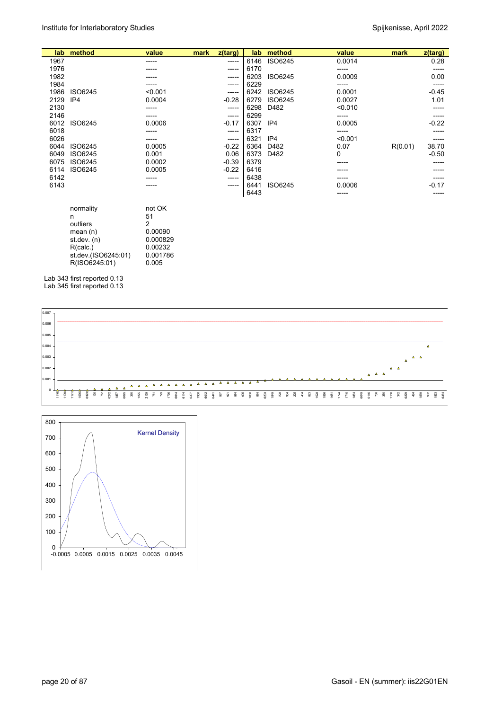|      | lab method | value        | mark | z(targ) | lab. | method  | value   | mark    | z(targ) |
|------|------------|--------------|------|---------|------|---------|---------|---------|---------|
| 1967 |            | -----        |      | -----   | 6146 | ISO6245 | 0.0014  |         | 0.28    |
| 1976 |            | -----        |      | -----   | 6170 |         | -----   |         | -----   |
| 1982 |            | -----        |      | -----   | 6203 | ISO6245 | 0.0009  |         | 0.00    |
| 1984 |            | -----        |      | -----   | 6229 |         | -----   |         | -----   |
| 1986 | ISO6245    | < 0.001      |      | -----   | 6242 | ISO6245 | 0.0001  |         | $-0.45$ |
| 2129 | IP4        | 0.0004       |      | $-0.28$ | 6279 | ISO6245 | 0.0027  |         | 1.01    |
| 2130 |            | -----        |      | ------  | 6298 | D482    | < 0.010 |         | -----   |
| 2146 |            | -----        |      | -----   | 6299 |         | -----   |         |         |
| 6012 | ISO6245    | 0.0006       |      | $-0.17$ | 6307 | IP4     | 0.0005  |         | $-0.22$ |
| 6018 |            | -----        |      | ------  | 6317 |         | -----   |         |         |
| 6026 |            | -----        |      | -----   | 6321 | IP4     | < 0.001 |         |         |
| 6044 | ISO6245    | 0.0005       |      | $-0.22$ | 6364 | D482    | 0.07    | R(0.01) | 38.70   |
| 6049 | ISO6245    | 0.001        |      | 0.06    | 6373 | D482    | 0       |         | $-0.50$ |
| 6075 | ISO6245    | 0.0002       |      | $-0.39$ | 6379 |         | -----   |         | -----   |
| 6114 | ISO6245    | 0.0005       |      | $-0.22$ | 6416 |         | -----   |         |         |
| 6142 |            | -----        |      | ------  | 6438 |         | -----   |         |         |
| 6143 |            | -----        |      | -----   | 6441 | ISO6245 | 0.0006  |         | $-0.17$ |
|      |            |              |      |         | 6443 |         | -----   |         |         |
|      | normality  | $not \cap K$ |      |         |      |         |         |         |         |

| normality           | not OK   |
|---------------------|----------|
| n                   | 51       |
| outliers            | 2        |
| mean(n)             | 0.00090  |
| st.dev. (n)         | 0.000829 |
| R(calc.)            | 0.00232  |
| st.dev.(ISO6245:01) | 0.001786 |
| R(ISO6245:01)       | 0.005    |

Lab 343 first reported 0.13

Lab 345 first reported 0.13



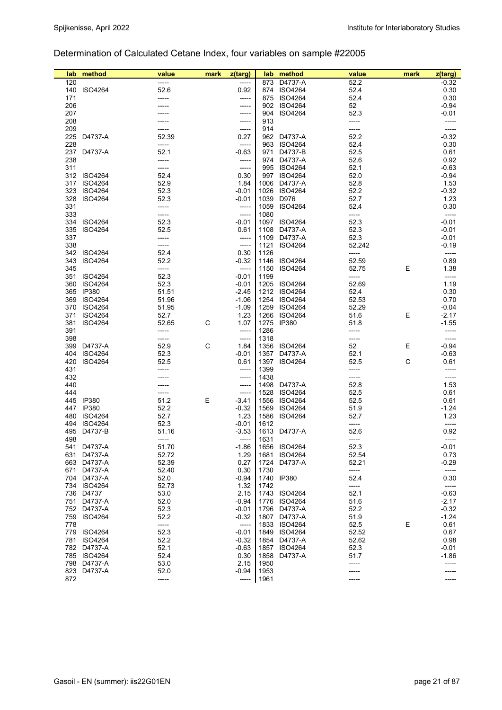# Determination of Calculated Cetane Index, four variables on sample #22005

| lab | method      | value | mark | z(targ) |      | lab method     | value  | mark | z(targ) |
|-----|-------------|-------|------|---------|------|----------------|--------|------|---------|
| 120 |             | ----- |      | -----   |      | 873 D4737-A    | 52.2   |      | -0.32   |
|     | 140 ISO4264 | 52.6  |      | 0.92    |      | 874 ISO4264    | 52.4   |      | 0.30    |
| 171 |             | ----- |      | -----   |      | 875 ISO4264    | 52.4   |      | 0.30    |
| 206 |             |       |      | -----   |      | 902 ISO4264    | 52     |      | $-0.94$ |
| 207 |             |       |      | -----   |      | 904 ISO4264    | 52.3   |      | $-0.01$ |
| 208 |             |       |      | -----   | 913  |                | -----  |      | -----   |
| 209 |             | ----- |      | -----   | 914  |                | -----  |      | -----   |
|     | 225 D4737-A | 52.39 |      | 0.27    |      | 962 D4737-A    | 52.2   |      | $-0.32$ |
| 228 |             | ----- |      | -----   |      | 963 ISO4264    | 52.4   |      | 0.30    |
|     | 237 D4737-A | 52.1  |      | $-0.63$ |      | 971 D4737-B    | 52.5   |      | 0.61    |
| 238 |             | ----- |      | -----   |      | 974 D4737-A    | 52.6   |      | 0.92    |
| 311 |             | ----- |      | -----   |      | 995 ISO4264    | 52.1   |      | $-0.63$ |
|     | 312 ISO4264 | 52.4  |      | 0.30    |      | 997 ISO4264    | 52.0   |      | $-0.94$ |
|     | 317 ISO4264 | 52.9  |      | 1.84    |      | 1006 D4737-A   | 52.8   |      | 1.53    |
|     | 323 ISO4264 | 52.3  |      | $-0.01$ |      | 1026 ISO4264   | 52.2   |      | $-0.32$ |
|     | 328 ISO4264 | 52.3  |      | -0.01   |      | 1039 D976      | 52.7   |      | 1.23    |
| 331 |             | ----- |      | -----   |      | 1059 ISO4264   | 52.4   |      | 0.30    |
| 333 |             | ----- |      | -----   | 1080 |                | -----  |      | $-----$ |
|     | 334 ISO4264 | 52.3  |      | -0.01   |      | 1097 ISO4264   | 52.3   |      | $-0.01$ |
|     | 335 ISO4264 | 52.5  |      | 0.61    |      | 1108 D4737-A   | 52.3   |      | $-0.01$ |
| 337 |             | ----- |      | $-----$ |      | 1109 D4737-A   | 52.3   |      | $-0.01$ |
| 338 |             | ----- |      | -----   |      | 1121 ISO4264   | 52.242 |      | $-0.19$ |
|     | 342 ISO4264 | 52.4  |      | 0.30    | 1126 |                | -----  |      | -----   |
|     | 343 ISO4264 | 52.2  |      | $-0.32$ |      | 1146 ISO4264   | 52.59  |      | 0.89    |
| 345 |             | ----- |      | -----   |      | 1150 ISO4264   | 52.75  | Е    | 1.38    |
|     | 351 ISO4264 | 52.3  |      | $-0.01$ | 1199 |                | -----  |      | -----   |
|     | 360 ISO4264 | 52.3  |      | $-0.01$ |      | 1205 ISO4264   | 52.69  |      | 1.19    |
|     | 365 IP380   | 51.51 |      | $-2.45$ |      | 1212 ISO4264   | 52.4   |      | 0.30    |
|     | 369 ISO4264 | 51.96 |      | $-1.06$ |      | 1254 ISO4264   | 52.53  |      | 0.70    |
|     | 370 ISO4264 | 51.95 |      | $-1.09$ |      | 1259 ISO4264   | 52.29  |      | $-0.04$ |
|     | 371 ISO4264 | 52.7  |      | 1.23    |      | 1266 ISO4264   | 51.6   | Е    | $-2.17$ |
|     | 381 ISO4264 | 52.65 | С    | 1.07    |      | 1275 IP380     | 51.8   |      | $-1.55$ |
| 391 |             | ----- |      | -----   | 1286 |                | -----  |      | -----   |
| 398 |             | ----- |      | -----   | 1318 |                | -----  |      | -----   |
|     | 399 D4737-A | 52.9  | С    | 1.84    |      | 1356 ISO4264   | 52     | Е    | $-0.94$ |
|     | 404 ISO4264 | 52.3  |      | -0.01   |      | 1357 D4737-A   | 52.1   |      | $-0.63$ |
|     | 420 ISO4264 | 52.5  |      | 0.61    |      | 1397 ISO4264   | 52.5   | С    | 0.61    |
| 431 |             | ----- |      | -----   | 1399 |                | -----  |      | -----   |
| 432 |             |       |      | -----   | 1438 |                | -----  |      | -----   |
| 440 |             |       |      | -----   |      | 1498 D4737-A   | 52.8   |      | 1.53    |
| 444 |             | ----- |      | -----   | 1528 | <b>ISO4264</b> | 52.5   |      | 0.61    |
|     | 445 IP380   | 51.2  | Ε    | -3.41   |      | 1556 ISO4264   | 52.5   |      | 0.61    |
|     | 447 IP380   | 52.2  |      | $-0.32$ |      | 1569 ISO4264   | 51.9   |      | $-1.24$ |
|     | 480 ISO4264 | 52.7  |      | 1.23    |      | 1586 ISO4264   | 52.7   |      | 1.23    |
|     | 494 ISO4264 | 52.3  |      | $-0.01$ | 1612 |                | -----  |      | -----   |
|     | 495 D4737-B | 51.16 |      | $-3.53$ |      | 1613 D4737-A   | 52.6   |      | 0.92    |
| 498 |             | ----- |      | -----   | 1631 |                | -----  |      | -----   |
|     | 541 D4737-A | 51.70 |      | $-1.86$ |      | 1656 ISO4264   | 52.3   |      | -0.01   |
|     | 631 D4737-A | 52.72 |      | 1.29    | 1681 | ISO4264        | 52.54  |      | 0.73    |
|     | 663 D4737-A | 52.39 |      | 0.27    |      | 1724 D4737-A   | 52.21  |      | $-0.29$ |
|     | 671 D4737-A | 52.40 |      | 0.30    | 1730 |                | -----  |      | -----   |
|     | 704 D4737-A | 52.0  |      | -0.94   |      | 1740 IP380     | 52.4   |      | 0.30    |
|     | 734 ISO4264 | 52.73 |      | 1.32    | 1742 |                | -----  |      | -----   |
|     | 736 D4737   | 53.0  |      | 2.15    |      | 1743 ISO4264   | 52.1   |      | $-0.63$ |
| 751 | D4737-A     | 52.0  |      | -0.94   | 1776 | <b>ISO4264</b> | 51.6   |      | $-2.17$ |
|     | 752 D4737-A | 52.3  |      | -0.01   |      | 1796 D4737-A   | 52.2   |      | $-0.32$ |
|     | 759 ISO4264 | 52.2  |      | $-0.32$ |      | 1807 D4737-A   | 51.9   |      | $-1.24$ |
| 778 |             | ----- |      | -----   |      | 1833 ISO4264   | 52.5   | Ε    | 0.61    |
|     | 779 ISO4264 | 52.3  |      | $-0.01$ |      | 1849 ISO4264   | 52.52  |      | 0.67    |
|     | 781 ISO4264 | 52.2  |      | $-0.32$ | 1854 | D4737-A        | 52.62  |      | 0.98    |
|     | 782 D4737-A | 52.1  |      | $-0.63$ |      | 1857 ISO4264   | 52.3   |      | -0.01   |
|     | 785 ISO4264 | 52.4  |      | 0.30    |      | 1858 D4737-A   | 51.7   |      | -1.86   |
|     | 798 D4737-A | 53.0  |      | 2.15    | 1950 |                | -----  |      | -----   |
|     | 823 D4737-A | 52.0  |      | -0.94   | 1953 |                |        |      | -----   |
| 872 |             | ----- |      | -----   | 1961 |                | -----  |      | -----   |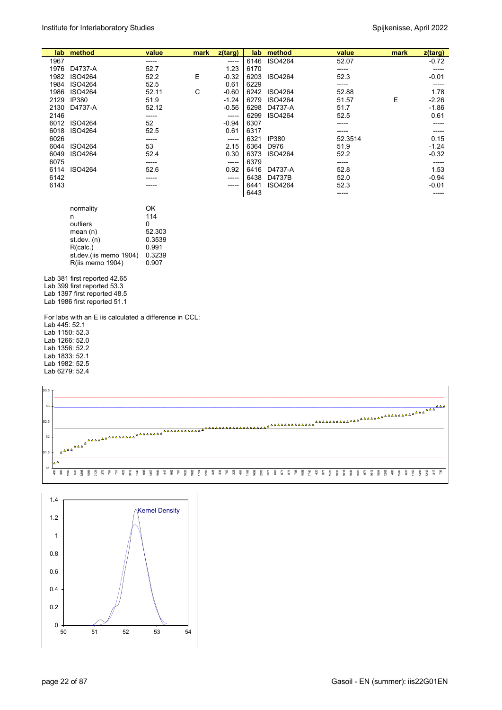|      | lab method   | value | mark | z(targ)     | lab. | method       | value   | mark | $z$ (targ) |
|------|--------------|-------|------|-------------|------|--------------|---------|------|------------|
| 1967 |              | ----- |      | $- - - - -$ | 6146 | ISO4264      | 52.07   |      | $-0.72$    |
| 1976 | D4737-A      | 52.7  |      | 1.23        | 6170 |              | -----   |      |            |
| 1982 | ISO4264      | 52.2  | E    | $-0.32$     | 6203 | ISO4264      | 52.3    |      | $-0.01$    |
| 1984 | ISO4264      | 52.5  |      | 0.61        | 6229 |              | -----   |      |            |
| 1986 | ISO4264      | 52.11 | C    | $-0.60$     | 6242 | ISO4264      | 52.88   |      | 1.78       |
| 2129 | <b>IP380</b> | 51.9  |      | $-1.24$     | 6279 | ISO4264      | 51.57   | Е    | $-2.26$    |
| 2130 | D4737-A      | 52.12 |      | $-0.56$     | 6298 | D4737-A      | 51.7    |      | $-1.86$    |
| 2146 |              | ----- |      | $- - - - -$ | 6299 | ISO4264      | 52.5    |      | 0.61       |
| 6012 | ISO4264      | 52    |      | $-0.94$     | 6307 |              | -----   |      |            |
| 6018 | ISO4264      | 52.5  |      | 0.61        | 6317 |              | -----   |      |            |
| 6026 |              | ----- |      | -----       | 6321 | <b>IP380</b> | 52.3514 |      | 0.15       |
| 6044 | ISO4264      | 53    |      | 2.15        | 6364 | D976         | 51.9    |      | $-1.24$    |
| 6049 | ISO4264      | 52.4  |      | 0.30        | 6373 | ISO4264      | 52.2    |      | $-0.32$    |
| 6075 |              | ----- |      | ------      | 6379 |              | -----   |      |            |
| 6114 | ISO4264      | 52.6  |      | 0.92        | 6416 | D4737-A      | 52.8    |      | 1.53       |
| 6142 |              | ----- |      | -----       | 6438 | D4737B       | 52.0    |      | $-0.94$    |
| 6143 |              | ----- |      | -----       | 6441 | ISO4264      | 52.3    |      | $-0.01$    |
|      |              |       |      |             | 6443 |              | -----   |      | ------     |

| normality              | OK     |
|------------------------|--------|
| n                      | 114    |
| outliers               | ŋ      |
| mean (n)               | 52.303 |
| st.dev. (n)            | 0.3539 |
| R(calc.)               | 0.991  |
| st.dev.(iis memo 1904) | 0.3239 |
| R(iis memo 1904)       | 0.907  |

Lab 381 first reported 42.65

Lab 399 first reported 53.3 Lab 1397 first reported 48.5

Lab 1986 first reported 51.1

For labs with an E iis calculated a difference in CCL: Lab 445: 52.1 Lab 1150: 52.3 Lab 1266: 52.0 Lab 1356: 52.2 Lab 1833: 52.1

Lab 1982: 52.5

Lab 6279: 52.4



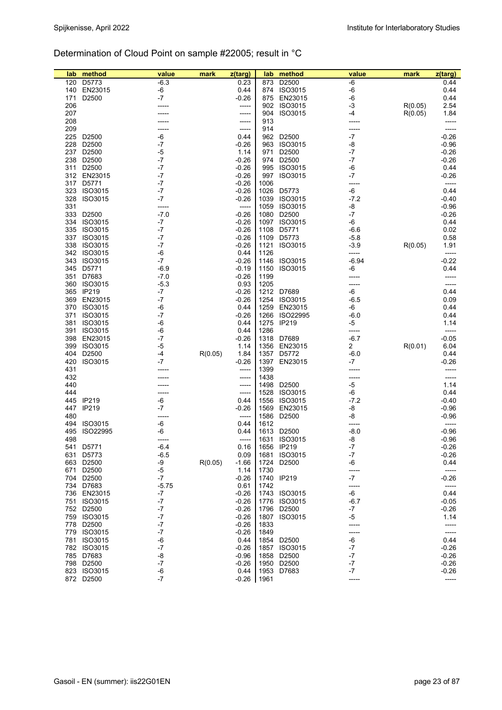# Determination of Cloud Point on sample #22005; result in °C

| lab | method         | value   | mark    | z(targ) | lab  | method                | value        | mark    | z(targ) |
|-----|----------------|---------|---------|---------|------|-----------------------|--------------|---------|---------|
|     | 120 D5773      | $-6.3$  |         | 0.23    | 873  | D2500                 | -6           |         | 0.44    |
|     | 140 EN23015    | -6      |         | 0.44    |      | 874 ISO3015           | -6           |         | 0.44    |
| 171 | D2500          | -7      |         | $-0.26$ |      | 875 EN23015           | -6           |         | 0.44    |
| 206 |                |         |         | -----   |      | 902 ISO3015           | -3           | R(0.05) | 2.54    |
| 207 |                |         |         | -----   |      | 904 ISO3015           | -4           | R(0.05) | 1.84    |
| 208 |                |         |         | -----   | 913  |                       |              |         | -----   |
| 209 |                |         |         | -----   | 914  |                       | -----        |         | -----   |
|     | 225 D2500      | $-6$    |         | 0.44    |      | 962 D <sub>2500</sub> | $-7$         |         | $-0.26$ |
|     | 228 D2500      | -7      |         | $-0.26$ |      | 963 ISO3015           | -8           |         | $-0.96$ |
|     | 237 D2500      | -5      |         | 1.14    |      | 971 D <sub>2500</sub> | -7           |         | $-0.26$ |
|     | 238 D2500      | $-7$    |         | $-0.26$ |      | 974 D2500             | $-7$         |         | $-0.26$ |
|     | 311 D2500      | $-7$    |         | $-0.26$ |      | 995 ISO3015           | -6           |         | 0.44    |
|     | 312 EN23015    | -7      |         | $-0.26$ |      | 997 ISO3015           | -7           |         | $-0.26$ |
|     | 317 D5771      | $-7$    |         | $-0.26$ | 1006 |                       | -----        |         | -----   |
|     | 323 ISO3015    | $-7$    |         | $-0.26$ |      | 1026 D5773            | -6           |         | 0.44    |
| 328 | <b>ISO3015</b> | -7      |         | $-0.26$ |      | 1039 ISO3015          | $-7.2$       |         | $-0.40$ |
| 331 |                | -----   |         | -----   |      | 1059 ISO3015          | -8           |         | $-0.96$ |
|     | 333 D2500      | $-7.0$  |         | $-0.26$ | 1080 | D2500                 | -7           |         | $-0.26$ |
|     | 334 ISO3015    | -7      |         | $-0.26$ |      | 1097 ISO3015          | -6           |         | 0.44    |
|     | 335 ISO3015    | -7      |         | $-0.26$ |      | 1108 D5771            | $-6.6$       |         | 0.02    |
|     | 337 ISO3015    | -7      |         | $-0.26$ |      | 1109 D5773            | $-5.8$       |         | 0.58    |
|     | 338 ISO3015    | -7      |         | $-0.26$ |      | 1121 ISO3015          | $-3.9$       | R(0.05) | 1.91    |
|     | 342 ISO3015    | -6      |         | 0.44    | 1126 |                       | -----        |         | -----   |
|     | 343 ISO3015    | -7      |         | $-0.26$ |      | 1146 ISO3015          | $-6.94$      |         | $-0.22$ |
|     | 345 D5771      | $-6.9$  |         | $-0.19$ |      | 1150 ISO3015          | -6           |         | 0.44    |
|     | 351 D7683      | $-7.0$  |         | $-0.26$ | 1199 |                       | -----        |         | -----   |
|     | 360 ISO3015    | $-5.3$  |         | 0.93    | 1205 |                       | -----        |         | -----   |
|     | 365 IP219      | -7      |         | $-0.26$ |      | 1212 D7689            | -6           |         | 0.44    |
|     | 369 EN23015    | $-7$    |         | $-0.26$ |      | 1254 ISO3015          | $-6.5$       |         | 0.09    |
|     | 370 ISO3015    | -6      |         | 0.44    |      | 1259 EN23015          | -6           |         | 0.44    |
| 371 | <b>ISO3015</b> | -7      |         | $-0.26$ | 1266 | ISO22995              | $-6.0$       |         | 0.44    |
| 381 | <b>ISO3015</b> | -6      |         | 0.44    |      | 1275 IP219            | -5           |         | 1.14    |
|     | 391 ISO3015    | -6      |         | 0.44    | 1286 |                       | -----        |         | -----   |
|     | 398 EN23015    | $-7$    |         | $-0.26$ |      | 1318 D7689            | $-6.7$       |         | $-0.05$ |
|     | 399 ISO3015    | -5      |         | 1.14    |      | 1356 EN23015          | $\mathbf{2}$ | R(0.01) | 6.04    |
|     | 404 D2500      | -4      | R(0.05) | 1.84    |      | 1357 D5772            | $-6.0$       |         | 0.44    |
| 420 | <b>ISO3015</b> | -7      |         | $-0.26$ |      | 1397 EN23015          | $-7$         |         | $-0.26$ |
| 431 |                |         |         | -----   | 1399 |                       | -----        |         |         |
| 432 |                |         |         | -----   | 1438 |                       | -----        |         | -----   |
| 440 |                |         |         | -----   |      | 1498 D2500            | -5           |         | 1.14    |
| 444 |                | -----   |         | -----   | 1528 | <b>ISO3015</b>        | -6           |         | 0.44    |
| 445 | <b>IP219</b>   | -6      |         | 0.44    |      | 1556 ISO3015          | $-7.2$       |         | $-0.40$ |
|     | 447 IP219      | -7      |         | -0.26   |      | 1569 EN23015          | -8           |         | $-0.96$ |
| 480 |                | ----    |         | -----   |      | 1586 D2500            | -8           |         | $-0.96$ |
| 494 | <b>ISO3015</b> | -6      |         | 0.44    | 1612 |                       | -----        |         | -----   |
| 495 | ISO22995       | -6      |         | 0.44    |      | 1613 D2500            | $-8.0$       |         | $-0.96$ |
| 498 |                |         |         | -----   |      | 1631 ISO3015          | -8           |         | $-0.96$ |
|     | 541 D5771      | $-6.4$  |         | 0.16    |      | 1656 IP219            | $-7$         |         | -0.26   |
|     | 631 D5773      | -6.5    |         | 0.09    |      | 1681 ISO3015          | $-7$         |         | $-0.26$ |
|     | 663 D2500      | -9      | R(0.05) | -1.66   |      | 1724 D2500            | -6           |         | 0.44    |
|     | 671 D2500      | -5      |         | 1.14    | 1730 |                       | -----        |         | -----   |
|     | 704 D2500      | -7      |         | $-0.26$ |      | 1740 IP219            | $-7$         |         | $-0.26$ |
|     | 734 D7683      | $-5.75$ |         | 0.61    | 1742 |                       | -----        |         | -----   |
|     | 736 EN23015    | -7      |         | $-0.26$ |      | 1743 ISO3015          | -6           |         | 0.44    |
|     | 751 ISO3015    | -7      |         | $-0.26$ |      | 1776 ISO3015          | $-6.7$       |         | $-0.05$ |
|     | 752 D2500      | -7      |         | $-0.26$ |      | 1796 D2500            | -7           |         | $-0.26$ |
|     | 759 ISO3015    | $-7$    |         | $-0.26$ |      | 1807 ISO3015          | -5           |         | 1.14    |
|     | 778 D2500      | -7      |         | $-0.26$ | 1833 |                       | -----        |         | -----   |
|     | 779 ISO3015    | -7      |         | $-0.26$ | 1849 |                       | -----        |         | -----   |
|     | 781 ISO3015    | -6      |         | 0.44    |      | 1854 D2500            | -6           |         | 0.44    |
|     | 782 ISO3015    | -7      |         | $-0.26$ |      | 1857 ISO3015          | -7           |         | $-0.26$ |
|     | 785 D7683      | -8      |         | $-0.96$ |      | 1858 D2500            | -7           |         | $-0.26$ |
|     | 798 D2500      | -7      |         | $-0.26$ |      | 1950 D2500            | -7           |         | $-0.26$ |
|     | 823 ISO3015    | -6      |         | 0.44    |      | 1953 D7683            | -7           |         | $-0.26$ |
|     | 872 D2500      | -7      |         | -0.26   | 1961 |                       | -----        |         | -----   |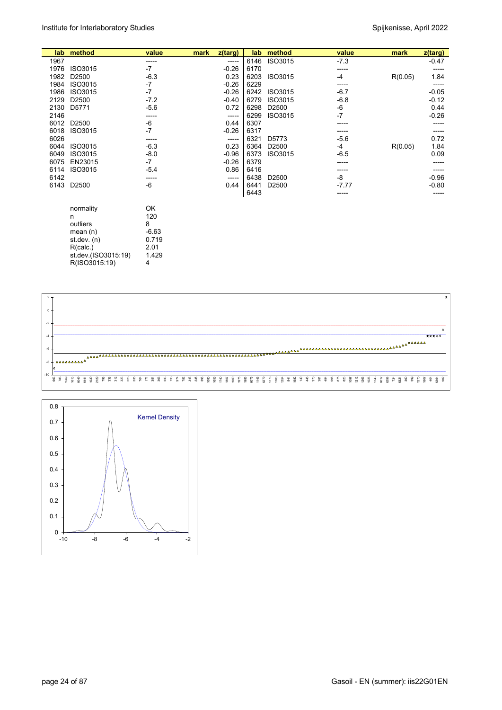|      | lab method        | value   | mark | z(targ) |      | lab method        | value   | mark    | z(targ) |
|------|-------------------|---------|------|---------|------|-------------------|---------|---------|---------|
| 1967 |                   | -----   |      | $--- -$ | 6146 | ISO3015           | $-7.3$  |         | $-0.47$ |
| 1976 | ISO3015           | $-7$    |      | $-0.26$ | 6170 |                   |         |         |         |
| 1982 | D2500             | $-6.3$  |      | 0.23    | 6203 | ISO3015           | -4      | R(0.05) | 1.84    |
| 1984 | ISO3015           | $-7$    |      | $-0.26$ | 6229 |                   | -----   |         | -----   |
| 1986 | ISO3015           | $-7$    |      | $-0.26$ | 6242 | ISO3015           | $-6.7$  |         | $-0.05$ |
| 2129 | D2500             | $-7.2$  |      | $-0.40$ | 6279 | ISO3015           | $-6.8$  |         | $-0.12$ |
| 2130 | D5771             | $-5.6$  |      | 0.72    | 6298 | D2500             | -6      |         | 0.44    |
| 2146 |                   | -----   |      | -----   | 6299 | ISO3015           | $-7$    |         | $-0.26$ |
| 6012 | D <sub>2500</sub> | $-6$    |      | 0.44    | 6307 |                   | -----   |         | -----   |
| 6018 | ISO3015           | $-7$    |      | $-0.26$ | 6317 |                   | -----   |         |         |
| 6026 |                   | -----   |      | -----   | 6321 | D5773             | $-5.6$  |         | 0.72    |
| 6044 | ISO3015           | $-6.3$  |      | 0.23    | 6364 | D2500             | -4      | R(0.05) | 1.84    |
| 6049 | ISO3015           | $-8.0$  |      | $-0.96$ | 6373 | ISO3015           | $-6.5$  |         | 0.09    |
| 6075 | EN23015           | -7      |      | $-0.26$ | 6379 |                   | -----   |         |         |
| 6114 | ISO3015           | $-5.4$  |      | 0.86    | 6416 |                   | -----   |         |         |
| 6142 |                   | -----   |      | $-----$ | 6438 | D <sub>2500</sub> | -8      |         | $-0.96$ |
|      | 6143 D2500        | -6      |      | 0.44    | 6441 | D2500             | $-7.77$ |         | $-0.80$ |
|      |                   |         |      |         | 6443 |                   | -----   |         |         |
|      | normality         | OK      |      |         |      |                   |         |         |         |
|      | n                 | 120     |      |         |      |                   |         |         |         |
|      | outliers          | 8       |      |         |      |                   |         |         |         |
|      | mean $(n)$        | $-6.63$ |      |         |      |                   |         |         |         |
|      | st.dev. $(n)$     | 0.719   |      |         |      |                   |         |         |         |
|      | R(calc.)          | 2.01    |      |         |      |                   |         |         |         |





 st.dev.(ISO3015:19) 1.429 R(ISO3015:19) 4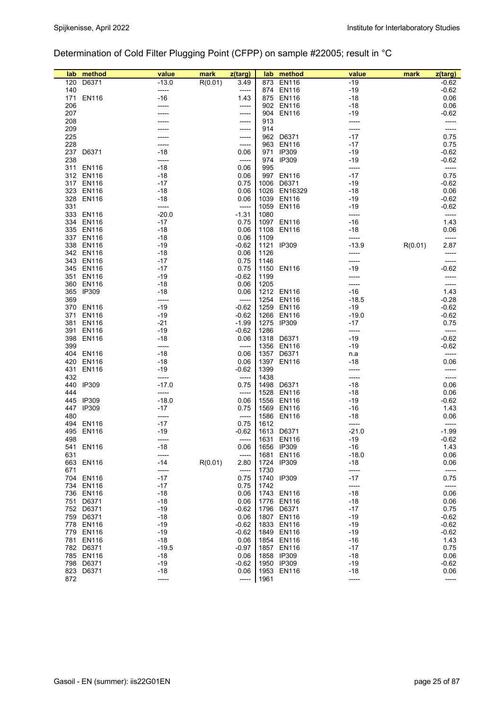# Determination of Cold Filter Plugging Point (CFPP) on sample #22005; result in °C

| lab | method                 | value          | mark    | z(targ)       | lab. | method                     | value          | mark    | $z$ (targ)   |
|-----|------------------------|----------------|---------|---------------|------|----------------------------|----------------|---------|--------------|
| 120 | D6371                  | $-13.0$        | R(0.01) | 3.49          | 873  | <b>EN116</b>               | $-19$          |         | -0.62        |
| 140 |                        | $-----$        |         | -----         |      | 874 EN116                  | $-19$          |         | $-0.62$      |
|     | 171 EN116              | $-16$          |         | 1.43          |      | 875 EN116                  | -18            |         | 0.06         |
| 206 |                        |                |         | -----         |      | 902 EN116                  | $-18$          |         | 0.06         |
| 207 |                        |                |         | -----         |      | 904 EN116                  | -19            |         | $-0.62$      |
| 208 |                        |                |         | -----         | 913  |                            | -----          |         | -----        |
| 209 |                        |                |         | -----         | 914  |                            | -----          |         | -----        |
| 225 |                        |                |         | -----         |      | 962 D6371                  | $-17$          |         | 0.75         |
| 228 |                        | -----          |         | -----         | 963  | <b>EN116</b>               | -17            |         | 0.75         |
|     | 237 D6371              | $-18$          |         | 0.06          | 971  | IP309                      | $-19$          |         | $-0.62$      |
| 238 |                        | -----          |         | -----         |      | 974 IP309                  | -19            |         | $-0.62$      |
| 311 | <b>EN116</b>           | $-18$          |         | 0.06          | 995  |                            | -----          |         | -----        |
|     | 312 EN116              | $-18$          |         | 0.06          |      | 997 EN116                  | -17            |         | 0.75         |
|     | 317 EN116              | $-17$          |         | 0.75          | 1006 | D6371                      | $-19$          |         | $-0.62$      |
|     | 323 EN116              | $-18$          |         | 0.06          | 1026 | EN16329                    | $-18$          |         | 0.06         |
|     | 328 EN116              | $-18$          |         | 0.06          | 1039 | <b>EN116</b>               | $-19$          |         | $-0.62$      |
| 331 |                        | -----          |         | -----         |      | 1059 EN116                 | -19            |         | $-0.62$      |
|     | 333 EN116              | $-20.0$        |         | $-1.31$       | 1080 |                            | -----          |         | -----        |
|     | 334 EN116              | $-17$          |         | 0.75          |      | 1097 EN116                 | $-16$          |         | 1.43         |
|     | 335 EN116              | $-18$          |         | 0.06          |      | 1108 EN116                 | -18            |         | 0.06         |
|     | 337 EN116              | $-18$          |         | 0.06          | 1109 |                            | -----          |         | -----        |
|     | 338 EN116              | $-19$          |         | -0.62         |      | 1121 IP309                 | $-13.9$        | R(0.01) | 2.87         |
|     | 342 EN116              | $-18$          |         | 0.06          | 1126 |                            | -----          |         | -----        |
|     | 343 EN116              | $-17$          |         | 0.75          | 1146 |                            | -----          |         | -----        |
|     | 345 EN116              | $-17$          |         | 0.75          |      | 1150 EN116                 | $-19$          |         | $-0.62$      |
|     | 351 EN116              | $-19$          |         | -0.62         | 1199 |                            | -----          |         |              |
|     | 360 EN116              | $-18$          |         | 0.06          | 1205 |                            | -----          |         | -----        |
|     | 365 IP309              | $-18$          |         | 0.06          |      | 1212 EN116                 | $-16$          |         | 1.43         |
| 369 |                        | -----          |         | -----         | 1254 | <b>EN116</b>               | $-18.5$        |         | $-0.28$      |
|     | 370 EN116              | $-19$          |         | $-0.62$       |      | 1259 EN116                 | $-19$          |         | $-0.62$      |
|     | 371 EN116              | $-19$          |         | $-0.62$       |      | 1266 EN116                 | $-19.0$        |         | $-0.62$      |
|     | 381 EN116              | $-21$          |         | $-1.99$       | 1275 | IP309                      | -17            |         | 0.75         |
|     | 391 EN116              | $-19$          |         | $-0.62$       | 1286 |                            | -----          |         | -----        |
|     | 398 EN116              | $-18$          |         | 0.06          |      | 1318 D6371                 | $-19$          |         | $-0.62$      |
| 399 |                        | -----          |         | -----         |      | 1356 EN116                 | -19            |         | $-0.62$      |
|     | 404 EN116              | $-18$          |         | 0.06          |      | 1357 D6371                 | n.a            |         | -----        |
|     | 420 EN116              | $-18$          |         | 0.06          |      | 1397 EN116                 | -18            |         | 0.06         |
| 431 | <b>EN116</b>           | $-19$          |         | $-0.62$       | 1399 |                            | -----          |         | -----        |
| 432 |                        | -----          |         | -----         | 1438 |                            | -----          |         | -----        |
|     | 440 IP309              | $-17.0$        |         | 0.75          | 1498 | D6371                      | -18            |         | 0.06         |
| 444 |                        | -----          |         | -----         | 1528 | <b>EN116</b>               | -18            |         | 0.06         |
|     | 445 IP309              | $-18.0$        |         | 0.06          | 1556 | <b>EN116</b>               | -19            |         | $-0.62$      |
|     | 447 IP309              | $-17$          |         | 0.75          | 1569 | <b>EN116</b>               | -16            |         | 1.43         |
| 480 |                        | -----          |         | -----         | 1586 | <b>EN116</b>               | $-18$          |         | 0.06         |
|     | 494 EN116              | $-17$          |         | 0.75          | 1612 |                            | -----          |         | -----        |
| 495 | <b>EN116</b>           | $-19$          |         | $-0.62$       |      | 1613 D6371                 | $-21.0$        |         | $-1.99$      |
| 498 |                        | -----          |         | -----         |      | 1631 EN116                 | $-19$          |         | $-0.62$      |
|     | 541 EN116              | -18            |         | 0.06          | 1656 | IP309                      | -16            |         | 1.43         |
| 631 |                        | -----          |         | -----         | 1681 | <b>EN116</b>               | -18.0          |         | 0.06         |
|     | 663 EN116              | -14            | R(0.01) | 2.80          | 1724 | <b>IP309</b>               | -18            |         | 0.06         |
| 671 |                        | -----          |         | -----         | 1730 |                            | -----          |         | -----        |
|     | 704 EN116              | $-17$          |         | 0.75          | 1740 | IP309                      | $-17$          |         | 0.75         |
|     | 734 EN116              | $-17$          |         | 0.75          | 1742 |                            | -----          |         | -----        |
|     | 736 EN116              | $-18$          |         | 0.06          |      | 1743 EN116                 | $-18$          |         | 0.06         |
| 751 | D6371                  | $-18$          |         | 0.06          | 1776 | <b>EN116</b>               | $-18$          |         | 0.06         |
|     | 752 D6371              | $-19$          |         | -0.62         |      | 1796 D6371                 | -17            |         | 0.75         |
|     | 759 D6371              | $-18$          |         | 0.06          |      | 1807 EN116                 | $-19$          |         | $-0.62$      |
|     | 778 EN116              | $-19$          |         | -0.62         | 1833 | <b>EN116</b><br>1849 EN116 | $-19$          |         | $-0.62$      |
|     | 779 EN116              | $-19$          |         | -0.62         |      |                            | $-19$          |         | $-0.62$      |
|     | 781 EN116              | $-18$          |         | 0.06          |      | 1854 EN116                 | $-16$          |         | 1.43         |
|     | 782 D6371<br>785 EN116 | $-19.5$<br>-18 |         | -0.97<br>0.06 | 1858 | 1857 EN116<br>IP309        | $-17$<br>$-18$ |         | 0.75<br>0.06 |
|     |                        | $-19$          |         |               |      |                            | $-19$          |         | $-0.62$      |
|     | 798 D6371<br>823 D6371 | -18            |         | -0.62<br>0.06 |      | 1950 IP309<br>1953 EN116   | -18            |         | 0.06         |
| 872 |                        | -----          |         | -----         | 1961 |                            | -----          |         | -----        |
|     |                        |                |         |               |      |                            |                |         |              |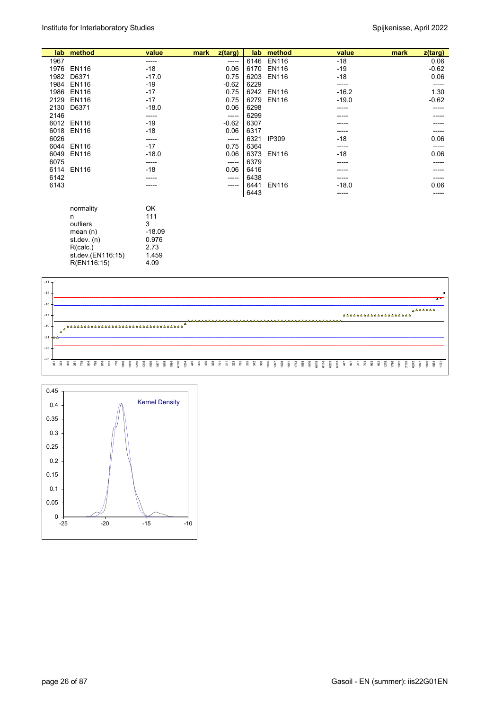|      | lab method   | value   | mark | z(targ)  |      | lab method   | value   | mark | z(targ) |
|------|--------------|---------|------|----------|------|--------------|---------|------|---------|
| 1967 |              | -----   |      | -----    | 6146 | <b>EN116</b> | $-18$   |      | 0.06    |
| 1976 | <b>EN116</b> | $-18$   |      | 0.06     | 6170 | <b>EN116</b> | $-19$   |      | $-0.62$ |
| 1982 | D6371        | $-17.0$ |      | 0.75     | 6203 | <b>EN116</b> | $-18$   |      | 0.06    |
| 1984 | <b>EN116</b> | $-19$   |      | $-0.62$  | 6229 |              | -----   |      |         |
| 1986 | <b>EN116</b> | $-17$   |      | 0.75     | 6242 | EN116        | $-16.2$ |      | 1.30    |
| 2129 | EN116        | $-17$   |      | 0.75     | 6279 | <b>EN116</b> | $-19.0$ |      | $-0.62$ |
| 2130 | D6371        | $-18.0$ |      | 0.06     | 6298 |              | -----   |      |         |
| 2146 |              | $--- -$ |      | $------$ | 6299 |              | -----   |      |         |
| 6012 | <b>EN116</b> | $-19$   |      | $-0.62$  | 6307 |              | -----   |      |         |
| 6018 | <b>EN116</b> | $-18$   |      | 0.06     | 6317 |              | -----   |      |         |
| 6026 |              | -----   |      | $-----1$ | 6321 | IP309        | $-18$   |      | 0.06    |
| 6044 | EN116        | $-17$   |      | 0.75     | 6364 |              | -----   |      | -----   |
| 6049 | <b>EN116</b> | $-18.0$ |      | 0.06     | 6373 | <b>EN116</b> | $-18$   |      | 0.06    |
| 6075 |              | -----   |      | ------   | 6379 |              | -----   |      | -----   |
|      | 6114 EN116   | $-18$   |      | 0.06     | 6416 |              | -----   |      |         |
| 6142 |              | -----   |      | -----    | 6438 |              | -----   |      |         |
| 6143 |              | ------  |      | -----    | 6441 | <b>EN116</b> | $-18.0$ |      | 0.06    |
|      |              |         |      |          | 6443 |              |         |      |         |

| normality         | ΟK       |
|-------------------|----------|
| n                 | 111      |
| outliers          | 3        |
| mean $(n)$        | $-18.09$ |
| st.dev. (n)       | 0.976    |
| R(calc.)          | 2.73     |
| st.dev.(EN116:15) | 1.459    |
| R(EN116:15)       | 4.09     |
|                   |          |



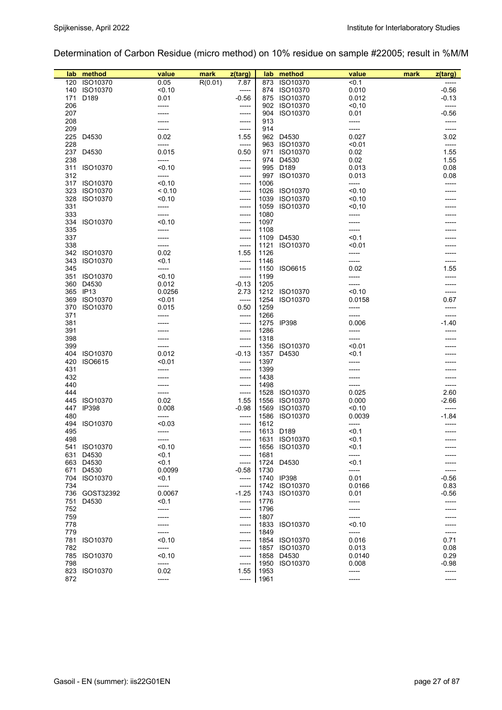Determination of Carbon Residue (micro method) on 10% residue on sample #22005; result in %M/M

|     | lab method    | value  | mark    | z(targ)        |      | lab method    | value          | mark | $z$ (targ) |
|-----|---------------|--------|---------|----------------|------|---------------|----------------|------|------------|
| 120 | ISO10370      | 0.05   | R(0.01) | 7.87           |      | 873 ISO10370  | < 0.1          |      |            |
| 140 | ISO10370      | < 0.10 |         | -----          | 874  | ISO10370      | 0.010          |      | $-0.56$    |
|     | 171 D189      | 0.01   |         | $-0.56$        |      | 875 ISO10370  | 0.012          |      | $-0.13$    |
| 206 |               | -----  |         | -----          |      | 902 ISO10370  | < 0, 10        |      | -----      |
| 207 |               |        |         | -----          | 904  | ISO10370      | 0.01           |      | $-0.56$    |
| 208 |               |        |         | -----          | 913  |               | -----          |      |            |
| 209 |               |        |         | -----          | 914  |               | -----          |      |            |
|     | 225 D4530     | 0.02   |         | 1.55           |      | 962 D4530     | 0.027          |      | 3.02       |
| 228 |               | -----  |         | -----          |      | 963 ISO10370  | < 0.01         |      | -----      |
|     | 237 D4530     | 0.015  |         | 0.50           |      | 971 ISO10370  | 0.02           |      | 1.55       |
| 238 |               | -----  |         | -----          |      | 974 D4530     | 0.02           |      | 1.55       |
|     | 311 ISO10370  | < 0.10 |         | -----          |      | 995 D189      | 0.013          |      | 0.08       |
| 312 |               | -----  |         | -----          |      | 997 ISO10370  | 0.013          |      | 0.08       |
|     | 317 ISO10370  | < 0.10 |         | -----          | 1006 |               | -----          |      | -----      |
| 323 | ISO10370      | < 0.10 |         | -----          |      | 1026 ISO10370 | < 0.10         |      |            |
|     | 328 ISO10370  | < 0.10 |         | -----          | 1039 | ISO10370      | < 0.10         |      |            |
| 331 |               | -----  |         | -----          |      | 1059 ISO10370 | < 0, 10        |      |            |
| 333 |               | -----  |         | -----          | 1080 |               | -----          |      |            |
|     | 334 ISO10370  | < 0.10 |         | -----          | 1097 |               | -----          |      |            |
| 335 |               |        |         | -----          | 1108 |               | -----          |      |            |
| 337 |               | -----  |         | -----          |      | 1109 D4530    | < 0.1          |      |            |
| 338 |               |        |         | -----          | 1121 | ISO10370      | < 0.01         |      |            |
|     | 342 ISO10370  | 0.02   |         | 1.55           | 1126 |               | -----          |      |            |
| 343 | ISO10370      | $0.1$  |         | -----          | 1146 |               | -----          |      | -----      |
| 345 |               | -----  |         | -----          |      | 1150 ISO6615  | 0.02           |      | 1.55       |
|     | 351 ISO10370  | < 0.10 |         | -----          | 1199 |               | -----          |      |            |
|     | 360 D4530     | 0.012  |         | $-0.13$        | 1205 |               | -----          |      |            |
|     | 365 IP13      | 0.0256 |         | 2.73           |      | 1212 ISO10370 | < 0.10         |      | -----      |
|     | 369 ISO10370  | < 0.01 |         | -----          | 1254 | ISO10370      | 0.0158         |      | 0.67       |
|     | 370 ISO10370  | 0.015  |         | 0.50           | 1259 |               | -----          |      |            |
| 371 |               |        |         | -----          | 1266 |               | -----          |      |            |
| 381 |               |        |         | -----          |      | 1275 IP398    | 0.006          |      | -1.40      |
| 391 |               |        |         | -----          | 1286 |               | -----          |      |            |
| 398 |               |        |         | -----          | 1318 |               | -----          |      |            |
| 399 |               | -----  |         | -----          |      | 1356 ISO10370 | < 0.01         |      |            |
|     | 404 ISO10370  | 0.012  |         | -0.13          |      | 1357 D4530    | < 0.1          |      |            |
| 420 | ISO6615       | < 0.01 |         | -----          | 1397 |               | -----          |      |            |
| 431 |               |        |         | -----          | 1399 |               | -----          |      |            |
| 432 |               |        |         | -----          | 1438 |               |                |      |            |
| 440 |               |        |         | -----          | 1498 |               | -----          |      |            |
| 444 |               |        |         | -----          |      | 1528 ISO10370 | 0.025          |      | 2.60       |
|     | 445 ISO10370  | 0.02   |         | 1.55           | 1556 | ISO10370      | 0.000          |      | $-2.66$    |
|     | 447 IP398     | 0.008  |         | $-0.98$        |      | 1569 ISO10370 | < 0.10         |      | -----      |
| 480 |               | -----  |         | $-----$        |      | 1586 ISO10370 | 0.0039         |      | $-1.84$    |
| 494 | ISO10370      | < 0.03 |         | -----          | 1612 |               | -----          |      |            |
| 495 |               |        |         | -----          |      | 1613 D189     | < 0.1          |      |            |
| 498 |               | -----  |         | -----          |      | 1631 ISO10370 | < 0.1          |      |            |
|     | 541 ISO10370  | < 0.10 |         | -----          |      | 1656 ISO10370 | <0.1           |      |            |
|     | 631 D4530     | < 0.1  |         | -----          | 1681 |               | -----          |      |            |
|     | 663 D4530     | < 0.1  |         | -----          |      | 1724 D4530    | < 0.1          |      |            |
|     | 671 D4530     | 0.0099 |         | -0.58          | 1730 |               | -----          |      |            |
|     | 704 ISO10370  | < 0.1  |         | -----          |      | 1740 IP398    | 0.01           |      | $-0.56$    |
| 734 |               | -----  |         | -----          |      | 1742 ISO10370 | 0.0166         |      | 0.83       |
|     | 736 GOST32392 | 0.0067 |         | $-1.25$        |      | 1743 ISO10370 | 0.01           |      | $-0.56$    |
|     | 751 D4530     | $0.1$  |         | -----          | 1776 |               | -----          |      |            |
| 752 |               |        |         | -----          | 1796 |               |                |      |            |
| 759 |               |        |         | -----          | 1807 |               | -----          |      |            |
| 778 |               |        |         | -----          |      | 1833 ISO10370 | < 0.10         |      |            |
| 779 | 781 ISO10370  | < 0.10 |         | -----          | 1849 | 1854 ISO10370 | -----<br>0.016 |      | 0.71       |
| 782 |               | -----  |         | -----          |      | 1857 ISO10370 | 0.013          |      | 0.08       |
|     | 785 ISO10370  | 50.10  |         | -----<br>----- |      | 1858 D4530    | 0.0140         |      | 0.29       |
| 798 |               | -----  |         |                |      | 1950 ISO10370 | 0.008          |      | $-0.98$    |
|     | 823 ISO10370  | 0.02   |         | -----<br>1.55  | 1953 |               | -----          |      | -----      |
| 872 |               | -----  |         | -----          | 1961 |               | -----          |      | -----      |
|     |               |        |         |                |      |               |                |      |            |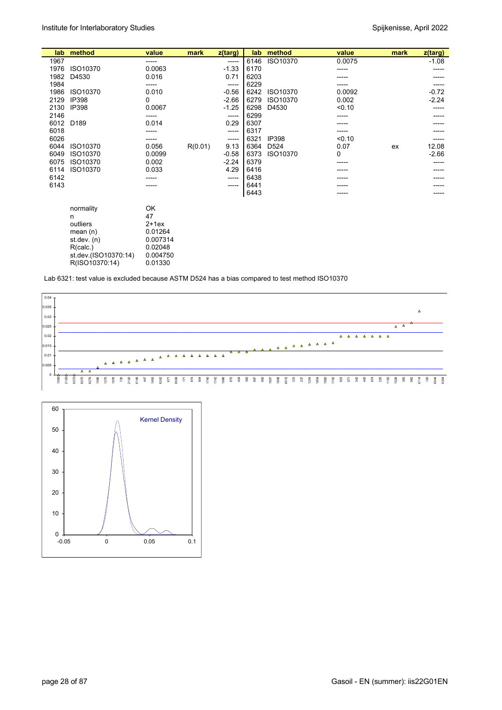|      | lab method           | value    | mark    | z(targ) | lab. | method       | value  | mark | z(targ) |
|------|----------------------|----------|---------|---------|------|--------------|--------|------|---------|
| 1967 |                      | ------   |         | -----   | 6146 | ISO10370     | 0.0075 |      | $-1.08$ |
| 1976 | ISO10370             | 0.0063   |         | $-1.33$ | 6170 |              | -----  |      | -----   |
| 1982 | D4530                | 0.016    |         | 0.71    | 6203 |              |        |      |         |
| 1984 |                      | -----    |         | -----   | 6229 |              |        |      |         |
| 1986 | ISO10370             | 0.010    |         | $-0.56$ | 6242 | ISO10370     | 0.0092 |      | $-0.72$ |
| 2129 | <b>IP398</b>         | 0        |         | $-2.66$ | 6279 | ISO10370     | 0.002  |      | $-2.24$ |
| 2130 | IP398                | 0.0067   |         | $-1.25$ | 6298 | D4530        | < 0.10 |      |         |
| 2146 |                      | -----    |         | -----   | 6299 |              |        |      |         |
| 6012 | D <sub>189</sub>     | 0.014    |         | 0.29    | 6307 |              |        |      |         |
| 6018 |                      |          |         | -----   | 6317 |              |        |      |         |
| 6026 |                      |          |         | -----   | 6321 | <b>IP398</b> | < 0.10 |      |         |
| 6044 | ISO10370             | 0.056    | R(0.01) | 9.13    | 6364 | D524         | 0.07   | ex   | 12.08   |
| 6049 | ISO10370             | 0.0099   |         | $-0.58$ | 6373 | ISO10370     | 0      |      | $-2.66$ |
| 6075 | ISO10370             | 0.002    |         | $-2.24$ | 6379 |              | -----  |      | -----   |
| 6114 | ISO10370             | 0.033    |         | 4.29    | 6416 |              |        |      |         |
| 6142 |                      |          |         | -----   | 6438 |              |        |      |         |
| 6143 |                      |          |         | -----   | 6441 |              |        |      |         |
|      |                      |          |         |         | 6443 |              |        |      |         |
|      | normality            | OK       |         |         |      |              |        |      |         |
|      | n                    | 47       |         |         |      |              |        |      |         |
|      | outliers             | $2+1ex$  |         |         |      |              |        |      |         |
|      | mean $(n)$           | 0.01264  |         |         |      |              |        |      |         |
|      | st.dev. $(n)$        | 0.007314 |         |         |      |              |        |      |         |
|      | R(calc.)             | 0.02048  |         |         |      |              |        |      |         |
|      | st.dev.(ISO10370:14) | 0.004750 |         |         |      |              |        |      |         |
|      | R(ISO10370:14)       | 0.01330  |         |         |      |              |        |      |         |

Lab 6321: test value is excluded because ASTM D524 has a bias compared to test method ISO10370



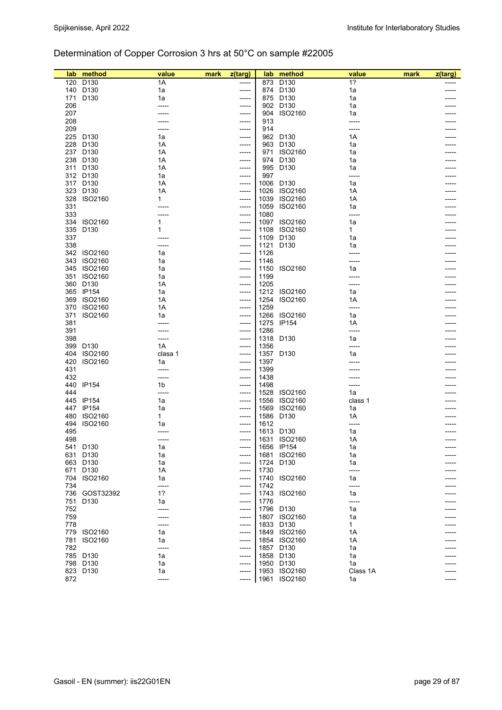# Determination of Copper Corrosion 3 hrs at 50°C on sample #22005

|     | lab method    | value   | mark | z(targ) |      | lab method   | value    | mark | z(targ) |
|-----|---------------|---------|------|---------|------|--------------|----------|------|---------|
|     | 120 D130      | 1A      |      | -----   |      | 873 D130     | 1?       |      |         |
|     | 140 D130      | 1a      |      | -----   |      | 874 D130     | 1a       |      |         |
|     | 171 D130      | 1a      |      | -----   |      | 875 D130     | 1a       |      |         |
| 206 |               | -----   |      | -----   |      | 902 D130     | 1a       |      |         |
| 207 |               |         |      | -----   |      | 904 ISO2160  | 1a       |      |         |
| 208 |               |         |      | -----   | 913  |              |          |      |         |
| 209 |               | -----   |      | -----   | 914  |              | -----    |      |         |
|     | 225 D130      | 1a      |      | -----   |      | 962 D130     | 1A       |      |         |
|     | 228 D130      | 1А      |      | -----   |      | 963 D130     | 1a       |      |         |
|     | 237 D130      | 1А      |      | -----   |      | 971 ISO2160  | 1a       |      |         |
|     | 238 D130      | 1A      |      | -----   |      | 974 D130     | 1a       |      |         |
|     | 311 D130      | 1A      |      | -----   |      | 995 D130     | 1a       |      |         |
|     | 312 D130      | 1a      |      | -----   | 997  |              | -----    |      |         |
|     | 317 D130      | 1A      |      | -----   |      | 1006 D130    | 1a       |      |         |
|     | 323 D130      | 1А      |      | -----   |      | 1026 ISO2160 | 1A       |      |         |
|     | 328 ISO2160   | 1.      |      | -----   |      | 1039 ISO2160 | 1A       |      |         |
| 331 |               |         |      | -----   |      | 1059 ISO2160 | 1a       |      |         |
| 333 |               |         |      | -----   | 1080 |              | -----    |      |         |
|     | 334 ISO2160   | 1       |      | -----   |      | 1097 ISO2160 | 1a       |      |         |
|     | 335 D130      | 1       |      | -----   |      | 1108 ISO2160 | 1        |      |         |
| 337 |               |         |      | -----   |      | 1109 D130    | 1a       |      |         |
| 338 |               | -----   |      | -----   |      | 1121 D130    | 1a       |      |         |
|     | 342 ISO2160   | 1a      |      | -----   | 1126 |              | -----    |      |         |
|     | 343 ISO2160   | 1a      |      | -----   | 1146 |              | -----    |      |         |
|     | 345 ISO2160   | 1a      |      | -----   |      | 1150 ISO2160 | 1a       |      |         |
|     | 351 ISO2160   | 1a      |      | -----   | 1199 |              | -----    |      |         |
|     | 360 D130      | 1A      |      | -----   | 1205 |              |          |      |         |
|     | 365 IP154     | 1a      |      | -----   |      | 1212 ISO2160 | 1a       |      |         |
|     | 369 ISO2160   | 1A      |      | -----   |      | 1254 ISO2160 | 1A       |      |         |
|     | 370 ISO2160   | 1А      |      | -----   | 1259 |              | -----    |      |         |
|     | 371 ISO2160   | 1a      |      | -----   |      | 1266 ISO2160 | 1a       |      |         |
| 381 |               |         |      | -----   |      | 1275 IP154   | 1A       |      |         |
| 391 |               | -----   |      | -----   | 1286 |              | -----    |      |         |
| 398 |               | -----   |      | -----   |      | 1318 D130    | 1a       |      |         |
|     | 399 D130      | 1A      |      | -----   | 1356 |              | -----    |      |         |
|     | 404 ISO2160   | clasa 1 |      | -----   |      | 1357 D130    | 1a       |      |         |
|     | 420 ISO2160   | 1a      |      | -----   | 1397 |              |          |      |         |
| 431 |               | -----   |      | -----   | 1399 |              |          |      |         |
| 432 |               | -----   |      | -----   | 1438 |              |          |      |         |
|     | 440 IP154     | 1b      |      | -----   | 1498 |              |          |      |         |
| 444 |               | -----   |      | -----   |      | 1528 ISO2160 | 1a       |      |         |
|     | 445 IP154     | 1a      |      | -----   |      | 1556 ISO2160 | class 1  |      |         |
|     | 447 IP154     | 1a      |      | -----   |      | 1569 ISO2160 | 1a       |      |         |
|     | 480 ISO2160   | 1       |      | -----   |      | 1586 D130    | 1A       |      |         |
| 494 | ISO2160       | 1a      |      | -----   | 1612 |              | -----    |      |         |
| 495 |               |         |      | -----   |      | 1613 D130    | 1a       |      |         |
| 498 |               | -----   |      | -----   |      | 1631 ISO2160 | 1A       |      |         |
|     | 541 D130      | 1a      |      | -----   |      | 1656 IP154   | 1a       |      |         |
|     | 631 D130      | 1a      |      | -----   |      | 1681 ISO2160 | 1a       |      |         |
|     | 663 D130      | 1a      |      | -----   |      | 1724 D130    | 1a       |      |         |
|     | 671 D130      | 1A      |      | -----   | 1730 |              | -----    |      |         |
|     | 704 ISO2160   | 1a      |      | -----   |      | 1740 ISO2160 | 1a       |      |         |
| 734 |               | -----   |      | -----   | 1742 |              | -----    |      |         |
|     | 736 GOST32392 | 1?      |      | -----   |      | 1743 ISO2160 | 1a       |      |         |
|     | 751 D130      | 1a      |      | -----   | 1776 |              | -----    |      |         |
| 752 |               | -----   |      | -----   |      | 1796 D130    | 1a       |      |         |
| 759 |               |         |      | -----   |      | 1807 ISO2160 | 1a       |      |         |
| 778 |               |         |      | -----   |      | 1833 D130    | 1.       |      |         |
|     | 779 ISO2160   | 1a      |      | -----   |      | 1849 ISO2160 | 1A       |      |         |
|     | 781 ISO2160   | 1a      |      | -----   |      | 1854 ISO2160 | 1Α       |      |         |
| 782 |               | -----   |      | -----   |      | 1857 D130    | 1a       |      |         |
|     | 785 D130      | 1a      |      | -----   |      | 1858 D130    | 1a       |      |         |
|     | 798 D130      | 1a      |      | -----   |      | 1950 D130    | 1a       |      |         |
|     | 823 D130      | 1a      |      | -----   |      | 1953 ISO2160 | Class 1A |      |         |
| 872 |               | -----   |      | -----   |      | 1961 ISO2160 | 1a       |      |         |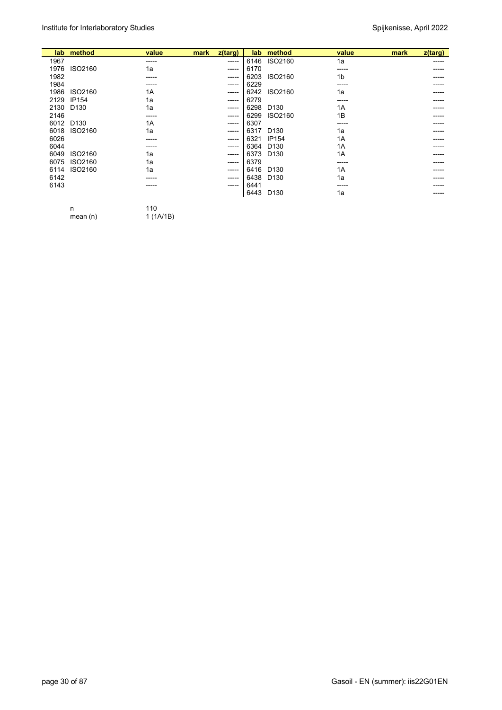|      | lab method       | value | mark | z(targ)     | lab. | method           | value          | mark | z(targ) |
|------|------------------|-------|------|-------------|------|------------------|----------------|------|---------|
| 1967 |                  | ----- |      | ------      | 6146 | ISO2160          | 1a             |      | -----   |
| 1976 | ISO2160          | 1a    |      | $- - - - -$ | 6170 |                  | -----          |      |         |
| 1982 |                  | ----- |      | -----       | 6203 | ISO2160          | 1 <sub>b</sub> |      |         |
| 1984 |                  | ----- |      | ------      | 6229 |                  | -----          |      |         |
| 1986 | ISO2160          | 1Α    |      | $- - - - -$ | 6242 | ISO2160          | 1a             |      |         |
| 2129 | <b>IP154</b>     | 1a    |      | -----       | 6279 |                  | ----           |      |         |
| 2130 | D <sub>130</sub> | 1a    |      | -----       | 6298 | D <sub>130</sub> | 1A             |      |         |
| 2146 |                  | ----- |      | -----       | 6299 | ISO2160          | 1B             |      |         |
|      | 6012 D130        | 1Α    |      | -----       | 6307 |                  | -----          |      | -----   |
| 6018 | ISO2160          | 1a    |      | -----       | 6317 | D <sub>130</sub> | 1a             |      |         |
| 6026 |                  | ----- |      | -----       | 6321 | <b>IP154</b>     | 1A             |      |         |
| 6044 |                  | ----- |      | ------      | 6364 | D <sub>130</sub> | 1A             |      |         |
| 6049 | ISO2160          | 1a    |      | -----       | 6373 | D <sub>130</sub> | 1A             |      |         |
| 6075 | ISO2160          | 1a    |      | $- - - - -$ | 6379 |                  | -----          |      |         |
| 6114 | ISO2160          | 1a    |      | -----       | 6416 | D <sub>130</sub> | 1A             |      |         |
| 6142 |                  | ----- |      | ------      | 6438 | D <sub>130</sub> | 1a             |      |         |
| 6143 |                  | ----- |      | -----       | 6441 |                  | -----          |      |         |
|      |                  |       |      |             | 6443 | D <sub>130</sub> | 1a             |      | -----   |

| n          | 110      |
|------------|----------|
| mean $(n)$ | 1(1A/1B) |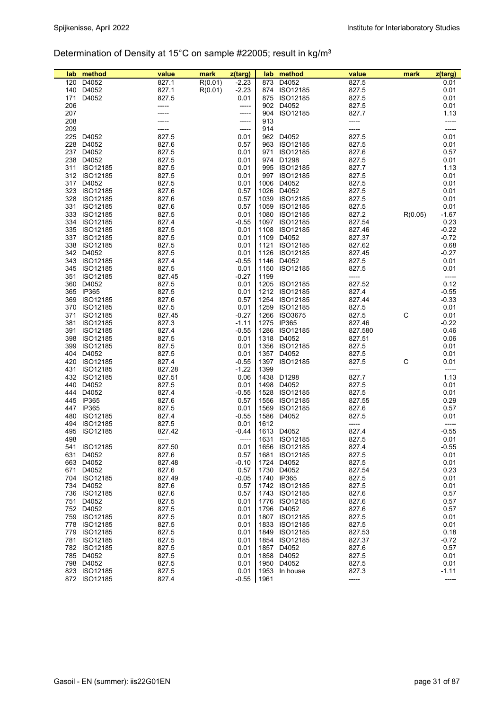# Determination of Density at 15°C on sample #22005; result in kg/m3

|     | lab method             | value          | mark    | z(targ)         |      | lab method               | value          | mark    | $z$ (targ)   |
|-----|------------------------|----------------|---------|-----------------|------|--------------------------|----------------|---------|--------------|
|     | 120 D4052              | 827.1          | R(0.01) | $-2.23$         |      | 873 D4052                | 827.5          |         | 0.01         |
|     | 140 D4052              | 827.1          | R(0.01) | $-2.23$         |      | 874 ISO12185             | 827.5          |         | 0.01         |
|     | 171 D4052              | 827.5          |         | 0.01            |      | 875 ISO12185             | 827.5          |         | 0.01         |
| 206 |                        | -----          |         | -----           |      | 902 D4052                | 827.5          |         | 0.01         |
| 207 |                        |                |         | -----           |      | 904 ISO12185             | 827.7          |         | 1.13         |
| 208 |                        |                |         | -----           | 913  |                          | -----          |         | -----        |
| 209 |                        | $-----$        |         | $-----$         | 914  |                          | -----          |         | -----        |
|     | 225 D4052              | 827.5          |         | 0.01            |      | 962 D4052                | 827.5          |         | 0.01         |
|     | 228 D4052              | 827.6          |         | 0.57            |      | 963 ISO12185             | 827.5          |         | 0.01         |
|     | 237 D4052              | 827.5          |         | 0.01            |      | 971 ISO12185             | 827.6          |         | 0.57         |
|     | 238 D4052              | 827.5          |         | 0.01            |      | 974 D1298                | 827.5          |         | 0.01         |
|     | 311 ISO12185           | 827.5          |         | 0.01            |      | 995 ISO12185             | 827.7          |         | 1.13         |
|     | 312 ISO12185           | 827.5          |         | 0.01            |      | 997 ISO12185             | 827.5          |         | 0.01         |
|     | 317 D4052              | 827.5          |         | 0.01            |      | 1006 D4052               | 827.5          |         | 0.01         |
|     | 323 ISO12185           | 827.6          |         | 0.57            |      | 1026 D4052               | 827.5          |         | 0.01         |
|     | 328 ISO12185           | 827.6          |         | 0.57            |      | 1039 ISO12185            | 827.5          |         | 0.01         |
|     | 331 ISO12185           | 827.6          |         | 0.57            |      | 1059 ISO12185            | 827.5          |         | 0.01         |
|     | 333 ISO12185           | 827.5          |         | 0.01            |      | 1080 ISO12185            | 827.2          | R(0.05) | $-1.67$      |
|     | 334 ISO12185           | 827.4          |         | $-0.55$         |      | 1097 ISO12185            | 827.54         |         | 0.23         |
|     | 335 ISO12185           | 827.5          |         | 0.01            |      | 1108 ISO12185            | 827.46         |         | $-0.22$      |
|     | 337 ISO12185           | 827.5          |         | 0.01            |      | 1109 D4052               | 827.37         |         | $-0.72$      |
|     | 338 ISO12185           | 827.5          |         | 0.01            |      | 1121 ISO12185            | 827.62         |         | 0.68         |
|     | 342 D4052              | 827.5          |         | 0.01            |      | 1126 ISO12185            | 827.45         |         | $-0.27$      |
|     | 343 ISO12185           | 827.4          |         | $-0.55$         |      | 1146 D4052               | 827.5          |         | 0.01         |
|     | 345 ISO12185           | 827.5          |         | 0.01            |      | 1150 ISO12185            | 827.5          |         | 0.01         |
|     | 351 ISO12185           | 827.45         |         | $-0.27$         | 1199 |                          | -----          |         | -----        |
|     | 360 D4052              | 827.5          |         | 0.01            |      | 1205 ISO12185            | 827.52         |         | 0.12         |
|     | 365 IP365              | 827.5          |         | 0.01            |      | 1212 ISO12185            | 827.4          |         | $-0.55$      |
|     | 369 ISO12185           | 827.6          |         | 0.57            |      | 1254 ISO12185            | 827.44         |         | $-0.33$      |
|     | 370 ISO12185           | 827.5          |         | 0.01            |      | 1259 ISO12185            | 827.5          |         | 0.01         |
|     | 371 ISO12185           | 827.45         |         | $-0.27$         |      | 1266 ISO3675             | 827.5          | C       | 0.01         |
|     | 381 ISO12185           | 827.3          |         | $-1.11$         |      | 1275 IP365               | 827.46         |         | $-0.22$      |
|     | 391 ISO12185           | 827.4          |         | $-0.55$         |      | 1286 ISO12185            | 827.580        |         | 0.46         |
|     | 398 ISO12185           | 827.5          |         | 0.01            |      | 1318 D4052               | 827.51         |         | 0.06         |
|     | 399 ISO12185           | 827.5          |         | 0.01            |      | 1356 ISO12185            | 827.5          |         | 0.01         |
|     | 404 D4052              | 827.5          |         | 0.01            |      | 1357 D4052               | 827.5          |         | 0.01         |
|     | 420 ISO12185           | 827.4          |         | $-0.55$         |      | 1397 ISO12185            | 827.5          | С       | 0.01         |
|     | 431 ISO12185           | 827.28         |         | $-1.22$         | 1399 |                          | -----          |         | -----        |
|     | 432 ISO12185           | 827.51         |         | 0.06            |      | 1438 D1298<br>1498 D4052 | 827.7          |         | 1.13         |
|     | 440 D4052<br>444 D4052 | 827.5<br>827.4 |         | 0.01<br>$-0.55$ |      | 1528 ISO12185            | 827.5<br>827.5 |         | 0.01<br>0.01 |
|     | 445 IP365              | 827.6          |         | 0.57            |      | 1556 ISO12185            | 827.55         |         | 0.29         |
|     | 447 IP365              | 827.5          |         | 0.01            |      | 1569 ISO12185            | 827.6          |         | 0.57         |
|     | 480 ISO12185           | 827.4          |         | $-0.55$         |      | 1586 D4052               | 827.5          |         | 0.01         |
|     | 494 ISO12185           | 827.5          |         | 0.01            | 1612 |                          | -----          |         | -----        |
|     | 495 ISO12185           | 827.42         |         | $-0.44$         |      | 1613 D4052               | 827.4          |         | $-0.55$      |
| 498 |                        | -----          |         | -----           |      | 1631 ISO12185            | 827.5          |         | 0.01         |
|     | 541 ISO12185           | 827.50         |         | 0.01            |      | 1656 ISO12185            | 827.4          |         | $-0.55$      |
|     | 631 D4052              | 827.6          |         | 0.57            |      | 1681 ISO12185            | 827.5          |         | 0.01         |
|     | 663 D4052              | 827.48         |         | $-0.10$         | 1724 | D4052                    | 827.5          |         | 0.01         |
|     | 671 D4052              | 827.6          |         | 0.57            |      | 1730 D4052               | 827.54         |         | 0.23         |
|     | 704 ISO12185           | 827.49         |         | $-0.05$         |      | 1740 IP365               | 827.5          |         | 0.01         |
|     | 734 D4052              | 827.6          |         | 0.57            |      | 1742 ISO12185            | 827.5          |         | 0.01         |
|     | 736 ISO12185           | 827.6          |         | 0.57            |      | 1743 ISO12185            | 827.6          |         | 0.57         |
|     | 751 D4052              | 827.5          |         | 0.01            |      | 1776 ISO12185            | 827.6          |         | 0.57         |
|     | 752 D4052              | 827.5          |         | 0.01            |      | 1796 D4052               | 827.6          |         | 0.57         |
|     | 759 ISO12185           | 827.5          |         | 0.01            |      | 1807 ISO12185            | 827.5          |         | 0.01         |
|     | 778 ISO12185           | 827.5          |         | 0.01            |      | 1833 ISO12185            | 827.5          |         | 0.01         |
|     | 779 ISO12185           | 827.5          |         | 0.01            |      | 1849 ISO12185            | 827.53         |         | 0.18         |
|     | 781 ISO12185           | 827.5          |         | 0.01            |      | 1854 ISO12185            | 827.37         |         | $-0.72$      |
|     | 782 ISO12185           | 827.5          |         | 0.01            |      | 1857 D4052               | 827.6          |         | 0.57         |
|     | 785 D4052              | 827.5          |         | 0.01            |      | 1858 D4052               | 827.5          |         | 0.01         |
|     | 798 D4052              | 827.5          |         | 0.01            |      | 1950 D4052               | 827.5          |         | 0.01         |
|     | 823 ISO12185           | 827.5          |         | 0.01            |      | 1953 In house            | 827.3          |         | -1.11        |
|     | 872 ISO12185           | 827.4          |         | $-0.55$         | 1961 |                          | -----          |         | -----        |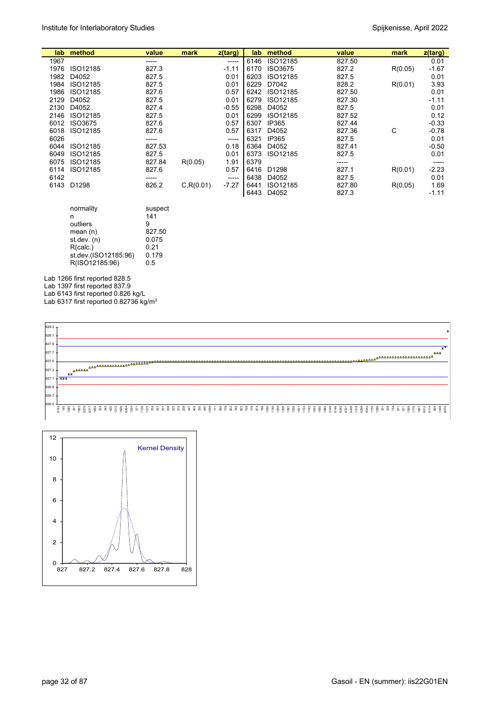|      | lab method        | value  | mark       | z(targ)     | lab. | method            | value  | mark    | $z$ (targ) |
|------|-------------------|--------|------------|-------------|------|-------------------|--------|---------|------------|
| 1967 |                   | -----  |            | $- - - - -$ | 6146 | ISO12185          | 827.50 |         | 0.01       |
| 1976 | ISO12185          | 827.3  |            | $-1.11$     | 6170 | ISO3675           | 827.2  | R(0.05) | $-1.67$    |
| 1982 | D4052             | 827.5  |            | 0.01        | 6203 | ISO12185          | 827.5  |         | 0.01       |
| 1984 | ISO12185          | 827.5  |            | 0.01        | 6229 | D7042             | 828.2  | R(0.01) | 3.93       |
| 1986 | ISO12185          | 827.6  |            | 0.57        | 6242 | ISO12185          | 827.50 |         | 0.01       |
| 2129 | D4052             | 827.5  |            | 0.01        | 6279 | ISO12185          | 827.30 |         | $-1.11$    |
| 2130 | D4052             | 827.4  |            | $-0.55$     | 6298 | D4052             | 827.5  |         | 0.01       |
| 2146 | ISO12185          | 827.5  |            | 0.01        | 6299 | ISO12185          | 827.52 |         | 0.12       |
| 6012 | <b>ISO3675</b>    | 827.6  |            | 0.57        | 6307 | IP365             | 827.44 |         | $-0.33$    |
| 6018 | ISO12185          | 827.6  |            | 0.57        | 6317 | D4052             | 827.36 | С       | $-0.78$    |
| 6026 |                   | -----  |            | -----       | 6321 | IP365             | 827.5  |         | 0.01       |
| 6044 | ISO12185          | 827.53 |            | 0.18        | 6364 | D4052             | 827.41 |         | $-0.50$    |
| 6049 | ISO12185          | 827.5  |            | 0.01        | 6373 | ISO12185          | 827.5  |         | 0.01       |
| 6075 | ISO12185          | 827.84 | R(0.05)    | 1.91        | 6379 |                   | -----  |         | -----      |
| 6114 | ISO12185          | 827.6  |            | 0.57        | 6416 | D <sub>1298</sub> | 827.1  | R(0.01) | $-2.23$    |
| 6142 |                   | -----  |            | $-----1$    | 6438 | D4052             | 827.5  |         | 0.01       |
| 6143 | D <sub>1298</sub> | 826.2  | C, R(0.01) | $-7.27$     | 6441 | ISO12185          | 827.80 | R(0.05) | 1.69       |
|      |                   |        |            |             | 6443 | D4052             | 827.3  |         | $-1.11$    |

| normality            | suspect |
|----------------------|---------|
| n                    | 141     |
| outliers             | Й       |
| mean (n)             | 827.50  |
| st.dev. (n)          | 0.075   |
| R(calc.)             | 0.21    |
| st.dev.(ISO12185:96) | 0.179   |
| R(ISO12185:96)       | 0.5     |

Lab 1266 first reported 828.5

Lab 1397 first reported 837.9

Lab 6143 first reported 0.826 kg/L

Lab 6317 first reported 0.82736 kg/ $m<sup>3</sup>$ 



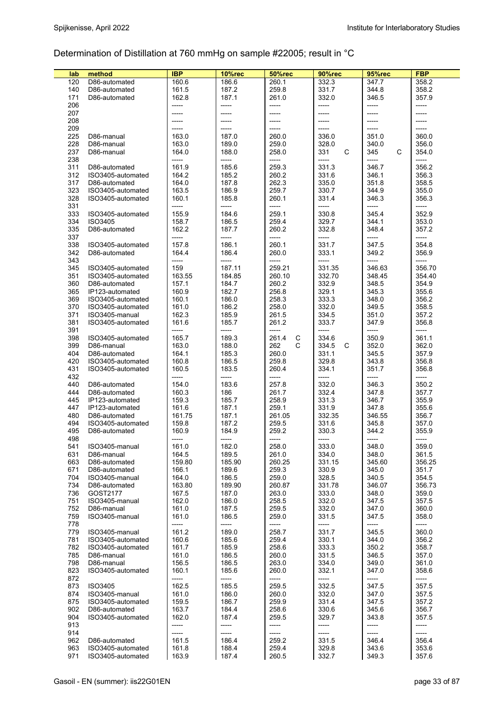# Determination of Distillation at 760 mmHg on sample #22005; result in °C

| lab        | method            | <b>IBP</b> | 10%rec         | <b>50%rec</b> | 90%rec         | 95%rec   | <b>FBP</b>     |
|------------|-------------------|------------|----------------|---------------|----------------|----------|----------------|
| 120        | D86-automated     | 160.6      | 186.6          | 260.1         | 332.3          | 347.7    | 358.2          |
| 140        | D86-automated     | 161.5      | 187.2          | 259.8         | 331.7          | 344.8    | 358.2          |
| 171        | D86-automated     | 162.8      | 187.1          | 261.0         | 332.0          | 346.5    | 357.9          |
|            |                   |            |                |               |                |          |                |
| 206        |                   | -----      |                | -----         | -----          | -----    | -----          |
| 207        |                   | -----      |                | -----         | -----          | -----    | -----          |
| 208        |                   | -----      |                | -----         | -----          | -----    | -----          |
| 209        |                   | -----      |                | -----         | -----          | -----    | -----          |
| 225        | D86-manual        | 163.0      | 187.0          | 260.0         | 336.0          | 351.0    | 360.0          |
| 228        | D86-manual        | 163.0      | 189.0          | 259.0         | 328.0          | 340.0    | 356.0          |
| 237        | D86-manual        | 164.0      | 188.0          | 258.0         | C<br>331       | 345<br>C | 354.0          |
| 238        |                   | -----      | -----          | -----         | -----          | -----    | -----          |
| 311        | D86-automated     | 161.9      | 185.6          | 259.3         | 331.3          | 346.7    | 356.2          |
| 312        | ISO3405-automated | 164.2      | 185.2          | 260.2         | 331.6          | 346.1    | 356.3          |
| 317        | D86-automated     | 164.0      | 187.8          | 262.3         | 335.0          | 351.8    | 358.5          |
| 323        | ISO3405-automated | 163.5      | 186.9          | 259.7         | 330.7          | 344.9    | 355.0          |
| 328        | ISO3405-automated | 160.1      | 185.8          | 260.1         | 331.4          | 346.3    | 356.3          |
| 331        |                   | -----      |                | -----         |                | -----    |                |
|            |                   |            | -----          |               | -----          |          | -----          |
| 333        | ISO3405-automated | 155.9      | 184.6          | 259.1         | 330.8          | 345.4    | 352.9          |
| 334        | ISO3405           | 158.7      | 186.5          | 259.4         | 329.7          | 344.1    | 353.0          |
| 335        | D86-automated     | 162.2      | 187.7          | 260.2         | 332.8          | 348.4    | 357.2          |
| 337        |                   | -----      | -----          | -----         | -----          | -----    | -----          |
| 338        | ISO3405-automated | 157.8      | 186.1          | 260.1         | 331.7          | 347.5    | 354.8          |
| 342        | D86-automated     | 164.4      | 186.4          | 260.0         | 333.1          | 349.2    | 356.9          |
| 343        |                   | -----      | -----          | -----         | -----          | -----    | -----          |
| 345        | ISO3405-automated | 159        | 187.11         | 259.21        | 331.35         | 346.63   | 356.70         |
| 351        | ISO3405-automated | 163.55     | 184.85         | 260.10        | 332.70         | 348.45   | 354.40         |
| 360        | D86-automated     | 157.1      | 184.7          | 260.2         | 332.9          | 348.5    | 354.9          |
| 365        | IP123-automated   | 160.9      | 182.7          | 256.8         | 329.1          | 345.3    | 355.6          |
| 369        | ISO3405-automated | 160.1      | 186.0          | 258.3         | 333.3          | 348.0    | 356.2          |
| 370        | ISO3405-automated | 161.0      | 186.2          | 258.0         | 332.0          | 349.5    | 358.5          |
| 371        | ISO3405-manual    | 162.3      | 185.9          | 261.5         | 334.5          | 351.0    | 357.2          |
| 381        | ISO3405-automated | 161.6      | 185.7          | 261.2         | 333.7          | 347.9    | 356.8          |
|            |                   |            |                |               |                |          | -----          |
| 391        |                   | -----      | -----          | -----         | -----          | -----    |                |
| 398        | ISO3405-automated | 165.7      | 189.3          | 261.4<br>С    | 334.6          | 350.9    | 361.1          |
| 399        | D86-manual        | 163.0      | 188.0          | C<br>262      | 334.5<br>C     | 352.0    | 362.0          |
| 404        | D86-automated     | 164.1      | 185.3          | 260.0         | 331.1          | 345.5    | 357.9          |
| 420        | ISO3405-automated | 160.8      | 186.5          | 259.8         | 329.8          | 343.8    | 356.8          |
| 431        | ISO3405-automated | 160.5      | 183.5          | 260.4         | 334.1          | 351.7    | 356.8          |
| 432        |                   | -----      | -----          | -----         | -----          | -----    | -----          |
| 440        | D86-automated     | 154.0      | 183.6          | 257.8         | 332.0          | 346.3    | 350.2          |
| 444        | D86-automated     | 160.3      | 186            | 261.7         | 332.4          | 347.8    | 357.7          |
| 445        | IP123-automated   | 159.3      | 185.7          | 258.9         | 331.3          | 346.7    | 355.9          |
| 447        | IP123-automated   | 161.6      | 187.1          | 259.1         | 331.9          | 347.8    | 355.6          |
| 480        | D86-automated     | 161.75     | 187.1          | 261.05        | 332.35         | 346.55   | 356.7          |
| 494        | ISO3405-automated | 159.8      | 187.2          | 259.5         | 331.6          | 345.8    | 357.0          |
| 495        | D86-automated     | 160.9      | 184.9          | 259.2         | 330.3          | 344.2    | 355.9          |
| 498        |                   | -----      | -----          | -----         | -----          | -----    | -----          |
|            | ISO3405-manual    | 161.0      |                | 258.0         |                | 348.0    |                |
| 541<br>631 |                   | 164.5      | 182.0<br>189.5 | 261.0         | 333.0<br>334.0 | 348.0    | 359.0<br>361.5 |
|            | D86-manual        |            |                |               |                |          |                |
| 663        | D86-automated     | 159.80     | 185.90         | 260.25        | 331.15         | 345.60   | 356.25         |
| 671        | D86-automated     | 166.1      | 189.6          | 259.3         | 330.9          | 345.0    | 351.7          |
| 704        | ISO3405-manual    | 164.0      | 186.5          | 259.0         | 328.5          | 340.5    | 354.5          |
| 734        | D86-automated     | 163.80     | 189.90         | 260.87        | 331.78         | 346.07   | 356.73         |
| 736        | GOST2177          | 167.5      | 187.0          | 263.0         | 333.0          | 348.0    | 359.0          |
| 751        | ISO3405-manual    | 162.0      | 186.0          | 258.5         | 332.0          | 347.5    | 357.5          |
| 752        | D86-manual        | 161.0      | 187.5          | 259.5         | 332.0          | 347.0    | 360.0          |
| 759        | ISO3405-manual    | 161.0      | 186.5          | 259.0         | 331.5          | 347.5    | 358.0          |
| 778        |                   | -----      | -----          | -----         | -----          | -----    | -----          |
| 779        | ISO3405-manual    | 161.2      | 189.0          | 258.7         | 331.7          | 345.5    | 360.0          |
| 781        | ISO3405-automated | 160.6      | 185.6          | 259.4         | 330.1          | 344.0    | 356.2          |
| 782        | ISO3405-automated | 161.7      | 185.9          | 258.6         | 333.3          | 350.2    | 358.7          |
| 785        | D86-manual        | 161.0      | 186.5          | 260.0         | 331.5          | 346.5    | 357.0          |
| 798        | D86-manual        | 156.5      | 186.5          | 263.0         | 334.0          | 349.0    | 361.0          |
| 823        | ISO3405-automated | 160.1      | 185.6          | 260.0         | 332.1          | 347.0    | 358.6          |
| 872        |                   | -----      | -----          | -----         | -----          |          | -----          |
|            |                   |            | 185.5          |               |                | -----    |                |
| 873        | ISO3405           | 162.5      |                | 259.5         | 332.5          | 347.5    | 357.5          |
| 874        | ISO3405-manual    | 161.0      | 186.0          | 260.0         | 332.0          | 347.0    | 357.5          |
| 875        | ISO3405-automated | 159.5      | 186.7          | 259.9         | 331.4          | 347.5    | 357.2          |
| 902        | D86-automated     | 163.7      | 184.4          | 258.6         | 330.6          | 345.6    | 356.7          |
| 904        | ISO3405-automated | 162.0      | 187.4          | 259.5         | 329.7          | 343.8    | 357.5          |
| 913        |                   | -----      | -----          | -----         | -----          | -----    | -----          |
| 914        |                   | -----      | -----          | -----         | -----          | -----    | -----          |
| 962        | D86-automated     | 161.5      | 186.4          | 259.2         | 331.5          | 346.4    | 356.4          |
| 963        | ISO3405-automated | 161.8      | 188.4          | 259.4         | 329.8          | 343.6    | 353.6          |
| 971        | ISO3405-automated | 163.9      | 187.4          | 260.5         | 332.7          | 349.3    | 357.6          |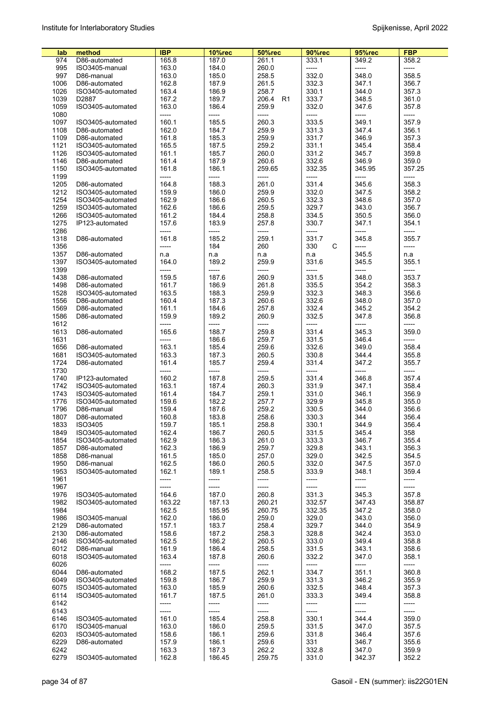| lab  | method            | <b>IBP</b> | $10%$ rec | <b>50%rec</b>           | 90%rec   | 95%rec | <b>FBP</b> |
|------|-------------------|------------|-----------|-------------------------|----------|--------|------------|
| 974  | D86-automated     | 165.8      | 187.0     | 261.1                   | 333.1    | 349.2  | 358.2      |
|      |                   |            |           |                         |          |        |            |
| 995  | ISO3405-manual    | 163.0      | 184.0     | 260.0                   | -----    | -----  | -----      |
| 997  | D86-manual        | 163.0      | 185.0     | 258.5                   | 332.0    | 348.0  | 358.5      |
| 1006 | D86-automated     | 162.8      | 187.9     | 261.5                   | 332.3    | 347.1  | 356.7      |
| 1026 | ISO3405-automated | 163.4      | 186.9     | 258.7                   | 330.1    | 344.0  | 357.3      |
| 1039 | D2887             | 167.2      | 189.7     | 206.4<br>R <sub>1</sub> | 333.7    | 348.5  | 361.0      |
| 1059 | ISO3405-automated | 163.0      | 186.4     | 259.9                   | 332.0    | 347.6  | 357.8      |
| 1080 |                   | -----      | -----     | -----                   | -----    | -----  | -----      |
| 1097 | ISO3405-automated | 160.1      | 185.5     | 260.3                   | 333.5    | 349.1  | 357.9      |
|      |                   |            |           |                         |          |        |            |
| 1108 | D86-automated     | 162.0      | 184.7     | 259.9                   | 331.3    | 347.4  | 356.1      |
| 1109 | D86-automated     | 161.8      | 185.3     | 259.9                   | 331.7    | 346.9  | 357.3      |
| 1121 | ISO3405-automated | 165.5      | 187.5     | 259.2                   | 331.1    | 345.4  | 358.4      |
| 1126 | ISO3405-automated | 161.1      | 185.7     | 260.0                   | 331.2    | 345.7  | 359.8      |
| 1146 | D86-automated     | 161.4      | 187.9     | 260.6                   | 332.6    | 346.9  | 359.0      |
| 1150 | ISO3405-automated | 161.8      | 186.1     | 259.65                  | 332.35   | 345.95 | 357.25     |
| 1199 |                   | -----      | -----     | -----                   | -----    | -----  | -----      |
| 1205 | D86-automated     | 164.8      | 188.3     | 261.0                   | 331.4    | 345.6  | 358.3      |
|      |                   |            |           |                         |          |        |            |
| 1212 | ISO3405-automated | 159.9      | 186.0     | 259.9                   | 332.0    | 347.5  | 358.2      |
| 1254 | ISO3405-automated | 162.9      | 186.6     | 260.5                   | 332.3    | 348.6  | 357.0      |
| 1259 | ISO3405-automated | 162.6      | 186.6     | 259.5                   | 329.7    | 343.0  | 356.7      |
| 1266 | ISO3405-automated | 161.2      | 184.4     | 258.8                   | 334.5    | 350.5  | 356.0      |
| 1275 | IP123-automated   | 157.6      | 183.9     | 257.8                   | 330.7    | 347.1  | 354.1      |
| 1286 |                   | -----      | -----     | -----                   | -----    | -----  | -----      |
| 1318 | D86-automated     | 161.8      | 185.2     | 259.1                   | 331.7    | 345.8  | 355.7      |
| 1356 |                   | -----      | 184       | 260                     | C<br>330 | -----  | -----      |
|      |                   |            |           |                         |          |        |            |
| 1357 | D86-automated     | n.a        | n.a       | n.a                     | n.a      | 345.5  | n.a        |
| 1397 | ISO3405-automated | 164.0      | 189.2     | 259.9                   | 331.6    | 345.5  | 355.1      |
| 1399 |                   | -----      | $-----$   | -----                   | -----    | -----  | -----      |
| 1438 | D86-automated     | 159.5      | 187.6     | 260.9                   | 331.5    | 348.0  | 353.7      |
| 1498 | D86-automated     | 161.7      | 186.9     | 261.8                   | 335.5    | 354.2  | 358.3      |
| 1528 | ISO3405-automated | 163.5      | 188.3     | 259.9                   | 332.3    | 348.3  | 356.6      |
| 1556 | D86-automated     | 160.4      | 187.3     | 260.6                   | 332.6    | 348.0  | 357.0      |
| 1569 |                   |            |           |                         | 332.4    |        | 354.2      |
|      | D86-automated     | 161.1      | 184.6     | 257.8                   |          | 345.2  |            |
| 1586 | D86-automated     | 159.9      | 189.2     | 260.9                   | 332.5    | 347.8  | 356.8      |
| 1612 |                   | -----      | -----     | -----                   | -----    | -----  | -----      |
| 1613 | D86-automated     | 165.6      | 188.7     | 259.8                   | 331.4    | 345.3  | 359.0      |
| 1631 |                   | -----      | 186.6     | 259.7                   | 331.5    | 346.4  | -----      |
| 1656 | D86-automated     | 163.1      | 185.4     | 259.6                   | 332.6    | 349.0  | 358.4      |
| 1681 | ISO3405-automated | 163.3      | 187.3     | 260.5                   | 330.8    | 344.4  | 355.8      |
| 1724 | D86-automated     | 161.4      | 185.7     | 259.4                   | 331.4    | 347.2  | 355.7      |
| 1730 |                   | -----      | -----     | -----                   | -----    | -----  | -----      |
|      |                   |            |           |                         |          |        |            |
| 1740 | IP123-automated   | 160.2      | 187.8     | 259.5                   | 331.4    | 346.8  | 357.4      |
| 1742 | ISO3405-automated | 163.1      | 187.4     | 260.3                   | 331.9    | 347.1  | 358.4      |
| 1743 | ISO3405-automated | 161.4      | 184.7     | 259.1                   | 331.0    | 346.1  | 356.9      |
| 1776 | ISO3405-automated | 159.6      | 182.2     | 257.7                   | 329.9    | 345.8  | 355.0      |
| 1796 | D86-manual        | 159.4      | 187.6     | 259.2                   | 330.5    | 344.0  | 356.6      |
| 1807 | D86-automated     | 160.8      | 183.8     | 258.6                   | 330.3    | 344    | 356.4      |
| 1833 | <b>ISO3405</b>    | 159.7      | 185.1     | 258.8                   | 330.1    | 344.9  | 356.4      |
| 1849 | ISO3405-automated | 162.4      | 186.7     | 260.5                   | 331.5    | 345.4  | 358        |
| 1854 | ISO3405-automated | 162.9      | 186.3     | 261.0                   | 333.3    | 346.7  | 355.4      |
|      | D86-automated     |            |           |                         |          |        |            |
| 1857 |                   | 162.3      | 186.9     | 259.7                   | 329.8    | 343.1  | 356.3      |
| 1858 | D86-manual        | 161.5      | 185.0     | 257.0                   | 329.0    | 342.5  | 354.5      |
| 1950 | D86-manual        | 162.5      | 186.0     | 260.5                   | 332.0    | 347.5  | 357.0      |
| 1953 | ISO3405-automated | 162.1      | 189.1     | 258.5                   | 333.9    | 348.1  | 359.4      |
| 1961 |                   | -----      | -----     | -----                   | -----    | -----  | -----      |
| 1967 |                   | -----      | $-----$   | -----                   | -----    | -----  | -----      |
| 1976 | ISO3405-automated | 164.6      | 187.0     | 260.8                   | 331.3    | 345.3  | 357.8      |
| 1982 | ISO3405-automated | 163.22     | 187.13    | 260.21                  | 332.57   | 347.43 | 358.87     |
| 1984 |                   | 162.5      | 185.95    | 260.75                  | 332.35   | 347.2  | 358.0      |
| 1986 | ISO3405-manual    | 162.0      | 186.0     | 259.0                   | 329.0    | 343.0  | 356.0      |
|      |                   |            |           |                         |          |        |            |
| 2129 | D86-automated     | 157.1      | 183.7     | 258.4                   | 329.7    | 344.0  | 354.9      |
| 2130 | D86-automated     | 158.6      | 187.2     | 258.3                   | 328.8    | 342.4  | 353.0      |
| 2146 | ISO3405-automated | 162.5      | 186.2     | 260.5                   | 333.0    | 349.4  | 358.8      |
| 6012 | D86-manual        | 161.9      | 186.4     | 258.5                   | 331.5    | 343.1  | 358.6      |
| 6018 | ISO3405-automated | 163.4      | 187.8     | 260.6                   | 332.2    | 347.0  | 358.1      |
| 6026 |                   | -----      | -----     | -----                   | -----    | -----  | -----      |
| 6044 | D86-automated     | 168.2      | 187.5     | 262.1                   | 334.7    | 351.1  | 360.8      |
| 6049 | ISO3405-automated | 159.8      | 186.7     | 259.9                   | 331.3    | 346.2  | 355.9      |
|      |                   |            |           |                         |          |        |            |
| 6075 | ISO3405-automated | 163.0      | 185.9     | 260.6                   | 332.5    | 348.4  | 357.3      |
| 6114 | ISO3405-automated | 161.7      | 187.5     | 261.0                   | 333.3    | 349.4  | 358.8      |
| 6142 |                   | -----      | $-----$   | -----                   | -----    | -----  | -----      |
| 6143 |                   | -----      | -----     | -----                   | -----    | -----  | -----      |
| 6146 | ISO3405-automated | 161.0      | 185.4     | 258.8                   | 330.1    | 344.4  | 359.0      |
| 6170 | ISO3405-manual    | 163.0      | 186.0     | 259.5                   | 331.5    | 347.0  | 357.5      |
| 6203 | ISO3405-automated | 158.6      | 186.1     | 259.6                   | 331.8    | 346.4  | 357.6      |
| 6229 | D86-automated     | 157.9      | 186.1     | 259.6                   | 331      | 346.7  | 355.6      |
| 6242 |                   | 163.3      | 187.3     | 262.2                   | 332.8    | 347.0  | 359.9      |
|      |                   |            |           |                         |          |        |            |
| 6279 | ISO3405-automated | 162.8      | 186.45    | 259.75                  | 331.0    | 342.37 | 352.2      |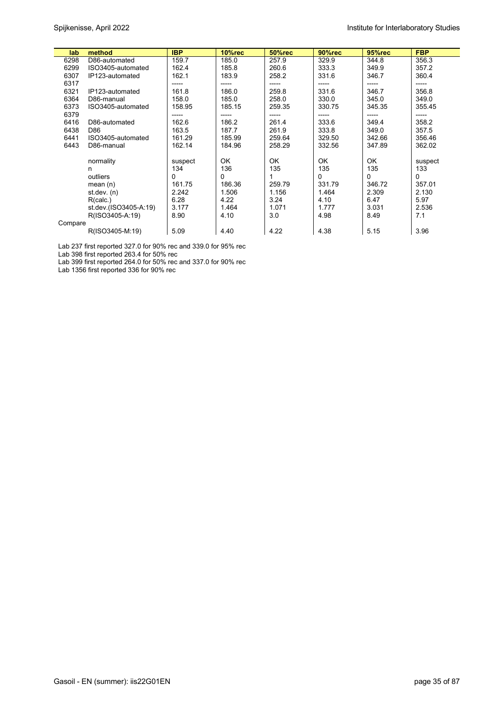|         |                       | <b>IBP</b> | $10%$ rec |               |        |        | <b>FBP</b> |
|---------|-----------------------|------------|-----------|---------------|--------|--------|------------|
| lab     | method                |            |           | <b>50%rec</b> | 90%rec | 95%rec |            |
| 6298    | D86-automated         | 159.7      | 185.0     | 257.9         | 329.9  | 344.8  | 356.3      |
| 6299    | ISO3405-automated     | 162.4      | 185.8     | 260.6         | 333.3  | 349.9  | 357.2      |
| 6307    | IP123-automated       | 162.1      | 183.9     | 258.2         | 331.6  | 346.7  | 360.4      |
| 6317    |                       | -----      | -----     | -----         | -----  | -----  | -----      |
| 6321    | IP123-automated       | 161.8      | 186.0     | 259.8         | 331.6  | 346.7  | 356.8      |
| 6364    | D86-manual            | 158.0      | 185.0     | 258.0         | 330.0  | 345.0  | 349.0      |
| 6373    | ISO3405-automated     | 158.95     | 185.15    | 259.35        | 330.75 | 345.35 | 355.45     |
| 6379    |                       | -----      | -----     | -----         | -----  | -----  | -----      |
| 6416    | D86-automated         | 162.6      | 186.2     | 261.4         | 333.6  | 349.4  | 358.2      |
| 6438    | D86                   | 163.5      | 187.7     | 261.9         | 333.8  | 349.0  | 357.5      |
| 6441    | ISO3405-automated     | 161.29     | 185.99    | 259.64        | 329.50 | 342.66 | 356.46     |
|         |                       |            |           |               |        |        |            |
| 6443    | D86-manual            | 162.14     | 184.96    | 258.29        | 332.56 | 347.89 | 362.02     |
|         |                       |            |           |               |        |        |            |
|         | normality             | suspect    | OK.       | OK            | OK     | OK     | suspect    |
|         | n                     | 134        | 136       | 135           | 135    | 135    | 133        |
|         | outliers              | 0          | 0         |               | 0      | 0      | 0          |
|         | mean $(n)$            | 161.75     | 186.36    | 259.79        | 331.79 | 346.72 | 357.01     |
|         | st.dev. $(n)$         | 2.242      | 1.506     | 1.156         | 1.464  | 2.309  | 2.130      |
|         | R(calc.)              | 6.28       | 4.22      | 3.24          | 4.10   | 6.47   | 5.97       |
|         | st.dev.(ISO3405-A:19) | 3.177      | 1.464     | 1.071         | 1.777  | 3.031  | 2.536      |
|         | R(ISO3405-A:19)       | 8.90       | 4.10      | 3.0           | 4.98   | 8.49   | 7.1        |
| Compare |                       |            |           |               |        |        |            |
|         | R(ISO3405-M:19)       | 5.09       | 4.40      | 4.22          | 4.38   | 5.15   | 3.96       |
|         |                       |            |           |               |        |        |            |

Lab 237 first reported 327.0 for 90% rec and 339.0 for 95% rec Lab 398 first reported 263.4 for 50% rec

Lab 399 first reported 264.0 for 50% rec and 337.0 for 90% rec

Lab 1356 first reported 336 for 90% rec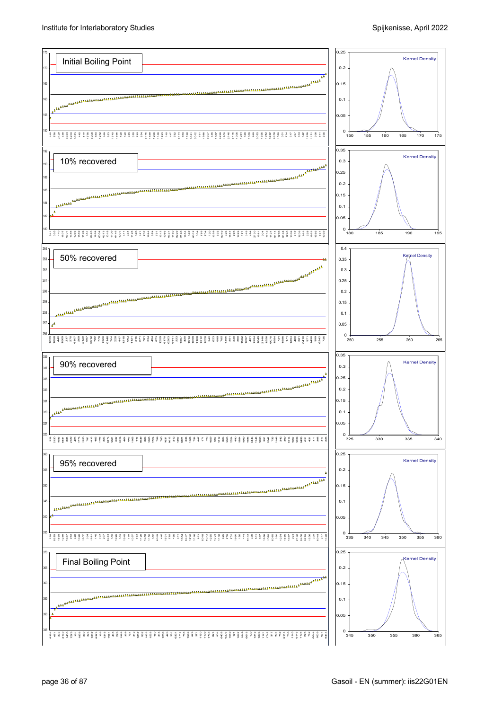| 175                                                                                                                                                                                                                                                                                                                                                                                                                                                                                                                                                     | 0.25                       |                                 |
|---------------------------------------------------------------------------------------------------------------------------------------------------------------------------------------------------------------------------------------------------------------------------------------------------------------------------------------------------------------------------------------------------------------------------------------------------------------------------------------------------------------------------------------------------------|----------------------------|---------------------------------|
| <b>Initial Boiling Point</b>                                                                                                                                                                                                                                                                                                                                                                                                                                                                                                                            |                            | <b>Kernel Density</b>           |
| 170<br>$\overline{A}$                                                                                                                                                                                                                                                                                                                                                                                                                                                                                                                                   | 0.2                        |                                 |
| 165                                                                                                                                                                                                                                                                                                                                                                                                                                                                                                                                                     | 0.15                       |                                 |
| 160                                                                                                                                                                                                                                                                                                                                                                                                                                                                                                                                                     | 0.1                        |                                 |
| 155                                                                                                                                                                                                                                                                                                                                                                                                                                                                                                                                                     | 0.05                       |                                 |
| 150                                                                                                                                                                                                                                                                                                                                                                                                                                                                                                                                                     | $\mathsf{o}\xspace$        |                                 |
|                                                                                                                                                                                                                                                                                                                                                                                                                                                                                                                                                         | 150                        | 155<br>170<br>175<br>160<br>165 |
| 192<br>10% recovered                                                                                                                                                                                                                                                                                                                                                                                                                                                                                                                                    | 0.35<br>0.3                | <b>Kernel Density</b>           |
| 190                                                                                                                                                                                                                                                                                                                                                                                                                                                                                                                                                     | 0.25                       |                                 |
| 188                                                                                                                                                                                                                                                                                                                                                                                                                                                                                                                                                     | 0.2                        |                                 |
| $\left \frac{\delta^2}{\delta^2}\right ^2\left \frac{\delta^2}{\delta^2}\right ^2\left \frac{\delta^2}{\delta^2}\right ^2\left \frac{\delta^2}{\delta^2}\right ^2\left \frac{\delta^2}{\delta^2}\right ^2\left \frac{\delta^2}{\delta^2}\right ^2\left \frac{\delta^2}{\delta^2}\right ^2\left \frac{\delta^2}{\delta^2}\right ^2\left \frac{\delta^2}{\delta^2}\right ^2\left \frac{\delta^2}{\delta^2}\right ^2\left \frac{\delta^2}{\delta^2}\right ^2\left \frac{\delta^2}{\delta^2}\right ^2\left \frac{\delta^2}{\delta^2}\right ^$<br>186<br>184 | 0.15                       |                                 |
| $\Delta$<br>$182 -$                                                                                                                                                                                                                                                                                                                                                                                                                                                                                                                                     | 0.1                        |                                 |
| 180                                                                                                                                                                                                                                                                                                                                                                                                                                                                                                                                                     | 0.05<br>0                  |                                 |
| 主角毒 医葡萄霉素 医柔囊 经营业表 医生物 医性脑性病 医白花属 医后颈关节的 异向前的 医胃切除术 医性脊髓 医电压电压 医异原色性 医性骨瘤 医白色                                                                                                                                                                                                                                                                                                                                                                                                                                                                           | 180                        | 185<br>190<br>195               |
| 264<br>50% recovered                                                                                                                                                                                                                                                                                                                                                                                                                                                                                                                                    | 0.4                        | <b>Kernel Density</b>           |
| 263<br>262                                                                                                                                                                                                                                                                                                                                                                                                                                                                                                                                              | 0.35<br>0.3                |                                 |
| 261                                                                                                                                                                                                                                                                                                                                                                                                                                                                                                                                                     | 0.25                       |                                 |
| 260                                                                                                                                                                                                                                                                                                                                                                                                                                                                                                                                                     | 0.2                        |                                 |
| 259<br>258                                                                                                                                                                                                                                                                                                                                                                                                                                                                                                                                              | 0.15<br>0.1                |                                 |
| 257<br>۵                                                                                                                                                                                                                                                                                                                                                                                                                                                                                                                                                | 0.05                       |                                 |
| 256                                                                                                                                                                                                                                                                                                                                                                                                                                                                                                                                                     | $\Omega$<br>250            | 255<br>260<br>265               |
|                                                                                                                                                                                                                                                                                                                                                                                                                                                                                                                                                         |                            |                                 |
| 339<br>90% recovered<br>337                                                                                                                                                                                                                                                                                                                                                                                                                                                                                                                             | 0.35<br>0.3                | <b>Kernel Density</b>           |
| 335                                                                                                                                                                                                                                                                                                                                                                                                                                                                                                                                                     | 0.25                       |                                 |
| 333                                                                                                                                                                                                                                                                                                                                                                                                                                                                                                                                                     | 0.2                        |                                 |
| 331                                                                                                                                                                                                                                                                                                                                                                                                                                                                                                                                                     | 0.15                       |                                 |
| 329<br>$327\,$                                                                                                                                                                                                                                                                                                                                                                                                                                                                                                                                          | 0.1<br>0.05                |                                 |
| 325                                                                                                                                                                                                                                                                                                                                                                                                                                                                                                                                                     | $\mathsf{o}\xspace$<br>325 | 335<br>330<br>340               |
| ន្ត្រី ខ្មែរដែលថ្ងៃ ខ្មែរ ដើម្បី ខ្មែរ និង ដូច ស្តេច ដី ដូច មិន ដូច និង ដូច និង ទី ទី និនី ដូន មី ដូន ង ដី មិន ដូច ១ ខេង ដន្                                                                                                                                                                                                                                                                                                                                                                                                                            |                            |                                 |
| 360<br>95% recovered                                                                                                                                                                                                                                                                                                                                                                                                                                                                                                                                    | 0.25                       | <b>Kernel Density</b>           |
| 355                                                                                                                                                                                                                                                                                                                                                                                                                                                                                                                                                     | 0.2                        |                                 |
| $350\,$                                                                                                                                                                                                                                                                                                                                                                                                                                                                                                                                                 | 0.15                       |                                 |
| 345                                                                                                                                                                                                                                                                                                                                                                                                                                                                                                                                                     | 0.1                        |                                 |
| $340 -$                                                                                                                                                                                                                                                                                                                                                                                                                                                                                                                                                 | 0.05                       |                                 |
| 335                                                                                                                                                                                                                                                                                                                                                                                                                                                                                                                                                     | 0                          |                                 |
| $\frac{28}{279}$<br>ર્વે છે<br>5 3                                                                                                                                                                                                                                                                                                                                                                                                                                                                                                                      | 335                        | 360<br>340<br>345<br>350<br>355 |
| 370<br><b>Final Boiling Point</b>                                                                                                                                                                                                                                                                                                                                                                                                                                                                                                                       | 0.25                       | <b>Kernel Density</b>           |
| 365                                                                                                                                                                                                                                                                                                                                                                                                                                                                                                                                                     | 0.2                        |                                 |
| 360                                                                                                                                                                                                                                                                                                                                                                                                                                                                                                                                                     | 0.15                       |                                 |
| 355                                                                                                                                                                                                                                                                                                                                                                                                                                                                                                                                                     | 0.1                        |                                 |
| 350                                                                                                                                                                                                                                                                                                                                                                                                                                                                                                                                                     | 0.05                       |                                 |
| 345                                                                                                                                                                                                                                                                                                                                                                                                                                                                                                                                                     | 0                          |                                 |
| ្រួច នេះ ក្នុង ត្រូងនេះ ត្រូង ត្រូង ត្រូង ត្រូង ត្រូង ត្រូវ ត្រូង ត្រូង ត្រូង ត្រូង ត្រូង ត្រូង ត្រូង ត្រូង ត្រូ<br>តួច ន ត្តូង ត្រូង នៃ តួន ត្រូង ត្រូង ត្រូង ត្រូង ត្រូង ត្រូង ត្រូង ត្រូង ត្រូង ត្រូង ត្រូង ត្រូង ត្រូង ត្រូង                                                                                                                                                                                                                                                                                                                        | 345                        | 350<br>355<br>360<br>365        |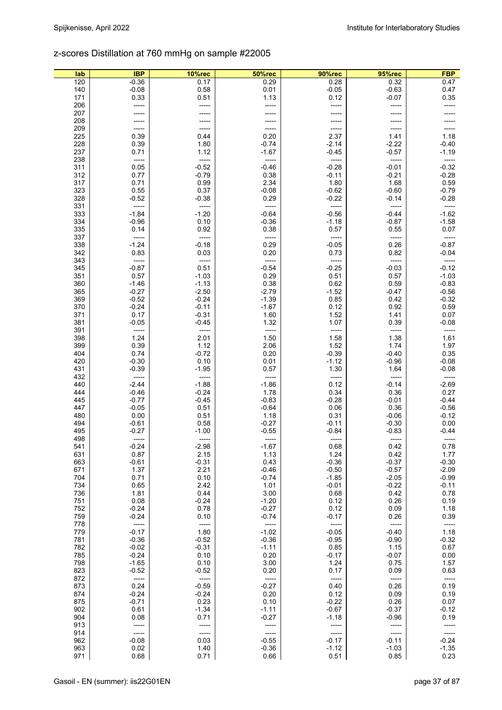# z-scores Distillation at 760 mmHg on sample #22005

| lab        | <b>IBP</b>         | 10%rec          | 50%rec                   | 90%rec             | 95%rec             | <b>FBP</b>      |
|------------|--------------------|-----------------|--------------------------|--------------------|--------------------|-----------------|
| 120        | $-0.36$            | 0.17            | 0.29                     | 0.28               | 0.32               | 0.47            |
| 140        | $-0.08$            | 0.58            | 0.01                     | $-0.05$            | $-0.63$            | 0.47            |
| 171        | 0.33               | 0.51            | 1.13                     | 0.12               | $-0.07$            | 0.35            |
| 206        | -----              | -----           | -----                    | -----              | -----              | -----           |
| 207        | -----              | -----           | -----                    | -----              |                    |                 |
| 208        |                    |                 |                          |                    |                    |                 |
| 209<br>225 | -----<br>0.39      | -----<br>0.44   | -----<br>0.20            | -----<br>2.37      | -----<br>1.41      | 1.18            |
| 228        | 0.39               | 1.80            | $-0.74$                  | $-2.14$            | $-2.22$            | $-0.40$         |
| 237        | 0.71               | 1.12            | $-1.67$                  | $-0.45$            | $-0.57$            | $-1.19$         |
| 238        | -----              | -----           | -----                    | -----              | -----              | -----           |
| 311        | 0.05               | $-0.52$         | $-0.46$                  | $-0.28$            | $-0.01$            | $-0.32$         |
| 312        | 0.77               | $-0.79$         | 0.38                     | $-0.11$            | $-0.21$            | $-0.28$         |
| 317        | 0.71               | 0.99            | 2.34                     | 1.80               | 1.68               | 0.59            |
| 323        | 0.55               | 0.37            | $-0.08$                  | $-0.62$            | $-0.60$            | $-0.79$         |
| 328        | $-0.52$            | $-0.38$         | 0.29                     | $-0.22$            | $-0.14$            | $-0.28$         |
| 331        |                    | -----           | -----                    | -----              | -----              | -----           |
| 333        | $-1.84$            | $-1.20$         | $-0.64$                  | $-0.56$            | $-0.44$            | $-1.62$         |
| 334        | $-0.96$            | 0.10            | $-0.36$                  | $-1.18$            | $-0.87$            | $-1.58$         |
| 335<br>337 | 0.14<br>-----      | 0.92<br>-----   | 0.38<br>-----            | 0.57<br>-----      | 0.55<br>-----      | 0.07<br>-----   |
| 338        | $-1.24$            | $-0.18$         | 0.29                     | $-0.05$            | 0.26               | $-0.87$         |
| 342        | 0.83               | 0.03            | 0.20                     | 0.73               | 0.82               | $-0.04$         |
| 343        | -----              | -----           | -----                    | -----              | -----              | -----           |
| 345        | $-0.87$            | 0.51            | $-0.54$                  | $-0.25$            | $-0.03$            | $-0.12$         |
| 351        | 0.57               | $-1.03$         | 0.29                     | 0.51               | 0.57               | $-1.03$         |
| 360        | $-1.46$            | $-1.13$         | 0.38                     | 0.62               | 0.59               | $-0.83$         |
| 365        | $-0.27$            | $-2.50$         | $-2.79$                  | $-1.52$            | $-0.47$            | $-0.56$         |
| 369        | $-0.52$            | $-0.24$         | $-1.39$                  | 0.85               | 0.42               | $-0.32$         |
| 370        | $-0.24$            | $-0.11$         | $-1.67$                  | 0.12               | 0.92               | 0.59            |
| 371        | 0.17               | $-0.31$         | 1.60                     | 1.52               | 1.41               | 0.07            |
| 381        | $-0.05$            | $-0.45$         | 1.32                     | 1.07               | 0.39               | $-0.08$         |
| 391<br>398 | -----<br>1.24      | -----<br>2.01   | -----<br>1.50            | -----<br>1.58      | -----<br>1.38      | 1.61            |
| 399        | 0.39               | 1.12            | 2.06                     | 1.52               | 1.74               | 1.97            |
| 404        | 0.74               | $-0.72$         | 0.20                     | $-0.39$            | $-0.40$            | 0.35            |
| 420        | $-0.30$            | 0.10            | 0.01                     | $-1.12$            | $-0.96$            | $-0.08$         |
| 431        | $-0.39$            | $-1.95$         | 0.57                     | 1.30               | 1.64               | $-0.08$         |
| 432        | -----              | -----           |                          | -----              | -----              |                 |
| 440        | $-2.44$            | $-1.88$         | $-1.86$                  | 0.12               | $-0.14$            | $-2.69$         |
| 444        | $-0.46$            | $-0.24$         | 1.78                     | 0.34               | 0.36               | 0.27            |
| 445        | $-0.77$            | $-0.45$         | $-0.83$                  | $-0.28$            | $-0.01$            | $-0.44$         |
| 447        | $-0.05$            | 0.51            | $-0.64$                  | 0.06               | 0.36               | $-0.56$         |
| 480        | 0.00               | 0.51            | 1.18                     | 0.31               | $-0.06$            | $-0.12$         |
| 494<br>495 | $-0.61$            | 0.58<br>$-1.00$ | $-0.27$<br>$-0.55$       | $-0.11$<br>$-0.84$ | $-0.30$<br>$-0.83$ | 0.00<br>$-0.44$ |
| 498        | $-0.27$<br>-----   | -----           | -----                    | -----              |                    |                 |
| 541        | $-0.24$            | $-2.98$         | $-1.67$                  | 0.68               | 0.42               | 0.78            |
| 631        | 0.87               | 2.15            | 1.13                     | 1.24               | 0.42               | 1.77            |
| 663        | $-0.61$            | $-0.31$         | 0.43                     | $-0.36$            | $-0.37$            | $-0.30$         |
| 671        | 1.37               | 2.21            | $-0.46$                  | $-0.50$            | $-0.57$            | $-2.09$         |
| 704        | 0.71               | 0.10            | $-0.74$                  | $-1.85$            | $-2.05$            | $-0.99$         |
| 734        | 0.65               | 2.42            | 1.01                     | $-0.01$            | $-0.22$            | $-0.11$         |
| 736        | 1.81               | 0.44            | 3.00                     | 0.68               | 0.42               | 0.78            |
| 751        | 0.08               | $-0.24$         | $-1.20$                  | 0.12               | 0.26               | 0.19            |
| 752<br>759 | $-0.24$<br>$-0.24$ | 0.78<br>0.10    | $-0.27$<br>$-0.74$       | 0.12<br>$-0.17$    | 0.09<br>0.26       | 1.18<br>0.39    |
| 778        | -----              | -----           | $\overline{\phantom{a}}$ | -----              | -----              | -----           |
| 779        | $-0.17$            | 1.80            | $-1.02$                  | $-0.05$            | $-0.40$            | 1.18            |
| 781        | $-0.36$            | $-0.52$         | $-0.36$                  | $-0.95$            | $-0.90$            | $-0.32$         |
| 782        | $-0.02$            | $-0.31$         | $-1.11$                  | 0.85               | 1.15               | 0.67            |
| 785        | $-0.24$            | 0.10            | 0.20                     | $-0.17$            | $-0.07$            | 0.00            |
| 798        | $-1.65$            | 0.10            | 3.00                     | 1.24               | 0.75               | 1.57            |
| 823        | $-0.52$            | $-0.52$         | 0.20                     | 0.17               | 0.09               | 0.63            |
| 872        | -----              | -----           | -----                    | -----              | -----              | -----           |
| 873        | 0.24               | $-0.59$         | $-0.27$                  | 0.40               | 0.26               | 0.19            |
| 874        | $-0.24$            | $-0.24$         | 0.20                     | 0.12               | 0.09               | 0.19            |
| 875        | $-0.71$            | 0.23            | 0.10                     | $-0.22$            | 0.26               | 0.07            |
| 902<br>904 | 0.61<br>0.08       | $-1.34$<br>0.71 | $-1.11$<br>$-0.27$       | $-0.67$<br>$-1.18$ | $-0.37$<br>$-0.96$ | $-0.12$<br>0.19 |
| 913        | -----              | -----           | -----                    | -----              | -----              | -----           |
| 914        | -----              | -----           | -----                    | -----              | -----              |                 |
| 962        | $-0.08$            | 0.03            | $-0.55$                  | $-0.17$            | $-0.11$            | $-0.24$         |
| 963        | 0.02               | 1.40            | $-0.36$                  | $-1.12$            | $-1.03$            | $-1.35$         |
| 971        | 0.68               | 0.71            | 0.66                     | 0.51               | 0.85               | 0.23            |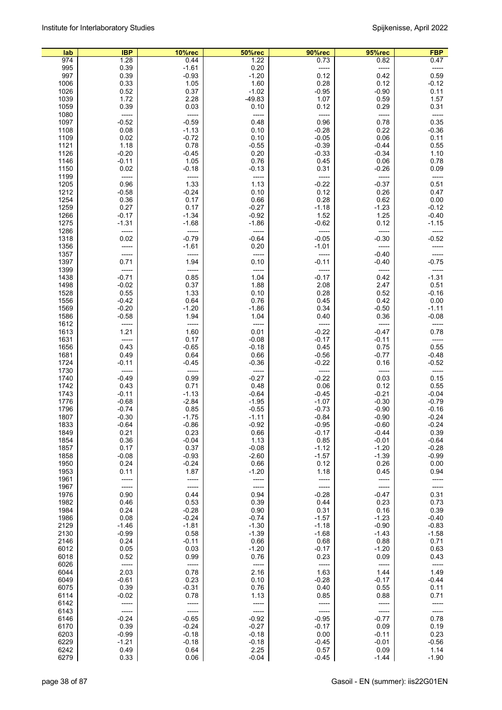| lab          | <b>IBP</b>         | 10%rec             | 50%rec             | 90%rec                              | 95%rec             | <b>FBP</b>         |
|--------------|--------------------|--------------------|--------------------|-------------------------------------|--------------------|--------------------|
| 974<br>995   | 1.28<br>0.39       | 0.44<br>$-1.61$    | 1.22<br>0.20       | 0.73<br>-----                       | 0.82<br>-----      | 0.47               |
| 997          | 0.39               | $-0.93$            | $-1.20$            | 0.12                                | 0.42               | 0.59               |
| 1006         | 0.33               | 1.05               | 1.60               | 0.28                                | 0.12               | $-0.12$            |
| 1026         | 0.52               | 0.37               | $-1.02$            | $-0.95$                             | $-0.90$            | 0.11               |
| 1039         | 1.72               | 2.28               | $-49.83$           | 1.07                                | 0.59               | 1.57               |
| 1059<br>1080 | 0.39<br>-----      | 0.03<br>-----      | 0.10<br>-----      | 0.12<br>-----                       | 0.29<br>-----      | 0.31<br>-----      |
| 1097         | $-0.52$            | $-0.59$            | 0.48               | 0.96                                | 0.78               | 0.35               |
| 1108         | 0.08               | $-1.13$            | 0.10               | $-0.28$                             | 0.22               | $-0.36$            |
| 1109         | 0.02               | $-0.72$            | 0.10               | $-0.05$                             | 0.06               | 0.11               |
| 1121<br>1126 | 1.18<br>$-0.20$    | 0.78<br>$-0.45$    | $-0.55$<br>0.20    | $-0.39$<br>$-0.33$                  | $-0.44$<br>$-0.34$ | 0.55<br>1.10       |
| 1146         | $-0.11$            | 1.05               | 0.76               | 0.45                                | 0.06               | 0.78               |
| 1150         | 0.02               | $-0.18$            | $-0.13$            | 0.31                                | $-0.26$            | 0.09               |
| 1199         | -----              | -----              | -----              | -----                               | -----              | -----              |
| 1205<br>1212 | 0.96<br>$-0.58$    | 1.33<br>$-0.24$    | 1.13<br>0.10       | $-0.22$<br>0.12                     | $-0.37$<br>0.26    | 0.51<br>0.47       |
| 1254         | 0.36               | 0.17               | 0.66               | 0.28                                | 0.62               | 0.00               |
| 1259         | 0.27               | 0.17               | $-0.27$            | $-1.18$                             | $-1.23$            | $-0.12$            |
| 1266         | $-0.17$            | $-1.34$            | $-0.92$            | 1.52                                | 1.25               | $-0.40$            |
| 1275<br>1286 | $-1.31$<br>-----   | $-1.68$<br>-----   | $-1.86$<br>-----   | $-0.62$<br>$\overline{\phantom{a}}$ | 0.12<br>-----      | $-1.15$<br>-----   |
| 1318         | 0.02               | $-0.79$            | $-0.64$            | $-0.05$                             | $-0.30$            | $-0.52$            |
| 1356         | -----              | $-1.61$            | 0.20               | $-1.01$                             | -----              |                    |
| 1357<br>1397 | -----<br>0.71      | -----<br>1.94      | -----<br>0.10      | -----<br>$-0.11$                    | $-0.40$<br>$-0.40$ | $-0.75$            |
| 1399         |                    | -----              | -----              | -----                               | -----              |                    |
| 1438         | $-0.71$            | 0.85               | 1.04               | $-0.17$                             | 0.42               | $-1.31$            |
| 1498         | $-0.02$            | 0.37               | 1.88               | 2.08                                | 2.47               | 0.51               |
| 1528<br>1556 | 0.55<br>$-0.42$    | 1.33<br>0.64       | 0.10<br>0.76       | 0.28<br>0.45                        | 0.52<br>0.42       | $-0.16$<br>0.00    |
| 1569         | $-0.20$            | $-1.20$            | $-1.86$            | 0.34                                | $-0.50$            | $-1.11$            |
| 1586         | $-0.58$            | 1.94               | 1.04               | 0.40                                | 0.36               | $-0.08$            |
| 1612<br>1613 | -----<br>1.21      | -----<br>1.60      | -----<br>0.01      | -----<br>$-0.22$                    | -----<br>$-0.47$   | -----<br>0.78      |
| 1631         | -----              | 0.17               | $-0.08$            | $-0.17$                             | $-0.11$            | -----              |
| 1656         | 0.43               | $-0.65$            | $-0.18$            | 0.45                                | 0.75               | 0.55               |
| 1681         | 0.49               | 0.64               | 0.66               | $-0.56$                             | $-0.77$            | $-0.48$            |
| 1724<br>1730 | -0.11<br>-----     | $-0.45$<br>$-----$ | $-0.36$<br>-----   | $-0.22$<br>-----                    | 0.16<br>-----      | $-0.52$<br>-----   |
| 1740         | $-0.49$            | 0.99               | $-0.27$            | $-0.22$                             | 0.03               | 0.15               |
| 1742         | 0.43               | 0.71               | 0.48               | 0.06                                | 0.12               | 0.55               |
| 1743<br>1776 | $-0.11$<br>$-0.68$ | $-1.13$<br>$-2.84$ | $-0.64$<br>$-1.95$ | $-0.45$<br>$-1.07$                  | $-0.21$<br>$-0.30$ | $-0.04$<br>$-0.79$ |
| 1796         | $-0.74$            | 0.85               | $-0.55$            | $-0.73$                             | $-0.90$            | $-0.16$            |
| 1807         | $-0.30$            | $-1.75$            | $-1.11$            | $-0.84$                             | $-0.90$            | $-0.24$            |
| 1833         | $-0.64$            | $-0.86$            | $-0.92$            | $-0.95$                             | $-0.60$            | $-0.24$            |
| 1849<br>1854 | 0.21<br>0.36       | 0.23<br>$-0.04$    | 0.66<br>1.13       | $-0.17$<br>0.85                     | $-0.44$<br>$-0.01$ | 0.39<br>$-0.64$    |
| 1857         | 0.17               | 0.37               | $-0.08$            | $-1.12$                             | $-1.20$            | $-0.28$            |
| 1858         | $-0.08$            | $-0.93$            | $-2.60$            | $-1.57$                             | $-1.39$            | $-0.99$            |
| 1950<br>1953 | 0.24<br>0.11       | $-0.24$<br>1.87    | 0.66<br>$-1.20$    | 0.12<br>1.18                        | 0.26               | 0.00<br>0.94       |
| 1961         | -----              | -----              | -----              | -----                               | 0.45<br>-----      | -----              |
| 1967         | -----              | -----              | -----              | -----                               | -----              | -----              |
| 1976         | 0.90               | 0.44               | 0.94               | $-0.28$                             | $-0.47$            | 0.31               |
| 1982<br>1984 | 0.46<br>0.24       | 0.53<br>$-0.28$    | 0.39<br>0.90       | 0.44<br>0.31                        | 0.23<br>0.16       | 0.73<br>0.39       |
| 1986         | 0.08               | $-0.24$            | $-0.74$            | $-1.57$                             | $-1.23$            | $-0.40$            |
| 2129         | $-1.46$            | $-1.81$            | $-1.30$            | $-1.18$                             | $-0.90$            | $-0.83$            |
| 2130<br>2146 | $-0.99$<br>0.24    | 0.58<br>$-0.11$    | $-1.39$<br>0.66    | $-1.68$<br>0.68                     | $-1.43$<br>0.88    | $-1.58$<br>0.71    |
| 6012         | 0.05               | 0.03               | $-1.20$            | $-0.17$                             | $-1.20$            | 0.63               |
| 6018         | 0.52               | 0.99               | 0.76               | 0.23                                | 0.09               | 0.43               |
| 6026         | $-----$            | -----              | $-----$            | -----                               | -----              | -----              |
| 6044<br>6049 | 2.03<br>$-0.61$    | 0.78<br>0.23       | 2.16<br>0.10       | 1.63<br>$-0.28$                     | 1.44<br>$-0.17$    | 1.49<br>$-0.44$    |
| 6075         | 0.39               | $-0.31$            | 0.76               | 0.40                                | 0.55               | 0.11               |
| 6114         | $-0.02$            | 0.78               | 1.13               | 0.85                                | 0.88               | 0.71               |
| 6142<br>6143 | -----<br>-----     | -----<br>-----     | -----<br>-----     | -----<br>-----                      | -----<br>-----     | -----              |
| 6146         | $-0.24$            | $-0.65$            | $-0.92$            | $-0.95$                             | $-0.77$            | 0.78               |
| 6170         | 0.39               | $-0.24$            | $-0.27$            | $-0.17$                             | 0.09               | 0.19               |
| 6203         | $-0.99$            | $-0.18$            | $-0.18$            | 0.00                                | $-0.11$            | 0.23               |
| 6229<br>6242 | $-1.21$<br>0.49    | $-0.18$<br>0.64    | $-0.18$<br>2.25    | $-0.45$<br>0.57                     | $-0.01$<br>0.09    | $-0.56$<br>1.14    |
| 6279         | 0.33               | 0.06               | $-0.04$            | $-0.45$                             | $-1.44$            | $-1.90$            |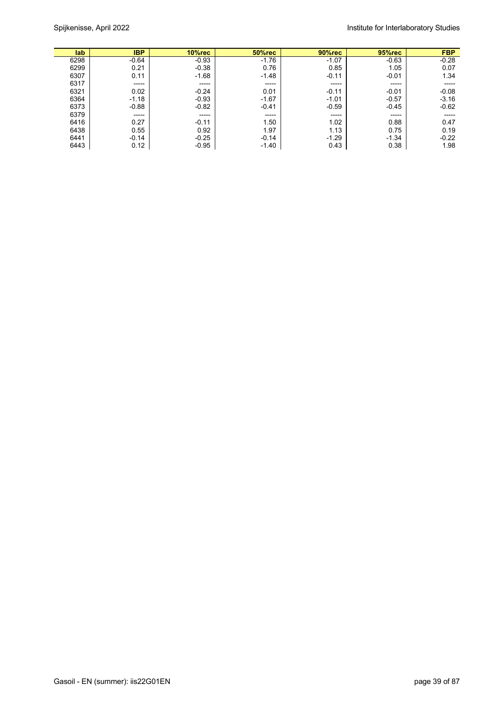| lab  | <b>IBP</b>  | 10%rec      | <b>50%rec</b> | 90%rec      | 95%rec      | <b>FBP</b> |
|------|-------------|-------------|---------------|-------------|-------------|------------|
| 6298 | $-0.64$     | $-0.93$     | $-1.76$       | $-1.07$     | $-0.63$     | $-0.28$    |
| 6299 | 0.21        | $-0.38$     | 0.76          | 0.85        | 1.05        | 0.07       |
| 6307 | 0.11        | $-1.68$     | $-1.48$       | $-0.11$     | $-0.01$     | 1.34       |
| 6317 | $- - - - -$ | $- - - - -$ | $-----1$      | $- - - - -$ | $- - - - -$ | -----      |
| 6321 | 0.02        | $-0.24$     | 0.01          | $-0.11$     | $-0.01$     | $-0.08$    |
| 6364 | $-1.18$     | $-0.93$     | $-1.67$       | $-1.01$     | $-0.57$     | $-3.16$    |
| 6373 | $-0.88$     | $-0.82$     | $-0.41$       | $-0.59$     | $-0.45$     | $-0.62$    |
| 6379 | -----       | -----       | -----         | -----       | -----       |            |
| 6416 | 0.27        | $-0.11$     | 1.50          | 1.02        | 0.88        | 0.47       |
| 6438 | 0.55        | 0.92        | 1.97          | 1.13        | 0.75        | 0.19       |
| 6441 | $-0.14$     | $-0.25$     | $-0.14$       | $-1.29$     | $-1.34$     | $-0.22$    |
| 6443 | 0.12        | $-0.95$     | $-1.40$       | 0.43        | 0.38        | 1.98       |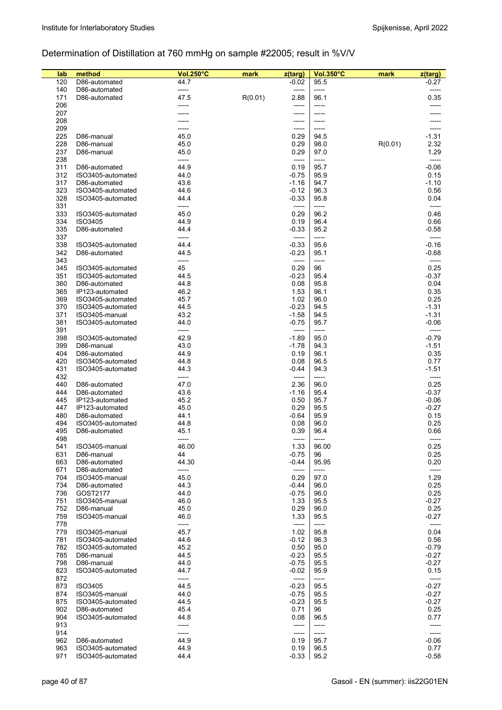# Determination of Distillation at 760 mmHg on sample #22005; result in %V/V

| lab        | method            | <b>Vol.250°C</b> | mark    | z(targ) | <b>Vol.350°C</b> | mark    | z(targ) |
|------------|-------------------|------------------|---------|---------|------------------|---------|---------|
| 120        | D86-automated     | 44.7             |         | -0.02   | 95.5             |         | $-0.27$ |
| 140        | D86-automated     | -----            |         | -----   | -----            |         | -----   |
| 171        | D86-automated     | 47.5             | R(0.01) | 2.88    | 96.1             |         | 0.35    |
| 206        |                   |                  |         | -----   | -----            |         |         |
| 207        |                   |                  |         | -----   | -----            |         |         |
| 208        |                   |                  |         | -----   | -----            |         |         |
| 209        |                   |                  |         | -----   | -----            |         |         |
| 225        | D86-manual        | 45.0             |         | 0.29    | 94.5             |         | $-1.31$ |
| 228        | D86-manual        | 45.0             |         | 0.29    | 98.0             | R(0.01) | 2.32    |
| 237        |                   |                  |         | 0.29    | 97.0             |         | 1.29    |
|            | D86-manual        | 45.0             |         |         |                  |         |         |
| 238        |                   | -----            |         | -----   | -----            |         | -----   |
| 311        | D86-automated     | 44.9             |         | 0.19    | 95.7             |         | $-0.06$ |
| 312        | ISO3405-automated | 44.0             |         | $-0.75$ | 95.9             |         | 0.15    |
| 317        | D86-automated     | 43.6             |         | $-1.16$ | 94.7             |         | $-1.10$ |
| 323        | ISO3405-automated | 44.6             |         | $-0.12$ | 96.3             |         | 0.56    |
| 328        | ISO3405-automated | 44.4             |         | $-0.33$ | 95.8             |         | 0.04    |
| 331        |                   | -----            |         | -----   | -----            |         | -----   |
| 333        | ISO3405-automated | 45.0             |         | 0.29    | 96.2             |         | 0.46    |
| 334        | ISO3405           | 44.9             |         | 0.19    | 96.4             |         | 0.66    |
| 335        | D86-automated     | 44.4             |         | $-0.33$ | 95.2             |         | $-0.58$ |
| 337        |                   | -----            |         | -----   | -----            |         | -----   |
| 338        | ISO3405-automated | 44.4             |         | $-0.33$ | 95.6             |         | $-0.16$ |
| 342        | D86-automated     | 44.5             |         | $-0.23$ | 95.1             |         | $-0.68$ |
| 343        |                   | -----            |         | -----   | -----            |         | -----   |
| 345        | ISO3405-automated | 45               |         | 0.29    | 96               |         | 0.25    |
| 351        | ISO3405-automated | 44.5             |         | $-0.23$ | 95.4             |         | $-0.37$ |
| 360        | D86-automated     | 44.8             |         | 0.08    | 95.8             |         | 0.04    |
| 365        | IP123-automated   | 46.2             |         | 1.53    | 96.1             |         | 0.35    |
| 369        |                   | 45.7             |         | 1.02    | 96.0             |         | 0.25    |
|            | ISO3405-automated |                  |         |         |                  |         |         |
| 370        | ISO3405-automated | 44.5             |         | $-0.23$ | 94.5             |         | $-1.31$ |
| 371        | ISO3405-manual    | 43.2             |         | $-1.58$ | 94.5             |         | $-1.31$ |
| 381        | ISO3405-automated | 44.0             |         | $-0.75$ | 95.7             |         | $-0.06$ |
| 391        |                   | -----            |         | -----   | -----            |         | -----   |
| 398        | ISO3405-automated | 42.9             |         | $-1.89$ | 95.0             |         | $-0.79$ |
| 399        | D86-manual        | 43.0             |         | $-1.78$ | 94.3             |         | $-1.51$ |
| 404        | D86-automated     | 44.9             |         | 0.19    | 96.1             |         | 0.35    |
| 420        | ISO3405-automated | 44.8             |         | 0.08    | 96.5             |         | 0.77    |
| 431        | ISO3405-automated | 44.3             |         | -0.44   | 94.3             |         | -1.51   |
| 432        |                   | -----            |         | -----   | -----            |         | -----   |
| 440        | D86-automated     | 47.0             |         | 2.36    | 96.0             |         | 0.25    |
| 444        | D86-automated     | 43.6             |         | $-1.16$ | 95.4             |         | $-0.37$ |
| 445        | IP123-automated   | 45.2             |         | 0.50    | 95.7             |         | $-0.06$ |
| 447        | IP123-automated   | 45.0             |         | 0.29    | 95.5             |         | $-0.27$ |
| 480        | D86-automated     | 44.1             |         | $-0.64$ | 95.9             |         | 0.15    |
| 494        | ISO3405-automated | 44.8             |         | 0.08    | 96.0             |         | 0.25    |
| 495        | D86-automated     | 45.1             |         | 0.39    | 96.4             |         | 0.66    |
| 498        |                   |                  |         | -----   |                  |         | -----   |
|            | ISO3405-manual    | 46.00            |         | 1.33    | 96.00            |         | 0.25    |
| 541<br>631 | D86-manual        | 44               |         | $-0.75$ | 96               |         | 0.25    |
|            |                   |                  |         |         |                  |         |         |
| 663        | D86-automated     | 44.30            |         | $-0.44$ | 95.95            |         | 0.20    |
| 671        | D86-automated     | -----            |         | -----   | -----            |         | -----   |
| 704        | ISO3405-manual    | 45.0             |         | 0.29    | 97.0             |         | 1.29    |
| 734        | D86-automated     | 44.3             |         | -0.44   | 96.0             |         | 0.25    |
| 736        | GOST2177          | 44.0             |         | $-0.75$ | 96.0             |         | 0.25    |
| 751        | ISO3405-manual    | 46.0             |         | 1.33    | 95.5             |         | $-0.27$ |
| 752        | D86-manual        | 45.0             |         | 0.29    | 96.0             |         | 0.25    |
| 759        | ISO3405-manual    | 46.0             |         | 1.33    | 95.5             |         | $-0.27$ |
| 778        |                   | -----            |         | $-----$ | -----            |         | -----   |
| 779        | ISO3405-manual    | 45.7             |         | 1.02    | 95.8             |         | 0.04    |
| 781        | ISO3405-automated | 44.6             |         | $-0.12$ | 96.3             |         | 0.56    |
| 782        | ISO3405-automated | 45.2             |         | 0.50    | 95.0             |         | $-0.79$ |
| 785        | D86-manual        | 44.5             |         | $-0.23$ | 95.5             |         | $-0.27$ |
| 798        | D86-manual        | 44.0             |         | $-0.75$ | 95.5             |         | $-0.27$ |
| 823        | ISO3405-automated | 44.7             |         | $-0.02$ | 95.9             |         | 0.15    |
| 872        |                   | -----            |         | -----   | -----            |         | -----   |
| 873        | ISO3405           | 44.5             |         | $-0.23$ | 95.5             |         | $-0.27$ |
| 874        | ISO3405-manual    | 44.0             |         | $-0.75$ | 95.5             |         | $-0.27$ |
| 875        |                   |                  |         | $-0.23$ |                  |         |         |
|            | ISO3405-automated | 44.5             |         |         | 95.5             |         | -0.27   |
| 902        | D86-automated     | 45.4             |         | 0.71    | 96               |         | 0.25    |
| 904        | ISO3405-automated | 44.8             |         | 0.08    | 96.5             |         | 0.77    |
| 913        |                   | -----            |         | -----   | -----            |         | -----   |
| 914        |                   | -----            |         | -----   | -----            |         | -----   |
| 962        | D86-automated     | 44.9             |         | 0.19    | 95.7             |         | $-0.06$ |
| 963        | ISO3405-automated | 44.9             |         | 0.19    | 96.5             |         | 0.77    |
| 971        | ISO3405-automated | 44.4             |         | $-0.33$ | 95.2             |         | $-0.58$ |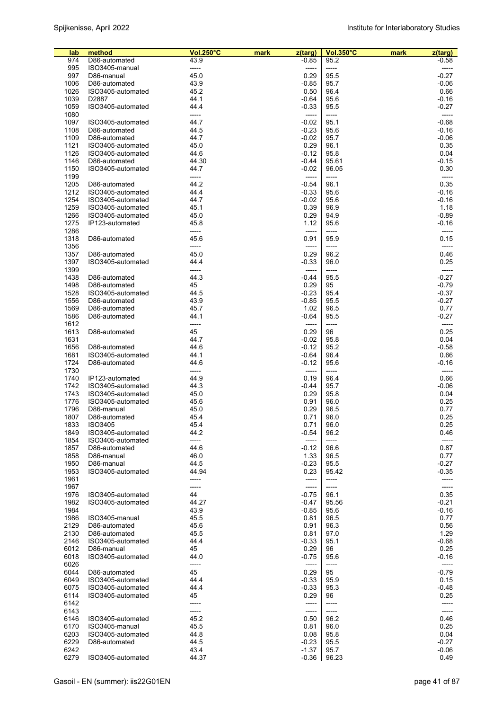| lab          | method                       | <b>Vol.250°C</b> | mark<br>z(targ) | <b>Vol.350°C</b> | mark<br>z(targ) |
|--------------|------------------------------|------------------|-----------------|------------------|-----------------|
| 974          | D86-automated                | 43.9             | $-0.85$         | 95.2             | -0.58           |
| 995          | ISO3405-manual               | -----            | -----           | -----            | -----           |
| 997          | D86-manual                   | 45.0             | 0.29            | 95.5             | $-0.27$         |
| 1006         | D86-automated                | 43.9             | $-0.85$         | 95.7             | -0.06           |
| 1026         | ISO3405-automated            | 45.2             | 0.50            | 96.4             | 0.66            |
| 1039         | D2887                        | 44.1             | $-0.64$         | 95.6             | $-0.16$         |
|              |                              |                  |                 |                  |                 |
| 1059         | ISO3405-automated            | 44.4             | $-0.33$         | 95.5             | $-0.27$         |
| 1080         |                              | -----            | -----           | -----            | -----           |
| 1097         | ISO3405-automated            | 44.7             | $-0.02$         | 95.1             | $-0.68$         |
| 1108         | D86-automated                | 44.5             | $-0.23$         | 95.6             | $-0.16$         |
| 1109         | D86-automated                | 44.7             | $-0.02$         | 95.7             | $-0.06$         |
| 1121         | ISO3405-automated            | 45.0             | 0.29            | 96.1             | 0.35            |
| 1126         | ISO3405-automated            | 44.6             | $-0.12$         | 95.8             | 0.04            |
| 1146         | D86-automated                | 44.30            | $-0.44$         | 95.61            | -0.15           |
| 1150         | ISO3405-automated            | 44.7             | $-0.02$         | 96.05            | 0.30            |
| 1199         |                              | -----            | -----           | -----            | -----           |
| 1205         | D86-automated                | 44.2             | $-0.54$         | 96.1             | 0.35            |
| 1212         | ISO3405-automated            | 44.4             | $-0.33$         | 95.6             | -0.16           |
| 1254         | ISO3405-automated            | 44.7             | $-0.02$         | 95.6             | -0.16           |
| 1259         | ISO3405-automated            | 45.1             | 0.39            | 96.9             | 1.18            |
| 1266         | ISO3405-automated            | 45.0             | 0.29            | 94.9             | -0.89           |
| 1275         | IP123-automated              | 45.8             | 1.12            | 95.6             | $-0.16$         |
| 1286         |                              | -----            | -----           | -----            |                 |
| 1318         | D86-automated                | 45.6             | 0.91            | 95.9             | 0.15            |
| 1356         |                              | -----            | -----           | -----            | -----           |
| 1357         | D86-automated                | 45.0             | 0.29            | 96.2             | 0.46            |
| 1397         | ISO3405-automated            | 44.4             | $-0.33$         | 96.0             | 0.25            |
| 1399         |                              | -----            | -----           | -----            | -----           |
|              |                              |                  |                 |                  |                 |
| 1438         | D86-automated                | 44.3             | $-0.44$         | 95.5             | $-0.27$         |
| 1498         | D86-automated                | 45               | 0.29            | 95               | $-0.79$         |
| 1528         | ISO3405-automated            | 44.5             | $-0.23$         | 95.4             | -0.37           |
| 1556         | D86-automated                | 43.9             | $-0.85$         | 95.5             | -0.27           |
| 1569         | D86-automated                | 45.7             | 1.02            | 96.5             | 0.77            |
| 1586         | D86-automated                | 44.1             | -0.64           | 95.5             | -0.27           |
| 1612         |                              | -----            | -----           | -----            | -----           |
| 1613         | D86-automated                | 45               | 0.29            | 96               | 0.25            |
| 1631         |                              | 44.7             | $-0.02$         | 95.8             | 0.04            |
| 1656         | D86-automated                | 44.6             | $-0.12$         | 95.2             | -0.58           |
| 1681         | ISO3405-automated            | 44.1             | $-0.64$         | 96.4             | 0.66            |
| 1724         | D86-automated                | 44.6             | $-0.12$         | 95.6             | $-0.16$         |
| 1730         |                              | -----            | -----           | -----            | -----           |
| 1740         | IP123-automated              | 44.9             | 0.19            | 96.4             | 0.66            |
| 1742         | ISO3405-automated            | 44.3             | $-0.44$         | 95.7             | -0.06           |
| 1743         | ISO3405-automated            | 45.0             | 0.29            | 95.8             | 0.04            |
| 1776         | ISO3405-automated            | 45.6             | 0.91            | 96.0             | 0.25            |
| 1796         | D86-manual                   | 45.0             | 0.29            | 96.5             | 0.77            |
| 1807         | D86-automated                | 45.4             | 0.71            | 96.0             | 0.25            |
|              |                              | 45.4             | 0.71            |                  |                 |
| 1833<br>1849 | ISO3405<br>ISO3405-automated | 44.2             | -0.54           | 96.0<br>96.2     | 0.25<br>0.46    |
|              |                              |                  |                 |                  |                 |
| 1854         | ISO3405-automated            | -----            | -----           | -----            | -----           |
| 1857         | D86-automated                | 44.6             | $-0.12$         | 96.6             | 0.87            |
| 1858         | D86-manual                   | 46.0             | 1.33            | 96.5             | 0.77            |
| 1950         | D86-manual                   | 44.5             | $-0.23$         | 95.5             | $-0.27$         |
| 1953         | ISO3405-automated            | 44.94            | 0.23            | 95.42            | $-0.35$         |
| 1961         |                              | -----            | -----           | -----            | -----           |
| 1967         |                              | -----            | -----           | -----            | -----           |
| 1976         | ISO3405-automated            | 44               | $-0.75$         | 96.1             | 0.35            |
| 1982         | ISO3405-automated            | 44.27            | $-0.47$         | 95.56            | -0.21           |
| 1984         |                              | 43.9             | $-0.85$         | 95.6             | $-0.16$         |
| 1986         | ISO3405-manual               | 45.5             | 0.81            | 96.5             | 0.77            |
| 2129         | D86-automated                | 45.6             | 0.91            | 96.3             | 0.56            |
| 2130         | D86-automated                | 45.5             | 0.81            | 97.0             | 1.29            |
| 2146         | ISO3405-automated            | 44.4             | $-0.33$         | 95.1             | -0.68           |
| 6012         | D86-manual                   | 45               | 0.29            | 96               | 0.25            |
| 6018         | ISO3405-automated            | 44.0             | $-0.75$         | 95.6             | -0.16           |
| 6026         |                              | -----            | -----           | -----            | -----           |
| 6044         | D86-automated                | 45               | 0.29            | 95               | $-0.79$         |
| 6049         | ISO3405-automated            | 44.4             | $-0.33$         | 95.9             | 0.15            |
| 6075         |                              | 44.4             | $-0.33$         | 95.3             | $-0.48$         |
|              | ISO3405-automated            |                  |                 |                  |                 |
| 6114         | ISO3405-automated            | 45               | 0.29            | 96               | 0.25            |
| 6142         |                              | -----            | -----           | -----            | -----           |
| 6143         |                              | -----            | -----           | -----            | -----           |
| 6146         | ISO3405-automated            | 45.2             | 0.50            | 96.2             | 0.46            |
| 6170         | ISO3405-manual               | 45.5             | 0.81            | 96.0             | 0.25            |
| 6203         | ISO3405-automated            | 44.8             | 0.08            | 95.8             | 0.04            |
| 6229         | D86-automated                | 44.5             | $-0.23$         | 95.5             | -0.27           |
| 6242         |                              | 43.4             | $-1.37$         | 95.7             | $-0.06$         |
| 6279         | ISO3405-automated            | 44.37            | -0.36           | 96.23            | 0.49            |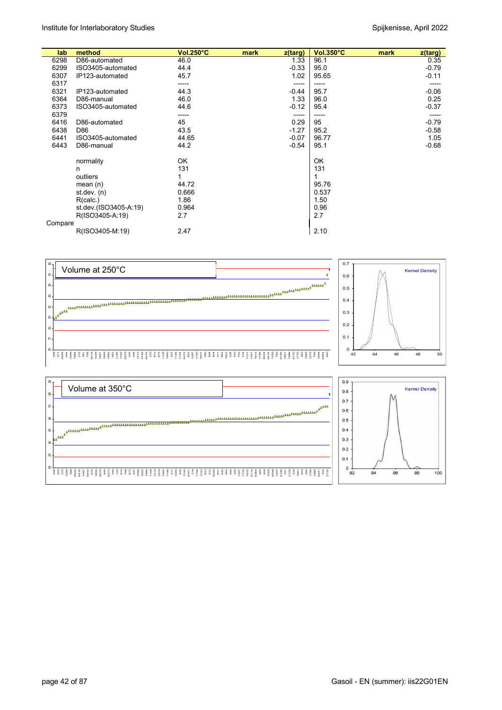| lab     | method                | $Vol.250^{\circ}C$ | mark<br>$z$ (targ) | <b>Vol.350°C</b> | mark<br>z(targ) |
|---------|-----------------------|--------------------|--------------------|------------------|-----------------|
| 6298    | D86-automated         | 46.0               | 1.33               | 96.1             | 0.35            |
| 6299    | ISO3405-automated     | 44.4               | $-0.33$            | 95.0             | $-0.79$         |
| 6307    | IP123-automated       | 45.7               | 1.02               | 95.65            | $-0.11$         |
| 6317    |                       | -----              | -----              | -----            |                 |
| 6321    | IP123-automated       | 44.3               | $-0.44$            | 95.7             | $-0.06$         |
| 6364    | D86-manual            | 46.0               | 1.33               | 96.0             | 0.25            |
| 6373    | ISO3405-automated     | 44.6               | $-0.12$            | 95.4             | $-0.37$         |
| 6379    |                       | -----              | -----              | -----            | -----           |
| 6416    | D86-automated         | 45                 | 0.29               | 95               | $-0.79$         |
| 6438    | D86                   | 43.5               | $-1.27$            | 95.2             | $-0.58$         |
| 6441    | ISO3405-automated     | 44.65              | $-0.07$            | 96.77            | 1.05            |
| 6443    | D86-manual            | 44.2               | $-0.54$            | 95.1             | $-0.68$         |
|         | normality             | <b>OK</b>          |                    | OK               |                 |
|         | n                     | 131                |                    | 131              |                 |
|         | outliers              |                    |                    | 1                |                 |
|         | mean $(n)$            | 44.72              |                    | 95.76            |                 |
|         | st.dev. $(n)$         | 0.666              |                    | 0.537            |                 |
|         | R(calc.)              | 1.86               |                    | 1.50             |                 |
|         | st.dev.(ISO3405-A:19) | 0.964              |                    | 0.96             |                 |
|         | R(ISO3405-A:19)       | 2.7                |                    | 2.7              |                 |
| Compare |                       |                    |                    |                  |                 |
|         | R(ISO3405-M:19)       | 2.47               |                    | 2.10             |                 |



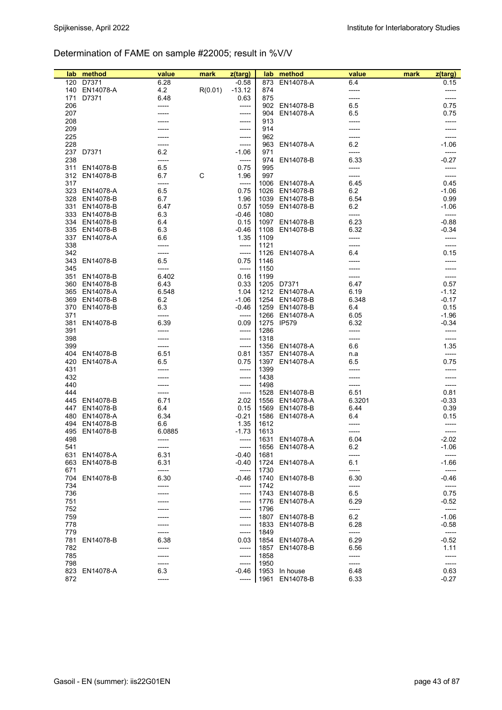#### Determination of FAME on sample #22005; result in %V/V

| lab. | method        | value  | mark    | z(targ)       |      | lab method     | value  | mark | z(targ) |
|------|---------------|--------|---------|---------------|------|----------------|--------|------|---------|
|      | 120 D7371     | 6.28   |         | $-0.58$       |      | 873 EN14078-A  | 6.4    |      | 0.15    |
|      | 140 EN14078-A | 4.2    | R(0.01) | $-13.12$      | 874  |                | -----  |      | -----   |
|      |               |        |         |               |      |                |        |      |         |
|      | 171 D7371     | 6.48   |         | 0.63          | 875  |                | -----  |      | -----   |
| 206  |               |        |         | -----         |      | 902 EN14078-B  | 6.5    |      | 0.75    |
| 207  |               |        |         | -----         |      | 904 EN14078-A  | 6.5    |      | 0.75    |
| 208  |               |        |         | -----         | 913  |                | -----  |      | -----   |
| 209  |               |        |         | -----         | 914  |                | -----  |      |         |
| 225  |               |        |         | -----         | 962  |                | -----  |      |         |
| 228  |               |        |         | -----         |      | 963 EN14078-A  | 6.2    |      | $-1.06$ |
|      | 237 D7371     | 6.2    |         | $-1.06$       | 971  |                | -----  |      | -----   |
| 238  |               | -----  |         | -----         |      | 974 EN14078-B  | 6.33   |      | -0.27   |
|      | 311 EN14078-B | 6.5    |         | 0.75          | 995  |                | -----  |      | -----   |
|      | 312 EN14078-B | 6.7    | С       | 1.96          | 997  |                | -----  |      | -----   |
| 317  |               | -----  |         | -----         |      | 1006 EN14078-A | 6.45   |      | 0.45    |
|      | 323 EN14078-A | 6.5    |         | 0.75          |      | 1026 EN14078-B | 6.2    |      | $-1.06$ |
|      | 328 EN14078-B | 6.7    |         | 1.96          |      | 1039 EN14078-B | 6.54   |      | 0.99    |
|      | 331 EN14078-B | 6.47   |         | 0.57          |      | 1059 EN14078-B | 6.2    |      | $-1.06$ |
|      | 333 EN14078-B | 6.3    |         | $-0.46$       | 1080 |                | -----  |      | -----   |
|      | 334 EN14078-B | 6.4    |         | 0.15          |      | 1097 EN14078-B | 6.23   |      | $-0.88$ |
|      | 335 EN14078-B | 6.3    |         | $-0.46$       |      | 1108 EN14078-B | 6.32   |      | $-0.34$ |
|      | 337 EN14078-A | 6.6    |         | 1.35          | 1109 |                | -----  |      | -----   |
|      |               |        |         |               |      |                |        |      |         |
| 338  |               | -----  |         | -----         | 1121 |                | -----  |      | -----   |
| 342  |               | -----  |         | -----         |      | 1126 EN14078-A | 6.4    |      | 0.15    |
|      | 343 EN14078-B | 6.5    |         | 0.75          | 1146 |                | -----  |      | -----   |
| 345  |               | -----  |         | -----         | 1150 |                | -----  |      | -----   |
|      | 351 EN14078-B | 6.402  |         | 0.16          | 1199 |                | -----  |      | -----   |
|      | 360 EN14078-B | 6.43   |         | 0.33          |      | 1205 D7371     | 6.47   |      | 0.57    |
|      | 365 EN14078-A | 6.548  |         | 1.04          |      | 1212 EN14078-A | 6.19   |      | $-1.12$ |
|      | 369 EN14078-B | 6.2    |         | $-1.06$       |      | 1254 EN14078-B | 6.348  |      | $-0.17$ |
|      | 370 EN14078-B | 6.3    |         | $-0.46$       |      | 1259 EN14078-B | 6.4    |      | 0.15    |
| 371  |               | -----  |         | -----         |      | 1266 EN14078-A | 6.05   |      | $-1.96$ |
|      | 381 EN14078-B | 6.39   |         | 0.09          |      | 1275 IP579     | 6.32   |      | $-0.34$ |
| 391  |               | -----  |         | -----         | 1286 |                | -----  |      | -----   |
| 398  |               |        |         | -----         | 1318 |                | -----  |      | -----   |
| 399  |               | -----  |         | $-----$       |      | 1356 EN14078-A | 6.6    |      | 1.35    |
|      | 404 EN14078-B | 6.51   |         | 0.81          |      | 1357 EN14078-A | n.a    |      | -----   |
|      | 420 EN14078-A | 6.5    |         | 0.75          |      | 1397 EN14078-A | 6.5    |      | 0.75    |
| 431  |               |        |         | -----         | 1399 |                | -----  |      |         |
| 432  |               |        |         | -----         | 1438 |                | -----  |      | -----   |
| 440  |               |        |         |               | 1498 |                | -----  |      |         |
|      |               |        |         | -----         |      |                |        |      | -----   |
| 444  |               | -----  |         | -----         |      | 1528 EN14078-B | 6.51   |      | 0.81    |
|      | 445 EN14078-B | 6.71   |         | 2.02          |      | 1556 EN14078-A | 6.3201 |      | $-0.33$ |
|      | 447 EN14078-B | 6.4    |         | 0.15          |      | 1569 EN14078-B | 6.44   |      | 0.39    |
|      | 480 EN14078-A | 6.34   |         | $-0.21$       |      | 1586 EN14078-A | 6.4    |      | 0.15    |
|      | 494 EN14078-B | 6.6    |         | 1.35          | 1612 |                | -----  |      | -----   |
| 495  | EN14078-B     | 6.0885 |         | $-1.73$       | 1613 |                | -----  |      | -----   |
| 498  |               | -----  |         | -----         |      | 1631 EN14078-A | 6.04   |      | $-2.02$ |
| 541  |               | -----  |         | -----         |      | 1656 EN14078-A | 6.2    |      | -1.06   |
|      | 631 EN14078-A | 6.31   |         | $-0.40$       | 1681 |                | -----  |      | -----   |
|      | 663 EN14078-B | 6.31   |         | $-0.40$       |      | 1724 EN14078-A | 6.1    |      | $-1.66$ |
| 671  |               | -----  |         | $-----$       | 1730 |                | -----  |      | -----   |
|      | 704 EN14078-B | 6.30   |         | -0.46         |      | 1740 EN14078-B | 6.30   |      | -0.46   |
| 734  |               | -----  |         | -----         | 1742 |                | -----  |      | -----   |
| 736  |               |        |         | -----         |      | 1743 EN14078-B | 6.5    |      | 0.75    |
| 751  |               |        |         | -----         |      | 1776 EN14078-A | 6.29   |      | $-0.52$ |
| 752  |               |        |         | -----         | 1796 |                | -----  |      | -----   |
| 759  |               |        |         | -----         |      | 1807 EN14078-B | 6.2    |      | $-1.06$ |
| 778  |               |        |         | -----         |      | 1833 EN14078-B | 6.28   |      | $-0.58$ |
| 779  |               |        |         |               | 1849 |                | -----  |      | -----   |
|      |               | 6.38   |         | -----<br>0.03 |      | 1854 EN14078-A | 6.29   |      | $-0.52$ |
|      | 781 EN14078-B |        |         |               |      |                |        |      |         |
| 782  |               | -----  |         | -----         |      | 1857 EN14078-B | 6.56   |      | 1.11    |
| 785  |               |        |         | -----         | 1858 |                | -----  |      | -----   |
| 798  |               |        |         | -----         | 1950 |                | -----  |      | -----   |
|      | 823 EN14078-A | 6.3    |         | $-0.46$       |      | 1953 In house  | 6.48   |      | 0.63    |
| 872  |               | -----  |         | -----         |      | 1961 EN14078-B | 6.33   |      | -0.27   |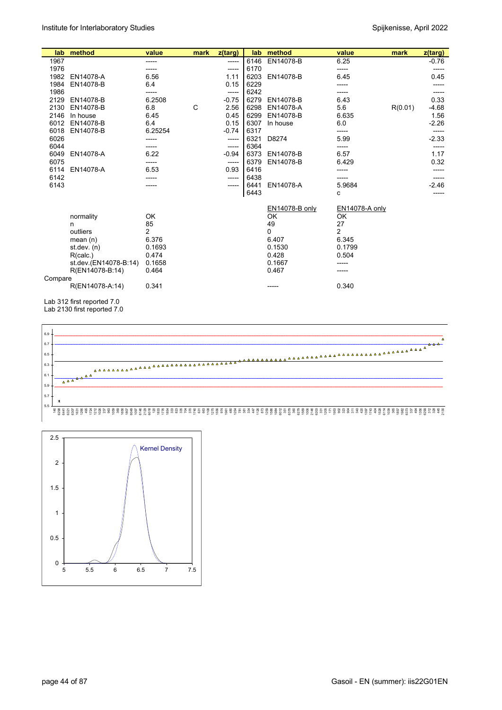| lab     | method                | value          | mark         | z(targ) | lab  | method         | value                 | mark    | $z$ (targ) |
|---------|-----------------------|----------------|--------------|---------|------|----------------|-----------------------|---------|------------|
| 1967    |                       |                |              | -----   | 6146 | EN14078-B      | 6.25                  |         | $-0.76$    |
| 1976    |                       | -----          |              | -----   | 6170 |                | -----                 |         | -----      |
| 1982    | EN14078-A             | 6.56           |              | 1.11    | 6203 | EN14078-B      | 6.45                  |         | 0.45       |
| 1984    | EN14078-B             | 6.4            |              | 0.15    | 6229 |                | -----                 |         | -----      |
| 1986    |                       | -----          |              | -----   | 6242 |                | -----                 |         | -----      |
| 2129    | EN14078-B             | 6.2508         |              | $-0.75$ | 6279 | EN14078-B      | 6.43                  |         | 0.33       |
| 2130    | EN14078-B             | 6.8            | $\mathsf{C}$ | 2.56    | 6298 | EN14078-A      | 5.6                   | R(0.01) | $-4.68$    |
| 2146    | In house              | 6.45           |              | 0.45    | 6299 | EN14078-B      | 6.635                 |         | 1.56       |
| 6012    | EN14078-B             | 6.4            |              | 0.15    | 6307 | In house       | 6.0                   |         | $-2.26$    |
| 6018    | EN14078-B             | 6.25254        |              | $-0.74$ | 6317 |                | -----                 |         | -----      |
| 6026    |                       | -----          |              | -----   | 6321 | D8274          | 5.99                  |         | $-2.33$    |
| 6044    |                       | -----          |              | -----   | 6364 |                | -----                 |         | -----      |
| 6049    | EN14078-A             | 6.22           |              | $-0.94$ | 6373 | EN14078-B      | 6.57                  |         | 1.17       |
| 6075    |                       | -----          |              | -----   | 6379 | EN14078-B      | 6.429                 |         | 0.32       |
| 6114    | EN14078-A             | 6.53           |              | 0.93    | 6416 |                |                       |         | -----      |
| 6142    |                       |                |              | -----   | 6438 |                | -----                 |         | -----      |
| 6143    |                       | -----          |              | -----   | 6441 | EN14078-A      | 5.9684                |         | $-2.46$    |
|         |                       |                |              |         | 6443 |                | с                     |         | -----      |
|         |                       |                |              |         |      | EN14078-B only | <b>EN14078-A only</b> |         |            |
|         | normality             | OK             |              |         |      | OK             | OK                    |         |            |
|         | n                     | 85             |              |         |      | 49             | 27                    |         |            |
|         | outliers              | $\overline{2}$ |              |         |      | 0              | $\overline{2}$        |         |            |
|         | mean $(n)$            | 6.376          |              |         |      | 6.407          | 6.345                 |         |            |
|         | st.dev. $(n)$         | 0.1693         |              |         |      | 0.1530         | 0.1799                |         |            |
|         | R(calc.)              | 0.474          |              |         |      | 0.428          | 0.504                 |         |            |
|         | st.dev.(EN14078-B:14) | 0.1658         |              |         |      | 0.1667         |                       |         |            |
|         | R(EN14078-B:14)       | 0.464          |              |         |      | 0.467          |                       |         |            |
| Compare |                       |                |              |         |      |                |                       |         |            |
|         | R(EN14078-A:14)       | 0.341          |              |         |      |                | 0.340                 |         |            |

Lab 312 first reported 7.0 Lab 2130 first reported 7.0



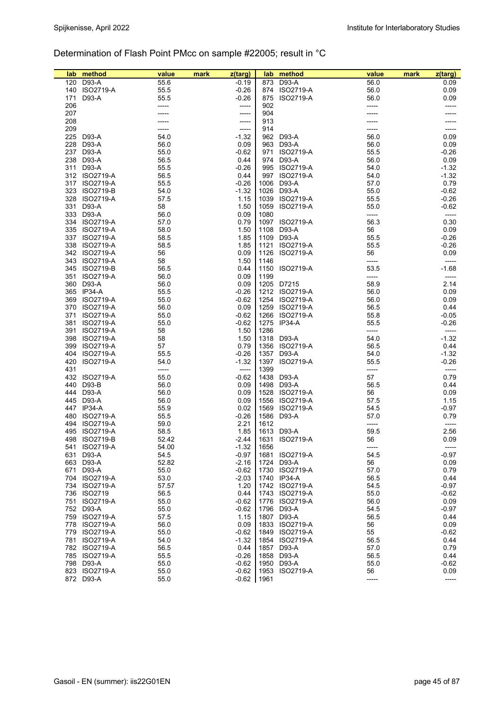#### Determination of Flash Point PMcc on sample #22005; result in °C

| lab | method                         | value        | mark | z(targ)            | lab  | method                      | value         | mark | z(targ)         |
|-----|--------------------------------|--------------|------|--------------------|------|-----------------------------|---------------|------|-----------------|
|     | 120 D93-A                      | 55.6         |      | $-0.19$            |      | 873 D93-A                   | 56.0          |      | 0.09            |
|     | 140 ISO2719-A                  | 55.5         |      | $-0.26$            |      | 874 ISO2719-A               | 56.0          |      | 0.09            |
|     | 171 D93-A                      | 55.5         |      | $-0.26$            |      | 875 ISO2719-A               | 56.0          |      | 0.09            |
| 206 |                                | -----        |      | -----              | 902  |                             | -----         |      | -----           |
| 207 |                                |              |      | -----              | 904  |                             |               |      |                 |
| 208 |                                |              |      | -----              | 913  |                             |               |      |                 |
| 209 |                                |              |      | -----              | 914  |                             |               |      |                 |
|     | 225 D93-A                      | 54.0         |      | $-1.32$            |      | 962 D93-A                   | 56.0          |      | 0.09            |
| 228 | D93-A                          | 56.0         |      | 0.09               |      | 963 D93-A                   | 56.0          |      | 0.09            |
|     | 237 D93-A                      | 55.0         |      | $-0.62$            |      | 971 ISO2719-A               | 55.5          |      | $-0.26$         |
|     | 238 D93-A                      | 56.5         |      | 0.44               |      | 974 D93-A                   | 56.0          |      | 0.09            |
|     | 311 D93-A                      | 55.5         |      | $-0.26$            |      | 995 ISO2719-A               | 54.0          |      | $-1.32$         |
|     | 312 ISO2719-A                  | 56.5         |      | 0.44               |      | 997 ISO2719-A<br>1006 D93-A | 54.0          |      | $-1.32$         |
|     | 317 ISO2719-A<br>323 ISO2719-B | 55.5<br>54.0 |      | $-0.26$<br>$-1.32$ |      | 1026 D93-A                  | 57.0<br>55.0  |      | 0.79<br>$-0.62$ |
|     | 328 ISO2719-A                  | 57.5         |      | 1.15               |      | 1039 ISO2719-A              | 55.5          |      | $-0.26$         |
|     | 331 D93-A                      | 58           |      | 1.50               |      | 1059 ISO2719-A              | 55.0          |      | $-0.62$         |
|     | 333 D93-A                      | 56.0         |      | 0.09               | 1080 |                             | -----         |      | -----           |
|     | 334 ISO2719-A                  | 57.0         |      | 0.79               |      | 1097 ISO2719-A              | 56.3          |      | 0.30            |
|     | 335 ISO2719-A                  | 58.0         |      | 1.50               |      | 1108 D93-A                  | 56            |      | 0.09            |
|     | 337 ISO2719-A                  | 58.5         |      | 1.85               |      | 1109 D93-A                  | 55.5          |      | $-0.26$         |
|     | 338 ISO2719-A                  | 58.5         |      | 1.85               |      | 1121 ISO2719-A              | 55.5          |      | $-0.26$         |
|     | 342 ISO2719-A                  | 56           |      | 0.09               |      | 1126 ISO2719-A              | 56            |      | 0.09            |
|     | 343 ISO2719-A                  | 58           |      | 1.50               | 1146 |                             | -----         |      | -----           |
|     | 345 ISO2719-B                  | 56.5         |      | 0.44               |      | 1150 ISO2719-A              | 53.5          |      | $-1.68$         |
|     | 351 ISO2719-A                  | 56.0         |      | 0.09               | 1199 |                             | -----         |      |                 |
|     | 360 D93-A                      | 56.0         |      | 0.09               |      | 1205 D7215                  | 58.9          |      | 2.14            |
|     | 365 IP34-A                     | 55.5         |      | $-0.26$            |      | 1212 ISO2719-A              | 56.0          |      | 0.09            |
|     | 369 ISO2719-A                  | 55.0         |      | $-0.62$            |      | 1254 ISO2719-A              | 56.0          |      | 0.09            |
|     | 370 ISO2719-A                  | 56.0         |      | 0.09               |      | 1259 ISO2719-A              | 56.5          |      | 0.44            |
|     | 371 ISO2719-A                  | 55.0         |      | $-0.62$            |      | 1266 ISO2719-A              | 55.8          |      | $-0.05$         |
|     | 381 ISO2719-A                  | 55.0         |      | $-0.62$            |      | 1275 IP34-A                 | 55.5          |      | $-0.26$         |
|     | 391 ISO2719-A                  | 58           |      | 1.50               | 1286 |                             | -----         |      | -----           |
|     | 398 ISO2719-A                  | 58           |      | 1.50               |      | 1318 D93-A                  | 54.0          |      | $-1.32$         |
|     | 399 ISO2719-A                  | 57           |      | 0.79               |      | 1356 ISO2719-A              | 56.5          |      | 0.44            |
|     | 404 ISO2719-A                  | 55.5         |      | $-0.26$            |      | 1357 D93-A                  | 54.0          |      | $-1.32$         |
|     | 420 ISO2719-A                  | 54.0         |      | $-1.32$            |      | 1397 ISO2719-A              | 55.5          |      | $-0.26$         |
| 431 |                                | -----        |      | -----              | 1399 |                             | -----         |      | -----           |
|     | 432 ISO2719-A                  | 55.0         |      | $-0.62$            |      | 1438 D93-A                  | 57            |      | 0.79            |
|     | 440 D93-B                      | 56.0         |      | 0.09               |      | 1498 D93-A                  | 56.5          |      | 0.44            |
|     | 444 D93-A                      | 56.0         |      | 0.09               |      | 1528 ISO2719-A              | 56            |      | 0.09            |
|     | 445 D93-A                      | 56.0         |      | 0.09               |      | 1556 ISO2719-A              | 57.5          |      | 1.15            |
|     | 447 IP34-A                     | 55.9         |      | 0.02               |      | 1569 ISO2719-A              | 54.5          |      | $-0.97$         |
|     | 480 ISO2719-A                  | 55.5         |      | $-0.26$            |      | 1586 D93-A                  | 57.0          |      | 0.79            |
|     | 494 ISO2719-A<br>495 ISO2719-A | 59.0<br>58.5 |      | 2.21               | 1612 | 1613 D93-A                  | -----<br>59.5 |      | -----<br>2.56   |
|     | 498 ISO2719-B                  | 52.42        |      | 1.85<br>-2.44      |      | 1631 ISO2719-A              | 56            |      | 0.09            |
|     | 541 ISO2719-A                  | 54.00        |      | $-1.32$            | 1656 |                             |               |      |                 |
|     | 631 D93-A                      | 54.5         |      | $-0.97$            |      | 1681 ISO2719-A              | 54.5          |      | $-0.97$         |
|     | 663 D93-A                      | 52.82        |      | $-2.16$            |      | 1724 D93-A                  | 56            |      | 0.09            |
|     | 671 D93-A                      | 55.0         |      | $-0.62$            |      | 1730 ISO2719-A              | 57.0          |      | 0.79            |
|     | 704 ISO2719-A                  | 53.0         |      | $-2.03$            |      | 1740 IP34-A                 | 56.5          |      | 0.44            |
|     | 734 ISO2719-A                  | 57.57        |      | 1.20               |      | 1742 ISO2719-A              | 54.5          |      | $-0.97$         |
|     | 736 ISO2719                    | 56.5         |      | 0.44               |      | 1743 ISO2719-A              | 55.0          |      | $-0.62$         |
|     | 751 ISO2719-A                  | 55.0         |      | $-0.62$            |      | 1776 ISO2719-A              | 56.0          |      | 0.09            |
|     | 752 D93-A                      | 55.0         |      | -0.62              |      | 1796 D93-A                  | 54.5          |      | $-0.97$         |
|     | 759 ISO2719-A                  | 57.5         |      | 1.15               |      | 1807 D93-A                  | 56.5          |      | 0.44            |
|     | 778 ISO2719-A                  | 56.0         |      | 0.09               |      | 1833 ISO2719-A              | 56            |      | 0.09            |
|     | 779 ISO2719-A                  | 55.0         |      | -0.62              |      | 1849 ISO2719-A              | 55            |      | $-0.62$         |
|     | 781 ISO2719-A                  | 54.0         |      | $-1.32$            |      | 1854 ISO2719-A              | 56.5          |      | 0.44            |
|     | 782 ISO2719-A                  | 56.5         |      | 0.44               |      | 1857 D93-A                  | 57.0          |      | 0.79            |
|     | 785 ISO2719-A                  | 55.5         |      | $-0.26$            |      | 1858 D93-A                  | 56.5          |      | 0.44            |
|     | 798 D93-A                      | 55.0         |      | $-0.62$            |      | 1950 D93-A                  | 55.0          |      | $-0.62$         |
|     | 823 ISO2719-A                  | 55.0         |      | $-0.62$            |      | 1953 ISO2719-A              | 56            |      | 0.09            |
|     | 872 D93-A                      | 55.0         |      | $-0.62$            | 1961 |                             | -----         |      | $-----$         |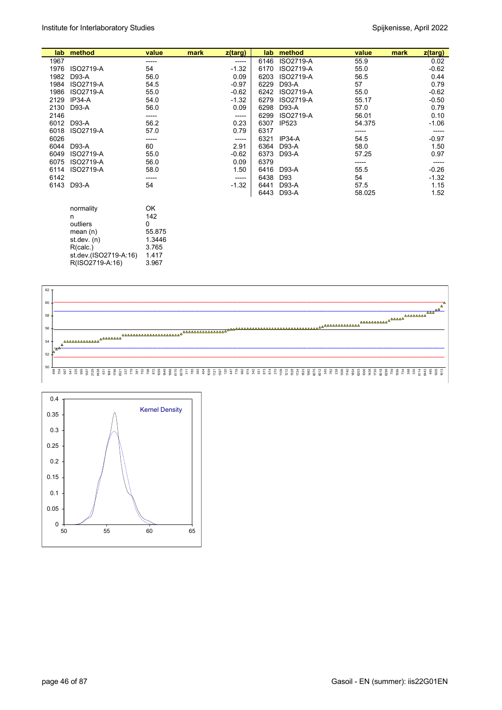|      | lab method       | value | mark | z(targ)     | lab  | method           | value  | mark | z(targ) |
|------|------------------|-------|------|-------------|------|------------------|--------|------|---------|
| 1967 |                  | ----- |      | -----       | 6146 | <b>ISO2719-A</b> | 55.9   |      | 0.02    |
| 1976 | <b>ISO2719-A</b> | 54    |      | $-1.32$     | 6170 | <b>ISO2719-A</b> | 55.0   |      | $-0.62$ |
| 1982 | D93-A            | 56.0  |      | 0.09        | 6203 | <b>ISO2719-A</b> | 56.5   |      | 0.44    |
| 1984 | <b>ISO2719-A</b> | 54.5  |      | $-0.97$     | 6229 | <b>D93-A</b>     | 57     |      | 0.79    |
| 1986 | <b>ISO2719-A</b> | 55.0  |      | $-0.62$     | 6242 | <b>ISO2719-A</b> | 55.0   |      | $-0.62$ |
| 2129 | $IP34-A$         | 54.0  |      | $-1.32$     | 6279 | <b>ISO2719-A</b> | 55.17  |      | $-0.50$ |
| 2130 | <b>D93-A</b>     | 56.0  |      | 0.09        | 6298 | <b>D93-A</b>     | 57.0   |      | 0.79    |
| 2146 |                  | ----- |      | -----       | 6299 | <b>ISO2719-A</b> | 56.01  |      | 0.10    |
| 6012 | D93-A            | 56.2  |      | 0.23        | 6307 | <b>IP523</b>     | 54.375 |      | $-1.06$ |
| 6018 | <b>ISO2719-A</b> | 57.0  |      | 0.79        | 6317 |                  | -----  |      | ------  |
| 6026 |                  | ----- |      | $- - - - -$ | 6321 | IP34-A           | 54.5   |      | $-0.97$ |
| 6044 | <b>D93-A</b>     | 60    |      | 2.91        | 6364 | <b>D93-A</b>     | 58.0   |      | 1.50    |
| 6049 | <b>ISO2719-A</b> | 55.0  |      | $-0.62$     | 6373 | <b>D93-A</b>     | 57.25  |      | 0.97    |
| 6075 | <b>ISO2719-A</b> | 56.0  |      | 0.09        | 6379 |                  | -----  |      | ------  |
| 6114 | <b>ISO2719-A</b> | 58.0  |      | 1.50        | 6416 | <b>D93-A</b>     | 55.5   |      | $-0.26$ |
| 6142 |                  | ----- |      | $-----$     | 6438 | D93              | 54     |      | $-1.32$ |
| 6143 | D93-A            | 54    |      | $-1.32$     | 6441 | <b>D93-A</b>     | 57.5   |      | 1.15    |
|      |                  |       |      |             | 6443 | D93-A            | 58.025 |      | 1.52    |
|      |                  |       |      |             |      |                  |        |      |         |
|      | normality        | OK    |      |             |      |                  |        |      |         |
|      | n                | 142   |      |             |      |                  |        |      |         |

| n                     | 142    |
|-----------------------|--------|
| outliers              | ŋ      |
| mean $(n)$            | 55.875 |
| st.dev. (n)           | 1.3446 |
| R(calc.)              | 3.765  |
| st.dev.(ISO2719-A:16) | 1.417  |
| R(ISO2719-A:16)       | 3.967  |
|                       |        |



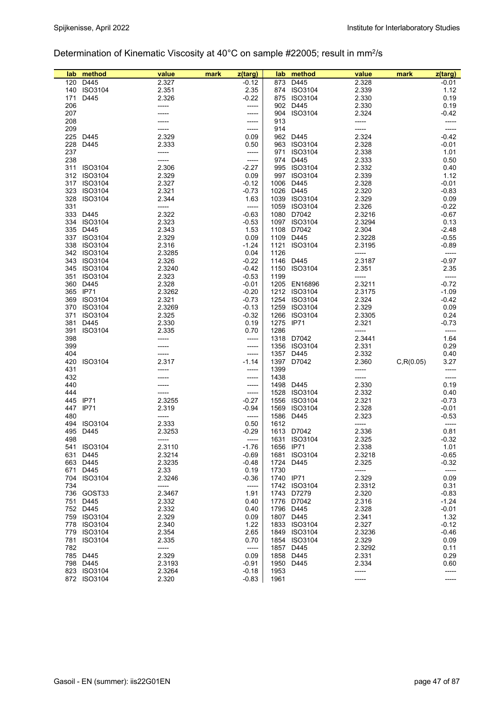# Determination of Kinematic Viscosity at 40°C on sample #22005; result in mm2/s

|            | lab method  | value          | mark | z(targ)          |           | lab method                | value          | mark       | z(targ)         |
|------------|-------------|----------------|------|------------------|-----------|---------------------------|----------------|------------|-----------------|
|            | 120 D445    | 2.327          |      | $-0.12$          |           | 873 D445                  | 2.328          |            | $-0.01$         |
|            | 140 ISO3104 | 2.351          |      | 2.35             |           | 874 ISO3104               | 2.339          |            | 1.12            |
|            | 171 D445    | 2.326          |      | $-0.22$          |           | 875 ISO3104               | 2.330          |            | 0.19            |
| 206        |             | -----          |      | -----            |           | 902 D445                  | 2.330          |            | 0.19            |
| 207        |             |                |      | -----            |           | 904 ISO3104               | 2.324          |            | $-0.42$         |
| 208        |             |                |      | -----            | 913       |                           | -----          |            | -----           |
| 209        |             |                |      | -----            | 914       |                           | -----          |            | -----           |
|            | 225 D445    | 2.329          |      | 0.09             |           | 962 D445                  | 2.324          |            | $-0.42$         |
|            | 228 D445    | 2.333          |      | 0.50             |           | 963 ISO3104               | 2.328          |            | $-0.01$         |
| 237        |             | -----          |      | -----            |           | 971 ISO3104               | 2.338          |            | 1.01            |
| 238        |             | -----          |      | -----            |           | 974 D445                  | 2.333          |            | 0.50            |
|            | 311 ISO3104 | 2.306          |      | $-2.27$          |           | 995 ISO3104               | 2.332          |            | 0.40            |
|            | 312 ISO3104 | 2.329          |      | 0.09             |           | 997 ISO3104               | 2.339          |            | 1.12            |
|            | 317 ISO3104 | 2.327          |      | $-0.12$          |           | 1006 D445                 | 2.328          |            | $-0.01$         |
|            | 323 ISO3104 | 2.321          |      | $-0.73$          |           | 1026 D445                 | 2.320          |            | $-0.83$         |
|            | 328 ISO3104 | 2.344          |      | 1.63             |           | 1039 ISO3104              | 2.329          |            | 0.09            |
| 331        |             | -----          |      | -----            |           | 1059 ISO3104              | 2.326          |            | $-0.22$         |
|            | 333 D445    | 2.322          |      | $-0.63$          |           | 1080 D7042                | 2.3216         |            | $-0.67$         |
|            | 334 ISO3104 | 2.323          |      | $-0.53$          |           | 1097 ISO3104              | 2.3294         |            | 0.13            |
|            | 335 D445    | 2.343          |      | 1.53             |           | 1108 D7042                | 2.304          |            | $-2.48$         |
|            | 337 ISO3104 | 2.329          |      | 0.09             |           | 1109 D445                 | 2.3228         |            | $-0.55$         |
|            | 338 ISO3104 | 2.316          |      | $-1.24$          |           | 1121 ISO3104              | 2.3195         |            | $-0.89$         |
|            | 342 ISO3104 | 2.3285         |      | 0.04             | 1126      |                           | -----          |            | -----           |
|            | 343 ISO3104 | 2.326          |      | $-0.22$          |           | 1146 D445                 | 2.3187         |            | $-0.97$         |
|            | 345 ISO3104 | 2.3240         |      | $-0.42$          |           | 1150 ISO3104              | 2.351          |            | 2.35            |
|            | 351 ISO3104 | 2.323          |      | $-0.53$          | 1199      |                           | -----          |            | -----           |
|            | 360 D445    | 2.328          |      | $-0.01$          |           | 1205 EN16896              | 2.3211         |            | $-0.72$         |
|            | 365 IP71    | 2.3262         |      | $-0.20$          |           | 1212 ISO3104              | 2.3175         |            | $-1.09$         |
|            | 369 ISO3104 | 2.321          |      | $-0.73$          |           | 1254 ISO3104              | 2.324          |            | $-0.42$         |
|            | 370 ISO3104 | 2.3269         |      | $-0.13$          |           | 1259 ISO3104              | 2.329          |            | 0.09            |
|            | 371 ISO3104 | 2.325          |      | $-0.32$          |           | 1266 ISO3104              | 2.3305         |            | 0.24            |
|            | 381 D445    | 2.330          |      | 0.19             | 1275 IP71 |                           | 2.321          |            | $-0.73$         |
|            | 391 ISO3104 | 2.335          |      | 0.70             | 1286      |                           | -----          |            | -----           |
| 398        |             | -----          |      | -----            |           | 1318 D7042                | 2.3441         |            | 1.64            |
| 399        |             | $-----$        |      | -----            |           | 1356 ISO3104              | 2.331          |            | 0.29            |
| 404        |             | -----          |      | -----            |           | 1357 D445                 | 2.332          |            | 0.40            |
|            | 420 ISO3104 | 2.317          |      | $-1.14$          |           | 1397 D7042                | 2.360          | C, R(0.05) | 3.27            |
| 431        |             | -----          |      | -----            | 1399      |                           | -----          |            | -----           |
| 432        |             | -----          |      | -----            | 1438      |                           | -----          |            | -----           |
| 440<br>444 |             | -----<br>----- |      | -----            |           | 1498 D445<br>1528 ISO3104 | 2.330<br>2.332 |            | 0.19            |
|            | 445 IP71    | 2.3255         |      | -----<br>$-0.27$ |           | 1556 ISO3104              | 2.321          |            | 0.40<br>$-0.73$ |
|            | 447 IP71    | 2.319          |      | $-0.94$          |           | 1569 ISO3104              | 2.328          |            | $-0.01$         |
| 480        |             | -----          |      | -----            |           | 1586 D445                 | 2.323          |            | $-0.53$         |
|            | 494 ISO3104 | 2.333          |      | 0.50             | 1612      |                           | -----          |            | -----           |
|            | 495 D445    | 2.3253         |      | $-0.29$          |           | 1613 D7042                | 2.336          |            | 0.81            |
| 498        |             |                |      | -----            |           | 1631 ISO3104              | 2.325          |            | $-0.32$         |
|            | 541 ISO3104 | 2.3110         |      | $-1.76$          | 1656 IP71 |                           | 2.338          |            | 1.01            |
|            | 631 D445    | 2.3214         |      | $-0.69$          |           | 1681 ISO3104              | 2.3218         |            | -0.65           |
|            | 663 D445    | 2.3235         |      | $-0.48$          |           | 1724 D445                 | 2.325          |            | -0.32           |
|            | 671 D445    | 2.33           |      | 0.19             | 1730      |                           | -----          |            | -----           |
|            | 704 ISO3104 | 2.3246         |      | $-0.36$          | 1740 IP71 |                           | 2.329          |            | 0.09            |
| 734        |             | -----          |      | -----            |           | 1742 ISO3104              | 2.3312         |            | 0.31            |
|            | 736 GOST33  | 2.3467         |      | 1.91             |           | 1743 D7279                | 2.320          |            | $-0.83$         |
|            | 751 D445    | 2.332          |      | 0.40             |           | 1776 D7042                | 2.316          |            | $-1.24$         |
|            | 752 D445    | 2.332          |      | 0.40             |           | 1796 D445                 | 2.328          |            | $-0.01$         |
|            | 759 ISO3104 | 2.329          |      | 0.09             |           | 1807 D445                 | 2.341          |            | 1.32            |
|            | 778 ISO3104 | 2.340          |      | 1.22             |           | 1833 ISO3104              | 2.327          |            | $-0.12$         |
|            | 779 ISO3104 | 2.354          |      | 2.65             |           | 1849 ISO3104              | 2.3236         |            | $-0.46$         |
|            | 781 ISO3104 | 2.335          |      | 0.70             |           | 1854 ISO3104              | 2.329          |            | 0.09            |
| 782        |             | -----          |      | -----            |           | 1857 D445                 | 2.3292         |            | 0.11            |
|            | 785 D445    | 2.329          |      | 0.09             |           | 1858 D445                 | 2.331          |            | 0.29            |
|            | 798 D445    | 2.3193         |      | $-0.91$          |           | 1950 D445                 | 2.334          |            | 0.60            |
|            | 823 ISO3104 | 2.3264         |      | $-0.18$          | 1953      |                           | -----          |            | -----           |
|            | 872 ISO3104 | 2.320          |      | $-0.83$          | 1961      |                           | -----          |            | -----           |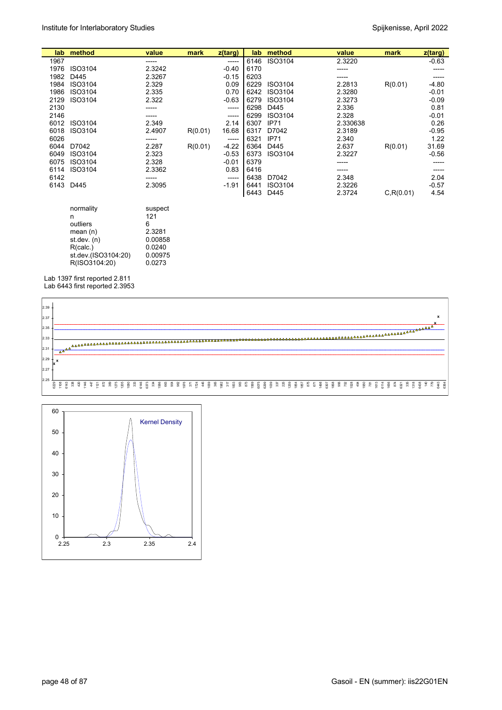|      | lab method     | value  | mark    | z(targ)  | lab. | method      | value    | mark       | z(targ) |
|------|----------------|--------|---------|----------|------|-------------|----------|------------|---------|
| 1967 |                | -----  |         | -----    | 6146 | ISO3104     | 2.3220   |            | $-0.63$ |
| 1976 | ISO3104        | 2.3242 |         | $-0.40$  | 6170 |             | -----    |            |         |
| 1982 | D445           | 2.3267 |         | $-0.15$  | 6203 |             | -----    |            |         |
| 1984 | ISO3104        | 2.329  |         | 0.09     | 6229 | ISO3104     | 2.2813   | R(0.01)    | $-4.80$ |
| 1986 | ISO3104        | 2.335  |         | 0.70     | 6242 | ISO3104     | 2.3280   |            | $-0.01$ |
| 2129 | ISO3104        | 2.322  |         | $-0.63$  | 6279 | ISO3104     | 2.3273   |            | $-0.09$ |
| 2130 |                | -----  |         | -----    | 6298 | D445        | 2.336    |            | 0.81    |
| 2146 |                | -----  |         | -----    | 6299 | ISO3104     | 2.328    |            | $-0.01$ |
| 6012 | <b>ISO3104</b> | 2.349  |         | 2.14     | 6307 | <b>IP71</b> | 2.330638 |            | 0.26    |
| 6018 | ISO3104        | 2.4907 | R(0.01) | 16.68    | 6317 | D7042       | 2.3189   |            | $-0.95$ |
| 6026 |                | -----  |         | -----    | 6321 | <b>IP71</b> | 2.340    |            | 1.22    |
| 6044 | D7042          | 2.287  | R(0.01) | $-4.22$  | 6364 | D445        | 2.637    | R(0.01)    | 31.69   |
| 6049 | ISO3104        | 2.323  |         | $-0.53$  | 6373 | ISO3104     | 2.3227   |            | $-0.56$ |
| 6075 | ISO3104        | 2.328  |         | $-0.01$  | 6379 |             | -----    |            |         |
| 6114 | ISO3104        | 2.3362 |         | 0.83     | 6416 |             |          |            |         |
| 6142 |                | -----  |         | $-----1$ | 6438 | D7042       | 2.348    |            | 2.04    |
| 6143 | D445           | 2.3095 |         | $-1.91$  | 6441 | ISO3104     | 2.3226   |            | $-0.57$ |
|      |                |        |         |          | 6443 | D445        | 2.3724   | C, R(0.01) | 4.54    |

| normality           | suspect |
|---------------------|---------|
| n                   | 121     |
| outliers            | 6       |
| mean $(n)$          | 2.3281  |
| st.dev. (n)         | 0.00858 |
| R(calc.)            | 0.0240  |
| st.dev.(ISO3104:20) | 0.00975 |
| R(ISO3104:20)       | 0.0273  |

Lab 1397 first reported 2.811 Lab 6443 first reported 2.3953



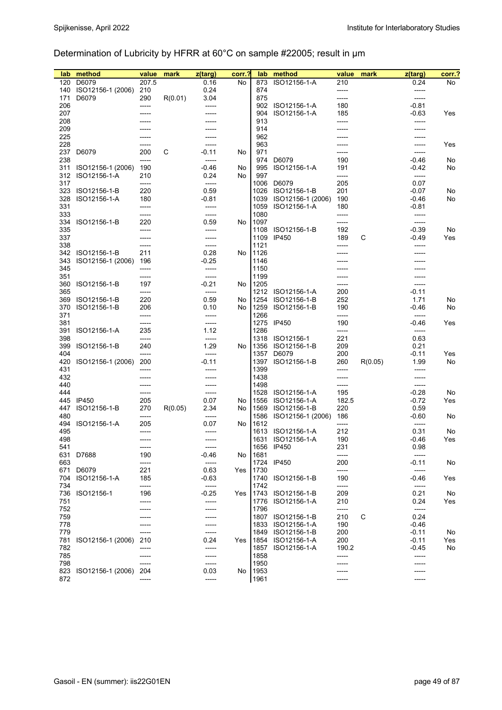# Determination of Lubricity by HFRR at 60°C on sample #22005; result in μm

| lab        | method            | value        | mark    | z(targ)       | corr.? | lab          | method            | value        | mark    | z(targ)          | corr.?    |
|------------|-------------------|--------------|---------|---------------|--------|--------------|-------------------|--------------|---------|------------------|-----------|
| 120        | D6079             | 207.5        |         | 0.16          | No     | 873          | ISO12156-1-A      | 210          |         | 0.24             | No        |
| 140        | ISO12156-1 (2006) | 210          |         | 0.24          |        | 874          |                   | -----        |         | -----            |           |
| 171        | D6079             | 290          | R(0.01) | 3.04          |        | 875          |                   | -----        |         | -----            |           |
| 206        |                   | -----        |         | ------        |        | 902          | ISO12156-1-A      | 180          |         | $-0.81$          |           |
| 207        |                   | -----        |         | ------        |        | 904          | ISO12156-1-A      | 185          |         | $-0.63$          | Yes       |
| 208        |                   |              |         |               |        | 913          |                   | -----        |         | -----            |           |
| 209        |                   |              |         |               |        | 914          |                   | -----        |         | -----            |           |
| 225        |                   |              |         |               |        | 962          |                   |              |         |                  |           |
| 228        |                   | -----        |         | -----         |        | 963          |                   | -----        |         | -----            | Yes       |
| 237        | D6079             | 200          | C       | $-0.11$       | No     | 971          |                   | -----        |         | -----            |           |
| 238        |                   | -----        |         | -----         |        | 974          | D6079             | 190          |         | -0.46            | No        |
| 311        | ISO12156-1 (2006) | 190          |         | -0.46         | No     | 995          | ISO12156-1-A      | 191          |         | $-0.42$          | No        |
|            | 312 ISO12156-1-A  | 210          |         | 0.24          | No     | 997          |                   | -----        |         | -----            |           |
| 317        |                   | -----        |         | -----         |        | 1006         | D6079             | 205          |         | 0.07             |           |
| 323        | ISO12156-1-B      | 220          |         | 0.59          |        | 1026         | ISO12156-1-B      | 201          |         | -0.07            | No        |
| 328        | ISO12156-1-A      | 180          |         | $-0.81$       |        | 1039         | ISO12156-1 (2006) | 190          |         | $-0.46$          | No        |
| 331        |                   | -----        |         | -----         |        | 1059<br>1080 | ISO12156-1-A      | 180          |         | $-0.81$          |           |
| 333<br>334 | ISO12156-1-B      | -----<br>220 |         | -----<br>0.59 |        | 1097         |                   | -----        |         | -----            |           |
| 335        |                   | -----        |         | -----         | No     | 1108         | ISO12156-1-B      | -----<br>192 |         | -----<br>$-0.39$ |           |
| 337        |                   | -----        |         | -----         |        | 1109         | IP450             | 189          | С       | $-0.49$          | No<br>Yes |
| 338        |                   | -----        |         | -----         |        | 1121         |                   | -----        |         | -----            |           |
| 342        | ISO12156-1-B      | 211          |         | 0.28          | No     | 1126         |                   | -----        |         |                  |           |
| 343        | ISO12156-1 (2006) | 196          |         | $-0.25$       |        | 1146         |                   |              |         |                  |           |
| 345        |                   | -----        |         | -----         |        | 1150         |                   |              |         |                  |           |
| 351        |                   | -----        |         | -----         |        | 1199         |                   | -----        |         |                  |           |
| 360        | ISO12156-1-B      | 197          |         | $-0.21$       | No     | 1205         |                   | -----        |         | -----            |           |
| 365        |                   | $-----$      |         | $-----$       |        |              | 1212 ISO12156-1-A | 200          |         | -0.11            |           |
| 369        | ISO12156-1-B      | 220          |         | 0.59          | No.    | 1254         | ISO12156-1-B      | 252          |         | 1.71             | No        |
| 370        | ISO12156-1-B      | 206          |         | 0.10          | No.    | 1259         | ISO12156-1-B      | 190          |         | -0.46            | No        |
| 371        |                   | -----        |         | -----         |        | 1266         |                   | -----        |         | $-----$          |           |
| 381        |                   | -----        |         | -----         |        | 1275         | <b>IP450</b>      | 190          |         | $-0.46$          | Yes       |
| 391        | ISO12156-1-A      | 235          |         | 1.12          |        | 1286         |                   | -----        |         | -----            |           |
| 398        |                   | -----        |         | -----         |        |              | 1318 ISO12156-1   | 221          |         | 0.63             |           |
| 399        | ISO12156-1-B      | 240          |         | 1.29          | No     | 1356         | ISO12156-1-B      | 209          |         | 0.21             |           |
| 404        |                   | -----        |         | -----         |        | 1357         | D6079             | 200          |         | $-0.11$          | Yes       |
| 420        | ISO12156-1 (2006) | 200          |         | -0.11         |        | 1397         | ISO12156-1-B      | 260          | R(0.05) | 1.99             | No        |
| 431        |                   | -----        |         |               |        | 1399         |                   | -----        |         | -----            |           |
| 432        |                   |              |         |               |        | 1438         |                   | -----        |         | -----            |           |
| 440        |                   |              |         | -----         |        | 1498         |                   | -----        |         | -----            |           |
| 444        |                   | -----        |         | -----         |        | 1528         | ISO12156-1-A      | 195          |         | $-0.28$          | No        |
| 445        | <b>IP450</b>      | 205          |         | 0.07          | No.    | 1556         | ISO12156-1-A      | 182.5        |         | $-0.72$          | Yes       |
| 447        | ISO12156-1-B      | 270          | R(0.05) | 2.34          | No     | 1569         | ISO12156-1-B      | 220          |         | 0.59             |           |
| 480        |                   | -----        |         | -----         |        | 1586         | ISO12156-1 (2006) | 186          |         | $-0.60$          | No        |
| 494<br>495 | ISO12156-1-A      | 205<br>----- |         | 0.07<br>----- | No     | 1612<br>1613 | ISO12156-1-A      | -----<br>212 |         | -----<br>0.31    |           |
| 498        |                   | -----        |         | -----         |        |              | 1631 ISO12156-1-A | 190          |         | $-0.46$          | No<br>Yes |
|            |                   | -----        |         | -----         |        | 1656         |                   | 231          |         |                  |           |
| 541        | 631 D7688         | 190          |         | $-0.46$       | No     | 1681         | IP450             | -----        |         | 0.98<br>$-----$  |           |
| 663        |                   | -----        |         | -----         |        |              | 1724 IP450        | 200          |         | $-0.11$          | No        |
| 671        | D6079             | 221          |         | 0.63          | Yes    | 1730         |                   | -----        |         | $-----$          |           |
| 704        | ISO12156-1-A      | 185          |         | $-0.63$       |        | 1740         | ISO12156-1-B      | 190          |         | -0.46            | Yes       |
| 734        |                   | -----        |         | -----         |        | 1742         |                   | -----        |         | $-----$          |           |
| 736        | ISO12156-1        | 196          |         | $-0.25$       | Yes    |              | 1743 ISO12156-1-B | 209          |         | 0.21             | No        |
| 751        |                   | -----        |         | -----         |        | 1776         | ISO12156-1-A      | 210          |         | 0.24             | Yes       |
| 752        |                   |              |         |               |        | 1796         |                   | -----        |         | $-----$          |           |
| 759        |                   |              |         |               |        |              | 1807 ISO12156-1-B | 210          | С       | 0.24             |           |
| 778        |                   |              |         |               |        | 1833         | ISO12156-1-A      | 190          |         | $-0.46$          |           |
| 779        |                   |              |         | -----         |        | 1849         | ISO12156-1-B      | 200          |         | -0.11            | No        |
| 781        | ISO12156-1 (2006) | 210          |         | 0.24          | Yes    |              | 1854 ISO12156-1-A | 200          |         | -0.11            | Yes       |
| 782        |                   | -----        |         | -----         |        | 1857         | ISO12156-1-A      | 190.2        |         | -0.45            | No        |
| 785        |                   |              |         | -----         |        | 1858         |                   | -----        |         | -----            |           |
| 798        |                   |              |         | -----         |        | 1950         |                   | -----        |         |                  |           |
| 823        | ISO12156-1 (2006) | 204          |         | 0.03          | No     | 1953         |                   |              |         |                  |           |
| 872        |                   | -----        |         | -----         |        | 1961         |                   | -----        |         | -----            |           |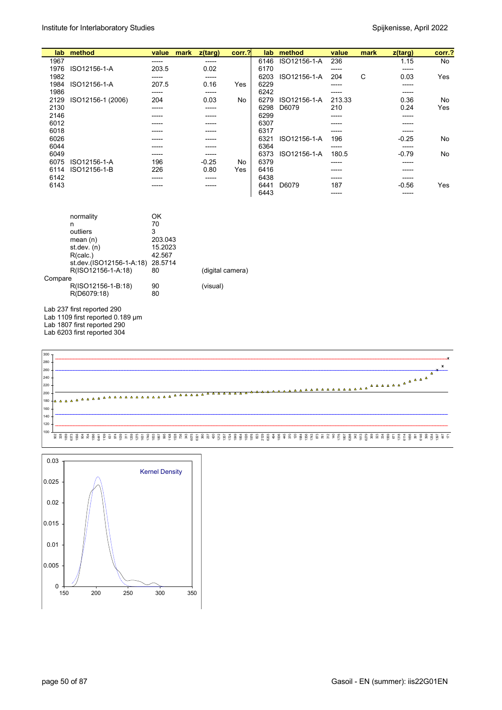|      | lab method        |       | value mark | z(targ) | corr.? | lab. | method       | value  | mark | z(targ) | corr.? |
|------|-------------------|-------|------------|---------|--------|------|--------------|--------|------|---------|--------|
| 1967 |                   | ----- |            | -----   |        | 6146 | ISO12156-1-A | 236    |      | 1.15    | No     |
| 1976 | ISO12156-1-A      | 203.5 |            | 0.02    |        | 6170 |              | -----  |      | -----   |        |
| 1982 |                   | ----- |            | -----   |        | 6203 | ISO12156-1-A | 204    | C    | 0.03    | Yes    |
| 1984 | ISO12156-1-A      | 207.5 |            | 0.16    | Yes    | 6229 |              | -----  |      | -----   |        |
| 1986 |                   | ----- |            | -----   |        | 6242 |              | -----  |      | -----   |        |
| 2129 | ISO12156-1 (2006) | 204   |            | 0.03    | No.    | 6279 | ISO12156-1-A | 213.33 |      | 0.36    | No     |
| 2130 |                   | ----- |            | -----   |        | 6298 | D6079        | 210    |      | 0.24    | Yes    |
| 2146 |                   |       |            | -----   |        | 6299 |              | -----  |      | -----   |        |
| 6012 |                   | ----  |            | -----   |        | 6307 |              | -----  |      | -----   |        |
| 6018 |                   | ----- |            | -----   |        | 6317 |              | -----  |      | -----   |        |
| 6026 |                   | ----- |            | -----   |        | 6321 | ISO12156-1-A | 196    |      | $-0.25$ | No     |
| 6044 |                   | ----- |            | -----   |        | 6364 |              | -----  |      | -----   |        |
| 6049 |                   | ----- |            | ------  |        | 6373 | ISO12156-1-A | 180.5  |      | $-0.79$ | No     |
| 6075 | ISO12156-1-A      | 196   |            | $-0.25$ | No     | 6379 |              | -----  |      | -----   |        |
| 6114 | ISO12156-1-B      | 226   |            | 0.80    | Yes    | 6416 |              | ----   |      | -----   |        |
| 6142 |                   | ----- |            | -----   |        | 6438 |              | -----  |      | -----   |        |
| 6143 |                   | ----- |            | -----   |        | 6441 | D6079        | 187    |      | $-0.56$ | Yes    |
|      |                   |       |            |         |        | 6443 |              | -----  |      | -----   |        |

|         | normality                        | ΟK      |                  |
|---------|----------------------------------|---------|------------------|
|         | n                                | 70      |                  |
|         | outliers                         | 3       |                  |
|         | mean $(n)$                       | 203.043 |                  |
|         | st dev. $(n)$                    | 15.2023 |                  |
|         | R(calc.)                         | 42.567  |                  |
|         | st.dev.(ISO12156-1-A:18) 28.5714 |         |                  |
|         | R(ISO12156-1-A:18)               | 80      | (digital camera) |
| Compare |                                  |         |                  |
|         | R(ISO12156-1-B:18)               | 90      | (visual)         |
|         | R(D6079:18)                      | 80      |                  |
|         |                                  |         |                  |

Lab 237 first reported 290 Lab 1109 first reported 0.189 µm Lab 1807 first reported 290 Lab 6203 first reported 304



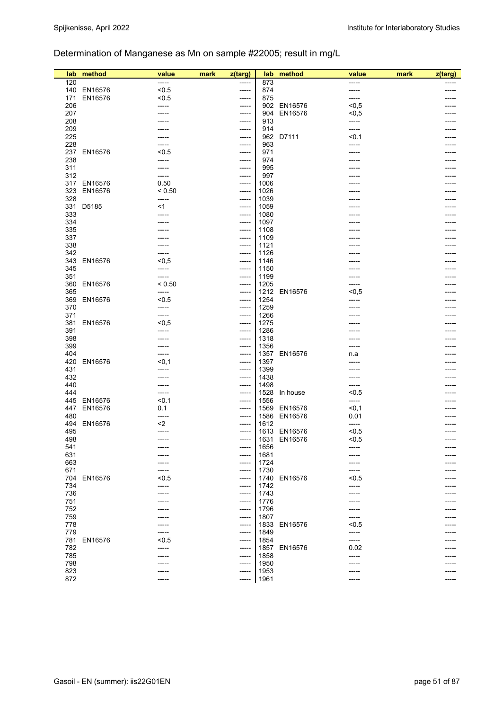# Determination of Manganese as Mn on sample #22005; result in mg/L

| lab        | method      | value       | mark | z(targ)          | lab          | method       | value  | mark | z(targ) |
|------------|-------------|-------------|------|------------------|--------------|--------------|--------|------|---------|
| 120        |             | -----       |      | -----            | 873          |              | -----  |      |         |
|            | 140 EN16576 | < 0.5       |      | -----            | 874          |              | -----  |      |         |
|            | 171 EN16576 | < 0.5       |      | -----            | 875          |              | -----  |      |         |
| 206        |             | -----       |      | -----            |              | 902 EN16576  | < 0, 5 |      |         |
| 207        |             | -----       |      | -----            | 904          | EN16576      | < 0, 5 |      |         |
| 208        |             |             |      | -----            | 913          |              | -----  |      |         |
| 209        |             |             |      | -----            | 914          |              | -----  |      |         |
| 225        |             |             |      | -----            | 962          | D7111        | < 0.1  |      |         |
| 228        |             |             |      | -----            | 963          |              | -----  |      |         |
|            | 237 EN16576 | < 0.5       |      | -----            | 971          |              |        |      |         |
| 238        |             | -----       |      | -----            | 974          |              |        |      |         |
| 311        |             | -----       |      | ------           | 995          |              |        |      |         |
| 312        |             | -----       |      | -----            | 997          |              |        |      |         |
|            | 317 EN16576 | 0.50        |      | -----            | 1006         |              |        |      |         |
| 323        | EN16576     | ${}_{0.50}$ |      | -----            | 1026         |              |        |      |         |
| 328        |             | -----       |      | -----            | 1039         |              |        |      |         |
|            | 331 D5185   | $<$ 1       |      | -----            | 1059         |              |        |      |         |
| 333        |             |             |      | -----            | 1080         |              |        |      |         |
| 334        |             |             |      | -----            | 1097         |              |        |      |         |
| 335        |             |             |      | -----            | 1108         |              |        |      |         |
| 337        |             |             |      | -----            | 1109         |              |        |      |         |
| 338        |             |             |      | -----            | 1121         |              |        |      |         |
| 342        |             |             |      | -----            | 1126         |              |        |      |         |
|            | 343 EN16576 | < 0, 5      |      | -----            | 1146         |              |        |      |         |
| 345        |             | -----       |      | -----            | 1150         |              |        |      |         |
| 351        |             | -----       |      | -----            | 1199         |              | -----  |      |         |
|            | 360 EN16576 | < 0.50      |      | -----            | 1205         |              | -----  |      |         |
| 365        |             | -----       |      | $-----$          |              | 1212 EN16576 | < 0.5  |      |         |
|            | 369 EN16576 | < 0.5       |      | -----            | 1254         |              | -----  |      |         |
| 370        |             | -----       |      | -----            | 1259         |              |        |      |         |
| 371        |             | -----       |      | -----            | 1266         |              |        |      |         |
|            | 381 EN16576 | < 0, 5      |      | -----            | 1275         |              |        |      |         |
| 391        |             |             |      | -----            | 1286         |              |        |      |         |
| 398        |             |             |      | -----            | 1318         |              |        |      |         |
| 399        |             | -----       |      | -----            | 1356         |              | -----  |      |         |
| 404        |             | -----       |      | -----            | 1357         | EN16576      | n.a    |      |         |
|            | 420 EN16576 | $0,1$       |      | -----            | 1397         |              |        |      |         |
| 431        |             | -----       |      | -----            | 1399         |              |        |      |         |
| 432        |             | -----       |      | -----            | 1438         |              | -----  |      |         |
| 440        |             |             |      | -----            | 1498         |              | -----  |      |         |
| 444        |             | -----       |      | -----            | 1528         | In house     | < 0.5  |      |         |
|            | 445 EN16576 | < 0.1       |      | -----            | 1556         |              | -----  |      |         |
|            | 447 EN16576 | 0.1         |      | $-----$          |              | 1569 EN16576 | < 0, 1 |      |         |
| 480        |             | -----       |      | -----            |              | 1586 EN16576 | 0.01   |      |         |
| 494        | EN16576     | <2          |      | -----            | 1612         |              | -----  |      |         |
| 495        |             |             |      | -----            |              | 1613 EN16576 | < 0.5  |      |         |
| 498        |             | -----       |      | -----            |              | 1631 EN16576 | < 0.5  |      | -----   |
| 541        |             | -----       |      | -----            | 1656         |              |        |      |         |
| 631        |             | -----       |      | -----            | 1681         |              |        |      |         |
| 663        |             |             |      | -----            | 1724         |              |        |      |         |
| 671        |             | -----       |      | -----            | 1730         |              | -----  |      |         |
|            | 704 EN16576 | < 0.5       |      | -----            |              | 1740 EN16576 | < 0.5  |      |         |
| 734<br>736 |             | -----       |      | -----            | 1742<br>1743 |              | -----  |      |         |
| 751        |             |             |      | -----            | 1776         |              | -----  |      |         |
| 752        |             |             |      | -----<br>-----   | 1796         |              | -----  |      |         |
| 759        |             |             |      |                  | 1807         |              | -----  |      |         |
| 778        |             |             |      | -----<br>$-----$ |              | 1833 EN16576 | < 0.5  |      |         |
| 779        |             |             |      | -----            | 1849         |              | -----  |      |         |
|            | 781 EN16576 | < 0.5       |      | -----            | 1854         |              | -----  |      |         |
| 782        |             | -----       |      | -----            |              | 1857 EN16576 | 0.02   |      |         |
| 785        |             |             |      | -----            | 1858         |              | -----  |      |         |
| 798        |             |             |      | -----            | 1950         |              | -----  |      |         |
| 823        |             |             |      | -----            | 1953         |              |        |      |         |
| 872        |             | -----       |      | $-----$          | 1961         |              | -----  |      |         |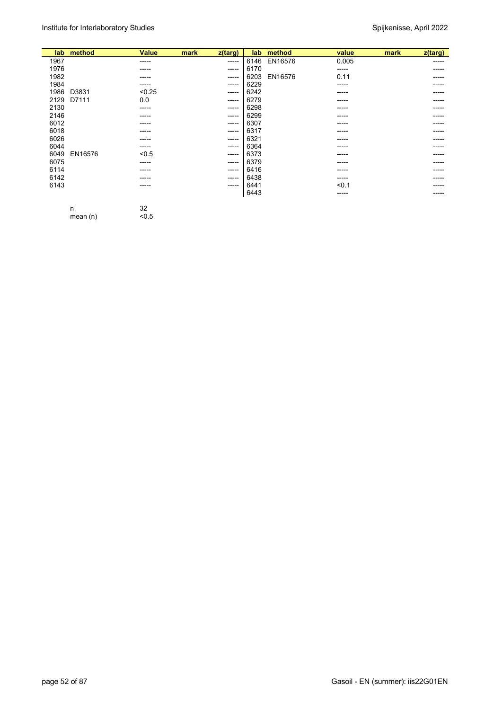| 1967          |                  | z(targ)     | lab  | method  | value | mark | z(targ) |
|---------------|------------------|-------------|------|---------|-------|------|---------|
|               | -----            | $- - - - -$ | 6146 | EN16576 | 0.005 |      | -----   |
| 1976          | -----            | $- - - - -$ | 6170 |         | ----- |      | ----    |
| 1982          | -----            | ------      | 6203 | EN16576 | 0.11  |      | ----    |
| 1984          | -----            | $- - - - -$ | 6229 |         | ----- |      | -----   |
| 1986<br>D3831 | < 0.25           | $- - - - -$ | 6242 |         | ----- |      | ----    |
| 2129<br>D7111 | 0.0              | $- - - - -$ | 6279 |         | ----- |      |         |
| 2130          | -----            | $- - - - -$ | 6298 |         | ----- |      | -----   |
| 2146          | -----            | $- - - - -$ | 6299 |         | ----  |      | ----    |
| 6012          | -----            | $-----1$    | 6307 |         | ----  |      |         |
| 6018          | -----            | $-----1$    | 6317 |         | ----- |      | ----    |
| 6026          | -----            | -----       | 6321 |         | ----  |      |         |
| 6044          | -----            | $- - - - -$ | 6364 |         | ----- |      | ----    |
| 6049          | EN16576<br>< 0.5 | $- - - - -$ | 6373 |         | ----- |      | -----   |
| 6075          | -----            | ------      | 6379 |         | ----  |      | -----   |
| 6114          | -----            | $-----1$    | 6416 |         | ----- |      | ----    |
| 6142          | -----            | $- - - - -$ | 6438 |         | ----- |      | ----    |
| 6143          | -----            | ------      | 6441 |         | < 0.1 |      |         |
|               |                  |             | 6443 |         | ----- |      | -----   |

| n          | 32    |
|------------|-------|
| mean $(n)$ | < 0.5 |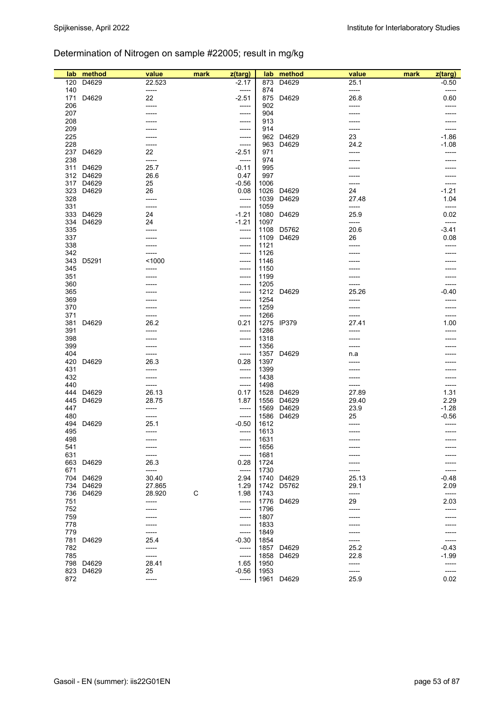# Determination of Nitrogen on sample #22005; result in mg/kg

| lab        | method                 | value          | mark | z(targ)         | lab.       | method                   | value          | mark | z(targ)          |
|------------|------------------------|----------------|------|-----------------|------------|--------------------------|----------------|------|------------------|
| 120        | D4629                  | 22.523         |      | $-2.17$         |            | 873 D4629                | 25.1           |      | -0.50            |
| 140        |                        | -----          |      | -----           | 874        |                          | -----          |      | -----            |
|            | 171 D4629              | 22             |      | $-2.51$         |            | 875 D4629                | 26.8           |      | 0.60             |
| 206        |                        | -----          |      | -----           | 902        |                          | -----          |      | -----            |
| 207        |                        |                |      | -----           | 904        |                          | -----          |      | -----            |
| 208        |                        |                |      | -----           | 913        |                          | -----          |      |                  |
| 209        |                        |                |      | -----           | 914        |                          | -----          |      |                  |
| 225        |                        |                |      | -----           |            | 962 D4629                | 23             |      | $-1.86$          |
| 228        |                        | -----          |      | -----           |            | 963 D4629                | 24.2           |      | $-1.08$          |
|            | 237 D4629              | 22             |      | -2.51           | 971        |                          | -----          |      | -----            |
| 238        |                        | -----          |      | -----           | 974        |                          |                |      |                  |
|            | 311 D4629<br>312 D4629 | 25.7<br>26.6   |      | $-0.11$<br>0.47 | 995<br>997 |                          | -----<br>----- |      | -----            |
|            | 317 D4629              | 25             |      | $-0.56$         | 1006       |                          | -----          |      | -----            |
|            | 323 D4629              | 26             |      | 0.08            |            | 1026 D4629               | 24             |      | $-1.21$          |
| 328        |                        | -----          |      | $-----$         |            | 1039 D4629               | 27.48          |      | 1.04             |
| 331        |                        | -----          |      | $-----$         | 1059       |                          | $-----$        |      | -----            |
|            | 333 D4629              | 24             |      | $-1.21$         |            | 1080 D4629               | 25.9           |      | 0.02             |
|            | 334 D4629              | 24             |      | $-1.21$         | 1097       |                          | -----          |      | -----            |
| 335        |                        | -----          |      | -----           |            | 1108 D5762               | 20.6           |      | $-3.41$          |
| 337        |                        | -----          |      | -----           |            | 1109 D4629               | 26             |      | 0.08             |
| 338        |                        |                |      | -----           | 1121       |                          | -----          |      | -----            |
| 342        |                        |                |      | -----           | 1126       |                          |                |      |                  |
|            | 343 D5291              | < 1000         |      | -----           | 1146       |                          |                |      |                  |
| 345        |                        | -----          |      | -----           | 1150       |                          |                |      |                  |
| 351        |                        |                |      | -----           | 1199       |                          | -----          |      |                  |
| 360<br>365 |                        |                |      | -----<br>-----  | 1205       | 1212 D4629               | -----<br>25.26 |      | -----<br>$-0.40$ |
| 369        |                        |                |      | -----           | 1254       |                          | -----          |      | -----            |
| 370        |                        |                |      | -----           | 1259       |                          | -----          |      | -----            |
| 371        |                        | -----          |      | -----           | 1266       |                          | -----          |      | -----            |
|            | 381 D4629              | 26.2           |      | 0.21            |            | 1275 IP379               | 27.41          |      | 1.00             |
| 391        |                        | -----          |      | -----           | 1286       |                          | -----          |      | -----            |
| 398        |                        |                |      | -----           | 1318       |                          | -----          |      |                  |
| 399        |                        | -----          |      | -----           | 1356       |                          | -----          |      |                  |
| 404        |                        |                |      | -----           |            | 1357 D4629               | n a            |      |                  |
|            | 420 D4629              | 26.3           |      | 0.28            | 1397       |                          | -----          |      |                  |
| 431        |                        | -----          |      | -----           | 1399       |                          | -----          |      |                  |
| 432        |                        | -----          |      | $-----$         | 1438       |                          | -----          |      |                  |
| 440        |                        | -----          |      | -----           | 1498       |                          | -----          |      | -----            |
|            | 444 D4629<br>445 D4629 | 26.13<br>28.75 |      | 0.17<br>1.87    |            | 1528 D4629<br>1556 D4629 | 27.89<br>29.40 |      | 1.31<br>2.29     |
| 447        |                        | -----          |      | -----           |            | 1569 D4629               | 23.9           |      | $-1.28$          |
| 480        |                        | -----          |      | -----           |            | 1586 D4629               | 25             |      | $-0.56$          |
|            | 494 D4629              | 25.1           |      | $-0.50$         | 1612       |                          | -----          |      | -----            |
| 495        |                        | -----          |      | -----           | 1613       |                          | -----          |      | -----            |
| 498        |                        | -----          |      | -----           | 1631       |                          | -----          |      | -----            |
| 541        |                        |                |      | -----           | 1656       |                          |                |      |                  |
| 631        |                        | -----          |      | -----           | 1681       |                          |                |      |                  |
|            | 663 D4629              | 26.3           |      | 0.28            | 1724       |                          |                |      |                  |
| 671        |                        | -----          |      | -----           | 1730       |                          | -----          |      |                  |
|            | 704 D4629              | 30.40          |      | 2.94            |            | 1740 D4629               | 25.13          |      | $-0.48$          |
|            | 734 D4629              | 27.865         |      | 1.29            |            | 1742 D5762               | 29.1           |      | 2.09             |
|            | 736 D4629              | 28.920         | C    | 1.98            | 1743       |                          | -----          |      | -----            |
| 751<br>752 |                        | -----          |      | -----<br>-----  | 1796       | 1776 D4629               | 29<br>-----    |      | 2.03<br>-----    |
| 759        |                        |                |      | -----           | 1807       |                          | -----          |      | -----            |
| 778        |                        |                |      | -----           | 1833       |                          | -----          |      |                  |
| 779        |                        | -----          |      | -----           | 1849       |                          | -----          |      | -----            |
|            | 781 D4629              | 25.4           |      | $-0.30$         | 1854       |                          | -----          |      | -----            |
| 782        |                        | -----          |      | -----           |            | 1857 D4629               | 25.2           |      | $-0.43$          |
| 785        |                        | -----          |      | -----           |            | 1858 D4629               | 22.8           |      | -1.99            |
|            | 798 D4629              | 28.41          |      | 1.65            | 1950       |                          | -----          |      | -----            |
|            | 823 D4629              | 25             |      | $-0.56$         | 1953       |                          | -----          |      | -----            |
| 872        |                        | -----          |      | -----           |            | 1961 D4629               | 25.9           |      | 0.02             |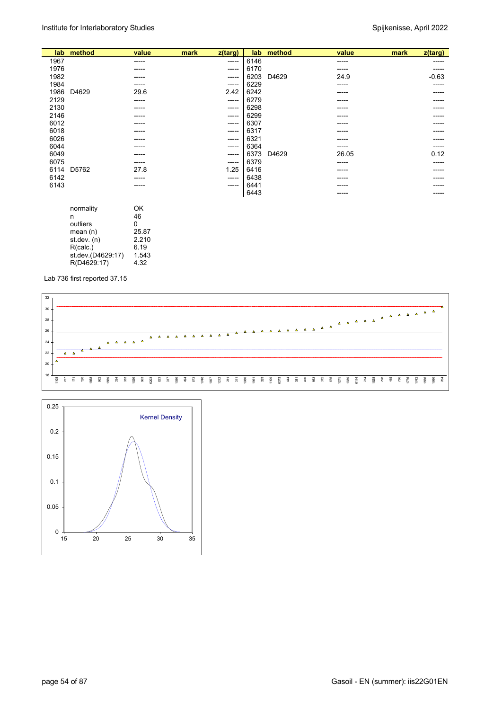|      | lab method | value | mark | z(targ) | lab  | method | value | mark | $z$ (targ)  |
|------|------------|-------|------|---------|------|--------|-------|------|-------------|
| 1967 |            |       |      |         | 6146 |        |       |      |             |
|      |            | ----- |      | -----   |      |        | ----- |      | ------      |
| 1976 |            | ----- |      | -----   | 6170 |        | ----- |      | ------      |
| 1982 |            | ----- |      | -----   | 6203 | D4629  | 24.9  |      | $-0.63$     |
| 1984 |            | ----- |      | -----   | 6229 |        | ----- |      | $- - - - -$ |
| 1986 | D4629      | 29.6  |      | 2.42    | 6242 |        | ----- |      | ------      |
| 2129 |            | ----- |      | -----   | 6279 |        | ----- |      | $---$       |
| 2130 |            | ----- |      | -----   | 6298 |        | ----- |      | -----       |
| 2146 |            | ----- |      | -----   | 6299 |        | ----- |      | -----       |
| 6012 |            | ----- |      | -----   | 6307 |        | ----- |      | ------      |
| 6018 |            | ----- |      | -----   | 6317 |        | ----- |      | $- - - - -$ |
| 6026 |            | ----- |      | -----   | 6321 |        | ----- |      | ------      |
| 6044 |            | ----- |      | -----   | 6364 |        | ----- |      | -----       |
| 6049 |            | ----- |      | -----   | 6373 | D4629  | 26.05 |      | 0.12        |
| 6075 |            | ----- |      | -----   | 6379 |        | ----- |      | $- - - - -$ |
| 6114 | D5762      | 27.8  |      | 1.25    | 6416 |        | ----- |      | ------      |
| 6142 |            | ----- |      | -----   | 6438 |        | ----- |      | $- - - - -$ |
| 6143 |            | ----- |      | ------  | 6441 |        | ----- |      | ------      |
|      |            |       |      |         | 6443 |        | ----- |      | $- - - - -$ |

| normality         | ΟK    |
|-------------------|-------|
| n                 | 46    |
| outliers          | n     |
| mean (n)          | 25.87 |
| st.dev. (n)       | 2.210 |
| R(calc.)          | 6.19  |
| st.dev.(D4629:17) | 1.543 |
| R(D4629:17)       | 4.32  |

Lab 736 first reported 37.15



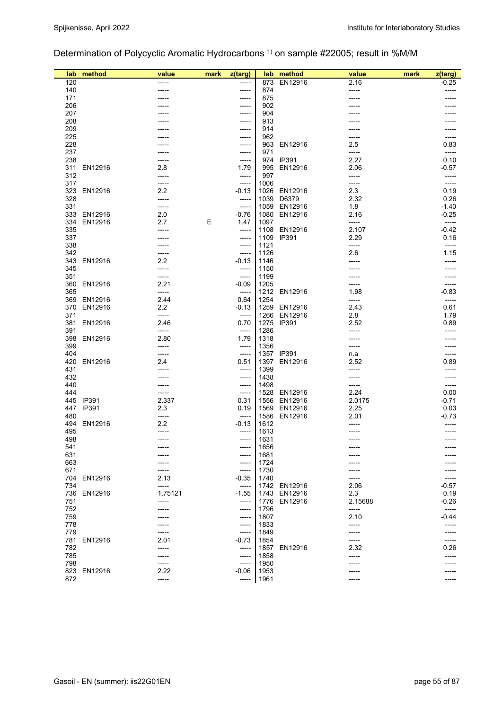# Determination of Polycyclic Aromatic Hydrocarbons 1) on sample #22005; result in %M/M

| lab        | method                     | value         | mark | z(targ)          | lab.         | method                       | value          | mark | z(targ)          |
|------------|----------------------------|---------------|------|------------------|--------------|------------------------------|----------------|------|------------------|
| 120        |                            | -----         |      | -----            |              | 873 EN12916                  | 2.16           |      | $-0.25$          |
| 140        |                            | -----         |      | -----            | 874          |                              | -----          |      | -----            |
| 171        |                            |               |      | -----            | 875          |                              | -----          |      |                  |
| 206<br>207 |                            |               |      | -----<br>-----   | 902<br>904   |                              | -----          |      |                  |
| 208        |                            |               |      | -----            | 913          |                              |                |      |                  |
| 209        |                            |               |      | -----            | 914          |                              |                |      |                  |
| 225        |                            |               |      | -----            | 962          |                              | -----          |      |                  |
| 228        |                            |               |      | -----            |              | 963 EN12916                  | 2.5            |      | 0.83             |
| 237<br>238 |                            |               |      | -----            | 971          | 974 IP391                    | -----<br>2.27  |      | -----<br>0.10    |
|            | 311 EN12916                | 2.8           |      | -----<br>1.79    |              | 995 EN12916                  | 2.06           |      | $-0.57$          |
| 312        |                            | -----         |      | -----            | 997          |                              | -----          |      | -----            |
| 317        |                            | -----         |      | -----            | 1006         |                              | -----          |      | -----            |
|            | 323 EN12916                | 2.2           |      | $-0.13$          |              | 1026 EN12916                 | 2.3            |      | 0.19             |
| 328        |                            | -----         |      | -----            |              | 1039 D6379                   | 2.32           |      | 0.26             |
| 331        |                            | -----         |      | -----            |              | 1059 EN12916                 | 1.8            |      | $-1.40$          |
|            | 333 EN12916<br>334 EN12916 | 2.0<br>2.7    | E    | $-0.76$<br>1.47  | 1097         | 1080 EN12916                 | 2.16<br>-----  |      | $-0.25$<br>----- |
| 335        |                            | -----         |      | -----            |              | 1108 EN12916                 | 2.107          |      | $-0.42$          |
| 337        |                            |               |      | -----            |              | 1109 IP391                   | 2.29           |      | 0.16             |
| 338        |                            |               |      | -----            | 1121         |                              | -----          |      | -----            |
| 342        |                            | -----         |      | -----            | 1126         |                              | 2.6            |      | 1.15             |
|            | 343 EN12916                | 2.2           |      | $-0.13$          | 1146         |                              | -----          |      | -----            |
| 345        |                            | -----         |      | -----            | 1150         |                              | -----          |      |                  |
| 351        | 360 EN12916                | -----<br>2.21 |      | -----            | 1199         |                              | -----<br>----- |      | -----            |
| 365        |                            | -----         |      | $-0.09$<br>----- | 1205         | 1212 EN12916                 | 1.98           |      | -----<br>$-0.83$ |
|            | 369 EN12916                | 2.44          |      | 0.64             | 1254         |                              | -----          |      | -----            |
|            | 370 EN12916                | 2.2           |      | -0.13            |              | 1259 EN12916                 | 2.43           |      | 0.61             |
| 371        |                            | -----         |      | -----            | 1266         | EN12916                      | 2.8            |      | 1.79             |
|            | 381 EN12916                | 2.46          |      | 0.70             |              | 1275 IP391                   | 2.52           |      | 0.89             |
| 391        |                            | -----         |      | -----            | 1286         |                              | -----          |      | -----            |
| 399        | 398 EN12916                | 2.80<br>----- |      | 1.79<br>-----    | 1318<br>1356 |                              | -----<br>----- |      | -----<br>-----   |
| 404        |                            | -----         |      | -----            |              | 1357 IP391                   | n.a            |      | -----            |
|            | 420 EN12916                | 2.4           |      | 0.51             |              | 1397 EN12916                 | 2.52           |      | 0.89             |
| 431        |                            | -----         |      | -----            | 1399         |                              | -----          |      | -----            |
| 432        |                            | -----         |      | -----            | 1438         |                              | -----          |      | -----            |
| 440        |                            |               |      | -----            | 1498         |                              | -----          |      | -----            |
| 444        |                            | -----         |      | -----            |              | 1528 EN12916                 | 2.24           |      | 0.00             |
|            | 445 IP391<br>447 IP391     | 2.337<br>2.3  |      | 0.31<br>0.19     |              | 1556 EN12916<br>1569 EN12916 | 2.0175<br>2.25 |      | $-0.71$<br>0.03  |
| 480        |                            | -----         |      | -----            |              | 1586 EN12916                 | 2.01           |      | $-0.73$          |
|            | 494 EN12916                | 2.2           |      | $-0.13$          | 1612         |                              | -----          |      |                  |
| 495        |                            | -----         |      | -----            | 1613         |                              |                |      |                  |
| 498        |                            | -----         |      | -----            | 1631         |                              | -----          |      | -----            |
| 541        |                            |               |      | -----            | 1656         |                              |                |      |                  |
| 631<br>663 |                            |               |      | -----            | 1681         |                              |                |      |                  |
| 671        |                            |               |      | -----<br>-----   | 1724<br>1730 |                              |                |      |                  |
|            | 704 EN12916                | 2.13          |      | $-0.35$          | 1740         |                              | -----          |      |                  |
| 734        |                            | -----         |      | -----            |              | 1742 EN12916                 | 2.06           |      | $-0.57$          |
|            | 736 EN12916                | 1.75121       |      | -1.55            |              | 1743 EN12916                 | 2.3            |      | 0.19             |
| 751        |                            | -----         |      | -----            |              | 1776 EN12916                 | 2.15688        |      | $-0.26$          |
| 752        |                            |               |      | -----            | 1796         |                              | -----          |      | -----            |
| 759        |                            |               |      | -----            | 1807         |                              | 2.10<br>-----  |      | -0.44<br>-----   |
| 778<br>779 |                            |               |      | -----<br>-----   | 1833<br>1849 |                              | -----          |      | -----            |
|            | 781 EN12916                | 2.01          |      | $-0.73$          | 1854         |                              | -----          |      | -----            |
| 782        |                            | -----         |      | -----            |              | 1857 EN12916                 | 2.32           |      | 0.26             |
| 785        |                            |               |      | -----            | 1858         |                              | -----          |      | -----            |
| 798        |                            | -----         |      | -----            | 1950         |                              | -----          |      |                  |
|            | 823 EN12916                | 2.22          |      | $-0.06$          | 1953         |                              |                |      |                  |
| 872        |                            | -----         |      | -----            | 1961         |                              | -----          |      | -----            |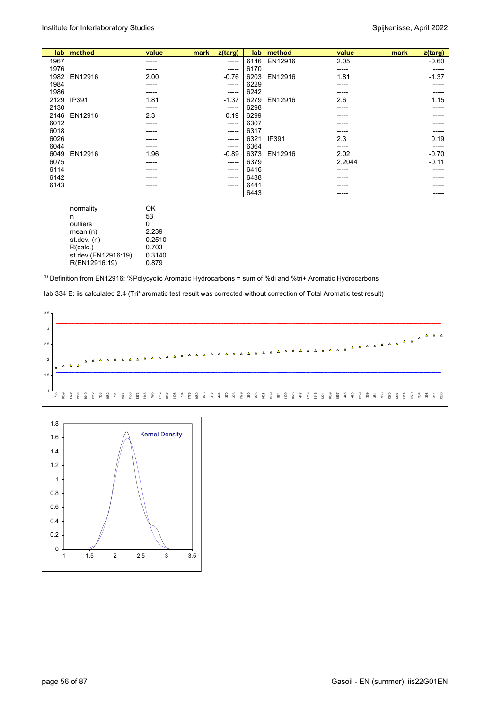|      | lab method          | value  | mark | z(targ) | lab  | method  | value  | mark | $z$ (targ) |
|------|---------------------|--------|------|---------|------|---------|--------|------|------------|
| 1967 |                     | -----  |      | -----   | 6146 | EN12916 | 2.05   |      | $-0.60$    |
| 1976 |                     | ------ |      | -----   | 6170 |         | -----  |      | -----      |
| 1982 | EN12916             | 2.00   |      | $-0.76$ | 6203 | EN12916 | 1.81   |      | $-1.37$    |
| 1984 |                     | -----  |      | ------  | 6229 |         | -----  |      | -----      |
| 1986 |                     | -----  |      | ------  | 6242 |         | -----  |      |            |
| 2129 | <b>IP391</b>        | 1.81   |      | $-1.37$ | 6279 | EN12916 | 2.6    |      | 1.15       |
| 2130 |                     | -----  |      | -----   | 6298 |         | -----  |      |            |
| 2146 | EN12916             | 2.3    |      | 0.19    | 6299 |         | -----  |      |            |
| 6012 |                     | -----  |      | ------  | 6307 |         |        |      |            |
| 6018 |                     |        |      | -----   | 6317 |         | -----  |      | -----      |
| 6026 |                     |        |      | -----   | 6321 | IP391   | 2.3    |      | 0.19       |
| 6044 |                     |        |      | ------  | 6364 |         | -----  |      | -----      |
| 6049 | EN12916             | 1.96   |      | $-0.89$ | 6373 | EN12916 | 2.02   |      | $-0.70$    |
| 6075 |                     | -----  |      | -----   | 6379 |         | 2.2044 |      | $-0.11$    |
| 6114 |                     | -----  |      | -----   | 6416 |         | -----  |      | -----      |
| 6142 |                     |        |      | -----   | 6438 |         |        |      |            |
| 6143 |                     |        |      | -----   | 6441 |         |        |      |            |
|      |                     |        |      |         | 6443 |         |        |      |            |
|      | normality           | OK     |      |         |      |         |        |      |            |
|      | n                   | 53     |      |         |      |         |        |      |            |
|      | outliers            | 0      |      |         |      |         |        |      |            |
|      | mean $(n)$          | 2.239  |      |         |      |         |        |      |            |
|      | st.dev. $(n)$       | 0.2510 |      |         |      |         |        |      |            |
|      | R(calc.)            | 0.703  |      |         |      |         |        |      |            |
|      | st.dev.(EN12916:19) | 0.3140 |      |         |      |         |        |      |            |

<sup>1)</sup> Definition from EN12916: %Polycyclic Aromatic Hydrocarbons = sum of %di and %tri+ Aromatic Hydrocarbons

lab 334 E: iis calculated 2.4 (Tri<sup>+</sup> aromatic test result was corrected without correction of Total Aromatic test result)





st.dev.(EN12916:19) 0.314<br>R(EN12916:19) 0.879

R(EN12916:19)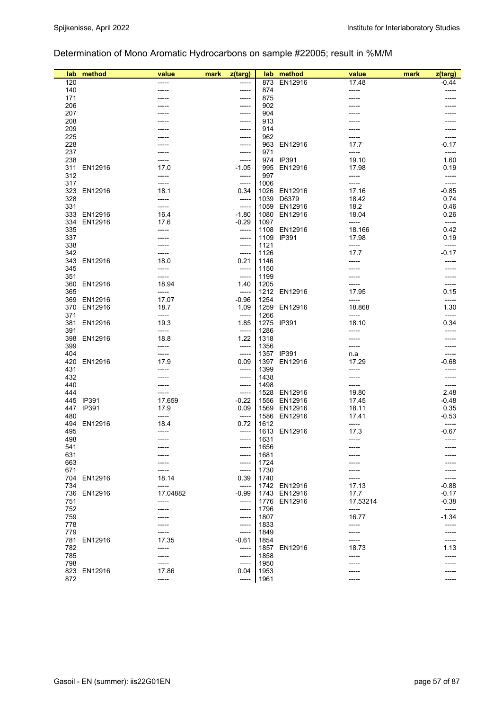#### Determination of Mono Aromatic Hydrocarbons on sample #22005; result in %M/M

| lab        | method      | value             | mark | z(targ)          | lab.         | method                       | value            | mark | z(targ)            |
|------------|-------------|-------------------|------|------------------|--------------|------------------------------|------------------|------|--------------------|
| 120        |             | -----             |      | -----            |              | 873 EN12916                  | 17.48            |      | -0.44              |
| 140        |             | -----             |      | -----            | 874          |                              | -----            |      |                    |
| 171        |             |                   |      | -----            | 875          |                              | -----            |      |                    |
| 206        |             |                   |      | -----            | 902          |                              |                  |      |                    |
| 207<br>208 |             |                   |      | -----<br>-----   | 904<br>913   |                              |                  |      |                    |
| 209        |             |                   |      | -----            | 914          |                              |                  |      |                    |
| 225        |             |                   |      | -----            | 962          |                              | -----            |      |                    |
| 228        |             |                   |      | -----            |              | 963 EN12916                  | 17.7             |      | -0.17              |
| 237        |             |                   |      | -----            | 971          |                              | -----            |      | -----              |
| 238        |             |                   |      | -----            |              | 974 IP391                    | 19.10            |      | 1.60               |
|            | 311 EN12916 | 17.0              |      | $-1.05$          |              | 995 EN12916                  | 17.98            |      | 0.19               |
| 312        |             | -----             |      | -----            | 997          |                              | -----            |      | -----              |
| 317        | 323 EN12916 | -----<br>18.1     |      | -----<br>0.34    | 1006         | 1026 EN12916                 | -----<br>17.16   |      | -----<br>$-0.85$   |
| 328        |             | -----             |      | -----            |              | 1039 D6379                   | 18.42            |      | 0.74               |
| 331        |             | -----             |      | -----            |              | 1059 EN12916                 | 18.2             |      | 0.46               |
|            | 333 EN12916 | 16.4              |      | $-1.80$          | 1080         | EN12916                      | 18.04            |      | 0.26               |
|            | 334 EN12916 | 17.6              |      | $-0.29$          | 1097         |                              | -----            |      | -----              |
| 335        |             | -----             |      | -----            |              | 1108 EN12916                 | 18.166           |      | 0.42               |
| 337        |             |                   |      | -----            |              | 1109 IP391                   | 17.98            |      | 0.19               |
| 338        |             |                   |      | -----            | 1121         |                              | -----            |      | -----              |
| 342        |             |                   |      | -----            | 1126         |                              | 17.7             |      | -0.17              |
|            | 343 EN12916 | 18.0<br>-----     |      | 0.21             | 1146         |                              | -----            |      |                    |
| 345<br>351 |             | -----             |      | -----<br>-----   | 1150<br>1199 |                              | -----<br>-----   |      |                    |
|            | 360 EN12916 | 18.94             |      | 1.40             | 1205         |                              | -----            |      | -----              |
| 365        |             | -----             |      | -----            |              | 1212 EN12916                 | 17.95            |      | 0.15               |
|            | 369 EN12916 | 17.07             |      | $-0.96$          | 1254         |                              | -----            |      | -----              |
|            | 370 EN12916 | 18.7              |      | 1.09             |              | 1259 EN12916                 | 18.868           |      | 1.30               |
| 371        |             | -----             |      | -----            | 1266         |                              | -----            |      | -----              |
|            | 381 EN12916 | 19.3              |      | 1.85             |              | 1275 IP391                   | 18.10            |      | 0.34               |
| 391        |             | -----             |      | -----            | 1286         |                              | -----            |      |                    |
|            | 398 EN12916 | 18.8              |      | 1.22             | 1318         |                              | -----            |      |                    |
| 399<br>404 |             | -----<br>-----    |      | -----<br>-----   | 1356         | 1357 IP391                   | -----<br>n.a     |      | -----              |
|            | 420 EN12916 | 17.9              |      | 0.09             |              | 1397 EN12916                 | 17.29            |      | -0.68              |
| 431        |             | -----             |      | -----            | 1399         |                              | -----            |      |                    |
| 432        |             | -----             |      | -----            | 1438         |                              | -----            |      |                    |
| 440        |             |                   |      | -----            | 1498         |                              | -----            |      |                    |
| 444        |             | -----             |      | -----            |              | 1528 EN12916                 | 19.80            |      | 2.48               |
|            | 445 IP391   | 17.659            |      | $-0.22$          |              | 1556 EN12916                 | 17.45            |      | $-0.48$            |
|            | 447 IP391   | 17.9              |      | 0.09             |              | 1569 EN12916                 | 18.11            |      | 0.35               |
| 480        | 494 EN12916 | -----<br>18.4     |      | -----<br>0.72    | 1612         | 1586 EN12916                 | 17.41<br>-----   |      | $-0.53$<br>-----   |
| 495        |             |                   |      | -----            |              | 1613 EN12916                 | 17.3             |      | -0.67              |
| 498        |             | -----             |      | -----            | 1631         |                              | -----            |      | -----              |
| 541        |             |                   |      | -----            | 1656         |                              |                  |      |                    |
| 631        |             |                   |      | -----            | 1681         |                              |                  |      |                    |
| 663        |             |                   |      | -----            | 1724         |                              |                  |      |                    |
| 671        |             |                   |      | -----            | 1730         |                              |                  |      |                    |
|            | 704 EN12916 | 18.14             |      | 0.39             | 1740         |                              | -----            |      |                    |
| 734        |             | -----             |      | -----            |              | 1742 EN12916                 | 17.13            |      | $-0.88$            |
| 751        | 736 EN12916 | 17.04882<br>----- |      | $-0.99$<br>----- |              | 1743 EN12916<br>1776 EN12916 | 17.7<br>17.53214 |      | $-0.17$<br>$-0.38$ |
| 752        |             |                   |      | -----            | 1796         |                              | -----            |      | -----              |
| 759        |             |                   |      | -----            | 1807         |                              | 16.77            |      | $-1.34$            |
| 778        |             |                   |      | -----            | 1833         |                              | -----            |      | -----              |
| 779        |             |                   |      | -----            | 1849         |                              | -----            |      | -----              |
|            | 781 EN12916 | 17.35             |      | $-0.61$          | 1854         |                              | -----            |      | -----              |
| 782        |             | -----             |      | -----            |              | 1857 EN12916                 | 18.73            |      | 1.13               |
| 785        |             |                   |      | -----            | 1858         |                              | -----            |      |                    |
| 798        |             | -----             |      | -----            | 1950         |                              |                  |      |                    |
|            | 823 EN12916 | 17.86             |      | 0.04             | 1953         |                              |                  |      |                    |
| 872        |             | -----             |      | -----            | 1961         |                              | -----            |      | -----              |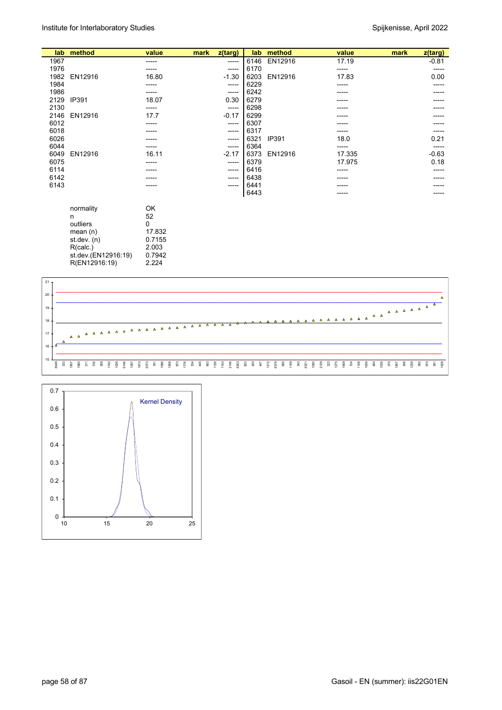| z(targ)<br>$-0.81$<br>$-----1$<br>0.00 |
|----------------------------------------|
|                                        |
|                                        |
|                                        |
| -----                                  |
| -----                                  |
|                                        |
|                                        |
|                                        |
| -----                                  |
| -----                                  |
| 0.21                                   |
| -----                                  |
| $-0.63$                                |
| 0.18                                   |
| -----                                  |
|                                        |
|                                        |
| -----                                  |
|                                        |
|                                        |

|          | normality           | ΟK      |
|----------|---------------------|---------|
| n        |                     | 52      |
| outliers |                     | ŋ       |
|          | mean $(n)$          | 17.832  |
|          | st.dev. (n)         | 0.7155  |
|          | R(calc.)            | 2.003   |
|          | st.dev.(EN12916:19) | 0.7942  |
|          | R(EN12916:19)       | 2 2 2 4 |
|          |                     |         |



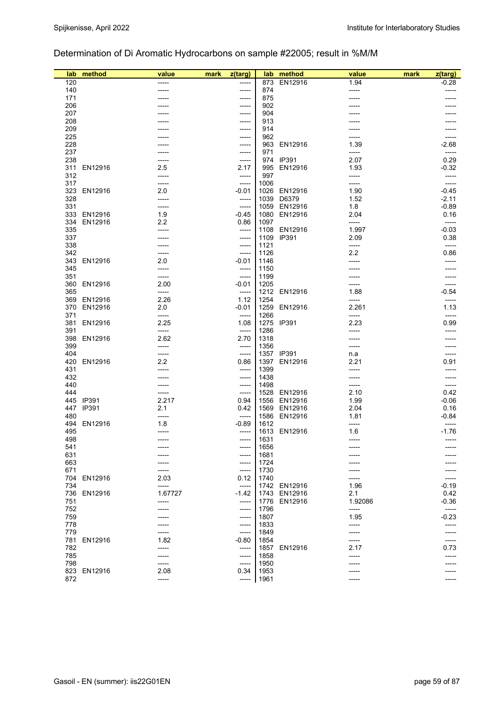#### Determination of Di Aromatic Hydrocarbons on sample #22005; result in %M/M

| lab        | method      | value          | mark | z(targ)          |              | lab method                 | value          | mark | z(targ)            |
|------------|-------------|----------------|------|------------------|--------------|----------------------------|----------------|------|--------------------|
| 120        |             | -----          |      | -----            | 873          | EN12916                    | 1.94           |      | -0.28              |
| 140        |             |                |      | -----            | 874          |                            | -----          |      | -----              |
| 171        |             |                |      | -----            | 875          |                            | -----          |      |                    |
| 206        |             |                |      | -----            | 902          |                            |                |      |                    |
| 207<br>208 |             |                |      | -----            | 904          |                            |                |      |                    |
| 209        |             |                |      | -----<br>-----   | 913<br>914   |                            |                |      |                    |
| 225        |             |                |      | -----            | 962          |                            | -----          |      |                    |
| 228        |             |                |      | -----            |              | 963 EN12916                | 1.39           |      | $-2.68$            |
| 237        |             |                |      | -----            | 971          |                            | -----          |      | -----              |
| 238        |             |                |      | -----            |              | 974 IP391                  | 2.07           |      | 0.29               |
|            | 311 EN12916 | 2.5            |      | 2.17             |              | 995 EN12916                | 1.93           |      | $-0.32$            |
| 312        |             | -----          |      | -----            | 997          |                            | -----          |      | -----              |
| 317        |             | -----          |      | -----            | 1006         |                            | -----          |      | -----              |
| 328        | 323 EN12916 | 2.0<br>-----   |      | $-0.01$          | 1039         | 1026 EN12916<br>D6379      | 1.90<br>1.52   |      | $-0.45$<br>$-2.11$ |
| 331        |             | -----          |      | -----<br>-----   |              | 1059 EN12916               | 1.8            |      | $-0.89$            |
|            | 333 EN12916 | 1.9            |      | $-0.45$          |              | 1080 EN12916               | 2.04           |      | 0.16               |
|            | 334 EN12916 | 2.2            |      | 0.86             | 1097         |                            | -----          |      | -----              |
| 335        |             | -----          |      | -----            |              | 1108 EN12916               | 1.997          |      | $-0.03$            |
| 337        |             | -----          |      | -----            |              | 1109 IP391                 | 2.09           |      | 0.38               |
| 338        |             |                |      | -----            | 1121         |                            | -----          |      | -----              |
| 342        |             |                |      | $-----$          | 1126         |                            | 2.2            |      | 0.86               |
|            | 343 EN12916 | 2.0            |      | $-0.01$          | 1146         |                            | -----          |      | -----              |
| 345        |             | -----          |      | -----            | 1150         |                            | -----          |      |                    |
| 351        | 360 EN12916 | -----<br>2.00  |      | -----<br>$-0.01$ | 1199<br>1205 |                            | -----<br>----- |      | -----              |
| 365        |             | -----          |      | -----            |              | 1212 EN12916               | 1.88           |      | $-0.54$            |
|            | 369 EN12916 | 2.26           |      | 1.12             | 1254         |                            | -----          |      | -----              |
|            | 370 EN12916 | 2.0            |      | $-0.01$          | 1259         | EN12916                    | 2.261          |      | 1.13               |
| 371        |             | -----          |      | -----            | 1266         |                            | -----          |      | -----              |
|            | 381 EN12916 | 2.25           |      | 1.08             |              | 1275 IP391                 | 2.23           |      | 0.99               |
| 391        |             | -----          |      | -----            | 1286         |                            | -----          |      |                    |
|            | 398 EN12916 | 2.62           |      | 2.70             | 1318         |                            | -----          |      |                    |
| 399        |             | -----          |      | -----            | 1356         |                            | -----          |      |                    |
| 404        | 420 EN12916 | -----<br>2.2   |      | -----<br>0.86    |              | 1357 IP391<br>1397 EN12916 | n.a<br>2.21    |      | 0.91               |
| 431        |             | -----          |      | $-----$          | 1399         |                            | -----          |      | -----              |
| 432        |             | -----          |      | -----            | 1438         |                            | -----          |      | -----              |
| 440        |             |                |      | -----            | 1498         |                            | -----          |      | -----              |
| 444        |             | -----          |      | -----            |              | 1528 EN12916               | 2.10           |      | 0.42               |
|            | 445 IP391   | 2.217          |      | 0.94             |              | 1556 EN12916               | 1.99           |      | $-0.06$            |
|            | 447 IP391   | 2.1            |      | 0.42             |              | 1569 EN12916               | 2.04           |      | 0.16               |
| 480        |             | -----          |      | -----            |              | 1586 EN12916               | 1.81           |      | $-0.84$            |
|            | 494 EN12916 | 1.8            |      | $-0.89$          | 1612         |                            | -----          |      | -----              |
| 495<br>498 |             | -----<br>----- |      | -----<br>-----   | 1631         | 1613 EN12916               | 1.6<br>-----   |      | $-1.76$<br>-----   |
| 541        |             |                |      | -----            | 1656         |                            |                |      |                    |
| 631        |             |                |      | -----            | 1681         |                            |                |      |                    |
| 663        |             |                |      | -----            | 1724         |                            |                |      |                    |
| 671        |             |                |      | -----            | 1730         |                            |                |      |                    |
|            | 704 EN12916 | 2.03           |      | 0.12             | 1740         |                            | -----          |      |                    |
| 734        |             | -----          |      | -----            |              | 1742 EN12916               | 1.96           |      | $-0.19$            |
|            | 736 EN12916 | 1.67727        |      | -1.42            |              | 1743 EN12916               | 2.1            |      | 0.42               |
| 751        |             | -----          |      | -----            |              | 1776 EN12916               | 1.92086        |      | $-0.36$            |
| 752<br>759 |             |                |      | -----            | 1796<br>1807 |                            | -----<br>1.95  |      | -----<br>$-0.23$   |
| 778        |             |                |      | -----<br>-----   | 1833         |                            | -----          |      | -----              |
| 779        |             |                |      | -----            | 1849         |                            | -----          |      | -----              |
|            | 781 EN12916 | 1.82           |      | $-0.80$          | 1854         |                            | -----          |      | -----              |
| 782        |             | -----          |      | -----            |              | 1857 EN12916               | 2.17           |      | 0.73               |
| 785        |             |                |      | -----            | 1858         |                            | -----          |      |                    |
| 798        |             | -----          |      | -----            | 1950         |                            | -----          |      |                    |
|            | 823 EN12916 | 2.08           |      | 0.34             | 1953         |                            |                |      |                    |
| 872        |             | -----          |      | -----            | 1961         |                            | -----          |      |                    |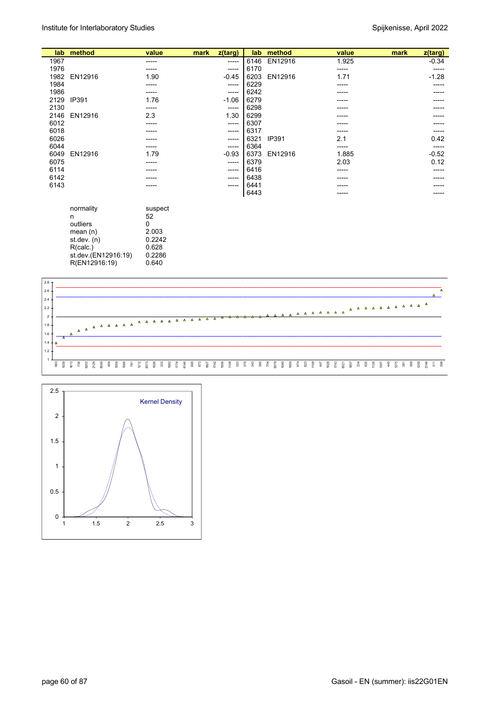|      | lab method | value       | mark | z(targ) | lab. | method       | value | mark | z(targ) |
|------|------------|-------------|------|---------|------|--------------|-------|------|---------|
| 1967 |            | -----       |      | -----   | 6146 | EN12916      | 1.925 |      | $-0.34$ |
| 1976 |            | -----       |      | -----   | 6170 |              | ----- |      | -----   |
| 1982 | EN12916    | 1.90        |      | $-0.45$ | 6203 | EN12916      | 1.71  |      | $-1.28$ |
| 1984 |            | -----       |      | -----   | 6229 |              | ----- |      | -----   |
| 1986 |            | -----       |      | -----   | 6242 |              | ----- |      | -----   |
| 2129 | IP391      | 1.76        |      | $-1.06$ | 6279 |              | ----- |      |         |
| 2130 |            | -----       |      | ------  | 6298 |              | ----- |      | -----   |
| 2146 | EN12916    | 2.3         |      | 1.30    | 6299 |              | ----- |      | -----   |
| 6012 |            | -----       |      | -----   | 6307 |              | ----- |      | ----    |
| 6018 |            | -----       |      | -----   | 6317 |              | ----- |      | -----   |
| 6026 |            | ------      |      | -----   | 6321 | <b>IP391</b> | 2.1   |      | 0.42    |
| 6044 |            | $- - - - -$ |      | ------  | 6364 |              | ----- |      | -----   |
| 6049 | EN12916    | 1.79        |      | $-0.93$ | 6373 | EN12916      | 1.885 |      | $-0.52$ |
| 6075 |            | -----       |      | -----   | 6379 |              | 2.03  |      | 0.12    |
| 6114 |            | -----       |      | -----   | 6416 |              | ----- |      | -----   |
| 6142 |            | ------      |      | -----   | 6438 |              | ----- |      | -----   |
| 6143 |            | -----       |      | -----   | 6441 |              | ----- |      |         |
|      |            |             |      |         | 6443 |              | ----- |      | -----   |

| normality<br>n<br>outliers<br>mean (n)<br>st.dev. (n)<br>R(calc.) | suspect<br>52<br>ŋ<br>2.003<br>0.2242<br>0.628<br>0.2286 |
|-------------------------------------------------------------------|----------------------------------------------------------|
| st.dev.(EN12916:19)<br>R(EN12916:19)                              | 0.640                                                    |



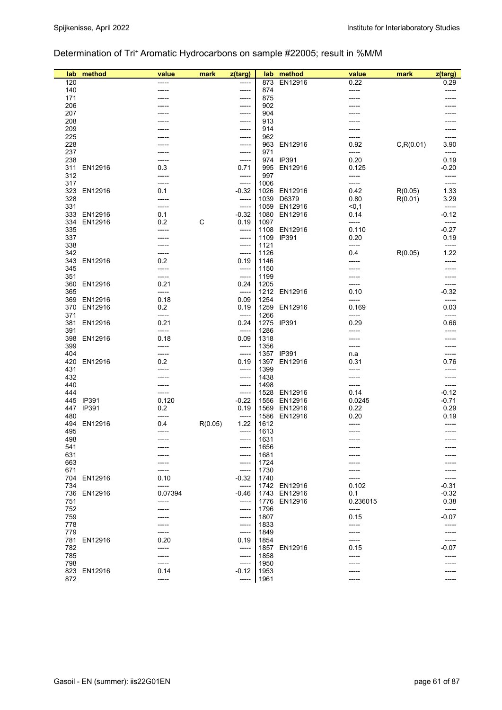#### Determination of Tri+ Aromatic Hydrocarbons on sample #22005; result in %M/M

| lab        | method      | value         | mark    | z(targ)          | lab          | method                  | value          | mark       | z(targ)          |
|------------|-------------|---------------|---------|------------------|--------------|-------------------------|----------------|------------|------------------|
| 120        |             | -----         |         | -----            | 873          | EN12916                 | 0.22           |            | 0.29             |
| 140        |             |               |         | -----            | 874          |                         | -----          |            | -----            |
| 171        |             |               |         | -----            | 875          |                         | -----          |            |                  |
| 206<br>207 |             |               |         | -----<br>-----   | 902<br>904   |                         |                |            |                  |
| 208        |             |               |         | -----            | 913          |                         |                |            |                  |
| 209        |             |               |         | -----            | 914          |                         |                |            |                  |
| 225        |             |               |         | -----            | 962          |                         | -----          |            |                  |
| 228        |             |               |         | -----            | 963          | EN12916                 | 0.92           | C, R(0.01) | 3.90             |
| 237        |             |               |         | -----            | 971          |                         | -----          |            | -----            |
| 238<br>311 | EN12916     | 0.3           |         | -----<br>0.71    | 974<br>995   | IP391<br>EN12916        | 0.20<br>0.125  |            | 0.19<br>$-0.20$  |
| 312        |             | -----         |         | -----            | 997          |                         | -----          |            | -----            |
| 317        |             |               |         | -----            | 1006         |                         | -----          |            | -----            |
| 323        | EN12916     | 0.1           |         | $-0.32$          |              | 1026 EN12916            | 0.42           | R(0.05)    | 1.33             |
| 328        |             | -----         |         | -----            | 1039         | D6379                   | 0.80           | R(0.01)    | 3.29             |
| 331        |             | -----         |         | $-----$          | 1059         | EN12916                 | < 0, 1         |            | -----            |
|            | 333 EN12916 | 0.1           | C       | $-0.32$          | 1080         | EN12916                 | 0.14           |            | $-0.12$          |
| 334<br>335 | EN12916     | 0.2<br>-----  |         | 0.19<br>$-----$  | 1097<br>1108 | EN12916                 | -----<br>0.110 |            | -----<br>$-0.27$ |
| 337        |             |               |         | -----            | 1109         | IP391                   | 0.20           |            | 0.19             |
| 338        |             |               |         | -----            | 1121         |                         | -----          |            | -----            |
| 342        |             |               |         | -----            | 1126         |                         | 0.4            | R(0.05)    | 1.22             |
| 343        | EN12916     | 0.2           |         | 0.19             | 1146         |                         | -----          |            | -----            |
| 345        |             | -----         |         | -----            | 1150         |                         | -----          |            |                  |
| 351        |             | -----         |         | -----            | 1199         |                         | -----          |            | -----            |
| 360        | EN12916     | 0.21          |         | 0.24             | 1205         | EN12916                 | -----          |            | -----            |
| 365<br>369 | EN12916     | -----<br>0.18 |         | -----<br>0.09    | 1212<br>1254 |                         | 0.10<br>-----  |            | $-0.32$          |
| 370        | EN12916     | 0.2           |         | 0.19             | 1259         | EN12916                 | 0.169          |            | 0.03             |
| 371        |             | -----         |         | -----            | 1266         |                         | -----          |            | -----            |
| 381        | EN12916     | 0.21          |         | 0.24             | 1275         | IP391                   | 0.29           |            | 0.66             |
| 391        |             | -----         |         | -----            | 1286         |                         | -----          |            | -----            |
| 398        | EN12916     | 0.18          |         | 0.09             | 1318         |                         | -----          |            |                  |
| 399        |             | -----         |         | $-----$          | 1356         |                         | -----          |            |                  |
| 404<br>420 | EN12916     | -----<br>0.2  |         | -----<br>0.19    | 1357<br>1397 | <b>IP391</b><br>EN12916 | n.a<br>0.31    |            | 0.76             |
| 431        |             | -----         |         | -----            | 1399         |                         | -----          |            | -----            |
| 432        |             | -----         |         | -----            | 1438         |                         | -----          |            | -----            |
| 440        |             |               |         | -----            | 1498         |                         | -----          |            | -----            |
| 444        |             | -----         |         | -----            | 1528         | EN12916                 | 0.14           |            | $-0.12$          |
|            | 445 IP391   | 0.120         |         | $-0.22$          | 1556         | EN12916                 | 0.0245         |            | $-0.71$          |
|            | 447 IP391   | 0.2           |         | 0.19             | 1569         | EN12916                 | 0.22           |            | 0.29             |
| 480<br>494 | EN12916     | -----<br>0.4  | R(0.05) | -----<br>1.22    | 1586<br>1612 | EN12916                 | 0.20<br>-----  |            | 0.19<br>-----    |
| 495        |             |               |         | -----            | 1613         |                         | -----          |            | -----            |
| 498        |             | ------        |         | -----            | 1631         |                         | -----          |            | -----            |
| 541        |             |               |         | -----            | 1656         |                         |                |            |                  |
| 631        |             |               |         | -----            | 1681         |                         |                |            |                  |
| 663        |             |               |         | -----            | 1724         |                         |                |            |                  |
| 671        |             |               |         | -----            | 1730         |                         |                |            |                  |
| 734        | 704 EN12916 | 0.10<br>----- |         | -0.32<br>$-----$ | 1740         | 1742 EN12916            | 0.102          |            | $-0.31$          |
|            | 736 EN12916 | 0.07394       |         | -0.46            |              | 1743 EN12916            | 0.1            |            | $-0.32$          |
| 751        |             | -----         |         | -----            |              | 1776 EN12916            | 0.236015       |            | 0.38             |
| 752        |             |               |         | -----            | 1796         |                         | -----          |            | -----            |
| 759        |             |               |         | -----            | 1807         |                         | 0.15           |            | $-0.07$          |
| 778        |             |               |         | -----            | 1833         |                         | -----          |            | -----            |
| 779        |             |               |         | -----            | 1849         |                         | -----          |            |                  |
|            | 781 EN12916 | 0.20          |         | 0.19             | 1854         | 1857 EN12916            | -----          |            | -----            |
| 782<br>785 |             | -----         |         | -----<br>-----   | 1858         |                         | 0.15<br>-----  |            | $-0.07$          |
| 798        |             |               |         | -----            | 1950         |                         |                |            |                  |
|            | 823 EN12916 | 0.14          |         | -0.12            | 1953         |                         |                |            |                  |
| 872        |             | -----         |         | -----            | 1961         |                         |                |            |                  |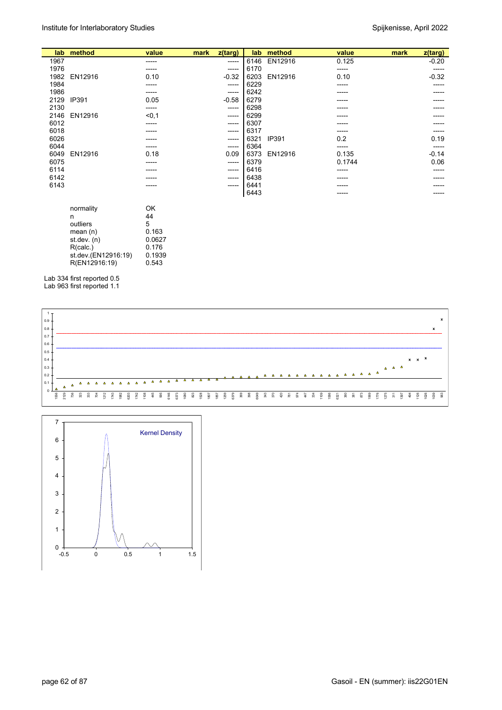|      | lab method | value | mark | $z$ (targ) | lab. | method  | value  | mark | $z$ (targ) |
|------|------------|-------|------|------------|------|---------|--------|------|------------|
| 1967 |            | ----- |      | -----      | 6146 | EN12916 | 0.125  |      | $-0.20$    |
| 1976 |            | ----- |      | -----      | 6170 |         | -----  |      | -----      |
| 1982 | EN12916    | 0.10  |      | $-0.32$    | 6203 | EN12916 | 0.10   |      | $-0.32$    |
| 1984 |            | ----- |      | ------     | 6229 |         | -----  |      | -----      |
| 1986 |            | ----- |      | -----      | 6242 |         | -----  |      | -----      |
| 2129 | IP391      | 0.05  |      | $-0.58$    | 6279 |         | ----   |      |            |
| 2130 |            | ----- |      | -----      | 6298 |         | -----  |      |            |
| 2146 | EN12916    | < 0.1 |      | -----      | 6299 |         | -----  |      | ----       |
| 6012 |            | ----- |      | -----      | 6307 |         | -----  |      | -----      |
| 6018 |            | ----- |      | -----      | 6317 |         | -----  |      | -----      |
| 6026 |            | ----- |      | -----      | 6321 | IP391   | 0.2    |      | 0.19       |
| 6044 |            | ----- |      | ------     | 6364 |         | -----  |      | -----      |
| 6049 | EN12916    | 0.18  |      | 0.09       | 6373 | EN12916 | 0.135  |      | $-0.14$    |
| 6075 |            | ----- |      | -----      | 6379 |         | 0.1744 |      | 0.06       |
| 6114 |            | ----- |      | -----      | 6416 |         | -----  |      | -----      |
| 6142 |            | ----- |      | -----      | 6438 |         | -----  |      | -----      |
| 6143 |            | ----- |      | -----      | 6441 |         | -----  |      |            |
|      |            |       |      |            | 6443 |         | -----  |      |            |

| normality   |                     | OK     |
|-------------|---------------------|--------|
| n           |                     | 44     |
| outliers    |                     | 5      |
| mean(n)     |                     | 0.163  |
| st.dev. (n) |                     | 0.0627 |
| R(calc.)    |                     | 0.176  |
|             | st.dev.(EN12916:19) | 0.1939 |
|             | R(EN12916:19)       | 0.543  |
|             |                     |        |

Lab 334 first reported 0.5 Lab 963 first reported 1.1



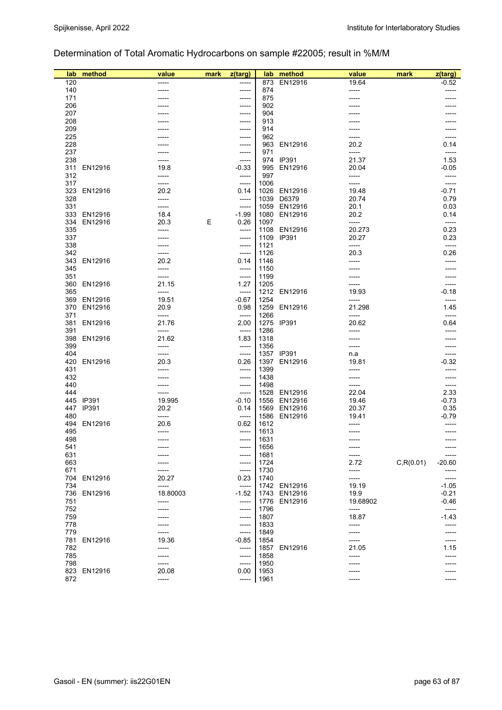#### Determination of Total Aromatic Hydrocarbons on sample #22005; result in %M/M

| lab        | method      | value          | mark | z(targ)         |              | lab method   | value             | mark       | z(targ)          |
|------------|-------------|----------------|------|-----------------|--------------|--------------|-------------------|------------|------------------|
| 120        |             |                |      | -----           | 873          | EN12916      | 19.64             |            | $-0.52$          |
| 140        |             |                |      | -----           | 874          |              | -----             |            |                  |
| 171        |             |                |      | -----           | 875          |              | -----             |            |                  |
| 206        |             |                |      | -----           | 902          |              |                   |            |                  |
| 207        |             |                |      | -----           | 904          |              |                   |            |                  |
| 208<br>209 |             |                |      | -----<br>-----  | 913<br>914   |              |                   |            |                  |
| 225        |             |                |      | -----           | 962          |              | -----             |            |                  |
| 228        |             |                |      | -----           |              | 963 EN12916  | 20.2              |            | 0.14             |
| 237        |             |                |      | -----           | 971          |              | -----             |            | -----            |
| 238        |             | -----          |      | -----           |              | 974 IP391    | 21.37             |            | 1.53             |
|            | 311 EN12916 | 19.8           |      | -0.33           |              | 995 EN12916  | 20.04             |            | -0.05            |
| 312        |             | -----          |      | -----           | 997          |              | -----             |            | -----            |
| 317        | 323 EN12916 | -----<br>20.2  |      | -----<br>0.14   | 1006         | 1026 EN12916 | -----<br>19.48    |            | -----<br>$-0.71$ |
| 328        |             | -----          |      | -----           | 1039         | D6379        | 20.74             |            | 0.79             |
| 331        |             | -----          |      | -----           |              | 1059 EN12916 | 20.1              |            | 0.03             |
|            | 333 EN12916 | 18.4           |      | $-1.99$         |              | 1080 EN12916 | 20.2              |            | 0.14             |
|            | 334 EN12916 | 20.3           | Ε    | 0.26            | 1097         |              | -----             |            | -----            |
| 335        |             | -----          |      | -----           |              | 1108 EN12916 | 20.273            |            | 0.23             |
| 337        |             |                |      | -----           |              | 1109 IP391   | 20.27             |            | 0.23             |
| 338<br>342 |             |                |      | -----           | 1121<br>1126 |              | -----<br>20.3     |            | -----<br>0.26    |
|            | 343 EN12916 | 20.2           |      | -----<br>0.14   | 1146         |              | -----             |            | -----            |
| 345        |             | -----          |      | -----           | 1150         |              | -----             |            | -----            |
| 351        |             | -----          |      | -----           | 1199         |              | -----             |            | -----            |
|            | 360 EN12916 | 21.15          |      | 1.27            | 1205         |              | -----             |            | -----            |
| 365        |             | -----          |      | -----           |              | 1212 EN12916 | 19.93             |            | $-0.18$          |
|            | 369 EN12916 | 19.51          |      | -0.67           | 1254         |              | -----             |            | -----            |
|            | 370 EN12916 | 20.9           |      | 0.98            |              | 1259 EN12916 | 21.298            |            | 1.45             |
| 371        | 381 EN12916 | -----<br>21.76 |      | -----<br>2.00   | 1266<br>1275 | <b>IP391</b> | -----<br>20.62    |            | 0.64             |
| 391        |             | -----          |      | $-----$         | 1286         |              | -----             |            | -----            |
|            | 398 EN12916 | 21.62          |      | 1.83            | 1318         |              | -----             |            |                  |
| 399        |             | -----          |      | -----           | 1356         |              | -----             |            |                  |
| 404        |             | -----          |      | -----           |              | 1357 IP391   | n.a               |            | -----            |
|            | 420 EN12916 | 20.3           |      | 0.26            |              | 1397 EN12916 | 19.81             |            | $-0.32$          |
| 431        |             | -----          |      | -----           | 1399         |              | -----             |            |                  |
| 432<br>440 |             |                |      | -----<br>-----  | 1438<br>1498 |              | -----<br>-----    |            | -----            |
| 444        |             | -----          |      | -----           |              | 1528 EN12916 | 22.04             |            | 2.33             |
|            | 445 IP391   | 19.995         |      | -0.10           |              | 1556 EN12916 | 19.46             |            | $-0.73$          |
|            | 447 IP391   | 20.2           |      | 0.14            |              | 1569 EN12916 | 20.37             |            | 0.35             |
| 480        |             | -----          |      | $-----$         | 1586         | EN12916      | 19.41             |            | $-0.79$          |
|            | 494 EN12916 | 20.6           |      | 0.62            | 1612         |              |                   |            |                  |
| 495        |             |                |      | -----           | 1613         |              |                   |            |                  |
| 498<br>541 |             | -----          |      | -----<br>-----  | 1631<br>1656 |              | -----<br>-----    |            | -----<br>$-----$ |
| 631        |             |                |      | -----           | 1681         |              | -----             |            |                  |
| 663        |             |                |      | -----           | 1724         |              | 2.72              | C, R(0.01) | $-20.60$         |
| 671        |             |                |      | -----           | 1730         |              | -----             |            |                  |
|            | 704 EN12916 | 20.27          |      | 0.23            | 1740         |              | -----             |            | -----            |
| 734        |             | -----          |      | -----           |              | 1742 EN12916 | 19.19             |            | $-1.05$          |
|            | 736 EN12916 | 18.80003       |      | $-1.52$         |              | 1743 EN12916 | 19.9              |            | $-0.21$          |
| 751<br>752 |             | -----          |      | -----<br>-----  | 1796         | 1776 EN12916 | 19.68902<br>----- |            | $-0.46$<br>----- |
| 759        |             |                |      | -----           | 1807         |              | 18.87             |            | $-1.43$          |
| 778        |             |                |      | -----           | 1833         |              | -----             |            |                  |
| 779        |             |                |      | -----           | 1849         |              | -----             |            | -----            |
|            | 781 EN12916 | 19.36          |      | -0.85           | 1854         |              | -----             |            | -----            |
| 782        |             |                |      | -----           |              | 1857 EN12916 | 21.05             |            | 1.15             |
| 785        |             |                |      | -----           | 1858         |              | -----             |            |                  |
| 798        | 823 EN12916 | -----<br>20.08 |      | $-----$<br>0.00 | 1950<br>1953 |              | -----             |            |                  |
| 872        |             | -----          |      | -----           | 1961         |              |                   |            |                  |
|            |             |                |      |                 |              |              |                   |            |                  |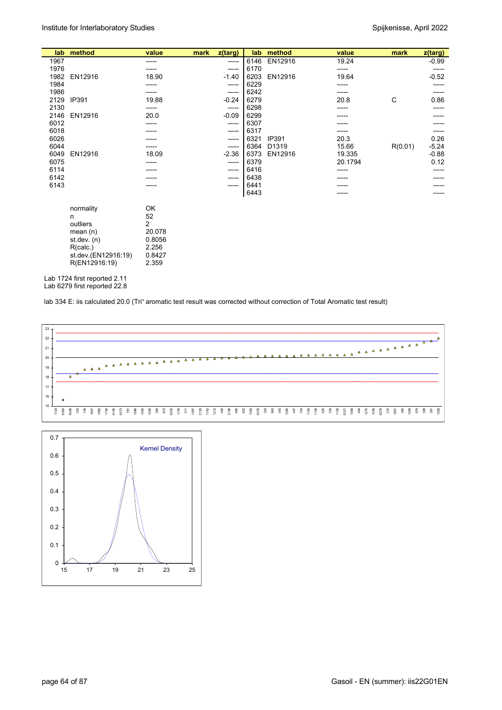|      | lab method    | value  | mark | z(targ) | lab  | method  | value   | mark    | $z$ (targ) |
|------|---------------|--------|------|---------|------|---------|---------|---------|------------|
| 1967 |               | -----  |      | -----   | 6146 | EN12916 | 19.24   |         | $-0.99$    |
| 1976 |               | -----  |      | -----   | 6170 |         | -----   |         | -----      |
| 1982 | EN12916       | 18.90  |      | $-1.40$ | 6203 | EN12916 | 19.64   |         | $-0.52$    |
| 1984 |               |        |      | -----   | 6229 |         |         |         |            |
| 1986 |               | -----  |      | ------  | 6242 |         | -----   |         | -----      |
| 2129 | IP391         | 19.88  |      | $-0.24$ | 6279 |         | 20.8    | C       | 0.86       |
| 2130 |               | -----  |      | -----   | 6298 |         | -----   |         |            |
| 2146 | EN12916       | 20.0   |      | $-0.09$ | 6299 |         |         |         |            |
| 6012 |               | -----  |      | -----   | 6307 |         |         |         |            |
| 6018 |               |        |      | ------  | 6317 |         | -----   |         |            |
| 6026 |               |        |      | -----   | 6321 | IP391   | 20.3    |         | 0.26       |
| 6044 |               | ------ |      | -----   | 6364 | D1319   | 15.66   | R(0.01) | $-5.24$    |
| 6049 | EN12916       | 18.09  |      | $-2.36$ | 6373 | EN12916 | 19.335  |         | $-0.88$    |
| 6075 |               | -----  |      | -----   | 6379 |         | 20.1794 |         | 0.12       |
| 6114 |               |        |      | ------  | 6416 |         | -----   |         | -----      |
| 6142 |               | -----  |      | -----   | 6438 |         | ----    |         |            |
| 6143 |               | .      |      | -----   | 6441 |         |         |         |            |
|      |               |        |      |         | 6443 |         |         |         |            |
|      | normality     | OK     |      |         |      |         |         |         |            |
|      | n             | 52     |      |         |      |         |         |         |            |
|      | outliers      | 2      |      |         |      |         |         |         |            |
|      | mean $(n)$    | 20.078 |      |         |      |         |         |         |            |
|      | st dev. $(n)$ | 0.8056 |      |         |      |         |         |         |            |

| st.uev. (II)        | u.ouou |
|---------------------|--------|
| R(calc.)            | 2.256  |
| st.dev.(EN12916:19) | 0.8427 |
| R(EN12916:19)       | 2.359  |
|                     |        |

Lab 1724 first reported 2.11 Lab 6279 first reported 22.8

lab 334 E: iis calculated 20.0 (Tri<sup>+</sup> aromatic test result was corrected without correction of Total Aromatic test result)



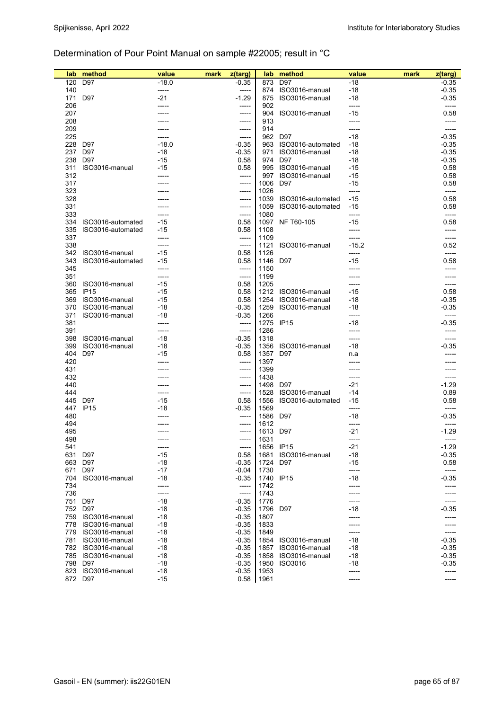#### Determination of Pour Point Manual on sample #22005; result in °C

| lab        | method                               | value          | mark | z(targ)         | lab          | method                                     | value          | mark | z(targ)            |
|------------|--------------------------------------|----------------|------|-----------------|--------------|--------------------------------------------|----------------|------|--------------------|
| 120        | D97                                  | $-18.0$        |      | $-0.35$         | 873          | D97                                        | $-18$          |      | $-0.35$            |
| 140        |                                      | -----          |      | $-----$         |              | 874 ISO3016-manual                         | $-18$          |      | $-0.35$            |
| 171        | D97                                  | -21            |      | $-1.29$         | 875          | ISO3016-manual                             | $-18$          |      | $-0.35$            |
| 206        |                                      |                |      | -----           | 902          |                                            | -----          |      | -----              |
| 207        |                                      |                |      | -----           | 904          | ISO3016-manual                             | $-15$<br>----- |      | 0.58               |
| 208<br>209 |                                      |                |      | -----<br>-----  | 913<br>914   |                                            | -----          |      | -----<br>-----     |
| 225        |                                      |                |      | -----           |              | 962 D97                                    | $-18$          |      | $-0.35$            |
| 228        | D97                                  | $-18.0$        |      | $-0.35$         |              | 963 ISO3016-automated                      | -18            |      | $-0.35$            |
| 237        | D97                                  | $-18$          |      | $-0.35$         |              | 971 ISO3016-manual                         | $-18$          |      | $-0.35$            |
| 238        | D97                                  | $-15$          |      | 0.58            |              | 974 D97                                    | $-18$          |      | $-0.35$            |
| 311        | ISO3016-manual                       | $-15$          |      | 0.58            |              | 995 ISO3016-manual                         | $-15$          |      | 0.58               |
| 312        |                                      |                |      | $-----$         |              | 997 ISO3016-manual                         | $-15$          |      | 0.58               |
| 317        |                                      |                |      | -----           | 1006 D97     |                                            | $-15$          |      | 0.58               |
| 323        |                                      |                |      | -----           | 1026         |                                            | -----          |      | -----              |
| 328<br>331 |                                      |                |      | -----<br>-----  | 1039<br>1059 | ISO3016-automated<br>ISO3016-automated     | $-15$<br>-15   |      | 0.58<br>0.58       |
| 333        |                                      |                |      | -----           | 1080         |                                            | -----          |      | -----              |
| 334        | ISO3016-automated                    | $-15$          |      | 0.58            | 1097         | NF T60-105                                 | $-15$          |      | 0.58               |
| 335        | ISO3016-automated                    | $-15$          |      | 0.58            | 1108         |                                            | -----          |      | -----              |
| 337        |                                      |                |      | -----           | 1109         |                                            | -----          |      | -----              |
| 338        |                                      | -----          |      | $-----$         | 1121         | ISO3016-manual                             | $-15.2$        |      | 0.52               |
| 342        | ISO3016-manual                       | $-15$          |      | 0.58            | 1126         |                                            | -----          |      | -----              |
| 343        | ISO3016-automated                    | $-15$          |      | 0.58            | 1146         | D97                                        | $-15$          |      | 0.58               |
| 345        |                                      | -----          |      | -----           | 1150         |                                            | -----          |      | -----              |
| 351        |                                      | -----          |      | -----           | 1199         |                                            | -----          |      | -----              |
| 360        | ISO3016-manual                       | $-15$          |      | 0.58            | 1205         |                                            | -----          |      |                    |
|            | 365 IP15                             | $-15$          |      | 0.58            |              | 1212 ISO3016-manual                        | $-15$          |      | 0.58               |
| 369        | ISO3016-manual<br>370 ISO3016-manual | $-15$<br>$-18$ |      | 0.58<br>$-0.35$ |              | 1254 ISO3016-manual<br>1259 ISO3016-manual | $-18$<br>$-18$ |      | $-0.35$<br>$-0.35$ |
| 371        | ISO3016-manual                       | $-18$          |      | $-0.35$         | 1266         |                                            | -----          |      | -----              |
| 381        |                                      | -----          |      | -----           | 1275         | IP <sub>15</sub>                           | $-18$          |      | $-0.35$            |
| 391        |                                      | -----          |      | -----           | 1286         |                                            | -----          |      | -----              |
| 398        | ISO3016-manual                       | $-18$          |      | $-0.35$         | 1318         |                                            | -----          |      | -----              |
| 399        | ISO3016-manual                       | $-18$          |      | $-0.35$         | 1356         | ISO3016-manual                             | $-18$          |      | -0.35              |
| 404        | D97                                  | $-15$          |      | 0.58            | 1357         | D97                                        | n.a            |      |                    |
| 420        |                                      |                |      | -----           | 1397         |                                            | -----          |      |                    |
| 431        |                                      |                |      | -----           | 1399         |                                            | -----          |      |                    |
| 432        |                                      |                |      | -----           | 1438         |                                            | -----          |      |                    |
| 440        |                                      |                |      | -----           | 1498         | D97                                        | -21            |      | $-1.29$            |
| 444<br>445 | D97                                  | -----<br>$-15$ |      | -----<br>0.58   | 1528<br>1556 | ISO3016-manual<br>ISO3016-automated        | $-14$<br>$-15$ |      | 0.89<br>0.58       |
|            | 447 IP15                             | -18            |      | $-0.35$         | 1569         |                                            | -----          |      | -----              |
| 480        |                                      |                |      | -----           | 1586 D97     |                                            | $-18$          |      | $-0.35$            |
| 494        |                                      |                |      | -----           | 1612         |                                            | -----          |      | -----              |
| 495        |                                      |                |      | -----           | 1613 D97     |                                            | -21            |      | -1.29              |
| 498        |                                      |                |      | -----           | 1631         |                                            | -----          |      | -----              |
| 541        |                                      | -----          |      | -----           | 1656 IP15    |                                            | $-21$          |      | $-1.29$            |
|            | 631 D97                              | -15            |      | 0.58            |              | 1681 ISO3016-manual                        | $-18$          |      | $-0.35$            |
|            | 663 D97                              | $-18$          |      | $-0.35$         | 1724         | D97                                        | $-15$          |      | 0.58               |
|            | 671 D97                              | $-17$          |      | $-0.04$         | 1730         |                                            | -----          |      | -----              |
|            | 704 ISO3016-manual                   | $-18$          |      | $-0.35$         | 1740 IP15    |                                            | -18            |      | $-0.35$            |
| 734<br>736 |                                      | -----<br>----- |      | -----<br>-----  | 1742<br>1743 |                                            | -----<br>----- |      | -----              |
|            | 751 D97                              | $-18$          |      | $-0.35$         | 1776         |                                            | -----          |      | -----              |
|            | 752 D97                              | -18            |      | $-0.35$         | 1796         | D97                                        | -18            |      | -0.35              |
|            | 759 ISO3016-manual                   | $-18$          |      | $-0.35$         | 1807         |                                            | -----          |      | -----              |
|            | 778 ISO3016-manual                   | $-18$          |      | $-0.35$         | 1833         |                                            | -----          |      | -----              |
|            | 779 ISO3016-manual                   | $-18$          |      | $-0.35$         | 1849         |                                            | -----          |      | -----              |
|            | 781 ISO3016-manual                   | $-18$          |      | $-0.35$         | 1854         | ISO3016-manual                             | $-18$          |      | $-0.35$            |
|            | 782 ISO3016-manual                   | -18            |      | $-0.35$         | 1857         | ISO3016-manual                             | $-18$          |      | $-0.35$            |
|            | 785 ISO3016-manual                   | -18            |      | $-0.35$         |              | 1858 ISO3016-manual                        | -18            |      | $-0.35$            |
|            | 798 D97                              | $-18$          |      | $-0.35$         |              | 1950 ISO3016                               | -18            |      | -0.35              |
|            | 823 ISO3016-manual                   | $-18$          |      | $-0.35$         | 1953         |                                            | -----          |      | -----              |
| 872        | D97                                  | $-15$          |      | 0.58            | 1961         |                                            | -----          |      |                    |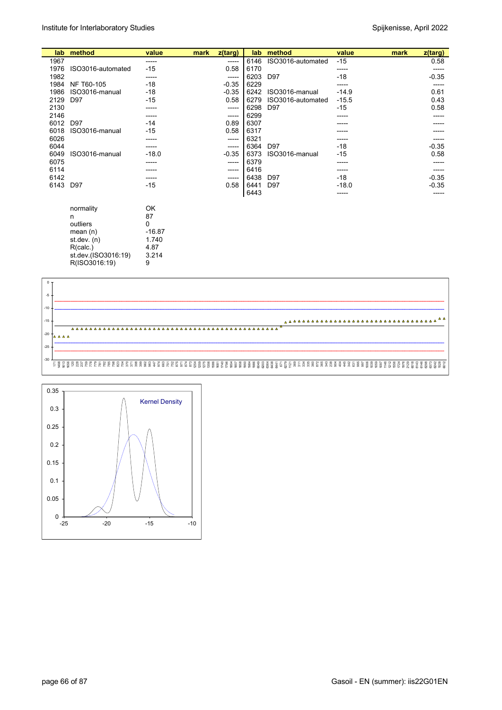| lab  | method                                       | value   | mark | z(targ)     | lab  | method            | value   | mark | $z$ (targ) |
|------|----------------------------------------------|---------|------|-------------|------|-------------------|---------|------|------------|
| 1967 |                                              | -----   |      | -----       | 6146 | ISO3016-automated | $-15$   |      | 0.58       |
| 1976 | ISO3016-automated                            | $-15$   |      | 0.58        | 6170 |                   | -----   |      | -----      |
| 1982 |                                              | -----   |      | $------$    | 6203 | D97               | $-18$   |      | $-0.35$    |
| 1984 | NF T60-105                                   | $-18$   |      | $-0.35$     | 6229 |                   | -----   |      |            |
| 1986 | ISO3016-manual                               | $-18$   |      | $-0.35$     | 6242 | ISO3016-manual    | $-14.9$ |      | 0.61       |
| 2129 | D97                                          | $-15$   |      | 0.58        | 6279 | ISO3016-automated | $-15.5$ |      | 0.43       |
| 2130 |                                              | -----   |      | $-----$     | 6298 | D97               | $-15$   |      | 0.58       |
| 2146 |                                              | -----   |      | ------      | 6299 |                   | -----   |      |            |
| 6012 | D97                                          | $-14$   |      | 0.89        | 6307 |                   | -----   |      |            |
| 6018 | ISO3016-manual                               | -15     |      | 0.58        | 6317 |                   |         |      |            |
| 6026 |                                              | -----   |      | $------$    | 6321 |                   |         |      |            |
| 6044 |                                              | -----   |      | $-----$     | 6364 | D97               | $-18$   |      | $-0.35$    |
| 6049 | ISO3016-manual                               | $-18.0$ |      | $-0.35$     | 6373 | ISO3016-manual    | $-15$   |      | 0.58       |
| 6075 |                                              | -----   |      | ------      | 6379 |                   | -----   |      |            |
| 6114 |                                              | -----   |      | $- - - - -$ | 6416 |                   | -----   |      |            |
| 6142 |                                              | -----   |      | ------      | 6438 | D97               | $-18$   |      | $-0.35$    |
| 6143 | D97                                          | $-15$   |      | 0.58        | 6441 | D97               | $-18.0$ |      | $-0.35$    |
|      |                                              |         |      |             | 6443 |                   | -----   |      | -----      |
|      | normality                                    | OK      |      |             |      |                   |         |      |            |
|      | n                                            | 87      |      |             |      |                   |         |      |            |
|      | $\sim$ $\cdot$ $\cdot$ $\cdot$ $\sim$ $\sim$ | $\sim$  |      |             |      |                   |         |      |            |





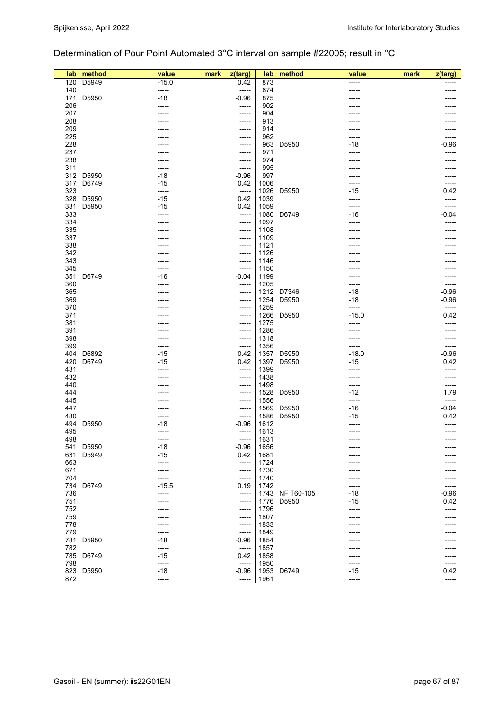#### Determination of Pour Point Automated 3°C interval on sample #22005; result in °C

| lab        | method    | value          | mark | z(targ)          | lab          | method          | value          | mark | z(targ)        |
|------------|-----------|----------------|------|------------------|--------------|-----------------|----------------|------|----------------|
| 120        | D5949     | $-15.0$        |      | 0.42             | 873          |                 | -----          |      |                |
| 140        |           | -----          |      | $-----$          | 874          |                 |                |      |                |
|            | 171 D5950 | $-18$          |      | $-0.96$          | 875          |                 |                |      |                |
| 206        |           | -----          |      | -----            | 902          |                 |                |      |                |
| 207        |           |                |      | -----            | 904          |                 |                |      |                |
| 208        |           |                |      | -----            | 913          |                 |                |      |                |
| 209<br>225 |           |                |      | -----<br>-----   | 914<br>962   |                 | -----          |      |                |
| 228        |           |                |      | -----            |              | 963 D5950       | -18            |      | $-0.96$        |
| 237        |           |                |      | -----            | 971          |                 | -----          |      |                |
| 238        |           |                |      | -----            | 974          |                 |                |      |                |
| 311        |           | -----          |      | -----            | 995          |                 | -----          |      |                |
|            | 312 D5950 | $-18$          |      | $-0.96$          | 997          |                 | -----          |      | -----          |
|            | 317 D6749 | $-15$          |      | 0.42             | 1006         |                 | -----          |      | -----          |
| 323        |           | -----          |      | $-----$          |              | 1026 D5950      | $-15$          |      | 0.42           |
|            | 328 D5950 | $-15$          |      | 0.42             | 1039         |                 | -----          |      | -----          |
|            | 331 D5950 | $-15$          |      | 0.42             | 1059         |                 | -----          |      | -----          |
| 333        |           | -----          |      | -----            |              | 1080 D6749      | -16            |      | $-0.04$        |
| 334        |           |                |      | -----<br>-----   | 1097<br>1108 |                 | -----          |      | -----          |
| 335<br>337 |           |                |      | -----            | 1109         |                 |                |      |                |
| 338        |           |                |      | -----            | 1121         |                 |                |      |                |
| 342        |           |                |      | -----            | 1126         |                 |                |      |                |
| 343        |           |                |      | -----            | 1146         |                 |                |      |                |
| 345        |           | -----          |      | -----            | 1150         |                 |                |      |                |
|            | 351 D6749 | $-16$          |      | $-0.04$          | 1199         |                 | -----          |      | -----          |
| 360        |           |                |      | -----            | 1205         |                 | -----          |      | -----          |
| 365        |           |                |      | -----            |              | 1212 D7346      | $-18$          |      | $-0.96$        |
| 369        |           |                |      | -----            |              | 1254 D5950      | $-18$          |      | $-0.96$        |
| 370        |           |                |      | -----            | 1259         |                 | -----          |      | -----          |
| 371        |           |                |      | -----            |              | 1266 D5950      | $-15.0$        |      | 0.42           |
| 381        |           |                |      | -----            | 1275         |                 | -----          |      | -----          |
| 391<br>398 |           |                |      | -----            | 1286<br>1318 |                 | -----<br>----- |      |                |
| 399        |           | -----          |      | -----<br>-----   | 1356         |                 | -----          |      | -----<br>----- |
|            | 404 D6892 | $-15$          |      | 0.42             |              | 1357 D5950      | $-18.0$        |      | $-0.96$        |
|            | 420 D6749 | $-15$          |      | 0.42             |              | 1397 D5950      | $-15$          |      | 0.42           |
| 431        |           |                |      | -----            | 1399         |                 | -----          |      | -----          |
| 432        |           |                |      | -----            | 1438         |                 | -----          |      | -----          |
| 440        |           |                |      | -----            | 1498         |                 | -----          |      | -----          |
| 444        |           |                |      | -----            | 1528         | D5950           | -12            |      | 1.79           |
| 445        |           |                |      | -----            | 1556         |                 | -----          |      | -----          |
| 447        |           |                |      | -----            |              | 1569 D5950      | $-16$          |      | $-0.04$        |
| 480        |           | -----          |      | -----            |              | 1586 D5950      | $-15$          |      | 0.42           |
| 494        | D5950     | $-18$          |      | $-0.96$          | 1612         |                 | -----          |      | -----          |
| 495<br>498 |           | -----          |      | -----<br>-----   | 1613<br>1631 |                 | -----          |      |                |
|            | 541 D5950 | -18            |      | $-0.96$          | 1656         |                 | -----          |      |                |
|            | 631 D5949 | $-15$          |      | 0.42             | 1681         |                 |                |      |                |
| 663        |           | -----          |      | -----            | 1724         |                 |                |      |                |
| 671        |           |                |      | -----            | 1730         |                 |                |      |                |
| 704        |           | -----          |      | $-----$          | 1740         |                 |                |      |                |
|            | 734 D6749 | $-15.5$        |      | 0.19             | 1742         |                 | -----          |      |                |
| 736        |           | -----          |      | -----            |              | 1743 NF T60-105 | -18            |      | $-0.96$        |
| 751        |           |                |      | -----            |              | 1776 D5950      | -15            |      | 0.42           |
| 752        |           |                |      | -----            | 1796         |                 | -----          |      | -----          |
| 759        |           |                |      | -----            | 1807         |                 | -----          |      |                |
| 778        |           |                |      | -----            | 1833         |                 |                |      |                |
| 779        | 781 D5950 | -----<br>$-18$ |      | -----<br>$-0.96$ | 1849<br>1854 |                 | -----          |      |                |
| 782        |           | -----          |      | -----            | 1857         |                 |                |      |                |
|            | 785 D6749 | $-15$          |      | 0.42             | 1858         |                 |                |      |                |
| 798        |           | -----          |      | -----            | 1950         |                 | -----          |      | -----          |
|            | 823 D5950 | $-18$          |      | -0.96            |              | 1953 D6749      | -15            |      | 0.42           |
| 872        |           | -----          |      | -----            | 1961         |                 | -----          |      | -----          |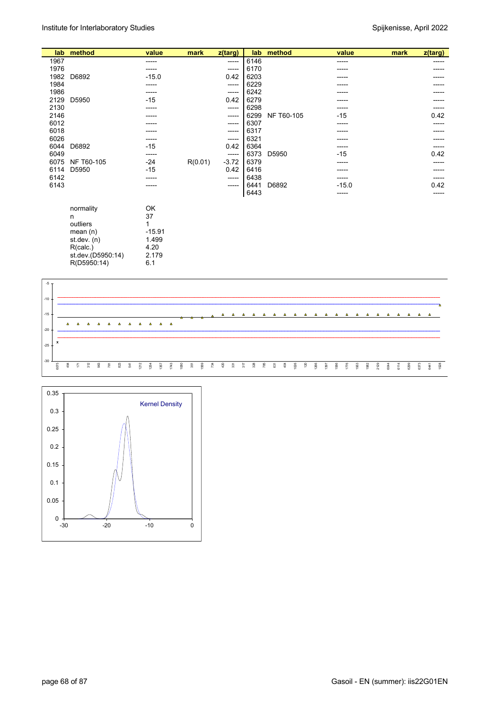|      | lab method | value   | mark    | z(targ) | lab  | method     | value   | mark | z(targ) |
|------|------------|---------|---------|---------|------|------------|---------|------|---------|
| 1967 |            | -----   |         | -----   | 6146 |            | -----   |      |         |
| 1976 |            | -----   |         | -----   | 6170 |            |         |      |         |
| 1982 | D6892      | $-15.0$ |         | 0.42    | 6203 |            | ----    |      |         |
| 1984 |            | -----   |         | -----   | 6229 |            | -----   |      |         |
| 1986 |            | -----   |         | ------  | 6242 |            |         |      |         |
| 2129 | D5950      | $-15$   |         | 0.42    | 6279 |            |         |      |         |
| 2130 |            | -----   |         | -----   | 6298 |            | -----   |      |         |
| 2146 |            | -----   |         | -----   | 6299 | NF T60-105 | $-15$   |      | 0.42    |
| 6012 |            | -----   |         | -----   | 6307 |            | -----   |      | -----   |
| 6018 |            |         |         | -----   | 6317 |            |         |      |         |
| 6026 |            | -----   |         | -----   | 6321 |            |         |      |         |
| 6044 | D6892      | $-15$   |         | 0.42    | 6364 |            | -----   |      |         |
| 6049 |            | -----   |         | -----   | 6373 | D5950      | $-15$   |      | 0.42    |
| 6075 | NF T60-105 | $-24$   | R(0.01) | $-3.72$ | 6379 |            | -----   |      | -----   |
| 6114 | D5950      | $-15$   |         | 0.42    | 6416 |            |         |      |         |
| 6142 |            | -----   |         | -----   | 6438 |            | -----   |      |         |
| 6143 |            | -----   |         | -----   | 6441 | D6892      | $-15.0$ |      | 0.42    |
|      |            |         |         |         | 6443 |            | -----   |      |         |
|      | normality  | OK      |         |         |      |            |         |      |         |
|      | n          | 37      |         |         |      |            |         |      |         |
|      | outliers   |         |         |         |      |            |         |      |         |





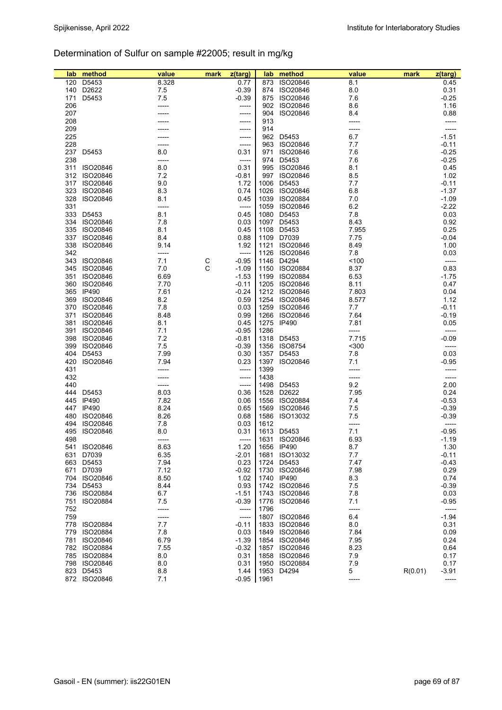# Determination of Sulfur on sample #22005; result in mg/kg

|     | lab method             | value        | mark | z(targ)      |      | lab method                     | value      | mark    | z(targ)            |
|-----|------------------------|--------------|------|--------------|------|--------------------------------|------------|---------|--------------------|
|     | 120 D5453              | 8.328        |      | 0.77         |      | 873 ISO20846                   | 8.1        |         | 0.45               |
|     | 140 D2622              | 7.5          |      | $-0.39$      |      | 874 ISO20846                   | 8.0        |         | 0.31               |
|     | 171 D5453              | 7.5          |      | $-0.39$      |      | 875 ISO20846                   | 7.6        |         | $-0.25$            |
| 206 |                        | -----        |      | -----        |      | 902 ISO20846                   | 8.6        |         | 1.16               |
| 207 |                        |              |      | -----        |      | 904 ISO20846                   | 8.4        |         | 0.88               |
| 208 |                        |              |      | -----        | 913  |                                | -----      |         | -----              |
| 209 |                        |              |      | -----        | 914  |                                | -----      |         | -----              |
| 225 |                        |              |      | -----        |      | 962 D5453                      | 6.7        |         | $-1.51$            |
| 228 |                        |              |      | -----        |      | 963 ISO20846                   | 7.7        |         | $-0.11$            |
|     | 237 D5453              | 8.0          |      | 0.31         |      | 971 ISO20846                   | 7.6        |         | $-0.25$            |
| 238 |                        | -----        |      | -----        |      | 974 D5453                      | 7.6        |         | $-0.25$            |
|     | 311 ISO20846           | 8.0          |      | 0.31         |      | 995 ISO20846                   | 8.1        |         | 0.45               |
|     | 312 ISO20846           | 7.2          |      | -0.81        |      | 997 ISO20846                   | 8.5        |         | 1.02               |
|     | 317 ISO20846           | 9.0          |      | 1.72         |      | 1006 D5453                     | 7.7        |         | $-0.11$            |
|     | 323 ISO20846           | 8.3          |      | 0.74         |      | 1026 ISO20846                  | 6.8        |         | $-1.37$            |
|     | 328 ISO20846           | 8.1          |      | 0.45         |      | 1039 ISO20884                  | 7.0        |         | $-1.09$            |
| 331 |                        | -----        |      | -----        |      | 1059 ISO20846                  | 6.2        |         | $-2.22$            |
|     | 333 D5453              | 8.1          |      | 0.45         |      | 1080 D5453                     | 7.8        |         | 0.03               |
|     | 334 ISO20846           | 7.8          |      | 0.03         |      | 1097 D5453                     | 8.43       |         | 0.92               |
|     | 335 ISO20846           | 8.1          |      | 0.45         |      | 1108 D5453                     | 7.955      |         | 0.25               |
|     | 337 ISO20846           | 8.4          |      | 0.88         |      | 1109 D7039                     | 7.75       |         | $-0.04$            |
|     | 338 ISO20846           | 9.14         |      | 1.92         |      | 1121 ISO20846                  | 8.49       |         | 1.00               |
| 342 |                        | -----        |      | -----        |      | 1126 ISO20846                  | 7.8        |         | 0.03               |
|     | 343 ISO20846           | 7.1          | С    | $-0.95$      |      | 1146 D4294                     | 100        |         | -----              |
|     | 345 ISO20846           | 7.0          | C    | $-1.09$      |      | 1150 ISO20884                  | 8.37       |         | 0.83               |
|     | 351 ISO20846           | 6.69         |      | $-1.53$      |      | 1199 ISO20884                  | 6.53       |         | $-1.75$            |
|     | 360 ISO20846           | 7.70         |      | $-0.11$      |      | 1205 ISO20846                  | 8.11       |         | 0.47               |
|     | 365 IP490              | 7.61         |      | $-0.24$      |      | 1212 ISO20846                  | 7.803      |         | 0.04               |
|     | 369 ISO20846           | 8.2          |      | 0.59         |      | 1254 ISO20846                  | 8.577      |         | 1.12               |
|     | 370 ISO20846           | 7.8          |      | 0.03         |      | 1259 ISO20846                  | 7.7        |         | $-0.11$            |
|     | 371 ISO20846           | 8.48         |      | 0.99         |      | 1266 ISO20846                  | 7.64       |         | $-0.19$            |
|     | 381 ISO20846           | 8.1          |      | 0.45         |      | 1275 IP490                     | 7.81       |         | 0.05               |
|     | 391 ISO20846           | 7.1          |      | $-0.95$      | 1286 |                                | -----      |         | -----              |
|     | 398 ISO20846           | 7.2          |      | $-0.81$      |      | 1318 D5453                     | 7.715      |         | $-0.09$            |
|     | 399 ISO20846           | 7.5          |      | $-0.39$      |      | 1356 ISO8754                   | $300$      |         | -----              |
|     | 404 D5453              | 7.99         |      | 0.30         |      | 1357 D5453                     | 7.8        |         | 0.03               |
|     | 420 ISO20846           | 7.94         |      | 0.23         |      | 1397 ISO20846                  | 7.1        |         | $-0.95$            |
| 431 |                        | -----        |      | -----        | 1399 |                                | -----      |         | -----              |
| 432 |                        |              |      | -----        | 1438 |                                | -----      |         | -----              |
| 440 |                        | -----        |      | -----        |      | 1498 D5453                     | 9.2        |         | 2.00               |
|     | 444 D5453              | 8.03         |      | 0.36         |      | 1528 D2622                     | 7.95       |         | 0.24               |
|     | 445 IP490<br>447 IP490 | 7.82<br>8.24 |      | 0.06         |      | 1556 ISO20884<br>1569 ISO20846 | 7.4<br>7.5 |         | $-0.53$<br>$-0.39$ |
|     | 480 ISO20846           | 8.26         |      | 0.65<br>0.68 |      | 1586 ISO13032                  | 7.5        |         | $-0.39$            |
|     | 494 ISO20846           | 7.8          |      | 0.03         | 1612 |                                | -----      |         | -----              |
| 495 | ISO20846               | 8.0          |      | 0.31         |      | 1613 D5453                     | 7.1        |         | $-0.95$            |
| 498 |                        | -----        |      | -----        |      | 1631 ISO20846                  | 6.93       |         | $-1.19$            |
|     | 541 ISO20846           | 8.63         |      | 1.20         |      | 1656 IP490                     | 8.7        |         | 1.30               |
|     | 631 D7039              | 6.35         |      | -2.01        |      | 1681 ISO13032                  | 7.7        |         | -0.11              |
|     | 663 D5453              | 7.94         |      | 0.23         |      | 1724 D5453                     | 7.47       |         | $-0.43$            |
|     | 671 D7039              | 7.12         |      | $-0.92$      |      | 1730 ISO20846                  | 7.98       |         | 0.29               |
|     | 704 ISO20846           | 8.50         |      | 1.02         |      | 1740 IP490                     | 8.3        |         | 0.74               |
|     | 734 D5453              | 8.44         |      | 0.93         |      | 1742 ISO20846                  | 7.5        |         | $-0.39$            |
|     | 736 ISO20884           | 6.7          |      | $-1.51$      |      | 1743 ISO20846                  | 7.8        |         | 0.03               |
| 751 | ISO20884               | 7.5          |      | -0.39        |      | 1776 ISO20846                  | 7.1        |         | -0.95              |
| 752 |                        | -----        |      | -----        | 1796 |                                | -----      |         | -----              |
| 759 |                        | -----        |      | -----        |      | 1807 ISO20846                  | 6.4        |         | $-1.94$            |
|     | 778 ISO20884           | 7.7          |      | $-0.11$      |      | 1833 ISO20846                  | 8.0        |         | 0.31               |
|     | 779 ISO20884           | 7.8          |      | 0.03         |      | 1849 ISO20846                  | 7.84       |         | 0.09               |
|     | 781 ISO20846           | 6.79         |      | $-1.39$      |      | 1854 ISO20846                  | 7.95       |         | 0.24               |
|     | 782 ISO20884           | 7.55         |      | -0.32        |      | 1857 ISO20846                  | 8.23       |         | 0.64               |
|     | 785 ISO20884           | 8.0          |      | 0.31         |      | 1858 ISO20846                  | 7.9        |         | 0.17               |
|     | 798 ISO20846           | 8.0          |      | 0.31         |      | 1950 ISO20884                  | 7.9        |         | 0.17               |
|     | 823 D5453              | 8.8          |      | 1.44         |      | 1953 D4294                     | 5          | R(0.01) | $-3.91$            |
|     | 872 ISO20846           | 7.1          |      | $-0.95$      | 1961 |                                |            |         |                    |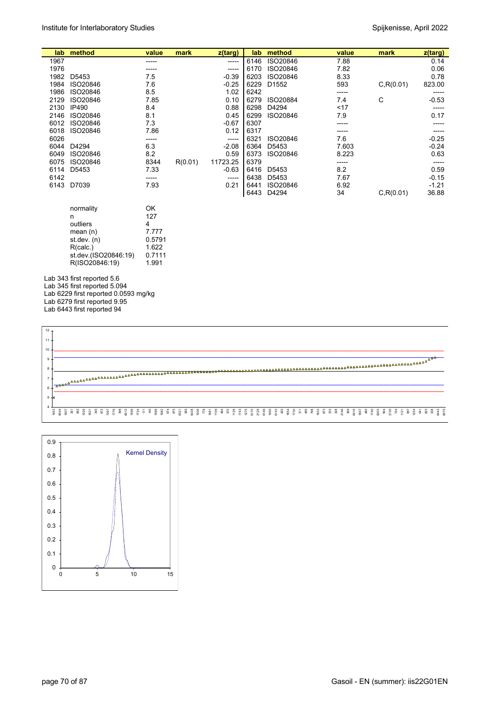|      | lab method   | value | mark    | z(targ)  | lab. | method            | value  | mark       | z(targ) |
|------|--------------|-------|---------|----------|------|-------------------|--------|------------|---------|
| 1967 |              | ----- |         | -----    | 6146 | ISO20846          | 7.88   |            | 0.14    |
| 1976 |              | ----- |         | ------   | 6170 | ISO20846          | 7.82   |            | 0.06    |
| 1982 | D5453        | 7.5   |         | $-0.39$  | 6203 | ISO20846          | 8.33   |            | 0.78    |
| 1984 | ISO20846     | 7.6   |         | $-0.25$  | 6229 | D <sub>1552</sub> | 593    | C, R(0.01) | 823.00  |
| 1986 | ISO20846     | 8.5   |         | 1.02     | 6242 |                   | -----  |            | -----   |
| 2129 | ISO20846     | 7.85  |         | 0.10     | 6279 | ISO20884          | 7.4    | С          | $-0.53$ |
| 2130 | <b>IP490</b> | 8.4   |         | 0.88     | 6298 | D4294             | $<$ 17 |            |         |
| 2146 | ISO20846     | 8.1   |         | 0.45     | 6299 | ISO20846          | 7.9    |            | 0.17    |
| 6012 | ISO20846     | 7.3   |         | $-0.67$  | 6307 |                   | -----  |            |         |
| 6018 | ISO20846     | 7.86  |         | 0.12     | 6317 |                   | -----  |            |         |
| 6026 |              | ----- |         | $-----1$ | 6321 | ISO20846          | 7.6    |            | $-0.25$ |
| 6044 | D4294        | 6.3   |         | $-2.08$  | 6364 | D5453             | 7.603  |            | $-0.24$ |
| 6049 | ISO20846     | 8.2   |         | 0.59     | 6373 | ISO20846          | 8.223  |            | 0.63    |
| 6075 | ISO20846     | 8344  | R(0.01) | 11723.25 | 6379 |                   | -----  |            | -----   |
| 6114 | D5453        | 7.33  |         | $-0.63$  | 6416 | D5453             | 8.2    |            | 0.59    |
| 6142 |              | ----- |         | $-----1$ | 6438 | D5453             | 7.67   |            | $-0.15$ |
| 6143 | D7039        | 7.93  |         | 0.21     | 6441 | ISO20846          | 6.92   |            | $-1.21$ |
|      |              |       |         |          | 6443 | D4294             | 34     | C, R(0.01) | 36.88   |

| normality            | ΩK     |
|----------------------|--------|
| n                    | 127    |
| outliers             | 4      |
| mean (n)             | 7 777  |
| st.dev. (n)          | 0.5791 |
| R(calc.)             | 1.622  |
| st.dev.(ISO20846:19) | 0.7111 |
| R(ISO20846:19)       | 1 991  |
|                      |        |

Lab 343 first reported 5.6

Lab 345 first reported 5.094 Lab 6229 first reported 0.0593 mg/kg Lab 6279 first reported 9.95

Lab 6443 first reported 94



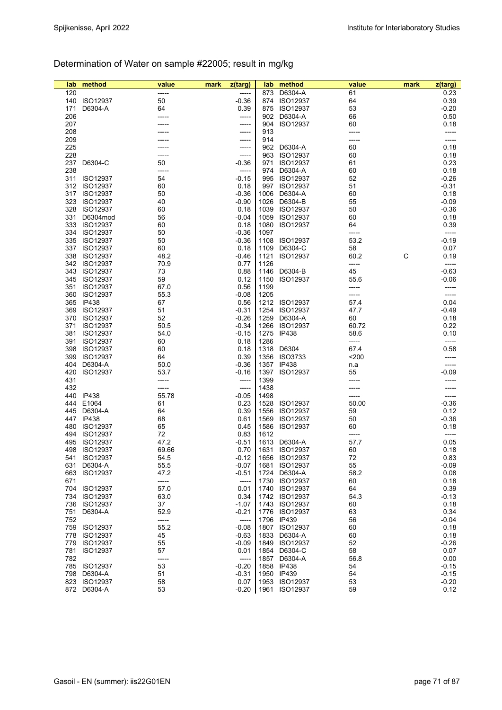# Determination of Water on sample #22005; result in mg/kg

| lab | method                       | value         | mark | z(targ)         |      | lab method                     | value        | mark | z(targ)      |
|-----|------------------------------|---------------|------|-----------------|------|--------------------------------|--------------|------|--------------|
| 120 |                              | -----         |      | -----           |      | 873 D6304-A                    | 61           |      | 0.23         |
|     | 140 ISO12937                 | 50            |      | $-0.36$         |      | 874 ISO12937                   | 64           |      | 0.39         |
| 171 | D6304-A                      | 64            |      | 0.39            |      | 875 ISO12937                   | 53           |      | $-0.20$      |
| 206 |                              |               |      | -----           |      | 902 D6304-A                    | 66           |      | 0.50         |
| 207 |                              |               |      | -----           | 904  | ISO12937                       | 60           |      | 0.18         |
| 208 |                              |               |      | -----           | 913  |                                | -----        |      | -----        |
| 209 |                              |               |      | -----           | 914  |                                | -----        |      | -----        |
| 225 |                              |               |      | -----           | 962  | D6304-A                        | 60           |      | 0.18         |
| 228 |                              |               |      | -----           | 963  | <b>ISO12937</b>                | 60           |      | 0.18         |
| 237 | D6304-C                      | 50            |      | $-0.36$         | 971  | ISO12937                       | 61           |      | 0.23         |
| 238 |                              | -----         |      | -----           | 974  | D6304-A                        | 60           |      | 0.18         |
|     | 311 ISO12937                 | 54            |      | $-0.15$         |      | 995 ISO12937                   | 52           |      | -0.26        |
|     | 312 ISO12937                 | 60            |      | 0.18            |      | 997 ISO12937                   | 51           |      | $-0.31$      |
|     | 317 ISO12937                 | 50            |      | $-0.36$         |      | 1006 D6304-A                   | 60           |      | 0.18         |
|     | 323 ISO12937                 | 40            |      | $-0.90$         |      | 1026 D6304-B                   | 55           |      | $-0.09$      |
|     | 328 ISO12937                 | 60            |      | 0.18            |      | 1039 ISO12937                  | 50           |      | $-0.36$      |
|     | 331 D6304mod                 | 56            |      | $-0.04$         |      | 1059 ISO12937                  | 60           |      | 0.18         |
|     | 333 ISO12937                 | 60            |      | 0.18            | 1080 | ISO12937                       | 64           |      | 0.39         |
|     | 334 ISO12937                 | 50            |      | $-0.36$         | 1097 |                                | -----        |      | -----        |
|     | 335 ISO12937                 | 50            |      | $-0.36$         |      | 1108 ISO12937                  | 53.2         |      | $-0.19$      |
|     | 337 ISO12937                 | 60            |      | 0.18            | 1109 | D6304-C                        | 58           |      | 0.07         |
|     | 338 ISO12937                 | 48.2          |      | $-0.46$         | 1121 | ISO12937                       | 60.2         | C    | 0.19         |
|     | 342 ISO12937                 | 70.9          |      | 0.77            | 1126 |                                | -----        |      | -----        |
|     | 343 ISO12937                 | 73            |      | 0.88            |      | 1146 D6304-B                   | 45           |      | $-0.63$      |
|     | 345 ISO12937                 | 59            |      | 0.12            | 1150 | <b>ISO12937</b>                | 55.6         |      | -0.06        |
|     | 351 ISO12937                 | 67.0          |      | 0.56            | 1199 |                                | -----        |      |              |
|     | 360 ISO12937                 | 55.3          |      | $-0.08$         | 1205 |                                | -----        |      | -----        |
|     | 365 IP438                    | 67            |      | 0.56            |      | 1212 ISO12937                  | 57.4         |      | 0.04         |
|     | 369 ISO12937                 | 51            |      | $-0.31$         | 1254 | ISO12937                       | 47.7         |      | -0.49        |
|     | 370 ISO12937                 | 52            |      | $-0.26$         |      | 1259 D6304-A                   | 60           |      | 0.18         |
|     | 371 ISO12937                 | 50.5          |      | $-0.34$         |      | 1266 ISO12937                  | 60.72        |      | 0.22         |
|     | 381 ISO12937                 | 54.0          |      | $-0.15$         |      | 1275 IP438                     | 58.6         |      | 0.10         |
|     | 391 ISO12937                 | 60            |      | 0.18            | 1286 |                                | -----        |      | -----        |
|     | 398 ISO12937                 | 60            |      | 0.18            |      | 1318 D6304                     | 67.4         |      | 0.58         |
|     | 399 ISO12937                 | 64            |      | 0.39            | 1356 | <b>ISO3733</b>                 | $200$        |      | -----        |
|     | 404 D6304-A                  | 50.0          |      | $-0.36$         |      | 1357 IP438                     | n.a          |      | -----        |
|     | 420 ISO12937                 | 53.7          |      | $-0.16$         | 1397 | ISO12937                       | 55           |      | -0.09        |
| 431 |                              | -----         |      | -----           | 1399 |                                |              |      |              |
| 432 |                              | -----         |      | -----           | 1438 |                                | -----        |      |              |
|     | 440 IP438                    | 55.78         |      | $-0.05$         | 1498 |                                |              |      |              |
|     | 444 E1064                    | 61            |      | 0.23            | 1528 | ISO12937                       | 50.00        |      | -0.36        |
|     | 445 D6304-A                  | 64            |      | 0.39            |      | 1556 ISO12937                  | 59           |      | 0.12         |
|     | 447 IP438                    | 68            |      | 0.61            | 1569 | ISO12937                       | 50           |      | $-0.36$      |
|     | 480 ISO12937                 | 65            |      | 0.45            |      | 1586 ISO12937                  | 60           |      | 0.18         |
|     | 494 ISO12937                 | 72            |      | 0.83            | 1612 |                                | -----        |      | -----        |
|     | 495 ISO12937                 | 47.2<br>69.66 |      | $-0.51$         |      | 1613 D6304-A                   | 57.7         |      | 0.05         |
|     | 498 ISO12937<br>541 ISO12937 |               |      | 0.70<br>$-0.12$ |      | 1631 ISO12937<br>1656 ISO12937 | 60<br>$72\,$ |      | 0.18<br>0.83 |
|     | 631 D6304-A                  | 54.5<br>55.5  |      | $-0.07$         |      | 1681 ISO12937                  | 55           |      | -0.09        |
|     | 663 ISO12937                 | 47.2          |      | $-0.51$         |      | 1724 D6304-A                   | 58.2         |      | 0.08         |
| 671 |                              | -----         |      | -----           |      | 1730 ISO12937                  | 60           |      | 0.18         |
|     | 704 ISO12937                 | 57.0          |      | 0.01            |      | 1740 ISO12937                  | 64           |      | 0.39         |
|     | 734 ISO12937                 | 63.0          |      | 0.34            |      | 1742 ISO12937                  | 54.3         |      | $-0.13$      |
|     | 736 ISO12937                 | 37            |      | $-1.07$         |      | 1743 ISO12937                  | 60           |      | 0.18         |
|     | 751 D6304-A                  | 52.9          |      | $-0.21$         |      | 1776 ISO12937                  | 63           |      | 0.34         |
| 752 |                              | -----         |      | -----           |      | 1796 IP439                     | 56           |      | $-0.04$      |
|     | 759 ISO12937                 | 55.2          |      | $-0.08$         |      | 1807 ISO12937                  | 60           |      | 0.18         |
|     | 778 ISO12937                 | 45            |      | $-0.63$         |      | 1833 D6304-A                   | 60           |      | 0.18         |
|     | 779 ISO12937                 | 55            |      | $-0.09$         |      | 1849 ISO12937                  | 52           |      | $-0.26$      |
|     | 781 ISO12937                 | 57            |      | 0.01            |      | 1854 D6304-C                   | 58           |      | 0.07         |
| 782 |                              | -----         |      | -----           |      | 1857 D6304-A                   | 56.8         |      | 0.00         |
|     | 785 ISO12937                 | 53            |      | $-0.20$         |      | 1858 IP438                     | 54           |      | -0.15        |
|     | 798 D6304-A                  | 51            |      | $-0.31$         |      | 1950 IP439                     | 54           |      | -0.15        |
|     | 823 ISO12937                 | 58            |      | 0.07            |      | 1953 ISO12937                  | 53           |      | -0.20        |
|     | 872 D6304-A                  | 53            |      | $-0.20$         |      | 1961 ISO12937                  | 59           |      | 0.12         |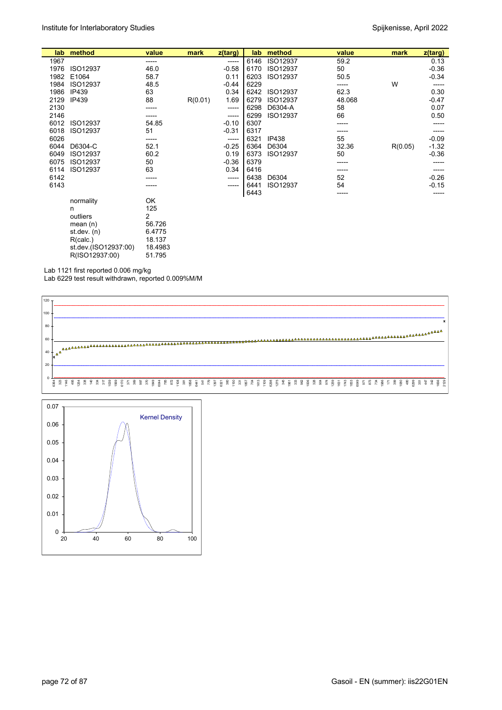|      | lab method   | value          | mark    | $z$ (targ) | lab  | method          | value  | mark    | z(targ) |
|------|--------------|----------------|---------|------------|------|-----------------|--------|---------|---------|
| 1967 |              | -----          |         | -----      | 6146 | ISO12937        | 59.2   |         | 0.13    |
| 1976 | ISO12937     | 46.0           |         | $-0.58$    | 6170 | ISO12937        | 50     |         | $-0.36$ |
| 1982 | E1064        | 58.7           |         | 0.11       | 6203 | ISO12937        | 50.5   |         | $-0.34$ |
| 1984 | ISO12937     | 48.5           |         | $-0.44$    | 6229 |                 | -----  | W       | -----   |
| 1986 | IP439        | 63             |         | 0.34       | 6242 | <b>ISO12937</b> | 62.3   |         | 0.30    |
| 2129 | <b>IP439</b> | 88             | R(0.01) | 1.69       | 6279 | ISO12937        | 48.068 |         | $-0.47$ |
| 2130 |              | -----          |         | -----      | 6298 | D6304-A         | 58     |         | 0.07    |
| 2146 |              |                |         | -----      | 6299 | ISO12937        | 66     |         | 0.50    |
| 6012 | ISO12937     | 54.85          |         | $-0.10$    | 6307 |                 |        |         |         |
| 6018 | ISO12937     | 51             |         | $-0.31$    | 6317 |                 | -----  |         |         |
| 6026 |              | -----          |         | -----      | 6321 | <b>IP438</b>    | 55     |         | $-0.09$ |
| 6044 | D6304-C      | 52.1           |         | $-0.25$    | 6364 | D6304           | 32.36  | R(0.05) | $-1.32$ |
| 6049 | ISO12937     | 60.2           |         | 0.19       | 6373 | ISO12937        | 50     |         | $-0.36$ |
| 6075 | ISO12937     | 50             |         | $-0.36$    | 6379 |                 |        |         |         |
| 6114 | ISO12937     | 63             |         | 0.34       | 6416 |                 | -----  |         | -----   |
| 6142 |              | -----          |         | -----      | 6438 | D6304           | 52     |         | $-0.26$ |
| 6143 |              | -----          |         | -----      | 6441 | ISO12937        | 54     |         | $-0.15$ |
|      |              |                |         |            | 6443 |                 | -----  |         |         |
|      | normality    | OK             |         |            |      |                 |        |         |         |
|      | n            | 125            |         |            |      |                 |        |         |         |
|      | outliers     | $\overline{2}$ |         |            |      |                 |        |         |         |
|      | mean $(n)$   | 56.726         |         |            |      |                 |        |         |         |
|      | st dev. (n)  | 6.4775         |         |            |      |                 |        |         |         |
|      | R(calc.)     | 18.137         |         |            |      |                 |        |         |         |

Lab 1121 first reported 0.006 mg/kg

Lab 6229 test result withdrawn, reported 0.009%M/M

 st.dev.(ISO12937:00) 18.4983 R(ISO12937:00) 51.795



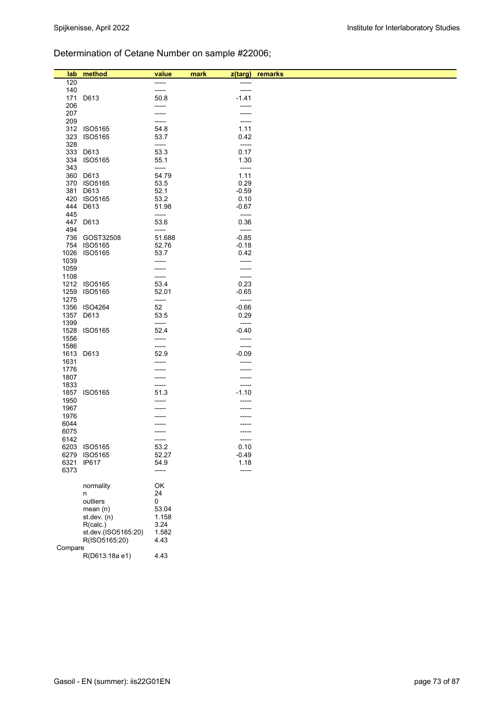# Determination of Cetane Number on sample #22006;

| lab          | method                          | value           | mark |                    | remarks |
|--------------|---------------------------------|-----------------|------|--------------------|---------|
| 120          |                                 | -----           |      | z(targ)<br>-----   |         |
| 140          |                                 | -----           |      | -----              |         |
| 171          | D613                            | 50.8            |      | $-1.41$            |         |
| 206          |                                 | -----           |      | -----              |         |
| 207<br>209   |                                 | -----<br>-----  |      | -----<br>-----     |         |
|              | 312 ISO5165                     | 54.8            |      | 1.11               |         |
| 323          | ISO5165                         | 53.7            |      | 0.42               |         |
| 328          |                                 | -----           |      | $-----$            |         |
| 333          | D613<br>334 ISO5165             | 53.3<br>55.1    |      | 0.17<br>1.30       |         |
| 343          |                                 | -----           |      | -----              |         |
|              | 360 D613                        | 54.79           |      | 1.11               |         |
|              | 370 ISO5165                     | 53.5            |      | 0.29               |         |
| 381          | D613                            | 52.1            |      | $-0.59$            |         |
| 420<br>444   | ISO5165<br>D613                 | 53.2<br>51.98   |      | 0.10<br>$-0.67$    |         |
| 445          |                                 | -----           |      | $-----$            |         |
| 447          | D613                            | 53.6            |      | 0.36               |         |
| 494          |                                 | -----           |      | -----              |         |
| 736          | GOST32508<br>754 ISO5165        | 51.688<br>52.76 |      | $-0.85$<br>$-0.18$ |         |
|              | 1026 ISO5165                    | 53.7            |      | 0.42               |         |
| 1039         |                                 | -----           |      | -----              |         |
| 1059         |                                 |                 |      | -----              |         |
| 1108         |                                 | -----           |      | -----              |         |
| 1259         | 1212 ISO5165<br>ISO5165         | 53.4<br>52.01   |      | 0.23<br>$-0.65$    |         |
| 1275         |                                 | -----           |      | -----              |         |
|              | 1356 ISO4264                    | 52              |      | $-0.66$            |         |
| 1357         | D613                            | 53.5            |      | 0.29               |         |
| 1399<br>1528 | <b>ISO5165</b>                  | -----<br>52.4   |      | -----<br>$-0.40$   |         |
| 1556         |                                 | -----           |      | -----              |         |
| 1586         |                                 | -----           |      | -----              |         |
|              | 1613 D613                       | 52.9            |      | $-0.09$            |         |
| 1631<br>1776 |                                 | -----           |      | -----              |         |
| 1807         |                                 |                 |      | -----              |         |
| 1833         |                                 | -----           |      | -----              |         |
|              | 1857 ISO5165                    | 51.3            |      | $-1.10$            |         |
| 1950<br>1967 |                                 |                 |      |                    |         |
| 1976         |                                 |                 |      |                    |         |
| 6044         |                                 |                 |      |                    |         |
| 6075         |                                 |                 |      |                    |         |
| 6142         | 6203 ISO5165                    |                 |      |                    |         |
| 6279         | ISO5165                         | 53.2<br>52.27   |      | 0.10<br>$-0.49$    |         |
| 6321         | <b>IP617</b>                    | 54.9            |      | 1.18               |         |
| 6373         |                                 | -----           |      | -----              |         |
|              |                                 |                 |      |                    |         |
|              | normality<br>n                  | OK<br>24        |      |                    |         |
|              | outliers                        | 0               |      |                    |         |
|              | mean(n)                         | 53.04           |      |                    |         |
|              | st.dev. (n)                     | 1.158           |      |                    |         |
|              | R(calc.)<br>st.dev.(ISO5165:20) | 3.24<br>1.582   |      |                    |         |
|              | R(ISO5165:20)                   | 4.43            |      |                    |         |
| Compare      |                                 |                 |      |                    |         |
|              | R(D613:18a e1)                  | 4.43            |      |                    |         |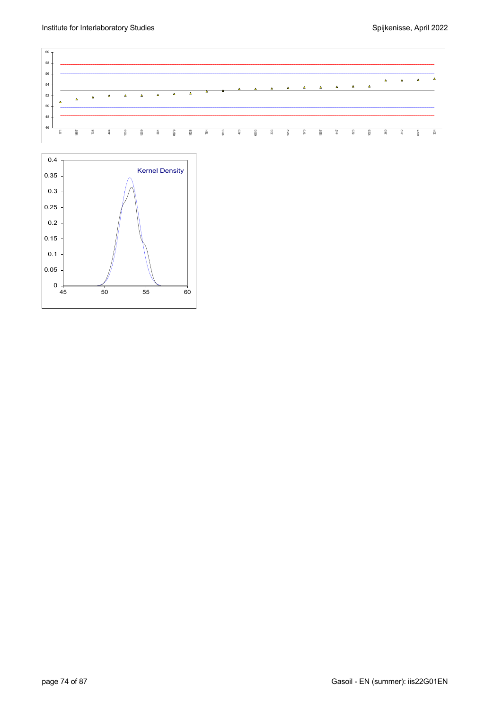

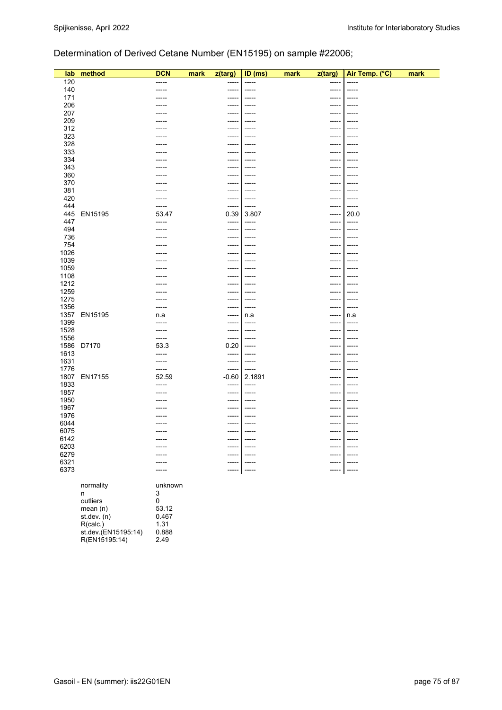# Determination of Derived Cetane Number (EN15195) on sample #22006;

| lab          | method                               | <b>DCN</b>     | mark | z(targ)         | ID(ms)           | mark | z(targ)         | Air Temp. (°C) | mark |
|--------------|--------------------------------------|----------------|------|-----------------|------------------|------|-----------------|----------------|------|
| 120          |                                      | -----          |      | -----           | -----            |      | -----           | -----          |      |
| 140          |                                      | -----          |      | ------          | -----            |      | -----           | -----          |      |
| 171          |                                      |                |      | -----           | -----            |      | -----           | -----          |      |
| 206          |                                      |                |      | -----           | -----            |      | -----           |                |      |
| 207<br>209   |                                      |                |      | -----           | -----<br>-----   |      | -----<br>-----  | -----<br>----  |      |
| 312          |                                      |                |      | -----<br>------ | -----            |      | -----           | -----          |      |
| 323          |                                      |                |      | -----           | -----            |      | -----           | -----          |      |
| 328          |                                      |                |      | -----           | -----            |      | -----           |                |      |
| 333          |                                      |                |      |                 | -----            |      |                 | -----          |      |
| 334          |                                      |                |      | -----           | -----            |      | -----           | -----          |      |
| 343          |                                      |                |      | -----           | -----            |      | -----           | -----          |      |
| 360          |                                      |                |      | -----           | -----            |      | -----           | -----          |      |
| 370<br>381   |                                      |                |      | -----           | -----<br>-----   |      | -----<br>------ | -----<br>----- |      |
| 420          |                                      |                |      | -----<br>-----  | -----            |      | -----           | -----          |      |
| 444          |                                      | -----          |      | -----           | -----            |      | -----           | -----          |      |
| 445          | EN15195                              | 53.47          |      | 0.39            | 3.807            |      | -----           | 20.0           |      |
| 447          |                                      | -----          |      | -----           | $-----$          |      | -----           | -----          |      |
| 494          |                                      | -----          |      | -----           | -----            |      | -----           | -----          |      |
| 736          |                                      |                |      | -----           | -----            |      | -----           | -----          |      |
| 754          |                                      |                |      | ------          | $------$         |      | -----           | -----          |      |
| 1026         |                                      |                |      | -----           | -----            |      | -----           | -----          |      |
| 1039<br>1059 |                                      |                |      | -----           | -----<br>-----   |      | -----           | -----          |      |
| 1108         |                                      |                |      | -----           | -----            |      | -----           | -----          |      |
| 1212         |                                      |                |      | -----           | -----            |      | -----           | -----          |      |
| 1259         |                                      |                |      | -----           | -----            |      | -----           | -----          |      |
| 1275         |                                      |                |      | -----           | -----            |      | -----           | -----          |      |
| 1356         |                                      | -----          |      | ------          | -----            |      | -----           | $--- -$        |      |
| 1357         | EN15195                              | n.a            |      | ------          | n.a              |      | -----           | n.a            |      |
| 1399         |                                      | -----          |      | -----           | -----            |      | -----           | -----          |      |
| 1528<br>1556 |                                      | -----<br>----- |      | -----<br>-----  | -----<br>$-----$ |      | -----<br>-----  | -----<br>----- |      |
| 1586         | D7170                                | 53.3           |      | 0.20            | -----            |      | -----           | -----          |      |
| 1613         |                                      | -----          |      | -----           | -----            |      | -----           | ----           |      |
| 1631         |                                      | ------         |      | -----           | $-----$          |      | -----           | -----          |      |
| 1776         |                                      | -----          |      | -----           | $-----$          |      | -----           | -----          |      |
| 1807         | EN17155                              | 52.59          |      | $-0.60$         | 2.1891           |      | -----           | -----          |      |
| 1833         |                                      | -----          |      | -----           | -----            |      |                 | -----          |      |
| 1857<br>1950 |                                      |                |      | -----           | -----            |      | -----           | -----          |      |
| 1967         |                                      |                |      | -----<br>-----  | -----<br>-----   |      | -----<br>-----  | -----<br>----- |      |
| 1976         |                                      |                |      | -----           | -----            |      | -----           | -----          |      |
| 6044         |                                      |                |      | -----           | -----            |      | -----           | -----          |      |
| 6075         |                                      |                |      | -----           | -----            |      | -----           |                |      |
| 6142         |                                      | -----          |      | -----           | -----            |      | -----           | -----          |      |
| 6203         |                                      | -----          |      |                 |                  |      | -----           | $1 - - - -$    |      |
| 6279         |                                      | -----          |      |                 |                  |      |                 |                |      |
| 6321<br>6373 |                                      |                |      | -----           | $-----$          |      | -----           |                |      |
|              |                                      |                |      |                 | $-----$          |      |                 | -----          |      |
|              | normality                            | unknown        |      |                 |                  |      |                 |                |      |
|              | n                                    | 3              |      |                 |                  |      |                 |                |      |
|              | outliers                             | 0              |      |                 |                  |      |                 |                |      |
|              | mean(n)                              | 53.12          |      |                 |                  |      |                 |                |      |
|              | st.dev. (n)                          | 0.467          |      |                 |                  |      |                 |                |      |
|              | R(calc.)                             | 1.31           |      |                 |                  |      |                 |                |      |
|              | st.dev.(EN15195:14)<br>R(EN15195:14) | 0.888<br>2.49  |      |                 |                  |      |                 |                |      |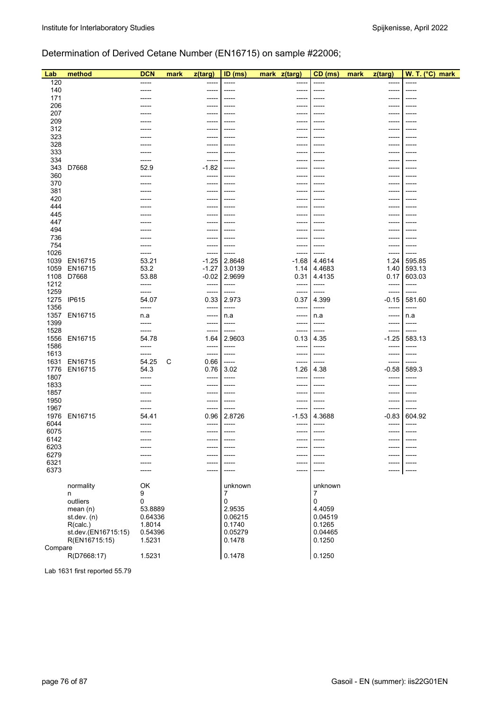# Determination of Derived Cetane Number (EN16715) on sample #22006;

| Lab          | method                          | <b>DCN</b>        | mark | z(targ)         | $ID$ (ms)         | mark z(targ)     | CD (ms)           | mark | z(targ)          | W. T. (°C) mark |
|--------------|---------------------------------|-------------------|------|-----------------|-------------------|------------------|-------------------|------|------------------|-----------------|
| 120          |                                 | -----             |      | $--- -$         | ------            | -----            | -----             |      | -----            |                 |
| 140          |                                 | -----             |      | $- - - - -$     | -----             | -----            | -----             |      | -----            | -----           |
| 171          |                                 |                   |      |                 | -----             |                  | -----             |      |                  |                 |
| 206          |                                 |                   |      |                 | -----             |                  |                   |      |                  | ----            |
| 207<br>209   |                                 |                   |      |                 | -----<br>-----    |                  | -----<br>-----    |      | ----             | ----<br>----    |
| 312          |                                 |                   |      |                 |                   |                  |                   |      | ----             |                 |
| 323          |                                 |                   |      |                 |                   |                  |                   |      |                  |                 |
| 328          |                                 |                   |      |                 | -----             | -----            | -----             |      | -----            | ----            |
| 333          |                                 |                   |      |                 | -----             |                  |                   |      |                  | ---             |
| 334          |                                 |                   |      |                 | -----             |                  |                   |      |                  |                 |
| 343          | D7668                           | 52.9              |      | $-1.82$         | $--- -$           |                  |                   |      |                  |                 |
| 360          |                                 | -----             |      | -----           | -----             |                  |                   |      |                  |                 |
| 370          |                                 |                   |      |                 |                   |                  |                   |      | ----             |                 |
| 381          |                                 |                   |      |                 | -----             |                  | -----             |      | ----             | ----            |
| 420          |                                 |                   |      |                 |                   |                  | -----             |      | -----            | ----            |
| 444          |                                 |                   |      |                 | -----             | -----            | -----             |      | ----             | ----            |
| 445<br>447   |                                 |                   |      |                 | -----             |                  |                   |      |                  |                 |
| 494          |                                 |                   |      |                 | -----             |                  | -----             |      |                  | ----            |
| 736          |                                 |                   |      |                 | -----             |                  | -----             |      |                  | ----            |
| 754          |                                 |                   |      |                 | -----             | -----            |                   |      | ----             | -----           |
| 1026         |                                 |                   |      |                 | -----             | -----            |                   |      | -----            | ------          |
| 1039         | EN16715                         | 53.21             |      | $-1.25$         | 2.8648            | $-1.68$          | 4.4614            |      | 1.24             | 595.85          |
| 1059         | EN16715                         | 53.2              |      | $-1.27$         | 3.0139            | 1.14             | 4.4683            |      | 1.40             | 593.13          |
| 1108         | D7668                           | 53.88             |      | $-0.02$         | 2.9699            | 0.31             | 4.4135            |      | 0.17             | 603.03          |
| 1212         |                                 | -----             |      | $-----$         | $-----$           | -----            | -----             |      | -----            | -----           |
| 1259         |                                 | -----             |      | -----           | $-----$           | -----            | -----             |      | -----            | -----           |
| 1275         | IP615                           | 54.07             |      | 0.33            | 2.973             | 0.37             | 4.399             |      | $-0.15$          | 581.60          |
| 1356         |                                 | -----             |      | -----           | $---$             | -----            | -----             |      | -----            | -----           |
| 1357         | EN16715                         | n.a               |      | $-----$         | n.a               | -----            | n.a               |      | -----            | n.a             |
| 1399<br>1528 |                                 | -----<br>-----    |      | $--- -$         | -----<br>-----    | -----            | -----             |      | ------           | -----           |
| 1556         | EN16715                         | 54.78             |      | $--- -$<br>1.64 | 2.9603            | -----<br>0.13    | -----<br>4.35     |      | -----<br>$-1.25$ | -----<br>583.13 |
| 1586         |                                 | -----             |      | -----           | $-----$           | -----            | ------            |      | -----            | -----           |
| 1613         |                                 | -----             |      | -----           | -----             | -----            | -----             |      | -----            | -----           |
| 1631         | EN16715                         | 54.25             | C    | 0.66            | -----             | -----            |                   |      | -----            | -----           |
| 1776         | EN16715                         | 54.3              |      | 0.76            | 3.02              | 1.26             | 4.38              |      | $-0.58$          | 589.3           |
| 1807         |                                 |                   |      | $---$           | -----             | -----            | ------            |      | -----            | $- - - - -$     |
| 1833         |                                 |                   |      |                 |                   |                  |                   |      |                  |                 |
| 1857         |                                 |                   |      |                 |                   |                  |                   |      |                  |                 |
| 1950         |                                 |                   |      |                 |                   |                  | -----             |      |                  | -----           |
| 1967         |                                 |                   |      |                 | -----             | -----            | -----             |      | -----            | -----           |
| 1976<br>6044 | EN16715                         | 54.41             |      | 0.96<br>$---$   | 2.8726<br>-----   | $-1.53$<br>----- | 4.3688            |      | $-0.83$          | 604.92          |
| 6075         |                                 |                   |      |                 |                   |                  | -----<br>-----    |      | ----<br>-----    | -----           |
| 6142         |                                 | -----             |      | $- - - - -$     | $- - - - -$       | -----            | ------            |      | ------           | $- - - - -$     |
| 6203         |                                 |                   |      |                 |                   |                  |                   |      |                  |                 |
| 6279         |                                 |                   |      | -----           | $-----$           | -----            | $-----$           |      | -----            | -----           |
| 6321         |                                 |                   |      | -----           |                   | -----            |                   |      |                  |                 |
| 6373         |                                 |                   |      |                 | -----             |                  | -----             |      |                  | -----           |
|              |                                 |                   |      |                 |                   |                  |                   |      |                  |                 |
|              | normality                       | OK                |      |                 | unknown           |                  | unknown           |      |                  |                 |
|              | n                               | 9                 |      |                 | 7                 |                  | 7                 |      |                  |                 |
|              | outliers                        | 0                 |      |                 | 0                 |                  | 0                 |      |                  |                 |
|              | mean(n)                         | 53.8889           |      |                 | 2.9535            |                  | 4.4059            |      |                  |                 |
|              | st.dev. (n)                     | 0.64336<br>1.8014 |      |                 | 0.06215<br>0.1740 |                  | 0.04519<br>0.1265 |      |                  |                 |
|              | R(calc.)<br>st.dev.(EN16715:15) | 0.54396           |      |                 | 0.05279           |                  | 0.04465           |      |                  |                 |
|              | R(EN16715:15)                   | 1.5231            |      |                 | 0.1478            |                  | 0.1250            |      |                  |                 |
| Compare      |                                 |                   |      |                 |                   |                  |                   |      |                  |                 |
|              | R(D7668:17)                     | 1.5231            |      |                 | 0.1478            |                  | 0.1250            |      |                  |                 |

Lab 1631 first reported 55.79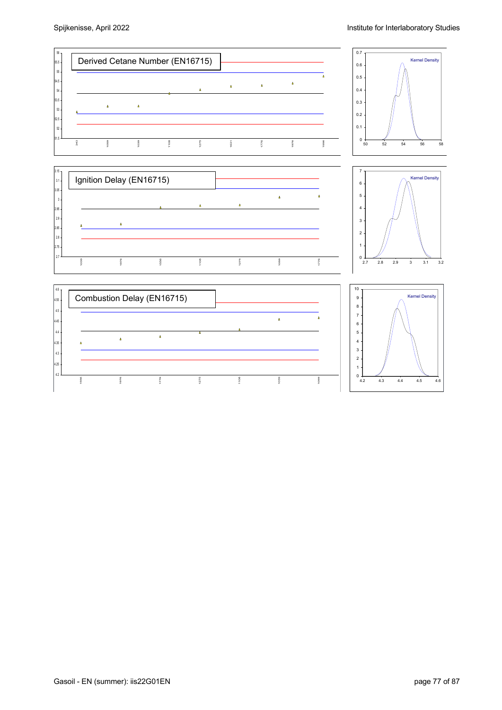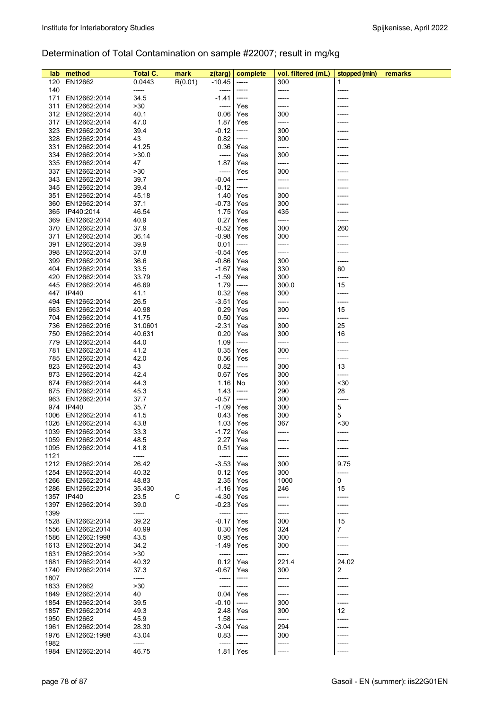# Determination of Total Contamination on sample #22007; result in mg/kg

| lab          | method                           | <b>Total C.</b> | mark    | z(targ)          | complete       | vol. filtered (mL) | stopped (min)<br>remarks |
|--------------|----------------------------------|-----------------|---------|------------------|----------------|--------------------|--------------------------|
| 120          | EN12662                          | 0.0443          | R(0.01) | -10.45           | -----          | 300                | $\mathbf{1}$             |
| 140          |                                  | -----           |         | -----            | -----          | -----              | -----                    |
| 171<br>311   | EN12662:2014<br>EN12662:2014     | 34.5<br>>30     |         | -1.41<br>-----   | -----<br>Yes   | -----              | -----<br>-----           |
|              | 312 EN12662:2014                 | 40.1            |         | 0.06             | Yes            | -----<br>300       | -----                    |
| 317          | EN12662:2014                     | 47.0            |         | 1.87             | Yes            | -----              | -----                    |
| 323          | EN12662:2014                     | 39.4            |         | $-0.12$          | -----          | 300                |                          |
| 328          | EN12662:2014                     | 43              |         | 0.82             | -----          | 300                | -----                    |
| 331          | EN12662:2014                     | 41.25           |         | 0.36             | Yes            | -----              |                          |
| 334<br>335   | EN12662:2014<br>EN12662:2014     | >30.0<br>47     |         | -----<br>1.87    | Yes<br>Yes     | 300                | -----<br>-----           |
| 337          | EN12662:2014                     | >30             |         | -----            | Yes            | -----<br>300       | -----                    |
| 343          | EN12662:2014                     | 39.7            |         | -0.04            | -----          | -----              | -----                    |
| 345          | EN12662:2014                     | 39.4            |         | $-0.12$          | -----          | -----              |                          |
| 351          | EN12662:2014                     | 45.18           |         | 1.40             | Yes            | 300                | -----                    |
| 360          | EN12662:2014                     | 37.1            |         | $-0.73$          | Yes            | 300                | -----                    |
| 369          | 365 IP440:2014                   | 46.54<br>40.9   |         | 1.75             | Yes<br>Yes     | 435                | -----                    |
|              | EN12662:2014<br>370 EN12662:2014 | 37.9            |         | 0.27<br>$-0.52$  | Yes            | -----<br>300       | -----<br>260             |
| 371          | EN12662:2014                     | 36.14           |         | $-0.98$          | Yes            | 300                | -----                    |
| 391          | EN12662:2014                     | 39.9            |         | 0.01             | -----          | -----              | -----                    |
| 398          | EN12662:2014                     | 37.8            |         | -0.54            | Yes            | -----              | -----                    |
| 399          | EN12662:2014                     | 36.6            |         | $-0.86$          | Yes            | 300                | -----                    |
| 404          | EN12662:2014                     | 33.5<br>33.79   |         | -1.67            | Yes            | 330<br>300         | 60                       |
| 420<br>445   | EN12662:2014<br>EN12662:2014     | 46.69           |         | -1.59<br>1.79    | Yes<br>-----   | 300.0              | -----<br>15              |
|              | 447 IP440                        | 41.1            |         | 0.32             | Yes            | 300                | -----                    |
| 494          | EN12662:2014                     | 26.5            |         | $-3.51$          | Yes            | -----              | -----                    |
| 663          | EN12662:2014                     | 40.98           |         | 0.29             | Yes            | 300                | 15                       |
| 704          | EN12662:2014                     | 41.75           |         | 0.50             | Yes            | -----              | -----                    |
| 736          | EN12662:2016                     | 31.0601         |         | -2.31            | Yes            | 300                | 25                       |
| 750<br>779   | EN12662:2014<br>EN12662:2014     | 40.631<br>44.0  |         | 0.20<br>1.09     | Yes<br>-----   | 300<br>-----       | 16<br>-----              |
| 781          | EN12662:2014                     | 41.2            |         | 0.35             | Yes            | 300                | -----                    |
| 785          | EN12662:2014                     | 42.0            |         | 0.56             | Yes            | -----              | -----                    |
| 823          | EN12662:2014                     | 43              |         | 0.82             | -----          | 300                | 13                       |
| 873          | EN12662:2014                     | 42.4            |         | 0.67             | Yes            | 300                | -----                    |
| 874          | EN12662:2014                     | 44.3            |         | 1.16             | No             | 300                | $30$                     |
| 875<br>963   | EN12662:2014<br>EN12662:2014     | 45.3<br>37.7    |         | 1.43<br>$-0.57$  | -----<br>----- | 290<br>300         | 28                       |
| 974          | IP440                            | 35.7            |         | -1.09            | Yes            | 300                | -----<br>5               |
| 1006         | EN12662:2014                     | 41.5            |         | 0.43             | Yes            | 300                | 5                        |
| 1026         | EN12662:2014                     | 43.8            |         | 1.03             | Yes            | 367                | $30$                     |
| 1039         | EN12662:2014                     | 33.3            |         | -1.72            | Yes            | -----              | -----                    |
| 1059         | EN12662:2014                     | 48.5            |         | 2.27             | Yes            | -----              | -----                    |
|              | 1095 EN12662:2014                | 41.8<br>-----   |         | 0.51             | Yes            | -----              | -----                    |
| 1121         | 1212 EN12662:2014                | 26.42           |         | -----<br>$-3.53$ | -----<br>Yes   | -----<br>300       | -----<br>9.75            |
| 1254         | EN12662:2014                     | 40.32           |         | 0.12             | Yes            | 300                | -----                    |
|              | 1266 EN12662:2014                | 48.83           |         | 2.35             | Yes            | 1000               | 0                        |
| 1286         | EN12662:2014                     | 35.430          |         | $-1.16$          | Yes            | 246                | 15                       |
|              | 1357 IP440                       | 23.5            | C       | $-4.30$          | Yes            | -----              | -----                    |
| 1397<br>1399 | EN12662:2014                     | 39.0            |         | $-0.23$          | Yes            | -----              | -----                    |
|              | 1528 EN12662:2014                | -----<br>39.22  |         | -----<br>-0.17   | -----<br>Yes   | -----<br>300       | -----<br>15              |
|              | 1556 EN12662:2014                | 40.99           |         | 0.30             | Yes            | 324                | $\overline{7}$           |
|              | 1586 EN12662:1998                | 43.5            |         | 0.95             | Yes            | 300                | -----                    |
|              | 1613 EN12662:2014                | 34.2            |         | -1.49            | Yes            | 300                | -----                    |
| 1631         | EN12662:2014                     | >30             |         | -----            | -----          | -----              | -----                    |
| 1681         | EN12662:2014                     | 40.32           |         | 0.12             | Yes            | 221.4              | 24.02                    |
| 1740<br>1807 | EN12662:2014                     | 37.3<br>-----   |         | -0.67<br>-----   | Yes<br>-----   | 300<br>-----       | $\overline{c}$<br>-----  |
| 1833         | EN12662                          | >30             |         | -----            | -----          | -----              | -----                    |
| 1849         | EN12662:2014                     | 40              |         | 0.04             | Yes            | -----              | -----                    |
|              | 1854 EN12662:2014                | 39.5            |         | $-0.10$          | -----          | 300                | -----                    |
|              | 1857 EN12662:2014                | 49.3            |         | 2.48             | Yes            | 300                | 12                       |
|              | 1950 EN12662                     | 45.9            |         | 1.58             | -----          | -----              | -----                    |
| 1961<br>1976 | EN12662:2014<br>EN12662:1998     | 28.30<br>43.04  |         | -3.04<br>0.83    | Yes<br>$-----$ | 294<br>300         | -----<br>-----           |
| 1982         |                                  | -----           |         | -----            |                | -----              | -----                    |
|              | 1984 EN12662:2014                | 46.75           |         | 1.81 Yes         |                | -----              | -----                    |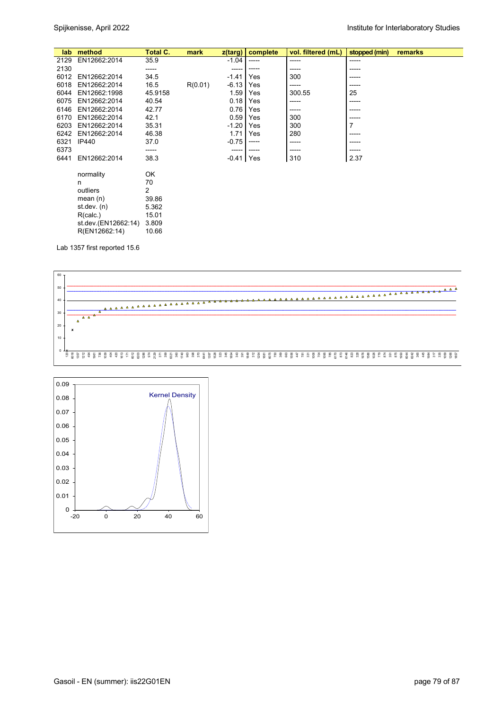| lab. | method        | <b>Total C.</b> | mark    | z(targ) | complete | vol. filtered (mL) | stopped (min)<br>remarks |
|------|---------------|-----------------|---------|---------|----------|--------------------|--------------------------|
| 2129 | EN12662:2014  | 35.9            |         | $-1.04$ | -----    | -----              | -----                    |
| 2130 |               | -----           |         | ------  | -----    | -----              | -----                    |
| 6012 | EN12662:2014  | 34.5            |         | -1.41   | Yes      | 300                | -----                    |
| 6018 | EN12662:2014  | 16.5            | R(0.01) | $-6.13$ | Yes      | -----              | -----                    |
| 6044 | EN12662:1998  | 45.9158         |         | 1.59    | Yes      | 300.55             | 25                       |
| 6075 | EN12662:2014  | 40.54           |         | 0.18    | Yes      | -----              | -----                    |
| 6146 | EN12662:2014  | 42.77           |         | 0.76    | Yes      | -----              | -----                    |
| 6170 | EN12662:2014  | 42.1            |         | 0.59    | Yes      | 300                | -----                    |
| 6203 | EN12662:2014  | 35.31           |         | $-1.20$ | Yes      | 300                | 7                        |
| 6242 | EN12662:2014  | 46.38           |         | 1.71    | Yes      | 280                | -----                    |
| 6321 | IP440         | 37.0            |         | $-0.75$ | -----    | -----              | -----                    |
| 6373 |               | -----           |         | ------  | -----    | -----              | ------                   |
| 6441 | EN12662:2014  | 38.3            |         | -0.41   | Yes      | 310                | 2.37                     |
|      | normality     | OK              |         |         |          |                    |                          |
|      | n             | 70              |         |         |          |                    |                          |
|      | outliers      | 2               |         |         |          |                    |                          |
|      | mean $(n)$    | 39.86           |         |         |          |                    |                          |
|      | st.dev. $(n)$ | 5.362           |         |         |          |                    |                          |
|      | R(calc.)      | 15.01           |         |         |          |                    |                          |

Lab 1357 first reported 15.6

st.dev.(EN12662:14) 3.809 R(EN12662:14) 10.66



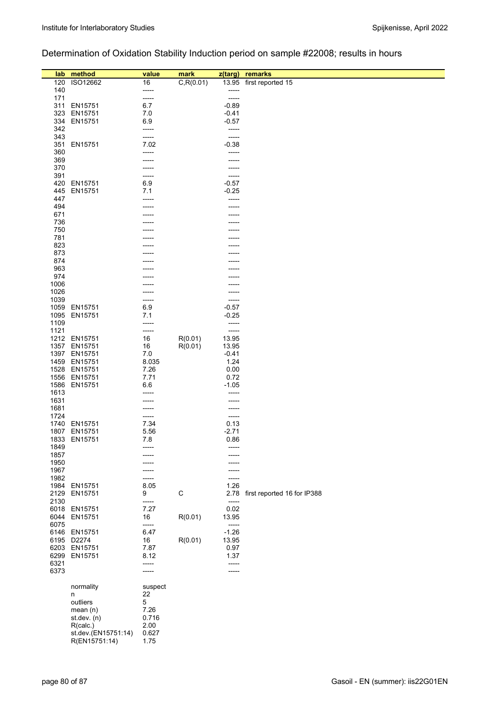# Determination of Oxidation Stability Induction period on sample #22008; results in hours

| lab  | method              | value   | mark       | z(targ) | remarks                     |
|------|---------------------|---------|------------|---------|-----------------------------|
| 120  | ISO12662            | 16      | C, R(0.01) | 13.95   | first reported 15           |
| 140  |                     | -----   |            | -----   |                             |
| 171  |                     | -----   |            | -----   |                             |
| 311  | EN15751             | 6.7     |            | $-0.89$ |                             |
| 323  | EN15751             | 7.0     |            | $-0.41$ |                             |
| 334  | EN15751             | 6.9     |            | $-0.57$ |                             |
| 342  |                     |         |            |         |                             |
|      |                     | -----   |            | -----   |                             |
| 343  |                     | -----   |            | -----   |                             |
| 351  | EN15751             | 7.02    |            | $-0.38$ |                             |
| 360  |                     | -----   |            | -----   |                             |
| 369  |                     |         |            | -----   |                             |
| 370  |                     |         |            | -----   |                             |
| 391  |                     | -----   |            | -----   |                             |
| 420  | EN15751             | 6.9     |            | $-0.57$ |                             |
| 445  | EN15751             | 7.1     |            | $-0.25$ |                             |
| 447  |                     | -----   |            | -----   |                             |
| 494  |                     |         |            |         |                             |
| 671  |                     |         |            |         |                             |
| 736  |                     |         |            |         |                             |
| 750  |                     |         |            |         |                             |
| 781  |                     |         |            |         |                             |
| 823  |                     |         |            |         |                             |
| 873  |                     |         |            |         |                             |
| 874  |                     |         |            |         |                             |
| 963  |                     |         |            |         |                             |
| 974  |                     |         |            |         |                             |
| 1006 |                     |         |            |         |                             |
| 1026 |                     |         |            |         |                             |
| 1039 |                     | -----   |            | -----   |                             |
| 1059 | EN15751             | 6.9     |            | $-0.57$ |                             |
| 1095 | EN15751             | 7.1     |            | $-0.25$ |                             |
| 1109 |                     | -----   |            | -----   |                             |
| 1121 |                     | -----   |            | -----   |                             |
| 1212 | EN15751             | 16      | R(0.01)    | 13.95   |                             |
| 1357 | EN15751             | 16      | R(0.01)    | 13.95   |                             |
| 1397 | EN15751             | 7.0     |            | $-0.41$ |                             |
| 1459 | EN15751             | 8.035   |            | 1.24    |                             |
| 1528 | EN15751             | 7.26    |            | 0.00    |                             |
| 1556 | EN15751             | 7.71    |            | 0.72    |                             |
| 1586 | EN15751             | 6.6     |            | $-1.05$ |                             |
| 1613 |                     |         |            | -----   |                             |
| 1631 |                     |         |            | -----   |                             |
| 1681 |                     |         |            | -----   |                             |
| 1724 |                     | -----   |            | -----   |                             |
| 1740 | EN15751             | 7.34    |            | 0.13    |                             |
| 1807 | EN15751             | 5.56    |            | $-2.71$ |                             |
|      | 1833 EN15751        | 7.8     |            | 0.86    |                             |
| 1849 |                     |         |            |         |                             |
| 1857 |                     |         |            |         |                             |
| 1950 |                     |         |            |         |                             |
| 1967 |                     |         |            |         |                             |
| 1982 |                     |         |            | -----   |                             |
| 1984 | EN15751             | 8.05    |            | 1.26    |                             |
| 2129 | EN15751             | 9       | C          | 2.78    | first reported 16 for IP388 |
| 2130 |                     | -----   |            |         |                             |
|      | 6018 EN15751        | 7.27    |            | 0.02    |                             |
| 6044 | EN15751             | 16      | R(0.01)    | 13.95   |                             |
| 6075 |                     | -----   |            | -----   |                             |
| 6146 | EN15751             | 6.47    |            | $-1.26$ |                             |
| 6195 | D2274               | 16      | R(0.01)    | 13.95   |                             |
|      | 6203 EN15751        | 7.87    |            | 0.97    |                             |
| 6299 | EN15751             | 8.12    |            | 1.37    |                             |
| 6321 |                     | -----   |            | -----   |                             |
| 6373 |                     | -----   |            | -----   |                             |
|      |                     |         |            |         |                             |
|      | normality           | suspect |            |         |                             |
|      | n                   | 22      |            |         |                             |
|      | outliers            | 5       |            |         |                             |
|      | mean $(n)$          | 7.26    |            |         |                             |
|      | st.dev. (n)         | 0.716   |            |         |                             |
|      | R(calc.)            | 2.00    |            |         |                             |
|      | st.dev.(EN15751:14) | 0.627   |            |         |                             |
|      | R(EN15751:14)       | 1.75    |            |         |                             |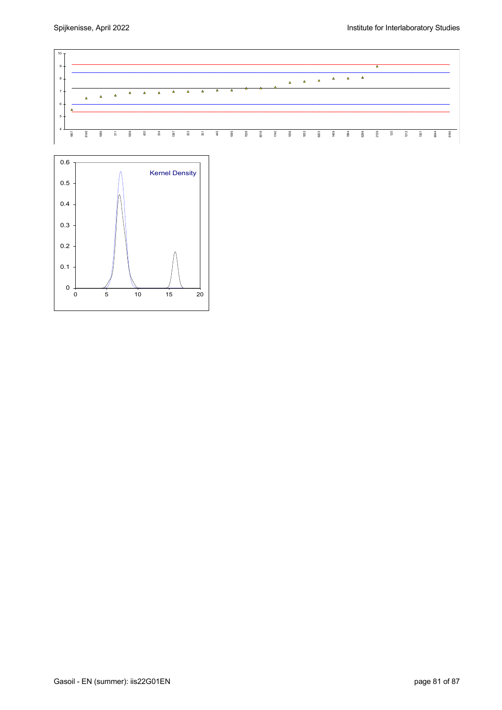

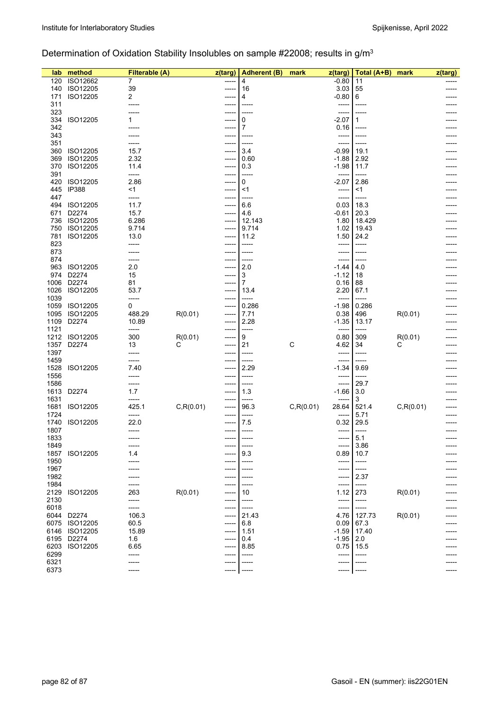# Determination of Oxidation Stability Insolubles on sample #22008; results in g/m3

| lab          | method       | <b>Filterable (A)</b> | z(targ)             | <b>Adherent (B)</b> | mark       | z(targ)         | Total (A+B)  | mark       | z(targ) |
|--------------|--------------|-----------------------|---------------------|---------------------|------------|-----------------|--------------|------------|---------|
| 120          | ISO12662     | 7                     |                     | 4                   |            | $-0.80$         | 11           |            |         |
| 140          | ISO12205     | 39                    | -----               | 16                  |            | 3.03            | 55           |            |         |
| 171          | ISO12205     | 2                     | -----               | 4                   |            | $-0.80$         | 6            |            |         |
| 311          |              |                       |                     |                     |            |                 |              |            |         |
| 323          |              |                       |                     | -----               |            | -----           |              |            |         |
| 334          | ISO12205     | 1                     | -----               | 0                   |            | $-2.07$         | $\mathbf{1}$ |            |         |
| 342          |              |                       | -----               | 7                   |            | 0.16            | -----        |            |         |
| 343          |              |                       | -----               |                     |            | -----           |              |            |         |
| 351          |              | -----                 | -----               | -----               |            | -----           | -----        |            |         |
| 360          | ISO12205     | 15.7                  | -----               | 3.4                 |            | $-0.99$         | 19.1         |            |         |
| 369          | ISO12205     | 2.32                  | -----               | 0.60                |            | $-1.88$         | 2.92         |            |         |
| 370          | ISO12205     | 11.4                  | -----               | 0.3                 |            | $-1.98$         | 11.7         |            |         |
| 391          |              | -----                 | ----                | -----               |            | $-----$         | -----        |            |         |
| 420          | ISO12205     | 2.86                  | -----               | 0                   |            | $-2.07$         | 2.86         |            |         |
| 445          | <b>IP388</b> | <1                    | ----                | <1                  |            | -----           | $<$ 1        |            |         |
| 447          |              | -----                 | -----               | -----               |            | ----            | -----        |            |         |
| 494          | ISO12205     | 11.7                  | -----               | 6.6                 |            | 0.03            | 18.3         |            |         |
| 671          | D2274        | 15.7                  | -----               | 4.6                 |            | -0.61           | 20.3         |            |         |
| 736          | ISO12205     | 6.286                 |                     | 12.143              |            | 1.80            | 18.429       |            |         |
| 750          | ISO12205     | 9.714                 | -----               | 9.714               |            | 1.02            | 19.43        |            |         |
| 781          | ISO12205     | 13.0                  | -----               | 11.2                |            | 1.50            | 24.2         |            |         |
| 823          |              | -----                 | ----                | -----               |            | -----           | -----        |            |         |
| 873          |              |                       |                     |                     |            |                 | -----        |            |         |
| 874          |              | -----                 | -----               | -----               |            | -----           | -----        |            |         |
| 963          | ISO12205     | 2.0                   | ------              | 2.0                 |            | $-1.44$         | 4.0          |            |         |
| 974          | D2274        | 15                    |                     | 3                   |            | $-1.12$         | 18           |            |         |
| 1006         | D2274        | 81                    | -----               | $\overline{7}$      |            | 0.16            | 88           |            |         |
| 1026         | ISO12205     | 53.7                  | -----               | 13.4                |            | 2.20            | 67.1         |            |         |
| 1039<br>1059 | ISO12205     | -----                 | -----               | -----               |            | -----           | -----        |            |         |
| 1095         | ISO12205     | 0<br>488.29           |                     | 0.286<br>7.71       |            | $-1.98$<br>0.38 | 0.286<br>496 |            |         |
| 1109         | D2274        | 10.89                 | R(0.01)<br>-----    | 2.28                |            | $-1.35$         | 13.17        | R(0.01)    |         |
| 1121         |              | -----                 | -----               | -----               |            | -----           | -----        |            |         |
| 1212         | ISO12205     | 300                   | R(0.01)             | 9                   |            | 0.80            | 309          | R(0.01)    |         |
| 1357         | D2274        | 13                    | С<br>-----          | 21                  | C          | 4.62            | 34           | С          |         |
| 1397         |              | -----                 | -----               | -----               |            | -----           | -----        |            |         |
| 1459         |              | -----                 |                     | -----               |            |                 | -----        |            |         |
| 1528         | ISO12205     | 7.40                  | -----               | 2.29                |            | $-1.34$         | 9.69         |            |         |
| 1556         |              | -----                 | -----               | -----               |            | -----           | -----        |            |         |
| 1586         |              | -----                 | -----               | -----               |            | -----           | 29.7         |            |         |
| 1613         | D2274        | 1.7                   |                     | 1.3                 |            | $-1.66$         | 3.0          |            |         |
| 1631         |              | -----                 |                     | -----               |            | -----           | 3            |            |         |
| 1681         | ISO12205     | 425.1                 | C, R(0.01)<br>----- | 96.3                | C, R(0.01) | 28.64           | 521.4        | C, R(0.01) |         |
| 1724         |              | -----                 | -----               | -----               |            | -----           | 5.71         |            |         |
| 1740         | ISO12205     | 22.0                  | ----                | 7.5                 |            | 0.32            | 29.5         |            |         |
| 1807         |              | -----                 |                     | -----               |            | -----           | -----        |            |         |
| 1833         |              | -----                 |                     | -----               |            | -----           | 5.1          |            |         |
| 1849         |              | -----                 |                     |                     |            | -----           | 3.86         |            |         |
| 1857         | ISO12205     | 1.4                   |                     | 9.3                 |            | 0.89            | 10.7         |            |         |
| 1950         |              | -----                 |                     |                     |            | -----           | -----        |            |         |
| 1967         |              |                       |                     |                     |            |                 | -----        |            |         |
| 1982         |              |                       |                     |                     |            |                 | 2.37         |            |         |
| 1984         |              |                       |                     |                     |            |                 | -----        |            |         |
| 2129         | ISO12205     | 263                   | R(0.01)<br>-----    | 10                  |            | 1.12            | 273          | R(0.01)    |         |
| 2130         |              | -----                 | -----               | -----               |            | -----           | -----        |            |         |
| 6018         |              | -----                 |                     | -----               |            | -----           | -----        |            |         |
| 6044         | D2274        | 106.3                 | -----               | 21.43               |            | 4.76            | 127.73       | R(0.01)    |         |
| 6075         | ISO12205     | 60.5                  | -----               | 6.8                 |            | 0.09            | 67.3         |            |         |
| 6146         | ISO12205     | 15.89                 | -----               | 1.51                |            | $-1.59$         | 17.40        |            |         |
| 6195         | D2274        | 1.6                   |                     | 0.4                 |            | $-1.95$         | 2.0          |            |         |
| 6203         | ISO12205     | 6.65                  | -----               | 8.85                |            | 0.75            | 15.5         |            |         |
| 6299         |              | -----                 |                     | -----               |            | -----           | -----        |            |         |
| 6321         |              | -----                 |                     | -----               |            |                 | -----        |            |         |
| 6373         |              |                       |                     |                     |            |                 |              |            |         |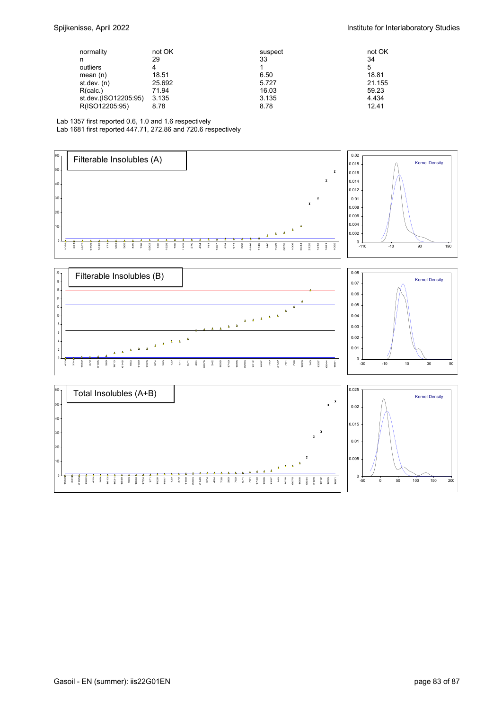| normality            | not OK | suspect | not OK |
|----------------------|--------|---------|--------|
| n                    | 29     | 33      | 34     |
| outliers             | 4      |         | 5      |
| mean $(n)$           | 18.51  | 6.50    | 18.81  |
| st dev. (n)          | 25.692 | 5.727   | 21.155 |
| R(calc.)             | 71.94  | 16.03   | 59.23  |
| st.dev.(ISO12205:95) | 3.135  | 3.135   | 4.434  |
| R(ISO12205:95)       | 8.78   | 8.78    | 12.41  |

Lab 1357 first reported 0.6, 1.0 and 1.6 respectively

Lab 1681 first reported 447.71, 272.86 and 720.6 respectively







 $\mathbf{I}$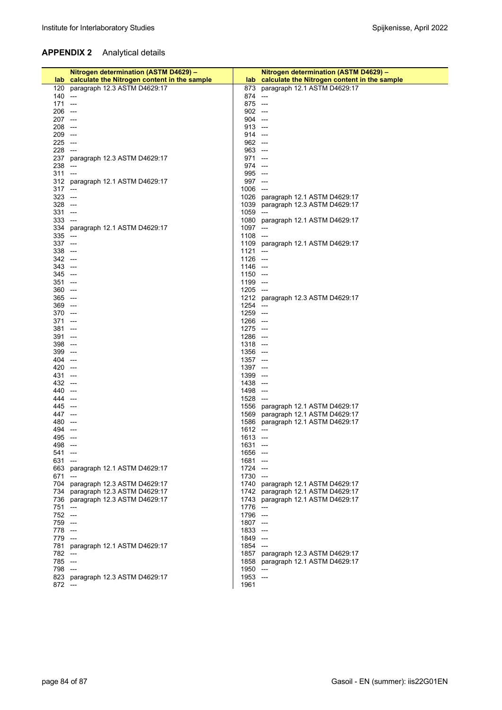#### **APPENDIX 2** Analytical details

| Nitrogen determination (ASTM D4629) -            | Nitrogen determination (ASTM D4629) -            |
|--------------------------------------------------|--------------------------------------------------|
| lab calculate the Nitrogen content in the sample | lab calculate the Nitrogen content in the sample |
| 120 paragraph 12.3 ASTM D4629:17                 | 873<br>paragraph 12.1 ASTM D4629:17              |
| 140 ---<br>$171 -$                               | 874 ---<br>875 ---                               |
|                                                  |                                                  |
| 206 ---                                          | $902 -$                                          |
| 207 ---                                          | 904 ---                                          |
| $208$ ---                                        | 913 ---                                          |
| $209 -$                                          | 914 ---                                          |
| $225 -$                                          | $962 -$                                          |
| $228 -$                                          | 963<br>$\overline{\phantom{a}}$                  |
| 237 paragraph 12.3 ASTM D4629:17                 | 971 ---                                          |
| $238 -$                                          | 974<br>---                                       |
| $311 -$                                          | $995$ ---                                        |
| 312 paragraph 12.1 ASTM D4629:17                 | 997 ---                                          |
| $317 -$                                          | 1006 ---                                         |
| $323 - -$                                        | 1026 paragraph 12.1 ASTM D4629:17                |
| $328 -$                                          | 1039<br>paragraph 12.3 ASTM D4629:17             |
| $331 -$                                          | 1059<br>---                                      |
| $333 - -$                                        | 1080 paragraph 12.1 ASTM D4629:17                |
| 334 paragraph 12.1 ASTM D4629.17                 | 1097 ---                                         |
| $335 -$                                          | $1108 - -$                                       |
| $337 -$                                          | 1109<br>paragraph 12.1 ASTM D4629:17             |
| $338 -$                                          | 1121<br>$--$                                     |
| 342 ---                                          | 1126<br>$\overline{\phantom{a}}$                 |
| 343 ---                                          | 1146<br>$\overline{\phantom{a}}$                 |
| 345 ---                                          | 1150<br>----                                     |
| $351 -$                                          | 1199<br>---                                      |
| $360 -$                                          | $1205 -$                                         |
| 365 ---                                          | 1212 paragraph 12.3 ASTM D4629:17                |
| 369 ---                                          | 1254<br>----                                     |
| 370 ---                                          | 1259 ---                                         |
| 371 ---                                          | 1266 ---                                         |
| 381 ---                                          | 1275 ---                                         |
| 391 ---                                          | 1286<br>$\overline{\phantom{a}}$                 |
| 398 ---                                          | 1318 ---                                         |
| 399 ---                                          | 1356 ---                                         |
| 404 ---                                          | 1357 ---                                         |
| 420 ---                                          | 1397<br>$\overline{\phantom{a}}$                 |
| 431 ---                                          | 1399<br>---                                      |
| 432 ---                                          | 1438<br>$\overline{\phantom{a}}$                 |
| 440 ---                                          | 1498 ---                                         |
| 444 ---                                          | 1528 ---                                         |
| 445 ---                                          | 1556 paragraph 12.1 ASTM D4629:17                |
| 447 ---                                          | 1569<br>paragraph 12.1 ASTM D4629:17             |
| 480 ---                                          | 1586<br>paragraph 12.1 ASTM D4629:17             |
| 494 ---                                          | 1612 ---                                         |
| 495 ---                                          | $1613$ ---                                       |
| 498 ---                                          | 1631 ---                                         |
| 541 ---                                          | 1656 ---                                         |
| 631 ---                                          | 1681<br>$--$                                     |
| 663 paragraph 12.1 ASTM D4629:17                 | 1724 ---                                         |
| 671 ---                                          | 1730 ---                                         |
| 704 paragraph 12.3 ASTM D4629:17                 | 1740 paragraph 12.1 ASTM D4629:17                |
| 734 paragraph 12.3 ASTM D4629:17                 | 1742 paragraph 12.1 ASTM D4629:17                |
| 736 paragraph 12.3 ASTM D4629:17                 | 1743 paragraph 12.1 ASTM D4629:17                |
| 751 ---                                          | 1776 ---                                         |
| 752 ---                                          | 1796 ---                                         |
| 759 ---                                          | 1807 ---                                         |
| 778 ---                                          | 1833 ---                                         |
| 779 ---                                          | 1849 ---                                         |
| 781 paragraph 12.1 ASTM D4629:17                 | 1854 ---                                         |
| 782 ---                                          | 1857 paragraph 12.3 ASTM D4629:17                |
| 785 ---                                          | 1858 paragraph 12.1 ASTM D4629:17                |
| 798 ---                                          | 1950 ---                                         |
| 823 paragraph 12.3 ASTM D4629:17                 | 1953 ---                                         |
| 872 ---                                          | 1961                                             |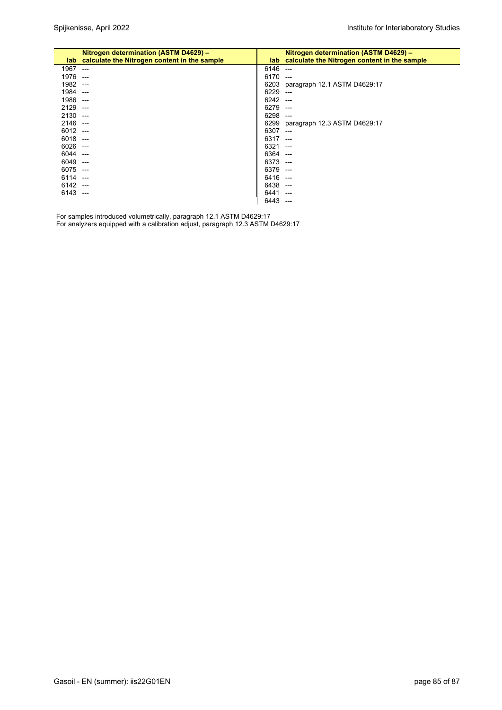|      | Nitrogen determination (ASTM D4629) -        |      | Nitrogen determination (ASTM D4629) -        |
|------|----------------------------------------------|------|----------------------------------------------|
| lab  | calculate the Nitrogen content in the sample | lab  | calculate the Nitrogen content in the sample |
| 1967 | $---$                                        | 6146 | $---$                                        |
| 1976 | $---$                                        | 6170 | $---$                                        |
| 1982 | $---$                                        | 6203 | paragraph 12.1 ASTM D4629:17                 |
| 1984 | $---$                                        | 6229 | $---$                                        |
| 1986 | $---$                                        | 6242 | $---$                                        |
| 2129 | $---$                                        | 6279 | $---$                                        |
| 2130 | $---$                                        | 6298 | $---$                                        |
| 2146 | $---$                                        | 6299 | paragraph 12.3 ASTM D4629:17                 |
| 6012 | $---$                                        | 6307 | $---$                                        |
| 6018 | $---$                                        | 6317 | $---$                                        |
| 6026 | $---$                                        | 6321 | $---$                                        |
| 6044 | $---$                                        | 6364 | $---$                                        |
| 6049 | $---$                                        | 6373 | $---$                                        |
| 6075 | $---$                                        | 6379 | $---$                                        |
| 6114 | $---$                                        | 6416 | $---$                                        |
| 6142 | $---$                                        | 6438 | $---$                                        |
| 6143 | $---$                                        | 6441 | ---                                          |
|      |                                              | 6443 | $---$                                        |

For samples introduced volumetrically, paragraph 12.1 ASTM D4629:17

For analyzers equipped with a calibration adjust, paragraph 12.3 ASTM D4629:17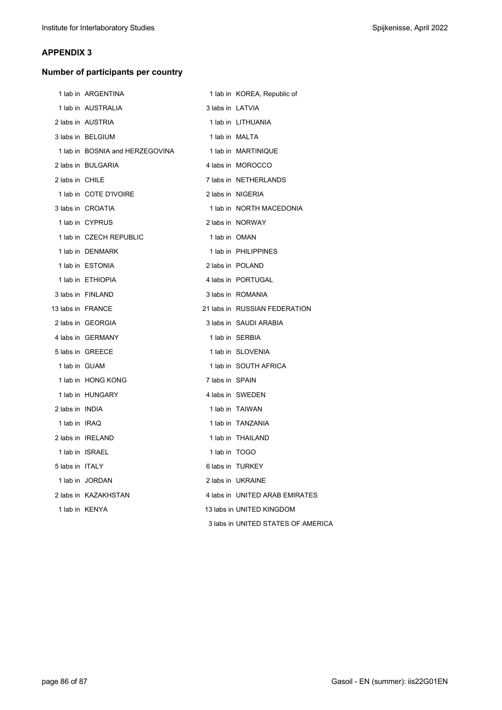### **APPENDIX 3**

# **Number of participants per country**

|                   | 1 lab in ARGENTINA              |                  | 1 lab in KOREA, Republic of        |
|-------------------|---------------------------------|------------------|------------------------------------|
|                   | 1 lab in AUSTRALIA              | 3 labs in LATVIA |                                    |
|                   | 2 labs in AUSTRIA               |                  | 1 lab in LITHUANIA                 |
|                   | 3 labs in BELGIUM               |                  | 1 lab in MALTA                     |
|                   | 1 lab in BOSNIA and HERZEGOVINA |                  | 1 lab in MARTINIQUE                |
|                   | 2 labs in BULGARIA              |                  | 4 labs in MOROCCO                  |
| 2 labs in CHILE   |                                 |                  | 7 labs in NETHERLANDS              |
|                   | 1 lab in COTE D'IVOIRE          |                  | 2 labs in NIGERIA                  |
|                   | 3 labs in CROATIA               |                  | 1 lab in NORTH MACEDONIA           |
|                   | 1 lab in CYPRUS                 |                  | 2 labs in NORWAY                   |
|                   | 1 lab in CZECH REPUBLIC         | 1 lab in OMAN    |                                    |
|                   | 1 lab in DENMARK                |                  | 1 lab in PHILIPPINES               |
|                   | 1 lab in ESTONIA                |                  | 2 labs in POLAND                   |
|                   | 1 lab in ETHIOPIA               |                  | 4 labs in PORTUGAL                 |
|                   | 3 labs in FINLAND               |                  | 3 labs in ROMANIA                  |
| 13 labs in FRANCE |                                 |                  | 21 labs in RUSSIAN FEDERATION      |
|                   | 2 labs in GEORGIA               |                  | 3 labs in SAUDI ARABIA             |
|                   | 4 labs in GERMANY               |                  | 1 lab in SERBIA                    |
|                   | 5 labs in GREECE                |                  | 1 lab in SLOVENIA                  |
| 1 lab in GUAM     |                                 |                  | 1 lab in SOUTH AFRICA              |
|                   | 1 lab in HONG KONG              | 7 labs in SPAIN  |                                    |
|                   | 1 lab in HUNGARY                |                  | 4 labs in SWEDEN                   |
| 2 labs in INDIA   |                                 |                  | 1 lab in TAIWAN                    |
| 1 lab in IRAQ     |                                 |                  | 1 lab in TANZANIA                  |
|                   | 2 labs in IRELAND               |                  | 1 lab in THAILAND                  |
|                   | 1 lab in ISRAEL                 | 1 lab in TOGO    |                                    |
| 5 labs in ITALY   |                                 |                  | 6 labs in TURKEY                   |
|                   | 1 lab in JORDAN                 |                  | 2 labs in UKRAINE                  |
|                   | 2 labs in KAZAKHSTAN            |                  | 4 labs in UNITED ARAB EMIRATES     |
|                   | 1 lab in KENYA                  |                  | 13 labs in UNITED KINGDOM          |
|                   |                                 |                  | 3 labs in UNITED STATES OF AMERICA |